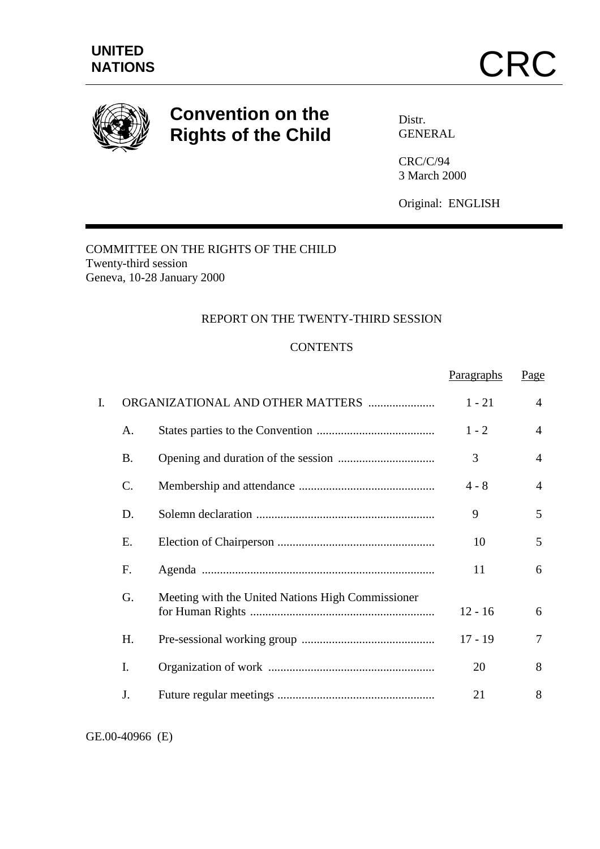

# **Convention on the Rights of the Child**

Distr. GENERAL

CRC/C/94 3 March 2000

Original: ENGLISH

Paragraphs Page

# COMMITTEE ON THE RIGHTS OF THE CHILD Twenty-third session Geneva, 10-28 January 2000

#### REPORT ON THE TWENTY-THIRD SESSION

#### **CONTENTS**

|    |                 |                                                   |           | $ -$           |
|----|-----------------|---------------------------------------------------|-----------|----------------|
| I. |                 | ORGANIZATIONAL AND OTHER MATTERS                  | $1 - 21$  | $\overline{4}$ |
|    | A.              |                                                   | $1 - 2$   | $\overline{4}$ |
|    | <b>B.</b>       |                                                   | 3         | $\overline{4}$ |
|    | $\mathcal{C}$ . |                                                   | $4 - 8$   | $\overline{4}$ |
|    | D.              |                                                   | 9         | 5              |
|    | Е.              |                                                   | 10        | 5              |
|    | F.              |                                                   | 11        | 6              |
|    | G.              | Meeting with the United Nations High Commissioner | $12 - 16$ | 6              |
|    | H.              |                                                   | $17 - 19$ | 7              |
|    | I.              |                                                   | 20        | 8              |
|    | J.              |                                                   | 21        | 8              |

GE.00-40966 (E)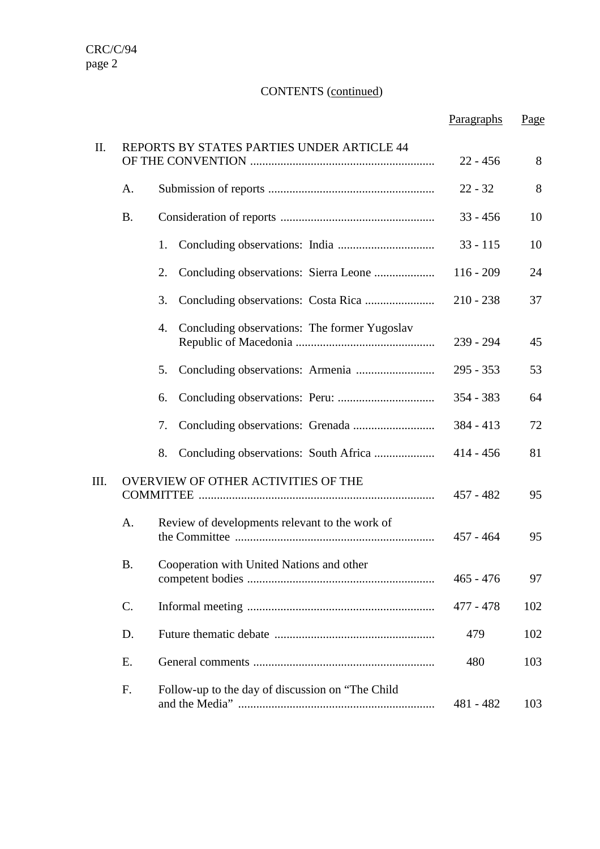# CONTENTS (continued)

|      |           |                                                    | Paragraphs  | Page |
|------|-----------|----------------------------------------------------|-------------|------|
| Π.   |           | REPORTS BY STATES PARTIES UNDER ARTICLE 44         | $22 - 456$  | 8    |
|      | A.        |                                                    | $22 - 32$   | 8    |
|      | <b>B.</b> |                                                    | $33 - 456$  | 10   |
|      |           | 1.                                                 | $33 - 115$  | 10   |
|      |           | 2.                                                 | $116 - 209$ | 24   |
|      |           | 3.                                                 | $210 - 238$ | 37   |
|      |           | Concluding observations: The former Yugoslav<br>4. | 239 - 294   | 45   |
|      |           | 5.                                                 | $295 - 353$ | 53   |
|      |           | 6.                                                 | $354 - 383$ | 64   |
|      |           | 7.                                                 | $384 - 413$ | 72   |
|      |           | 8.                                                 | $414 - 456$ | 81   |
| III. |           | OVERVIEW OF OTHER ACTIVITIES OF THE                | $457 - 482$ | 95   |
|      | A.        | Review of developments relevant to the work of     | $457 - 464$ | 95   |
|      | Β.        | Cooperation with United Nations and other          | $465 - 476$ | 97   |
|      | C.        |                                                    | 477 - 478   | 102  |
|      | D.        |                                                    | 479         | 102  |
|      | E.        |                                                    | 480         | 103  |
|      | F.        | Follow-up to the day of discussion on "The Child   | 481 - 482   | 103  |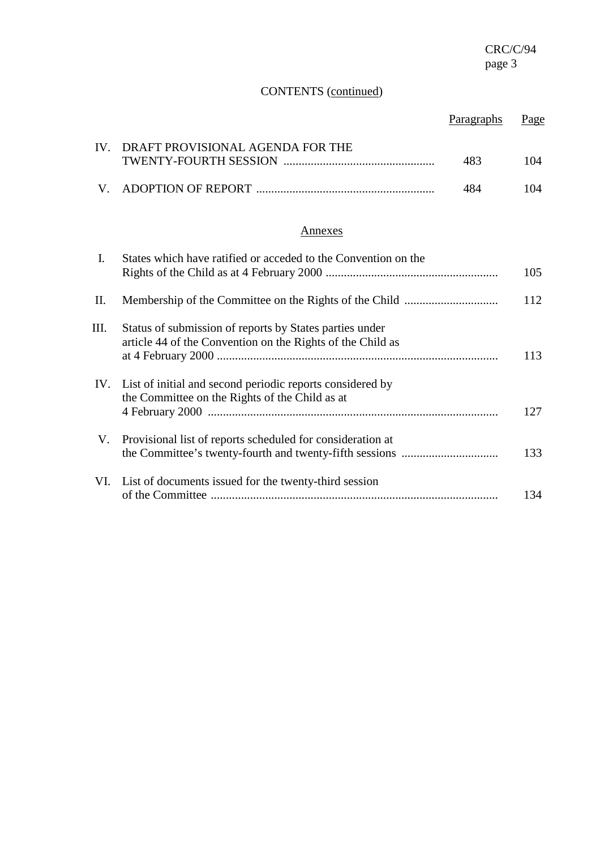# CONTENTS (continued)

|      |                                                                                                                       | Paragraphs | Page |
|------|-----------------------------------------------------------------------------------------------------------------------|------------|------|
| IV.  | DRAFT PROVISIONAL AGENDA FOR THE                                                                                      | 483        | 104  |
| V.   |                                                                                                                       | 484        | 104  |
|      | Annexes                                                                                                               |            |      |
| L.   | States which have ratified or acceded to the Convention on the                                                        |            | 105  |
| II.  |                                                                                                                       |            | 112  |
| III. | Status of submission of reports by States parties under<br>article 44 of the Convention on the Rights of the Child as |            | 113  |
| IV.  | List of initial and second periodic reports considered by<br>the Committee on the Rights of the Child as at           |            | 127  |
| V.   | Provisional list of reports scheduled for consideration at                                                            |            | 133  |
| VI.  | List of documents issued for the twenty-third session                                                                 |            | 134  |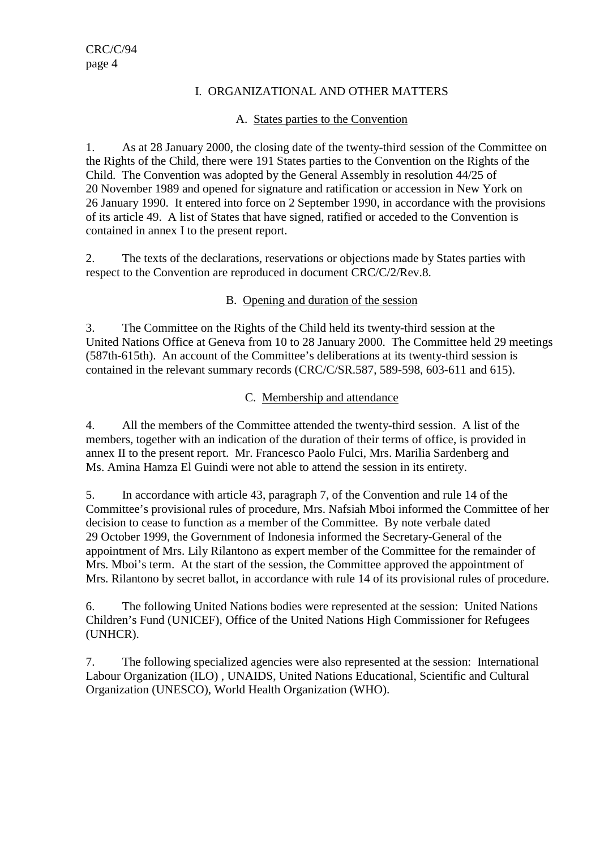#### I. ORGANIZATIONAL AND OTHER MATTERS

#### A. States parties to the Convention

1. As at 28 January 2000, the closing date of the twenty-third session of the Committee on the Rights of the Child, there were 191 States parties to the Convention on the Rights of the Child. The Convention was adopted by the General Assembly in resolution 44/25 of 20 November 1989 and opened for signature and ratification or accession in New York on 26 January 1990. It entered into force on 2 September 1990, in accordance with the provisions of its article 49. A list of States that have signed, ratified or acceded to the Convention is contained in annex I to the present report.

2. The texts of the declarations, reservations or objections made by States parties with respect to the Convention are reproduced in document CRC/C/2/Rev.8.

## B. Opening and duration of the session

3. The Committee on the Rights of the Child held its twenty-third session at the United Nations Office at Geneva from 10 to 28 January 2000. The Committee held 29 meetings (587th-615th). An account of the Committee's deliberations at its twenty-third session is contained in the relevant summary records (CRC/C/SR.587, 589-598, 603-611 and 615).

# C. Membership and attendance

4. All the members of the Committee attended the twenty-third session. A list of the members, together with an indication of the duration of their terms of office, is provided in annex II to the present report. Mr. Francesco Paolo Fulci, Mrs. Marilia Sardenberg and Ms. Amina Hamza El Guindi were not able to attend the session in its entirety.

5. In accordance with article 43, paragraph 7, of the Convention and rule 14 of the Committee's provisional rules of procedure, Mrs. Nafsiah Mboi informed the Committee of her decision to cease to function as a member of the Committee. By note verbale dated 29 October 1999, the Government of Indonesia informed the Secretary-General of the appointment of Mrs. Lily Rilantono as expert member of the Committee for the remainder of Mrs. Mboi's term. At the start of the session, the Committee approved the appointment of Mrs. Rilantono by secret ballot, in accordance with rule 14 of its provisional rules of procedure.

6. The following United Nations bodies were represented at the session: United Nations Children's Fund (UNICEF), Office of the United Nations High Commissioner for Refugees (UNHCR).

7. The following specialized agencies were also represented at the session: International Labour Organization (ILO) , UNAIDS, United Nations Educational, Scientific and Cultural Organization (UNESCO), World Health Organization (WHO).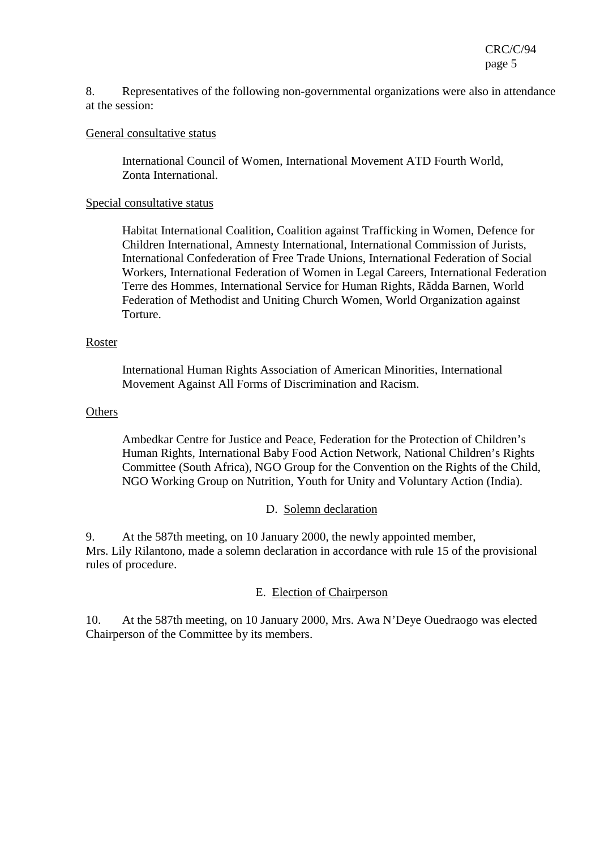CRC/C/94 page 5

8. Representatives of the following non-governmental organizations were also in attendance at the session:

#### General consultative status

International Council of Women, International Movement ATD Fourth World, Zonta International.

#### Special consultative status

Habitat International Coalition, Coalition against Trafficking in Women, Defence for Children International, Amnesty International, International Commission of Jurists, International Confederation of Free Trade Unions, International Federation of Social Workers, International Federation of Women in Legal Careers, International Federation Terre des Hommes, International Service for Human Rights, Rãdda Barnen, World Federation of Methodist and Uniting Church Women, World Organization against Torture.

#### Roster

International Human Rights Association of American Minorities, International Movement Against All Forms of Discrimination and Racism.

#### **Others**

Ambedkar Centre for Justice and Peace, Federation for the Protection of Children's Human Rights, International Baby Food Action Network, National Children's Rights Committee (South Africa), NGO Group for the Convention on the Rights of the Child, NGO Working Group on Nutrition, Youth for Unity and Voluntary Action (India).

#### D. Solemn declaration

9. At the 587th meeting, on 10 January 2000, the newly appointed member, Mrs. Lily Rilantono, made a solemn declaration in accordance with rule 15 of the provisional rules of procedure.

#### E. Election of Chairperson

10. At the 587th meeting, on 10 January 2000, Mrs. Awa N'Deye Ouedraogo was elected Chairperson of the Committee by its members.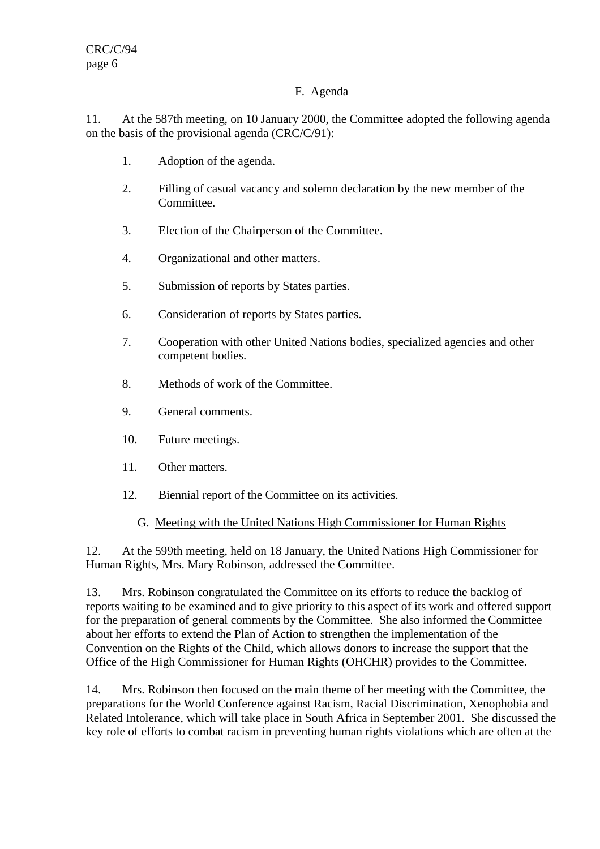## F. Agenda

11. At the 587th meeting, on 10 January 2000, the Committee adopted the following agenda on the basis of the provisional agenda (CRC/C/91):

- 1. Adoption of the agenda.
- 2. Filling of casual vacancy and solemn declaration by the new member of the Committee.
- 3. Election of the Chairperson of the Committee.
- 4. Organizational and other matters.
- 5. Submission of reports by States parties.
- 6. Consideration of reports by States parties.
- 7. Cooperation with other United Nations bodies, specialized agencies and other competent bodies.
- 8. Methods of work of the Committee.
- 9. General comments.
- 10. Future meetings.
- 11. Other matters.
- 12. Biennial report of the Committee on its activities.
	- G. Meeting with the United Nations High Commissioner for Human Rights

12. At the 599th meeting, held on 18 January, the United Nations High Commissioner for Human Rights, Mrs. Mary Robinson, addressed the Committee.

13. Mrs. Robinson congratulated the Committee on its efforts to reduce the backlog of reports waiting to be examined and to give priority to this aspect of its work and offered support for the preparation of general comments by the Committee. She also informed the Committee about her efforts to extend the Plan of Action to strengthen the implementation of the Convention on the Rights of the Child, which allows donors to increase the support that the Office of the High Commissioner for Human Rights (OHCHR) provides to the Committee.

14. Mrs. Robinson then focused on the main theme of her meeting with the Committee, the preparations for the World Conference against Racism, Racial Discrimination, Xenophobia and Related Intolerance, which will take place in South Africa in September 2001. She discussed the key role of efforts to combat racism in preventing human rights violations which are often at the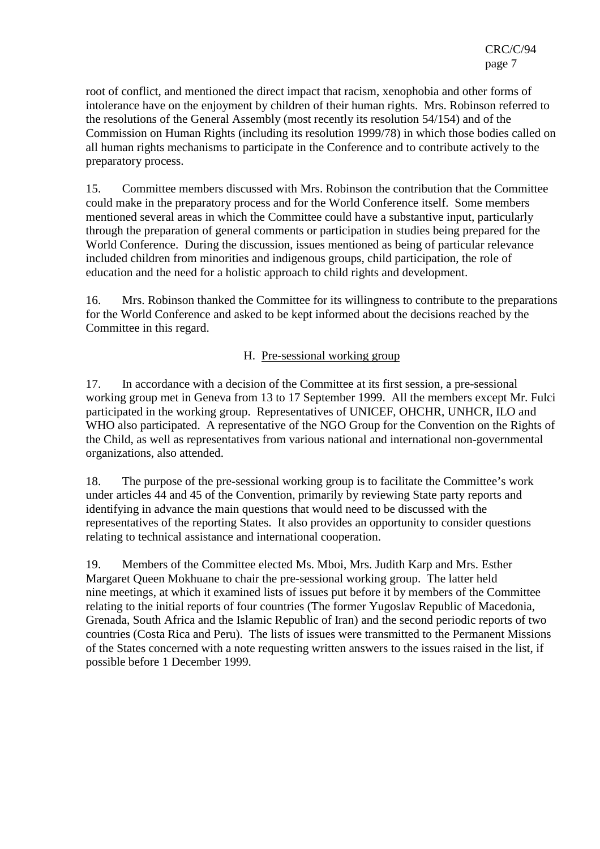root of conflict, and mentioned the direct impact that racism, xenophobia and other forms of intolerance have on the enjoyment by children of their human rights. Mrs. Robinson referred to the resolutions of the General Assembly (most recently its resolution 54/154) and of the Commission on Human Rights (including its resolution 1999/78) in which those bodies called on all human rights mechanisms to participate in the Conference and to contribute actively to the preparatory process.

15. Committee members discussed with Mrs. Robinson the contribution that the Committee could make in the preparatory process and for the World Conference itself. Some members mentioned several areas in which the Committee could have a substantive input, particularly through the preparation of general comments or participation in studies being prepared for the World Conference. During the discussion, issues mentioned as being of particular relevance included children from minorities and indigenous groups, child participation, the role of education and the need for a holistic approach to child rights and development.

16. Mrs. Robinson thanked the Committee for its willingness to contribute to the preparations for the World Conference and asked to be kept informed about the decisions reached by the Committee in this regard.

#### H. Pre-sessional working group

17. In accordance with a decision of the Committee at its first session, a pre-sessional working group met in Geneva from 13 to 17 September 1999. All the members except Mr. Fulci participated in the working group. Representatives of UNICEF, OHCHR, UNHCR, ILO and WHO also participated. A representative of the NGO Group for the Convention on the Rights of the Child, as well as representatives from various national and international non-governmental organizations, also attended.

18. The purpose of the pre-sessional working group is to facilitate the Committee's work under articles 44 and 45 of the Convention, primarily by reviewing State party reports and identifying in advance the main questions that would need to be discussed with the representatives of the reporting States. It also provides an opportunity to consider questions relating to technical assistance and international cooperation.

19. Members of the Committee elected Ms. Mboi, Mrs. Judith Karp and Mrs. Esther Margaret Queen Mokhuane to chair the pre-sessional working group. The latter held nine meetings, at which it examined lists of issues put before it by members of the Committee relating to the initial reports of four countries (The former Yugoslav Republic of Macedonia, Grenada, South Africa and the Islamic Republic of Iran) and the second periodic reports of two countries (Costa Rica and Peru). The lists of issues were transmitted to the Permanent Missions of the States concerned with a note requesting written answers to the issues raised in the list, if possible before 1 December 1999.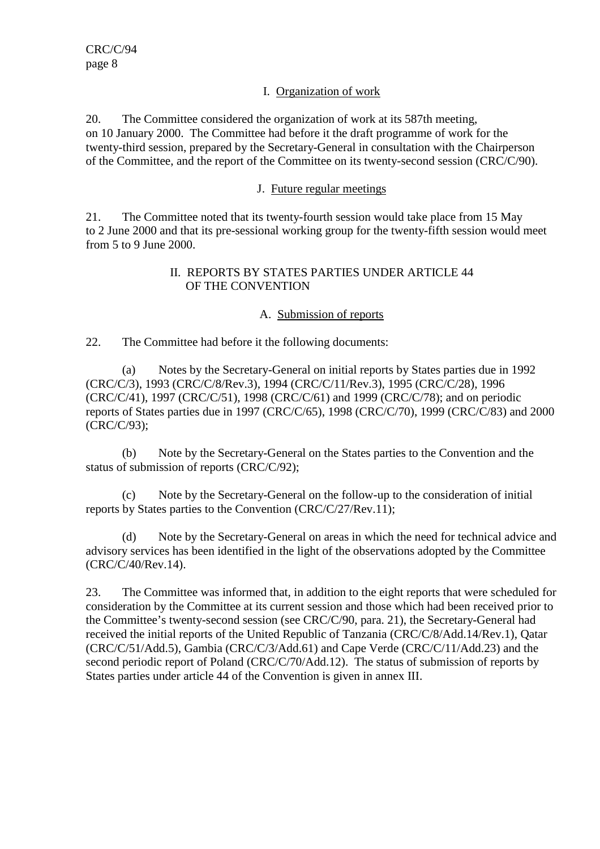#### I. Organization of work

20. The Committee considered the organization of work at its 587th meeting, on 10 January 2000. The Committee had before it the draft programme of work for the twenty-third session, prepared by the Secretary-General in consultation with the Chairperson of the Committee, and the report of the Committee on its twenty-second session (CRC/C/90).

#### J. Future regular meetings

21. The Committee noted that its twenty-fourth session would take place from 15 May to 2 June 2000 and that its pre-sessional working group for the twenty-fifth session would meet from 5 to 9 June 2000.

#### II. REPORTS BY STATES PARTIES UNDER ARTICLE 44 OF THE CONVENTION

#### A. Submission of reports

22. The Committee had before it the following documents:

(a) Notes by the Secretary-General on initial reports by States parties due in 1992 (CRC/C/3), 1993 (CRC/C/8/Rev.3), 1994 (CRC/C/11/Rev.3), 1995 (CRC/C/28), 1996 (CRC/C/41), 1997 (CRC/C/51), 1998 (CRC/C/61) and 1999 (CRC/C/78); and on periodic reports of States parties due in 1997 (CRC/C/65), 1998 (CRC/C/70), 1999 (CRC/C/83) and 2000 (CRC/C/93);

(b) Note by the Secretary-General on the States parties to the Convention and the status of submission of reports (CRC/C/92);

Note by the Secretary-General on the follow-up to the consideration of initial reports by States parties to the Convention (CRC/C/27/Rev.11);

(d) Note by the Secretary-General on areas in which the need for technical advice and advisory services has been identified in the light of the observations adopted by the Committee (CRC/C/40/Rev.14).

23. The Committee was informed that, in addition to the eight reports that were scheduled for consideration by the Committee at its current session and those which had been received prior to the Committee's twenty-second session (see CRC/C/90, para. 21), the Secretary-General had received the initial reports of the United Republic of Tanzania (CRC/C/8/Add.14/Rev.1), Qatar (CRC/C/51/Add.5), Gambia (CRC/C/3/Add.61) and Cape Verde (CRC/C/11/Add.23) and the second periodic report of Poland (CRC/C/70/Add.12). The status of submission of reports by States parties under article 44 of the Convention is given in annex III.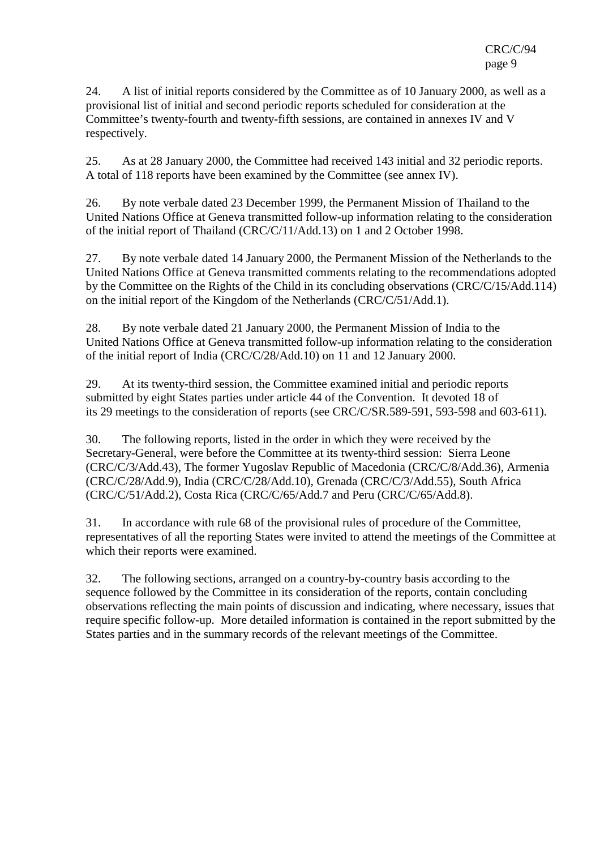24. A list of initial reports considered by the Committee as of 10 January 2000, as well as a provisional list of initial and second periodic reports scheduled for consideration at the Committee's twenty-fourth and twenty-fifth sessions, are contained in annexes IV and V respectively.

25. As at 28 January 2000, the Committee had received 143 initial and 32 periodic reports. A total of 118 reports have been examined by the Committee (see annex IV).

26. By note verbale dated 23 December 1999, the Permanent Mission of Thailand to the United Nations Office at Geneva transmitted follow-up information relating to the consideration of the initial report of Thailand (CRC/C/11/Add.13) on 1 and 2 October 1998.

27. By note verbale dated 14 January 2000, the Permanent Mission of the Netherlands to the United Nations Office at Geneva transmitted comments relating to the recommendations adopted by the Committee on the Rights of the Child in its concluding observations (CRC/C/15/Add.114) on the initial report of the Kingdom of the Netherlands (CRC/C/51/Add.1).

28. By note verbale dated 21 January 2000, the Permanent Mission of India to the United Nations Office at Geneva transmitted follow-up information relating to the consideration of the initial report of India (CRC/C/28/Add.10) on 11 and 12 January 2000.

29. At its twenty-third session, the Committee examined initial and periodic reports submitted by eight States parties under article 44 of the Convention. It devoted 18 of its 29 meetings to the consideration of reports (see CRC/C/SR.589-591, 593-598 and 603-611).

30. The following reports, listed in the order in which they were received by the Secretary-General, were before the Committee at its twenty-third session: Sierra Leone (CRC/C/3/Add.43), The former Yugoslav Republic of Macedonia (CRC/C/8/Add.36), Armenia (CRC/C/28/Add.9), India (CRC/C/28/Add.10), Grenada (CRC/C/3/Add.55), South Africa (CRC/C/51/Add.2), Costa Rica (CRC/C/65/Add.7 and Peru (CRC/C/65/Add.8).

31. In accordance with rule 68 of the provisional rules of procedure of the Committee, representatives of all the reporting States were invited to attend the meetings of the Committee at which their reports were examined.

32. The following sections, arranged on a country-by-country basis according to the sequence followed by the Committee in its consideration of the reports, contain concluding observations reflecting the main points of discussion and indicating, where necessary, issues that require specific follow-up. More detailed information is contained in the report submitted by the States parties and in the summary records of the relevant meetings of the Committee.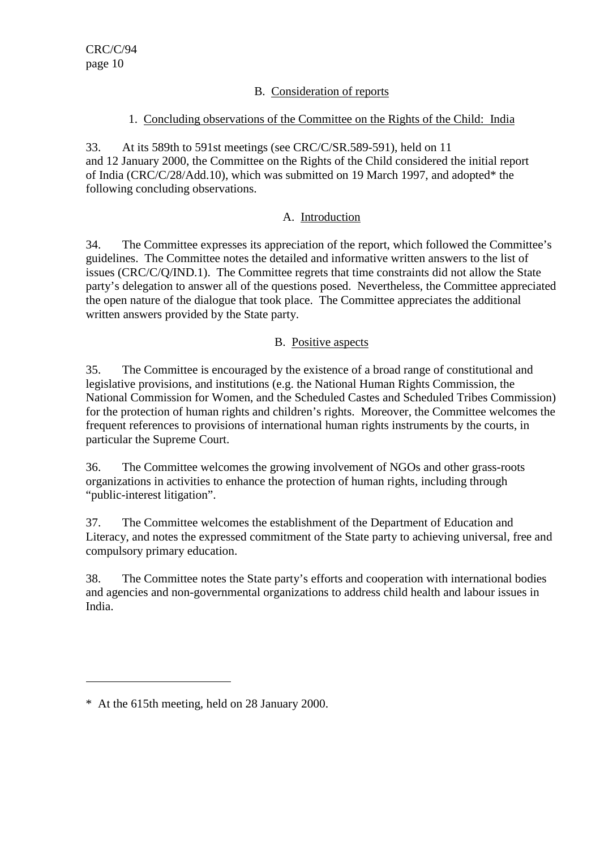## B. Consideration of reports

#### 1. Concluding observations of the Committee on the Rights of the Child: India

33. At its 589th to 591st meetings (see CRC/C/SR.589-591), held on 11 and 12 January 2000, the Committee on the Rights of the Child considered the initial report of India (CRC/C/28/Add.10), which was submitted on 19 March 1997, and adopted\* the following concluding observations.

## A. Introduction

34. The Committee expresses its appreciation of the report, which followed the Committee's guidelines. The Committee notes the detailed and informative written answers to the list of issues (CRC/C/Q/IND.1). The Committee regrets that time constraints did not allow the State party's delegation to answer all of the questions posed. Nevertheless, the Committee appreciated the open nature of the dialogue that took place. The Committee appreciates the additional written answers provided by the State party.

#### B. Positive aspects

35. The Committee is encouraged by the existence of a broad range of constitutional and legislative provisions, and institutions (e.g. the National Human Rights Commission, the National Commission for Women, and the Scheduled Castes and Scheduled Tribes Commission) for the protection of human rights and children's rights. Moreover, the Committee welcomes the frequent references to provisions of international human rights instruments by the courts, in particular the Supreme Court.

36. The Committee welcomes the growing involvement of NGOs and other grass-roots organizations in activities to enhance the protection of human rights, including through "public-interest litigation".

37. The Committee welcomes the establishment of the Department of Education and Literacy, and notes the expressed commitment of the State party to achieving universal, free and compulsory primary education.

38. The Committee notes the State party's efforts and cooperation with international bodies and agencies and non-governmental organizations to address child health and labour issues in India.

 $\overline{a}$ 

<sup>\*</sup> At the 615th meeting, held on 28 January 2000.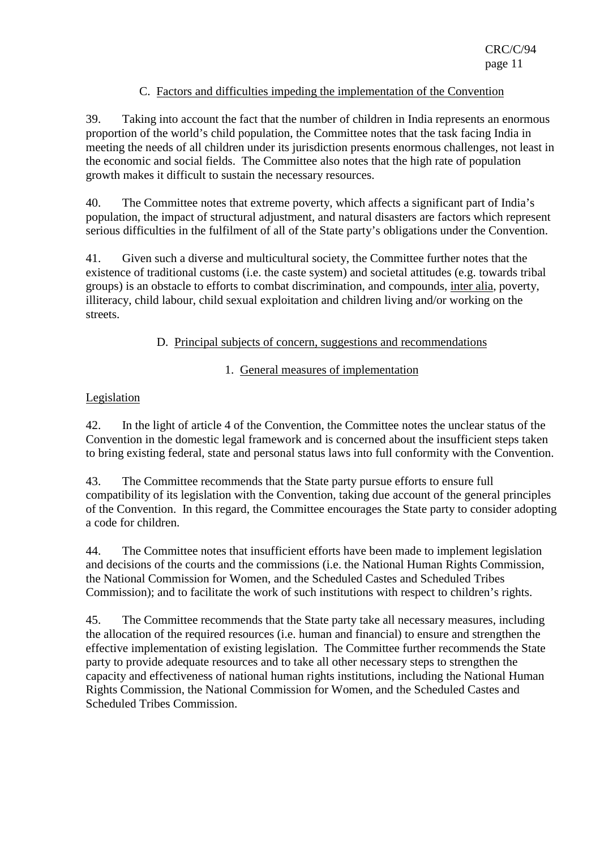## C. Factors and difficulties impeding the implementation of the Convention

39. Taking into account the fact that the number of children in India represents an enormous proportion of the world's child population, the Committee notes that the task facing India in meeting the needs of all children under its jurisdiction presents enormous challenges, not least in the economic and social fields. The Committee also notes that the high rate of population growth makes it difficult to sustain the necessary resources.

40. The Committee notes that extreme poverty, which affects a significant part of India's population, the impact of structural adjustment, and natural disasters are factors which represent serious difficulties in the fulfilment of all of the State party's obligations under the Convention.

41. Given such a diverse and multicultural society, the Committee further notes that the existence of traditional customs (i.e. the caste system) and societal attitudes (e.g. towards tribal groups) is an obstacle to efforts to combat discrimination, and compounds, inter alia, poverty, illiteracy, child labour, child sexual exploitation and children living and/or working on the streets.

## D. Principal subjects of concern, suggestions and recommendations

# 1. General measures of implementation

## Legislation

42. In the light of article 4 of the Convention, the Committee notes the unclear status of the Convention in the domestic legal framework and is concerned about the insufficient steps taken to bring existing federal, state and personal status laws into full conformity with the Convention.

43. The Committee recommends that the State party pursue efforts to ensure full compatibility of its legislation with the Convention, taking due account of the general principles of the Convention. In this regard, the Committee encourages the State party to consider adopting a code for children.

44. The Committee notes that insufficient efforts have been made to implement legislation and decisions of the courts and the commissions (i.e. the National Human Rights Commission, the National Commission for Women, and the Scheduled Castes and Scheduled Tribes Commission); and to facilitate the work of such institutions with respect to children's rights.

45. The Committee recommends that the State party take all necessary measures, including the allocation of the required resources (i.e. human and financial) to ensure and strengthen the effective implementation of existing legislation. The Committee further recommends the State party to provide adequate resources and to take all other necessary steps to strengthen the capacity and effectiveness of national human rights institutions, including the National Human Rights Commission, the National Commission for Women, and the Scheduled Castes and Scheduled Tribes Commission.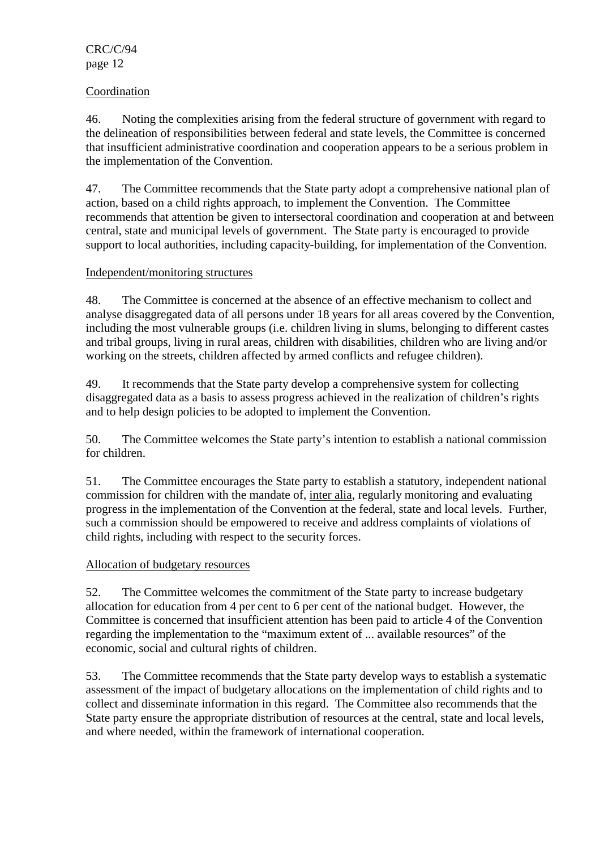#### Coordination

46. Noting the complexities arising from the federal structure of government with regard to the delineation of responsibilities between federal and state levels, the Committee is concerned that insufficient administrative coordination and cooperation appears to be a serious problem in the implementation of the Convention.

47. The Committee recommends that the State party adopt a comprehensive national plan of action, based on a child rights approach, to implement the Convention. The Committee recommends that attention be given to intersectoral coordination and cooperation at and between central, state and municipal levels of government. The State party is encouraged to provide support to local authorities, including capacity-building, for implementation of the Convention.

#### Independent/monitoring structures

48. The Committee is concerned at the absence of an effective mechanism to collect and analyse disaggregated data of all persons under 18 years for all areas covered by the Convention, including the most vulnerable groups (i.e. children living in slums, belonging to different castes and tribal groups, living in rural areas, children with disabilities, children who are living and/or working on the streets, children affected by armed conflicts and refugee children).

49. It recommends that the State party develop a comprehensive system for collecting disaggregated data as a basis to assess progress achieved in the realization of children's rights and to help design policies to be adopted to implement the Convention.

50. The Committee welcomes the State party's intention to establish a national commission for children.

51. The Committee encourages the State party to establish a statutory, independent national commission for children with the mandate of, inter alia, regularly monitoring and evaluating progress in the implementation of the Convention at the federal, state and local levels. Further, such a commission should be empowered to receive and address complaints of violations of child rights, including with respect to the security forces.

#### Allocation of budgetary resources

52. The Committee welcomes the commitment of the State party to increase budgetary allocation for education from 4 per cent to 6 per cent of the national budget. However, the Committee is concerned that insufficient attention has been paid to article 4 of the Convention regarding the implementation to the "maximum extent of ... available resources" of the economic, social and cultural rights of children.

53. The Committee recommends that the State party develop ways to establish a systematic assessment of the impact of budgetary allocations on the implementation of child rights and to collect and disseminate information in this regard. The Committee also recommends that the State party ensure the appropriate distribution of resources at the central, state and local levels, and where needed, within the framework of international cooperation.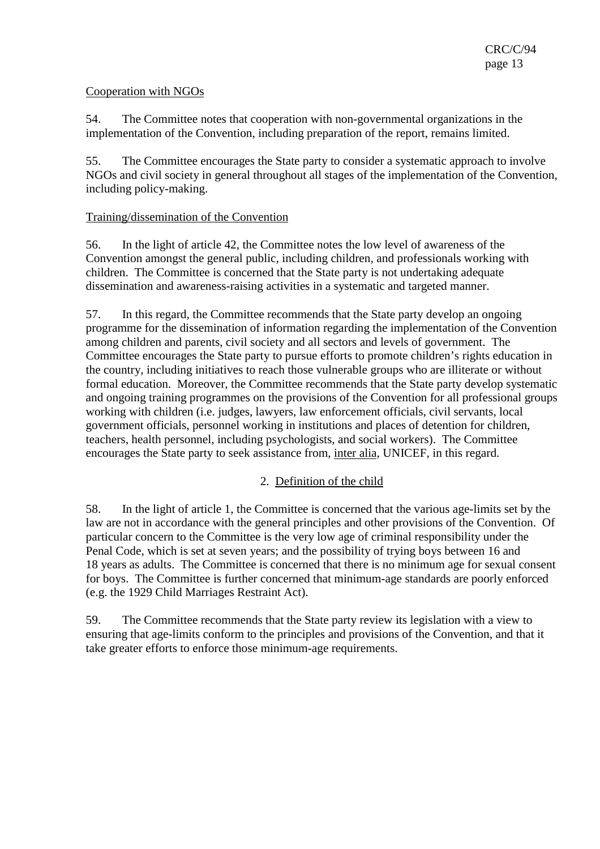#### Cooperation with NGOs

54. The Committee notes that cooperation with non-governmental organizations in the implementation of the Convention, including preparation of the report, remains limited.

55. The Committee encourages the State party to consider a systematic approach to involve NGOs and civil society in general throughout all stages of the implementation of the Convention, including policy-making.

## Training/dissemination of the Convention

56. In the light of article 42, the Committee notes the low level of awareness of the Convention amongst the general public, including children, and professionals working with children. The Committee is concerned that the State party is not undertaking adequate dissemination and awareness-raising activities in a systematic and targeted manner.

57. In this regard, the Committee recommends that the State party develop an ongoing programme for the dissemination of information regarding the implementation of the Convention among children and parents, civil society and all sectors and levels of government. The Committee encourages the State party to pursue efforts to promote children's rights education in the country, including initiatives to reach those vulnerable groups who are illiterate or without formal education. Moreover, the Committee recommends that the State party develop systematic and ongoing training programmes on the provisions of the Convention for all professional groups working with children (i.e. judges, lawyers, law enforcement officials, civil servants, local government officials, personnel working in institutions and places of detention for children, teachers, health personnel, including psychologists, and social workers). The Committee encourages the State party to seek assistance from, inter alia, UNICEF, in this regard.

#### 2. Definition of the child

58. In the light of article 1, the Committee is concerned that the various age-limits set by the law are not in accordance with the general principles and other provisions of the Convention. Of particular concern to the Committee is the very low age of criminal responsibility under the Penal Code, which is set at seven years; and the possibility of trying boys between 16 and 18 years as adults. The Committee is concerned that there is no minimum age for sexual consent for boys. The Committee is further concerned that minimum-age standards are poorly enforced (e.g. the 1929 Child Marriages Restraint Act).

59. The Committee recommends that the State party review its legislation with a view to ensuring that age-limits conform to the principles and provisions of the Convention, and that it take greater efforts to enforce those minimum-age requirements.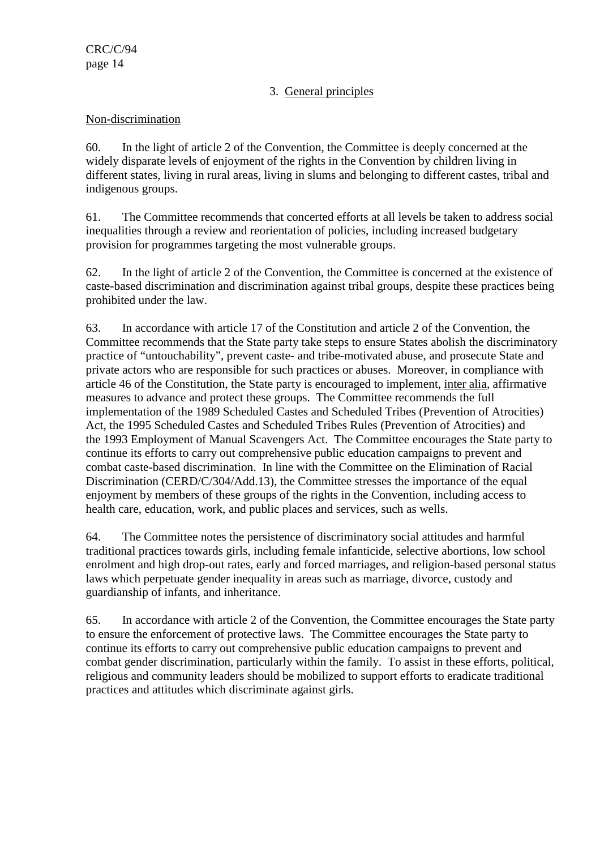# 3. General principles

#### Non-discrimination

60. In the light of article 2 of the Convention, the Committee is deeply concerned at the widely disparate levels of enjoyment of the rights in the Convention by children living in different states, living in rural areas, living in slums and belonging to different castes, tribal and indigenous groups.

61. The Committee recommends that concerted efforts at all levels be taken to address social inequalities through a review and reorientation of policies, including increased budgetary provision for programmes targeting the most vulnerable groups.

62. In the light of article 2 of the Convention, the Committee is concerned at the existence of caste-based discrimination and discrimination against tribal groups, despite these practices being prohibited under the law.

63. In accordance with article 17 of the Constitution and article 2 of the Convention, the Committee recommends that the State party take steps to ensure States abolish the discriminatory practice of "untouchability", prevent caste- and tribe-motivated abuse, and prosecute State and private actors who are responsible for such practices or abuses. Moreover, in compliance with article 46 of the Constitution, the State party is encouraged to implement, inter alia, affirmative measures to advance and protect these groups. The Committee recommends the full implementation of the 1989 Scheduled Castes and Scheduled Tribes (Prevention of Atrocities) Act, the 1995 Scheduled Castes and Scheduled Tribes Rules (Prevention of Atrocities) and the 1993 Employment of Manual Scavengers Act. The Committee encourages the State party to continue its efforts to carry out comprehensive public education campaigns to prevent and combat caste-based discrimination. In line with the Committee on the Elimination of Racial Discrimination (CERD/C/304/Add.13), the Committee stresses the importance of the equal enjoyment by members of these groups of the rights in the Convention, including access to health care, education, work, and public places and services, such as wells.

64. The Committee notes the persistence of discriminatory social attitudes and harmful traditional practices towards girls, including female infanticide, selective abortions, low school enrolment and high drop-out rates, early and forced marriages, and religion-based personal status laws which perpetuate gender inequality in areas such as marriage, divorce, custody and guardianship of infants, and inheritance.

65. In accordance with article 2 of the Convention, the Committee encourages the State party to ensure the enforcement of protective laws. The Committee encourages the State party to continue its efforts to carry out comprehensive public education campaigns to prevent and combat gender discrimination, particularly within the family. To assist in these efforts, political, religious and community leaders should be mobilized to support efforts to eradicate traditional practices and attitudes which discriminate against girls.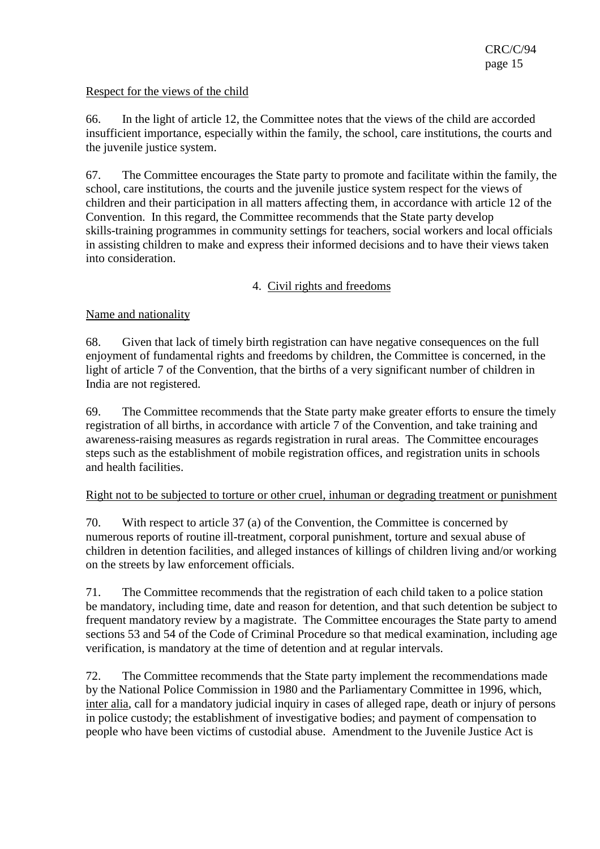#### Respect for the views of the child

66. In the light of article 12, the Committee notes that the views of the child are accorded insufficient importance, especially within the family, the school, care institutions, the courts and the juvenile justice system.

67. The Committee encourages the State party to promote and facilitate within the family, the school, care institutions, the courts and the juvenile justice system respect for the views of children and their participation in all matters affecting them, in accordance with article 12 of the Convention. In this regard, the Committee recommends that the State party develop skills-training programmes in community settings for teachers, social workers and local officials in assisting children to make and express their informed decisions and to have their views taken into consideration.

# 4. Civil rights and freedoms

## Name and nationality

68. Given that lack of timely birth registration can have negative consequences on the full enjoyment of fundamental rights and freedoms by children, the Committee is concerned, in the light of article 7 of the Convention, that the births of a very significant number of children in India are not registered.

69. The Committee recommends that the State party make greater efforts to ensure the timely registration of all births, in accordance with article 7 of the Convention, and take training and awareness-raising measures as regards registration in rural areas. The Committee encourages steps such as the establishment of mobile registration offices, and registration units in schools and health facilities.

#### Right not to be subjected to torture or other cruel, inhuman or degrading treatment or punishment

70. With respect to article 37 (a) of the Convention, the Committee is concerned by numerous reports of routine ill-treatment, corporal punishment, torture and sexual abuse of children in detention facilities, and alleged instances of killings of children living and/or working on the streets by law enforcement officials.

71. The Committee recommends that the registration of each child taken to a police station be mandatory, including time, date and reason for detention, and that such detention be subject to frequent mandatory review by a magistrate. The Committee encourages the State party to amend sections 53 and 54 of the Code of Criminal Procedure so that medical examination, including age verification, is mandatory at the time of detention and at regular intervals.

72. The Committee recommends that the State party implement the recommendations made by the National Police Commission in 1980 and the Parliamentary Committee in 1996, which, inter alia, call for a mandatory judicial inquiry in cases of alleged rape, death or injury of persons in police custody; the establishment of investigative bodies; and payment of compensation to people who have been victims of custodial abuse. Amendment to the Juvenile Justice Act is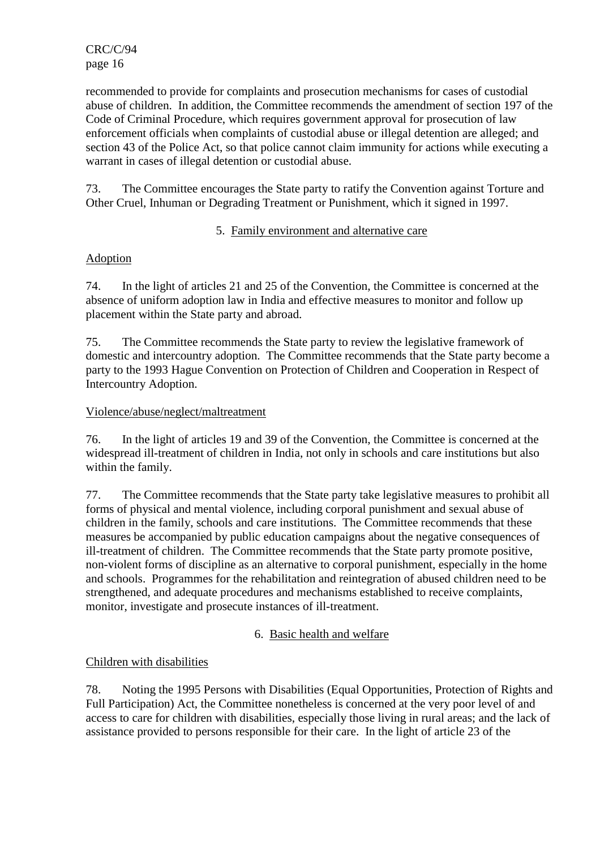CRC/C/94 page 16

recommended to provide for complaints and prosecution mechanisms for cases of custodial abuse of children. In addition, the Committee recommends the amendment of section 197 of the Code of Criminal Procedure, which requires government approval for prosecution of law enforcement officials when complaints of custodial abuse or illegal detention are alleged; and section 43 of the Police Act, so that police cannot claim immunity for actions while executing a warrant in cases of illegal detention or custodial abuse.

73. The Committee encourages the State party to ratify the Convention against Torture and Other Cruel, Inhuman or Degrading Treatment or Punishment, which it signed in 1997.

#### 5. Family environment and alternative care

## Adoption

74. In the light of articles 21 and 25 of the Convention, the Committee is concerned at the absence of uniform adoption law in India and effective measures to monitor and follow up placement within the State party and abroad.

75. The Committee recommends the State party to review the legislative framework of domestic and intercountry adoption. The Committee recommends that the State party become a party to the 1993 Hague Convention on Protection of Children and Cooperation in Respect of Intercountry Adoption.

#### Violence/abuse/neglect/maltreatment

76. In the light of articles 19 and 39 of the Convention, the Committee is concerned at the widespread ill-treatment of children in India, not only in schools and care institutions but also within the family.

77. The Committee recommends that the State party take legislative measures to prohibit all forms of physical and mental violence, including corporal punishment and sexual abuse of children in the family, schools and care institutions. The Committee recommends that these measures be accompanied by public education campaigns about the negative consequences of ill-treatment of children. The Committee recommends that the State party promote positive, non-violent forms of discipline as an alternative to corporal punishment, especially in the home and schools. Programmes for the rehabilitation and reintegration of abused children need to be strengthened, and adequate procedures and mechanisms established to receive complaints, monitor, investigate and prosecute instances of ill-treatment.

6. Basic health and welfare

# Children with disabilities

78. Noting the 1995 Persons with Disabilities (Equal Opportunities, Protection of Rights and Full Participation) Act, the Committee nonetheless is concerned at the very poor level of and access to care for children with disabilities, especially those living in rural areas; and the lack of assistance provided to persons responsible for their care. In the light of article 23 of the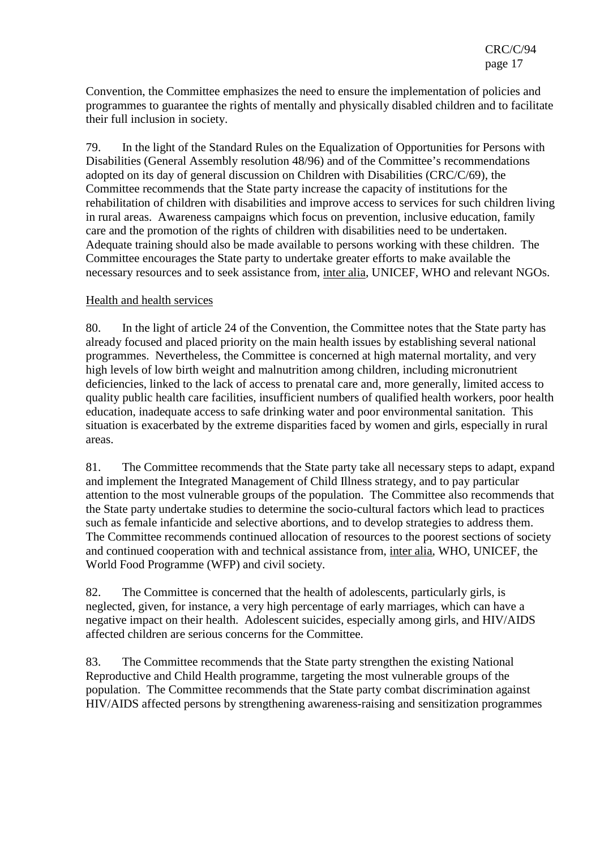Convention, the Committee emphasizes the need to ensure the implementation of policies and programmes to guarantee the rights of mentally and physically disabled children and to facilitate their full inclusion in society.

79. In the light of the Standard Rules on the Equalization of Opportunities for Persons with Disabilities (General Assembly resolution 48/96) and of the Committee's recommendations adopted on its day of general discussion on Children with Disabilities (CRC/C/69), the Committee recommends that the State party increase the capacity of institutions for the rehabilitation of children with disabilities and improve access to services for such children living in rural areas. Awareness campaigns which focus on prevention, inclusive education, family care and the promotion of the rights of children with disabilities need to be undertaken. Adequate training should also be made available to persons working with these children. The Committee encourages the State party to undertake greater efforts to make available the necessary resources and to seek assistance from, inter alia, UNICEF, WHO and relevant NGOs.

#### Health and health services

80. In the light of article 24 of the Convention, the Committee notes that the State party has already focused and placed priority on the main health issues by establishing several national programmes. Nevertheless, the Committee is concerned at high maternal mortality, and very high levels of low birth weight and malnutrition among children, including micronutrient deficiencies, linked to the lack of access to prenatal care and, more generally, limited access to quality public health care facilities, insufficient numbers of qualified health workers, poor health education, inadequate access to safe drinking water and poor environmental sanitation. This situation is exacerbated by the extreme disparities faced by women and girls, especially in rural areas.

81. The Committee recommends that the State party take all necessary steps to adapt, expand and implement the Integrated Management of Child Illness strategy, and to pay particular attention to the most vulnerable groups of the population. The Committee also recommends that the State party undertake studies to determine the socio-cultural factors which lead to practices such as female infanticide and selective abortions, and to develop strategies to address them. The Committee recommends continued allocation of resources to the poorest sections of society and continued cooperation with and technical assistance from, inter alia, WHO, UNICEF, the World Food Programme (WFP) and civil society.

82. The Committee is concerned that the health of adolescents, particularly girls, is neglected, given, for instance, a very high percentage of early marriages, which can have a negative impact on their health. Adolescent suicides, especially among girls, and HIV/AIDS affected children are serious concerns for the Committee.

83. The Committee recommends that the State party strengthen the existing National Reproductive and Child Health programme, targeting the most vulnerable groups of the population. The Committee recommends that the State party combat discrimination against HIV/AIDS affected persons by strengthening awareness-raising and sensitization programmes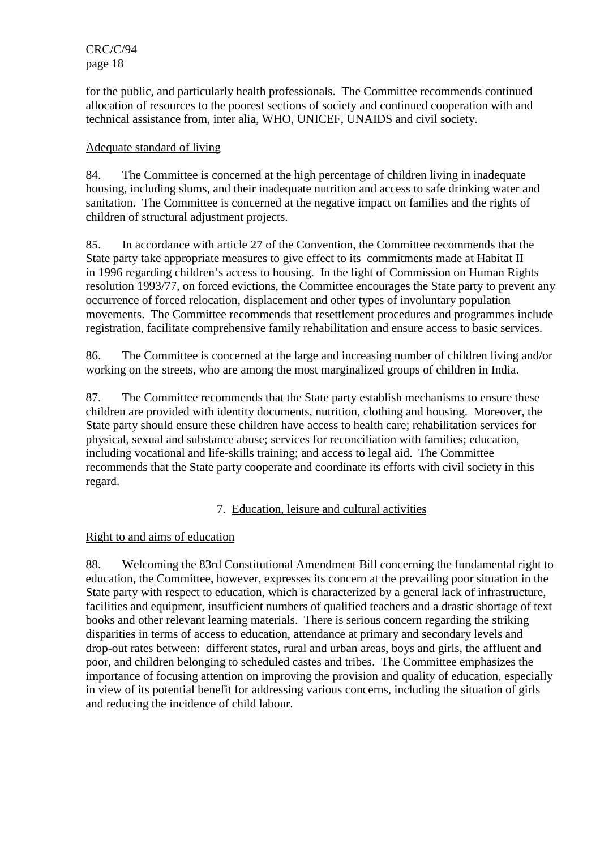CRC/C/94 page 18

for the public, and particularly health professionals. The Committee recommends continued allocation of resources to the poorest sections of society and continued cooperation with and technical assistance from, inter alia, WHO, UNICEF, UNAIDS and civil society.

#### Adequate standard of living

84. The Committee is concerned at the high percentage of children living in inadequate housing, including slums, and their inadequate nutrition and access to safe drinking water and sanitation. The Committee is concerned at the negative impact on families and the rights of children of structural adjustment projects.

85. In accordance with article 27 of the Convention, the Committee recommends that the State party take appropriate measures to give effect to its commitments made at Habitat II in 1996 regarding children's access to housing. In the light of Commission on Human Rights resolution 1993/77, on forced evictions, the Committee encourages the State party to prevent any occurrence of forced relocation, displacement and other types of involuntary population movements. The Committee recommends that resettlement procedures and programmes include registration, facilitate comprehensive family rehabilitation and ensure access to basic services.

86. The Committee is concerned at the large and increasing number of children living and/or working on the streets, who are among the most marginalized groups of children in India.

87. The Committee recommends that the State party establish mechanisms to ensure these children are provided with identity documents, nutrition, clothing and housing. Moreover, the State party should ensure these children have access to health care; rehabilitation services for physical, sexual and substance abuse; services for reconciliation with families; education, including vocational and life-skills training; and access to legal aid. The Committee recommends that the State party cooperate and coordinate its efforts with civil society in this regard.

#### 7. Education, leisure and cultural activities

#### Right to and aims of education

88. Welcoming the 83rd Constitutional Amendment Bill concerning the fundamental right to education, the Committee, however, expresses its concern at the prevailing poor situation in the State party with respect to education, which is characterized by a general lack of infrastructure, facilities and equipment, insufficient numbers of qualified teachers and a drastic shortage of text books and other relevant learning materials. There is serious concern regarding the striking disparities in terms of access to education, attendance at primary and secondary levels and drop-out rates between: different states, rural and urban areas, boys and girls, the affluent and poor, and children belonging to scheduled castes and tribes. The Committee emphasizes the importance of focusing attention on improving the provision and quality of education, especially in view of its potential benefit for addressing various concerns, including the situation of girls and reducing the incidence of child labour.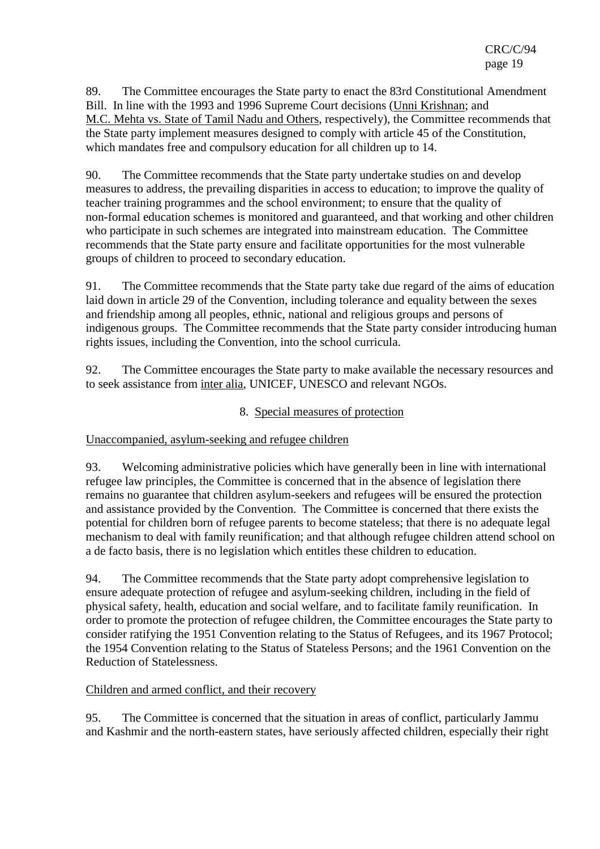89. The Committee encourages the State party to enact the 83rd Constitutional Amendment Bill. In line with the 1993 and 1996 Supreme Court decisions (Unni Krishnan; and M.C. Mehta vs. State of Tamil Nadu and Others, respectively), the Committee recommends that the State party implement measures designed to comply with article 45 of the Constitution, which mandates free and compulsory education for all children up to 14.

90. The Committee recommends that the State party undertake studies on and develop measures to address, the prevailing disparities in access to education; to improve the quality of teacher training programmes and the school environment; to ensure that the quality of non-formal education schemes is monitored and guaranteed, and that working and other children who participate in such schemes are integrated into mainstream education. The Committee recommends that the State party ensure and facilitate opportunities for the most vulnerable groups of children to proceed to secondary education.

91. The Committee recommends that the State party take due regard of the aims of education laid down in article 29 of the Convention, including tolerance and equality between the sexes and friendship among all peoples, ethnic, national and religious groups and persons of indigenous groups. The Committee recommends that the State party consider introducing human rights issues, including the Convention, into the school curricula.

92. The Committee encourages the State party to make available the necessary resources and to seek assistance from inter alia, UNICEF, UNESCO and relevant NGOs.

#### 8. Special measures of protection

Unaccompanied, asylum-seeking and refugee children

93. Welcoming administrative policies which have generally been in line with international refugee law principles, the Committee is concerned that in the absence of legislation there remains no guarantee that children asylum-seekers and refugees will be ensured the protection and assistance provided by the Convention. The Committee is concerned that there exists the potential for children born of refugee parents to become stateless; that there is no adequate legal mechanism to deal with family reunification; and that although refugee children attend school on a de facto basis, there is no legislation which entitles these children to education.

94. The Committee recommends that the State party adopt comprehensive legislation to ensure adequate protection of refugee and asylum-seeking children, including in the field of physical safety, health, education and social welfare, and to facilitate family reunification. In order to promote the protection of refugee children, the Committee encourages the State party to consider ratifying the 1951 Convention relating to the Status of Refugees, and its 1967 Protocol; the 1954 Convention relating to the Status of Stateless Persons; and the 1961 Convention on the Reduction of Statelessness.

#### Children and armed conflict, and their recovery

95. The Committee is concerned that the situation in areas of conflict, particularly Jammu and Kashmir and the north-eastern states, have seriously affected children, especially their right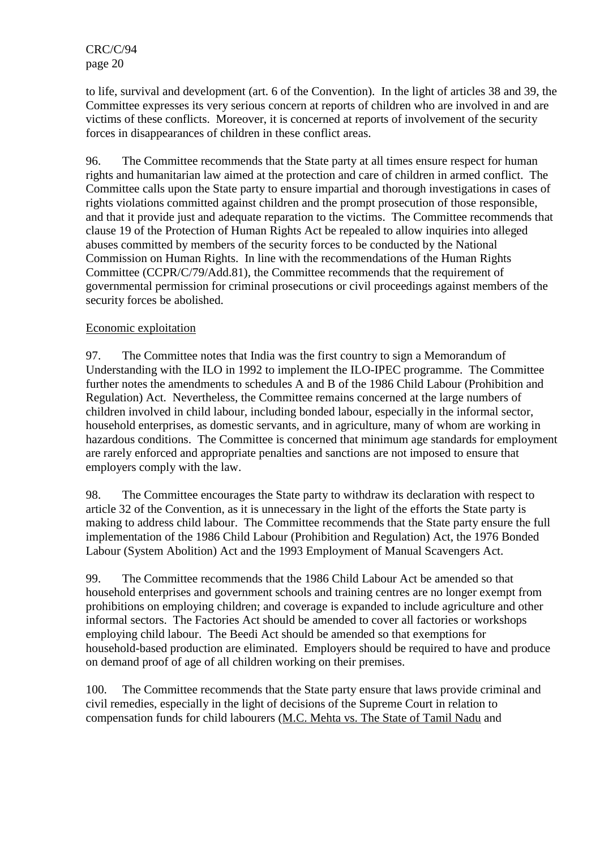to life, survival and development (art. 6 of the Convention). In the light of articles 38 and 39, the Committee expresses its very serious concern at reports of children who are involved in and are victims of these conflicts. Moreover, it is concerned at reports of involvement of the security forces in disappearances of children in these conflict areas.

96. The Committee recommends that the State party at all times ensure respect for human rights and humanitarian law aimed at the protection and care of children in armed conflict. The Committee calls upon the State party to ensure impartial and thorough investigations in cases of rights violations committed against children and the prompt prosecution of those responsible, and that it provide just and adequate reparation to the victims. The Committee recommends that clause 19 of the Protection of Human Rights Act be repealed to allow inquiries into alleged abuses committed by members of the security forces to be conducted by the National Commission on Human Rights. In line with the recommendations of the Human Rights Committee (CCPR/C/79/Add.81), the Committee recommends that the requirement of governmental permission for criminal prosecutions or civil proceedings against members of the security forces be abolished.

## Economic exploitation

97. The Committee notes that India was the first country to sign a Memorandum of Understanding with the ILO in 1992 to implement the ILO-IPEC programme. The Committee further notes the amendments to schedules A and B of the 1986 Child Labour (Prohibition and Regulation) Act. Nevertheless, the Committee remains concerned at the large numbers of children involved in child labour, including bonded labour, especially in the informal sector, household enterprises, as domestic servants, and in agriculture, many of whom are working in hazardous conditions. The Committee is concerned that minimum age standards for employment are rarely enforced and appropriate penalties and sanctions are not imposed to ensure that employers comply with the law.

98. The Committee encourages the State party to withdraw its declaration with respect to article 32 of the Convention, as it is unnecessary in the light of the efforts the State party is making to address child labour. The Committee recommends that the State party ensure the full implementation of the 1986 Child Labour (Prohibition and Regulation) Act, the 1976 Bonded Labour (System Abolition) Act and the 1993 Employment of Manual Scavengers Act.

99. The Committee recommends that the 1986 Child Labour Act be amended so that household enterprises and government schools and training centres are no longer exempt from prohibitions on employing children; and coverage is expanded to include agriculture and other informal sectors. The Factories Act should be amended to cover all factories or workshops employing child labour. The Beedi Act should be amended so that exemptions for household-based production are eliminated. Employers should be required to have and produce on demand proof of age of all children working on their premises.

100. The Committee recommends that the State party ensure that laws provide criminal and civil remedies, especially in the light of decisions of the Supreme Court in relation to compensation funds for child labourers (M.C. Mehta vs. The State of Tamil Nadu and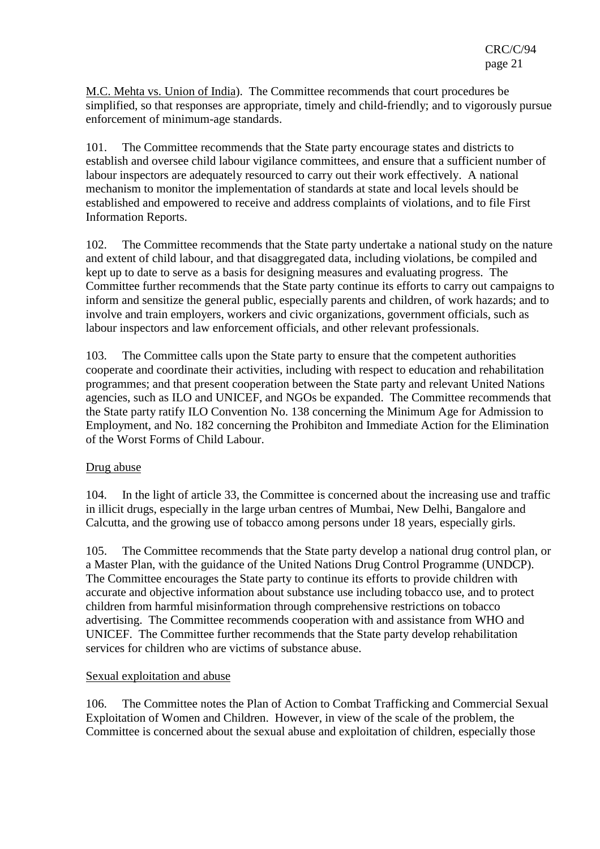M.C. Mehta vs. Union of India). The Committee recommends that court procedures be simplified, so that responses are appropriate, timely and child-friendly; and to vigorously pursue enforcement of minimum-age standards.

101. The Committee recommends that the State party encourage states and districts to establish and oversee child labour vigilance committees, and ensure that a sufficient number of labour inspectors are adequately resourced to carry out their work effectively. A national mechanism to monitor the implementation of standards at state and local levels should be established and empowered to receive and address complaints of violations, and to file First Information Reports.

102. The Committee recommends that the State party undertake a national study on the nature and extent of child labour, and that disaggregated data, including violations, be compiled and kept up to date to serve as a basis for designing measures and evaluating progress. The Committee further recommends that the State party continue its efforts to carry out campaigns to inform and sensitize the general public, especially parents and children, of work hazards; and to involve and train employers, workers and civic organizations, government officials, such as labour inspectors and law enforcement officials, and other relevant professionals.

103. The Committee calls upon the State party to ensure that the competent authorities cooperate and coordinate their activities, including with respect to education and rehabilitation programmes; and that present cooperation between the State party and relevant United Nations agencies, such as ILO and UNICEF, and NGOs be expanded. The Committee recommends that the State party ratify ILO Convention No. 138 concerning the Minimum Age for Admission to Employment, and No. 182 concerning the Prohibiton and Immediate Action for the Elimination of the Worst Forms of Child Labour.

#### Drug abuse

104. In the light of article 33, the Committee is concerned about the increasing use and traffic in illicit drugs, especially in the large urban centres of Mumbai, New Delhi, Bangalore and Calcutta, and the growing use of tobacco among persons under 18 years, especially girls.

105. The Committee recommends that the State party develop a national drug control plan, or a Master Plan, with the guidance of the United Nations Drug Control Programme (UNDCP). The Committee encourages the State party to continue its efforts to provide children with accurate and objective information about substance use including tobacco use, and to protect children from harmful misinformation through comprehensive restrictions on tobacco advertising. The Committee recommends cooperation with and assistance from WHO and UNICEF. The Committee further recommends that the State party develop rehabilitation services for children who are victims of substance abuse.

#### Sexual exploitation and abuse

106. The Committee notes the Plan of Action to Combat Trafficking and Commercial Sexual Exploitation of Women and Children. However, in view of the scale of the problem, the Committee is concerned about the sexual abuse and exploitation of children, especially those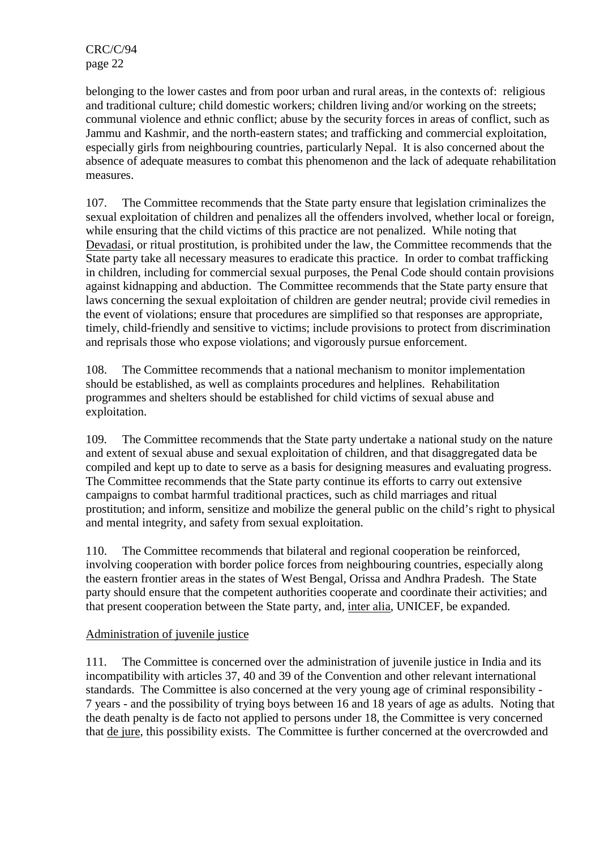belonging to the lower castes and from poor urban and rural areas, in the contexts of: religious and traditional culture; child domestic workers; children living and/or working on the streets; communal violence and ethnic conflict; abuse by the security forces in areas of conflict, such as Jammu and Kashmir, and the north-eastern states; and trafficking and commercial exploitation, especially girls from neighbouring countries, particularly Nepal. It is also concerned about the absence of adequate measures to combat this phenomenon and the lack of adequate rehabilitation measures.

107. The Committee recommends that the State party ensure that legislation criminalizes the sexual exploitation of children and penalizes all the offenders involved, whether local or foreign, while ensuring that the child victims of this practice are not penalized. While noting that Devadasi, or ritual prostitution, is prohibited under the law, the Committee recommends that the State party take all necessary measures to eradicate this practice. In order to combat trafficking in children, including for commercial sexual purposes, the Penal Code should contain provisions against kidnapping and abduction. The Committee recommends that the State party ensure that laws concerning the sexual exploitation of children are gender neutral; provide civil remedies in the event of violations; ensure that procedures are simplified so that responses are appropriate, timely, child-friendly and sensitive to victims; include provisions to protect from discrimination and reprisals those who expose violations; and vigorously pursue enforcement.

108. The Committee recommends that a national mechanism to monitor implementation should be established, as well as complaints procedures and helplines. Rehabilitation programmes and shelters should be established for child victims of sexual abuse and exploitation.

109. The Committee recommends that the State party undertake a national study on the nature and extent of sexual abuse and sexual exploitation of children, and that disaggregated data be compiled and kept up to date to serve as a basis for designing measures and evaluating progress. The Committee recommends that the State party continue its efforts to carry out extensive campaigns to combat harmful traditional practices, such as child marriages and ritual prostitution; and inform, sensitize and mobilize the general public on the child's right to physical and mental integrity, and safety from sexual exploitation.

110. The Committee recommends that bilateral and regional cooperation be reinforced, involving cooperation with border police forces from neighbouring countries, especially along the eastern frontier areas in the states of West Bengal, Orissa and Andhra Pradesh. The State party should ensure that the competent authorities cooperate and coordinate their activities; and that present cooperation between the State party, and, inter alia, UNICEF, be expanded.

# Administration of juvenile justice

111. The Committee is concerned over the administration of juvenile justice in India and its incompatibility with articles 37, 40 and 39 of the Convention and other relevant international standards. The Committee is also concerned at the very young age of criminal responsibility - 7 years - and the possibility of trying boys between 16 and 18 years of age as adults. Noting that the death penalty is de facto not applied to persons under 18, the Committee is very concerned that de jure, this possibility exists. The Committee is further concerned at the overcrowded and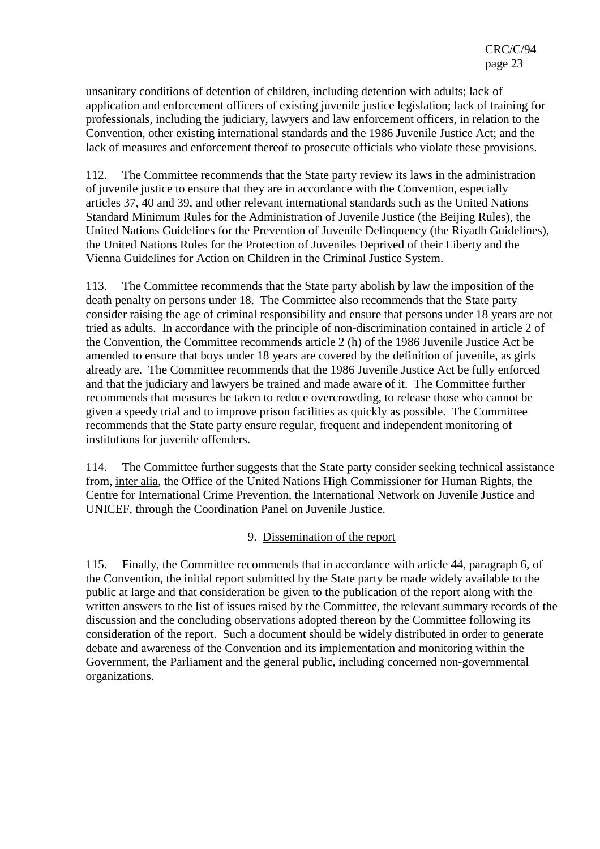unsanitary conditions of detention of children, including detention with adults; lack of application and enforcement officers of existing juvenile justice legislation; lack of training for professionals, including the judiciary, lawyers and law enforcement officers, in relation to the Convention, other existing international standards and the 1986 Juvenile Justice Act; and the lack of measures and enforcement thereof to prosecute officials who violate these provisions.

112. The Committee recommends that the State party review its laws in the administration of juvenile justice to ensure that they are in accordance with the Convention, especially articles 37, 40 and 39, and other relevant international standards such as the United Nations Standard Minimum Rules for the Administration of Juvenile Justice (the Beijing Rules), the United Nations Guidelines for the Prevention of Juvenile Delinquency (the Riyadh Guidelines), the United Nations Rules for the Protection of Juveniles Deprived of their Liberty and the Vienna Guidelines for Action on Children in the Criminal Justice System.

113. The Committee recommends that the State party abolish by law the imposition of the death penalty on persons under 18. The Committee also recommends that the State party consider raising the age of criminal responsibility and ensure that persons under 18 years are not tried as adults. In accordance with the principle of non-discrimination contained in article 2 of the Convention, the Committee recommends article 2 (h) of the 1986 Juvenile Justice Act be amended to ensure that boys under 18 years are covered by the definition of juvenile, as girls already are. The Committee recommends that the 1986 Juvenile Justice Act be fully enforced and that the judiciary and lawyers be trained and made aware of it. The Committee further recommends that measures be taken to reduce overcrowding, to release those who cannot be given a speedy trial and to improve prison facilities as quickly as possible. The Committee recommends that the State party ensure regular, frequent and independent monitoring of institutions for juvenile offenders.

114. The Committee further suggests that the State party consider seeking technical assistance from, inter alia, the Office of the United Nations High Commissioner for Human Rights, the Centre for International Crime Prevention, the International Network on Juvenile Justice and UNICEF, through the Coordination Panel on Juvenile Justice.

#### 9. Dissemination of the report

115. Finally, the Committee recommends that in accordance with article 44, paragraph 6, of the Convention, the initial report submitted by the State party be made widely available to the public at large and that consideration be given to the publication of the report along with the written answers to the list of issues raised by the Committee, the relevant summary records of the discussion and the concluding observations adopted thereon by the Committee following its consideration of the report. Such a document should be widely distributed in order to generate debate and awareness of the Convention and its implementation and monitoring within the Government, the Parliament and the general public, including concerned non-governmental organizations.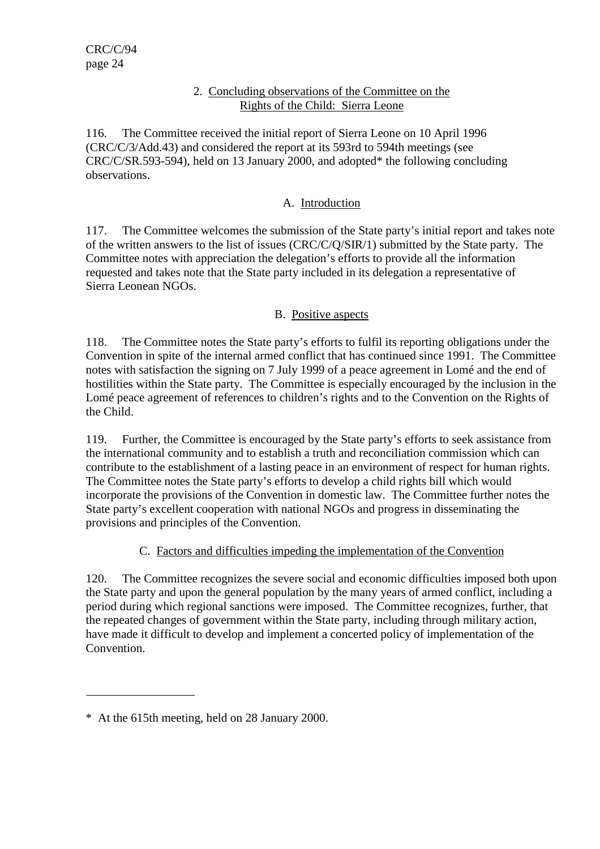#### 2. Concluding observations of the Committee on the Rights of the Child: Sierra Leone

116. The Committee received the initial report of Sierra Leone on 10 April 1996 (CRC/C/3/Add.43) and considered the report at its 593rd to 594th meetings (see CRC/C/SR.593-594), held on 13 January 2000, and adopted\* the following concluding observations.

#### A. Introduction

117. The Committee welcomes the submission of the State party's initial report and takes note of the written answers to the list of issues (CRC/C/Q/SIR/1) submitted by the State party. The Committee notes with appreciation the delegation's efforts to provide all the information requested and takes note that the State party included in its delegation a representative of Sierra Leonean NGOs.

#### B. Positive aspects

118. The Committee notes the State party's efforts to fulfil its reporting obligations under the Convention in spite of the internal armed conflict that has continued since 1991. The Committee notes with satisfaction the signing on 7 July 1999 of a peace agreement in Lomé and the end of hostilities within the State party. The Committee is especially encouraged by the inclusion in the Lomé peace agreement of references to children's rights and to the Convention on the Rights of the Child.

119. Further, the Committee is encouraged by the State party's efforts to seek assistance from the international community and to establish a truth and reconciliation commission which can contribute to the establishment of a lasting peace in an environment of respect for human rights. The Committee notes the State party's efforts to develop a child rights bill which would incorporate the provisions of the Convention in domestic law. The Committee further notes the State party's excellent cooperation with national NGOs and progress in disseminating the provisions and principles of the Convention.

# C. Factors and difficulties impeding the implementation of the Convention

120. The Committee recognizes the severe social and economic difficulties imposed both upon the State party and upon the general population by the many years of armed conflict, including a period during which regional sanctions were imposed. The Committee recognizes, further, that the repeated changes of government within the State party, including through military action, have made it difficult to develop and implement a concerted policy of implementation of the Convention.

 $\overline{a}$ 

<sup>\*</sup> At the 615th meeting, held on 28 January 2000.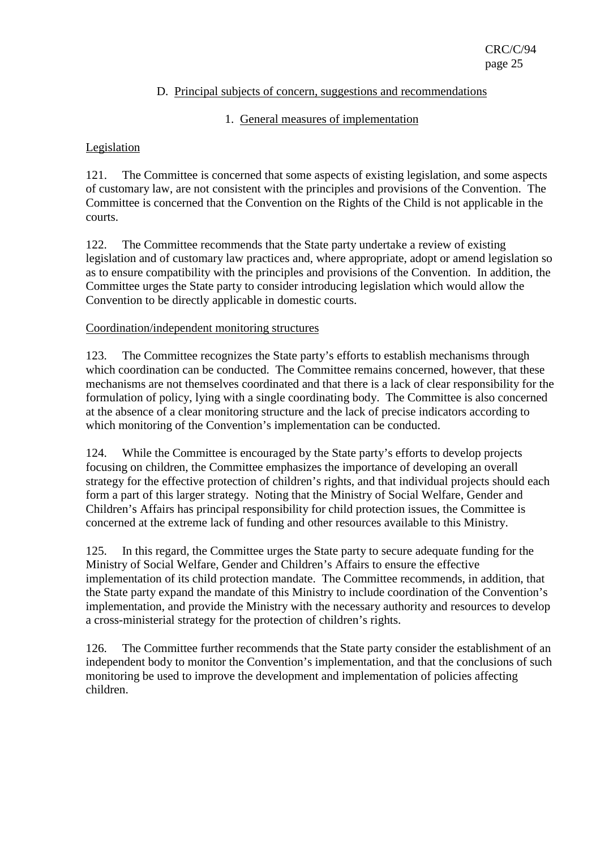#### D. Principal subjects of concern, suggestions and recommendations

#### 1. General measures of implementation

#### Legislation

121. The Committee is concerned that some aspects of existing legislation, and some aspects of customary law, are not consistent with the principles and provisions of the Convention. The Committee is concerned that the Convention on the Rights of the Child is not applicable in the courts.

122. The Committee recommends that the State party undertake a review of existing legislation and of customary law practices and, where appropriate, adopt or amend legislation so as to ensure compatibility with the principles and provisions of the Convention. In addition, the Committee urges the State party to consider introducing legislation which would allow the Convention to be directly applicable in domestic courts.

#### Coordination/independent monitoring structures

123. The Committee recognizes the State party's efforts to establish mechanisms through which coordination can be conducted. The Committee remains concerned, however, that these mechanisms are not themselves coordinated and that there is a lack of clear responsibility for the formulation of policy, lying with a single coordinating body. The Committee is also concerned at the absence of a clear monitoring structure and the lack of precise indicators according to which monitoring of the Convention's implementation can be conducted.

124. While the Committee is encouraged by the State party's efforts to develop projects focusing on children, the Committee emphasizes the importance of developing an overall strategy for the effective protection of children's rights, and that individual projects should each form a part of this larger strategy. Noting that the Ministry of Social Welfare, Gender and Children's Affairs has principal responsibility for child protection issues, the Committee is concerned at the extreme lack of funding and other resources available to this Ministry.

125. In this regard, the Committee urges the State party to secure adequate funding for the Ministry of Social Welfare, Gender and Children's Affairs to ensure the effective implementation of its child protection mandate. The Committee recommends, in addition, that the State party expand the mandate of this Ministry to include coordination of the Convention's implementation, and provide the Ministry with the necessary authority and resources to develop a cross-ministerial strategy for the protection of children's rights.

126. The Committee further recommends that the State party consider the establishment of an independent body to monitor the Convention's implementation, and that the conclusions of such monitoring be used to improve the development and implementation of policies affecting children.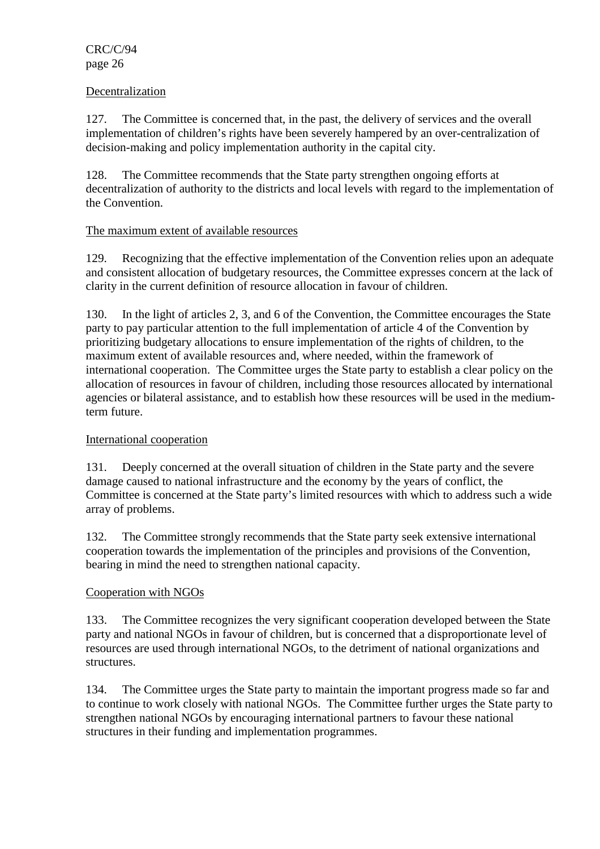CRC/C/94 page 26

#### Decentralization

127. The Committee is concerned that, in the past, the delivery of services and the overall implementation of children's rights have been severely hampered by an over-centralization of decision-making and policy implementation authority in the capital city.

128. The Committee recommends that the State party strengthen ongoing efforts at decentralization of authority to the districts and local levels with regard to the implementation of the Convention.

#### The maximum extent of available resources

129. Recognizing that the effective implementation of the Convention relies upon an adequate and consistent allocation of budgetary resources, the Committee expresses concern at the lack of clarity in the current definition of resource allocation in favour of children.

130. In the light of articles 2, 3, and 6 of the Convention, the Committee encourages the State party to pay particular attention to the full implementation of article 4 of the Convention by prioritizing budgetary allocations to ensure implementation of the rights of children, to the maximum extent of available resources and, where needed, within the framework of international cooperation. The Committee urges the State party to establish a clear policy on the allocation of resources in favour of children, including those resources allocated by international agencies or bilateral assistance, and to establish how these resources will be used in the mediumterm future.

#### International cooperation

131. Deeply concerned at the overall situation of children in the State party and the severe damage caused to national infrastructure and the economy by the years of conflict, the Committee is concerned at the State party's limited resources with which to address such a wide array of problems.

132. The Committee strongly recommends that the State party seek extensive international cooperation towards the implementation of the principles and provisions of the Convention, bearing in mind the need to strengthen national capacity.

#### Cooperation with NGOs

133. The Committee recognizes the very significant cooperation developed between the State party and national NGOs in favour of children, but is concerned that a disproportionate level of resources are used through international NGOs, to the detriment of national organizations and structures.

134. The Committee urges the State party to maintain the important progress made so far and to continue to work closely with national NGOs. The Committee further urges the State party to strengthen national NGOs by encouraging international partners to favour these national structures in their funding and implementation programmes.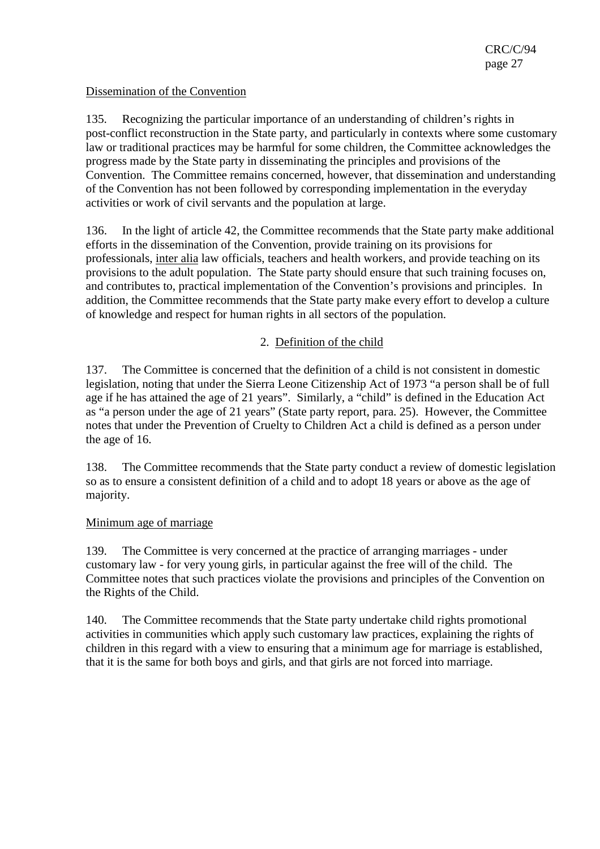#### Dissemination of the Convention

135. Recognizing the particular importance of an understanding of children's rights in post-conflict reconstruction in the State party, and particularly in contexts where some customary law or traditional practices may be harmful for some children, the Committee acknowledges the progress made by the State party in disseminating the principles and provisions of the Convention. The Committee remains concerned, however, that dissemination and understanding of the Convention has not been followed by corresponding implementation in the everyday activities or work of civil servants and the population at large.

136. In the light of article 42, the Committee recommends that the State party make additional efforts in the dissemination of the Convention, provide training on its provisions for professionals, inter alia law officials, teachers and health workers, and provide teaching on its provisions to the adult population. The State party should ensure that such training focuses on, and contributes to, practical implementation of the Convention's provisions and principles. In addition, the Committee recommends that the State party make every effort to develop a culture of knowledge and respect for human rights in all sectors of the population.

## 2. Definition of the child

137. The Committee is concerned that the definition of a child is not consistent in domestic legislation, noting that under the Sierra Leone Citizenship Act of 1973 "a person shall be of full age if he has attained the age of 21 years". Similarly, a "child" is defined in the Education Act as "a person under the age of 21 years" (State party report, para. 25). However, the Committee notes that under the Prevention of Cruelty to Children Act a child is defined as a person under the age of 16.

138. The Committee recommends that the State party conduct a review of domestic legislation so as to ensure a consistent definition of a child and to adopt 18 years or above as the age of majority.

#### Minimum age of marriage

139. The Committee is very concerned at the practice of arranging marriages - under customary law - for very young girls, in particular against the free will of the child. The Committee notes that such practices violate the provisions and principles of the Convention on the Rights of the Child.

140. The Committee recommends that the State party undertake child rights promotional activities in communities which apply such customary law practices, explaining the rights of children in this regard with a view to ensuring that a minimum age for marriage is established, that it is the same for both boys and girls, and that girls are not forced into marriage.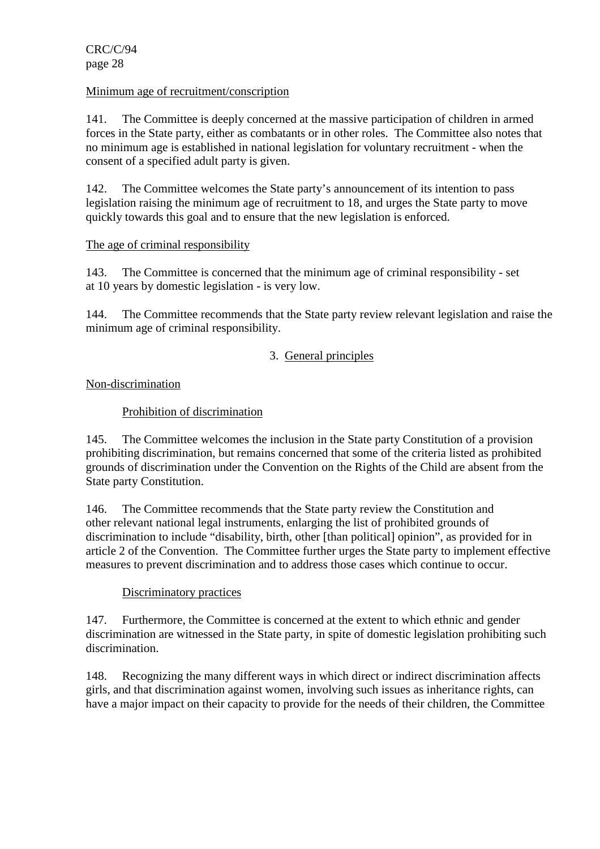#### Minimum age of recruitment/conscription

141. The Committee is deeply concerned at the massive participation of children in armed forces in the State party, either as combatants or in other roles. The Committee also notes that no minimum age is established in national legislation for voluntary recruitment - when the consent of a specified adult party is given.

142. The Committee welcomes the State party's announcement of its intention to pass legislation raising the minimum age of recruitment to 18, and urges the State party to move quickly towards this goal and to ensure that the new legislation is enforced.

## The age of criminal responsibility

143. The Committee is concerned that the minimum age of criminal responsibility - set at 10 years by domestic legislation - is very low.

144. The Committee recommends that the State party review relevant legislation and raise the minimum age of criminal responsibility.

## 3. General principles

## Non-discrimination

## Prohibition of discrimination

145. The Committee welcomes the inclusion in the State party Constitution of a provision prohibiting discrimination, but remains concerned that some of the criteria listed as prohibited grounds of discrimination under the Convention on the Rights of the Child are absent from the State party Constitution.

146. The Committee recommends that the State party review the Constitution and other relevant national legal instruments, enlarging the list of prohibited grounds of discrimination to include "disability, birth, other [than political] opinion", as provided for in article 2 of the Convention. The Committee further urges the State party to implement effective measures to prevent discrimination and to address those cases which continue to occur.

#### Discriminatory practices

147. Furthermore, the Committee is concerned at the extent to which ethnic and gender discrimination are witnessed in the State party, in spite of domestic legislation prohibiting such discrimination.

148. Recognizing the many different ways in which direct or indirect discrimination affects girls, and that discrimination against women, involving such issues as inheritance rights, can have a major impact on their capacity to provide for the needs of their children, the Committee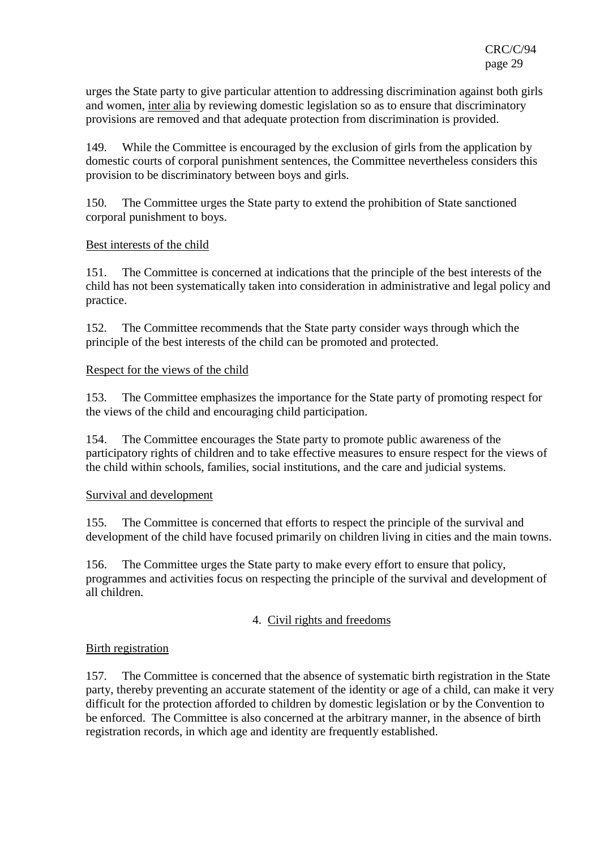urges the State party to give particular attention to addressing discrimination against both girls and women, inter alia by reviewing domestic legislation so as to ensure that discriminatory provisions are removed and that adequate protection from discrimination is provided.

149. While the Committee is encouraged by the exclusion of girls from the application by domestic courts of corporal punishment sentences, the Committee nevertheless considers this provision to be discriminatory between boys and girls.

150. The Committee urges the State party to extend the prohibition of State sanctioned corporal punishment to boys.

#### Best interests of the child

151. The Committee is concerned at indications that the principle of the best interests of the child has not been systematically taken into consideration in administrative and legal policy and practice.

152. The Committee recommends that the State party consider ways through which the principle of the best interests of the child can be promoted and protected.

## Respect for the views of the child

153. The Committee emphasizes the importance for the State party of promoting respect for the views of the child and encouraging child participation.

154. The Committee encourages the State party to promote public awareness of the participatory rights of children and to take effective measures to ensure respect for the views of the child within schools, families, social institutions, and the care and judicial systems.

#### Survival and development

155. The Committee is concerned that efforts to respect the principle of the survival and development of the child have focused primarily on children living in cities and the main towns.

156. The Committee urges the State party to make every effort to ensure that policy, programmes and activities focus on respecting the principle of the survival and development of all children.

# 4. Civil rights and freedoms

#### Birth registration

157. The Committee is concerned that the absence of systematic birth registration in the State party, thereby preventing an accurate statement of the identity or age of a child, can make it very difficult for the protection afforded to children by domestic legislation or by the Convention to be enforced. The Committee is also concerned at the arbitrary manner, in the absence of birth registration records, in which age and identity are frequently established.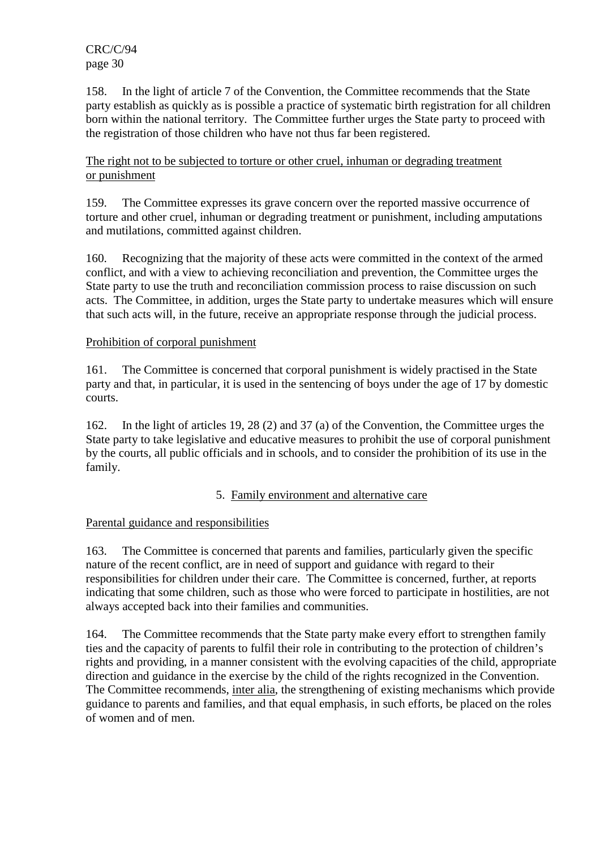CRC/C/94 page 30

158. In the light of article 7 of the Convention, the Committee recommends that the State party establish as quickly as is possible a practice of systematic birth registration for all children born within the national territory. The Committee further urges the State party to proceed with the registration of those children who have not thus far been registered.

#### The right not to be subjected to torture or other cruel, inhuman or degrading treatment or punishment

159. The Committee expresses its grave concern over the reported massive occurrence of torture and other cruel, inhuman or degrading treatment or punishment, including amputations and mutilations, committed against children.

160. Recognizing that the majority of these acts were committed in the context of the armed conflict, and with a view to achieving reconciliation and prevention, the Committee urges the State party to use the truth and reconciliation commission process to raise discussion on such acts. The Committee, in addition, urges the State party to undertake measures which will ensure that such acts will, in the future, receive an appropriate response through the judicial process.

## Prohibition of corporal punishment

161. The Committee is concerned that corporal punishment is widely practised in the State party and that, in particular, it is used in the sentencing of boys under the age of 17 by domestic courts.

162. In the light of articles 19, 28 (2) and 37 (a) of the Convention, the Committee urges the State party to take legislative and educative measures to prohibit the use of corporal punishment by the courts, all public officials and in schools, and to consider the prohibition of its use in the family.

#### 5. Family environment and alternative care

# Parental guidance and responsibilities

163. The Committee is concerned that parents and families, particularly given the specific nature of the recent conflict, are in need of support and guidance with regard to their responsibilities for children under their care. The Committee is concerned, further, at reports indicating that some children, such as those who were forced to participate in hostilities, are not always accepted back into their families and communities.

164. The Committee recommends that the State party make every effort to strengthen family ties and the capacity of parents to fulfil their role in contributing to the protection of children's rights and providing, in a manner consistent with the evolving capacities of the child, appropriate direction and guidance in the exercise by the child of the rights recognized in the Convention. The Committee recommends, inter alia, the strengthening of existing mechanisms which provide guidance to parents and families, and that equal emphasis, in such efforts, be placed on the roles of women and of men.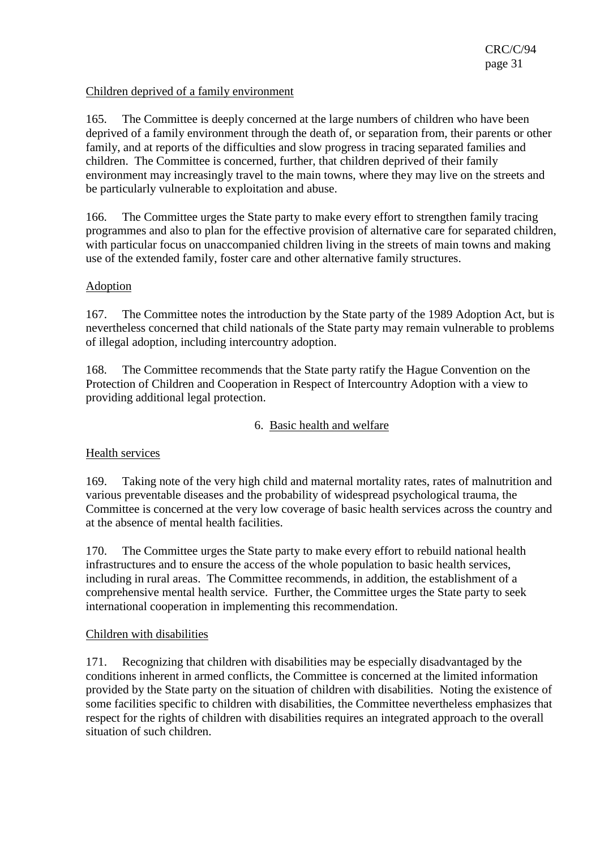#### Children deprived of a family environment

165. The Committee is deeply concerned at the large numbers of children who have been deprived of a family environment through the death of, or separation from, their parents or other family, and at reports of the difficulties and slow progress in tracing separated families and children. The Committee is concerned, further, that children deprived of their family environment may increasingly travel to the main towns, where they may live on the streets and be particularly vulnerable to exploitation and abuse.

166. The Committee urges the State party to make every effort to strengthen family tracing programmes and also to plan for the effective provision of alternative care for separated children, with particular focus on unaccompanied children living in the streets of main towns and making use of the extended family, foster care and other alternative family structures.

## Adoption

167. The Committee notes the introduction by the State party of the 1989 Adoption Act, but is nevertheless concerned that child nationals of the State party may remain vulnerable to problems of illegal adoption, including intercountry adoption.

168. The Committee recommends that the State party ratify the Hague Convention on the Protection of Children and Cooperation in Respect of Intercountry Adoption with a view to providing additional legal protection.

#### 6. Basic health and welfare

# Health services

169. Taking note of the very high child and maternal mortality rates, rates of malnutrition and various preventable diseases and the probability of widespread psychological trauma, the Committee is concerned at the very low coverage of basic health services across the country and at the absence of mental health facilities.

170. The Committee urges the State party to make every effort to rebuild national health infrastructures and to ensure the access of the whole population to basic health services, including in rural areas. The Committee recommends, in addition, the establishment of a comprehensive mental health service. Further, the Committee urges the State party to seek international cooperation in implementing this recommendation.

#### Children with disabilities

171. Recognizing that children with disabilities may be especially disadvantaged by the conditions inherent in armed conflicts, the Committee is concerned at the limited information provided by the State party on the situation of children with disabilities. Noting the existence of some facilities specific to children with disabilities, the Committee nevertheless emphasizes that respect for the rights of children with disabilities requires an integrated approach to the overall situation of such children.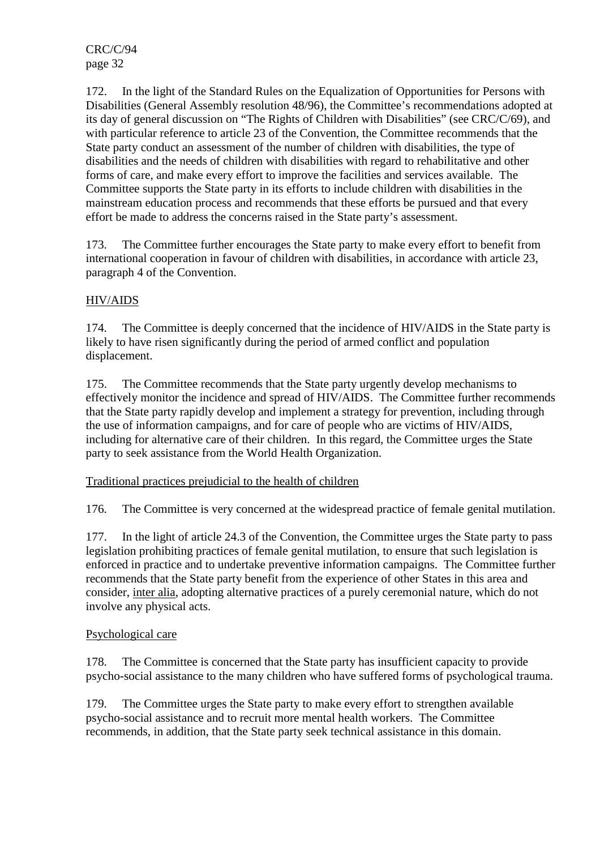CRC/C/94 page 32

172. In the light of the Standard Rules on the Equalization of Opportunities for Persons with Disabilities (General Assembly resolution 48/96), the Committee's recommendations adopted at its day of general discussion on "The Rights of Children with Disabilities" (see CRC/C/69), and with particular reference to article 23 of the Convention, the Committee recommends that the State party conduct an assessment of the number of children with disabilities, the type of disabilities and the needs of children with disabilities with regard to rehabilitative and other forms of care, and make every effort to improve the facilities and services available. The Committee supports the State party in its efforts to include children with disabilities in the mainstream education process and recommends that these efforts be pursued and that every effort be made to address the concerns raised in the State party's assessment.

173. The Committee further encourages the State party to make every effort to benefit from international cooperation in favour of children with disabilities, in accordance with article 23, paragraph 4 of the Convention.

# HIV/AIDS

174. The Committee is deeply concerned that the incidence of HIV/AIDS in the State party is likely to have risen significantly during the period of armed conflict and population displacement.

175. The Committee recommends that the State party urgently develop mechanisms to effectively monitor the incidence and spread of HIV/AIDS. The Committee further recommends that the State party rapidly develop and implement a strategy for prevention, including through the use of information campaigns, and for care of people who are victims of HIV/AIDS, including for alternative care of their children. In this regard, the Committee urges the State party to seek assistance from the World Health Organization.

Traditional practices prejudicial to the health of children

176. The Committee is very concerned at the widespread practice of female genital mutilation.

177. In the light of article 24.3 of the Convention, the Committee urges the State party to pass legislation prohibiting practices of female genital mutilation, to ensure that such legislation is enforced in practice and to undertake preventive information campaigns. The Committee further recommends that the State party benefit from the experience of other States in this area and consider, inter alia, adopting alternative practices of a purely ceremonial nature, which do not involve any physical acts.

#### Psychological care

178. The Committee is concerned that the State party has insufficient capacity to provide psycho-social assistance to the many children who have suffered forms of psychological trauma.

179. The Committee urges the State party to make every effort to strengthen available psycho-social assistance and to recruit more mental health workers. The Committee recommends, in addition, that the State party seek technical assistance in this domain.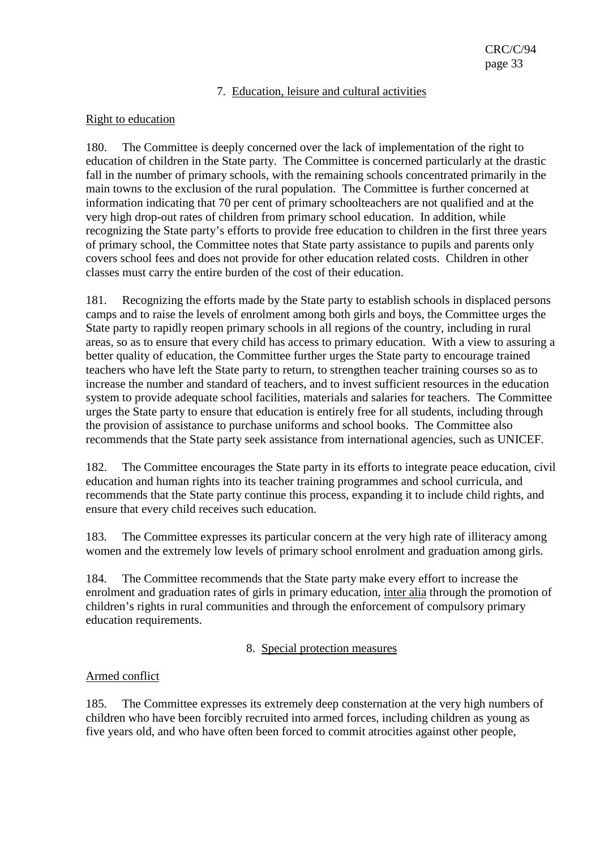#### 7. Education, leisure and cultural activities

#### Right to education

180. The Committee is deeply concerned over the lack of implementation of the right to education of children in the State party. The Committee is concerned particularly at the drastic fall in the number of primary schools, with the remaining schools concentrated primarily in the main towns to the exclusion of the rural population. The Committee is further concerned at information indicating that 70 per cent of primary schoolteachers are not qualified and at the very high drop-out rates of children from primary school education. In addition, while recognizing the State party's efforts to provide free education to children in the first three years of primary school, the Committee notes that State party assistance to pupils and parents only covers school fees and does not provide for other education related costs. Children in other classes must carry the entire burden of the cost of their education.

181. Recognizing the efforts made by the State party to establish schools in displaced persons camps and to raise the levels of enrolment among both girls and boys, the Committee urges the State party to rapidly reopen primary schools in all regions of the country, including in rural areas, so as to ensure that every child has access to primary education. With a view to assuring a better quality of education, the Committee further urges the State party to encourage trained teachers who have left the State party to return, to strengthen teacher training courses so as to increase the number and standard of teachers, and to invest sufficient resources in the education system to provide adequate school facilities, materials and salaries for teachers. The Committee urges the State party to ensure that education is entirely free for all students, including through the provision of assistance to purchase uniforms and school books. The Committee also recommends that the State party seek assistance from international agencies, such as UNICEF.

182. The Committee encourages the State party in its efforts to integrate peace education, civil education and human rights into its teacher training programmes and school curricula, and recommends that the State party continue this process, expanding it to include child rights, and ensure that every child receives such education.

183. The Committee expresses its particular concern at the very high rate of illiteracy among women and the extremely low levels of primary school enrolment and graduation among girls.

184. The Committee recommends that the State party make every effort to increase the enrolment and graduation rates of girls in primary education, inter alia through the promotion of children's rights in rural communities and through the enforcement of compulsory primary education requirements.

#### 8. Special protection measures

#### Armed conflict

185. The Committee expresses its extremely deep consternation at the very high numbers of children who have been forcibly recruited into armed forces, including children as young as five years old, and who have often been forced to commit atrocities against other people,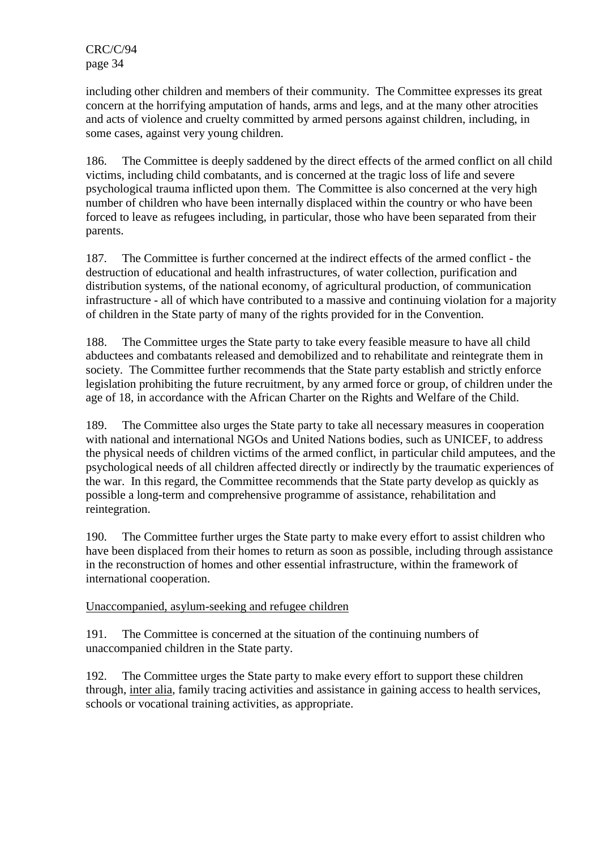including other children and members of their community. The Committee expresses its great concern at the horrifying amputation of hands, arms and legs, and at the many other atrocities and acts of violence and cruelty committed by armed persons against children, including, in some cases, against very young children.

186. The Committee is deeply saddened by the direct effects of the armed conflict on all child victims, including child combatants, and is concerned at the tragic loss of life and severe psychological trauma inflicted upon them. The Committee is also concerned at the very high number of children who have been internally displaced within the country or who have been forced to leave as refugees including, in particular, those who have been separated from their parents.

187. The Committee is further concerned at the indirect effects of the armed conflict - the destruction of educational and health infrastructures, of water collection, purification and distribution systems, of the national economy, of agricultural production, of communication infrastructure - all of which have contributed to a massive and continuing violation for a majority of children in the State party of many of the rights provided for in the Convention.

188. The Committee urges the State party to take every feasible measure to have all child abductees and combatants released and demobilized and to rehabilitate and reintegrate them in society. The Committee further recommends that the State party establish and strictly enforce legislation prohibiting the future recruitment, by any armed force or group, of children under the age of 18, in accordance with the African Charter on the Rights and Welfare of the Child.

189. The Committee also urges the State party to take all necessary measures in cooperation with national and international NGOs and United Nations bodies, such as UNICEF, to address the physical needs of children victims of the armed conflict, in particular child amputees, and the psychological needs of all children affected directly or indirectly by the traumatic experiences of the war. In this regard, the Committee recommends that the State party develop as quickly as possible a long-term and comprehensive programme of assistance, rehabilitation and reintegration.

190. The Committee further urges the State party to make every effort to assist children who have been displaced from their homes to return as soon as possible, including through assistance in the reconstruction of homes and other essential infrastructure, within the framework of international cooperation.

# Unaccompanied, asylum-seeking and refugee children

191. The Committee is concerned at the situation of the continuing numbers of unaccompanied children in the State party.

192. The Committee urges the State party to make every effort to support these children through, inter alia, family tracing activities and assistance in gaining access to health services, schools or vocational training activities, as appropriate.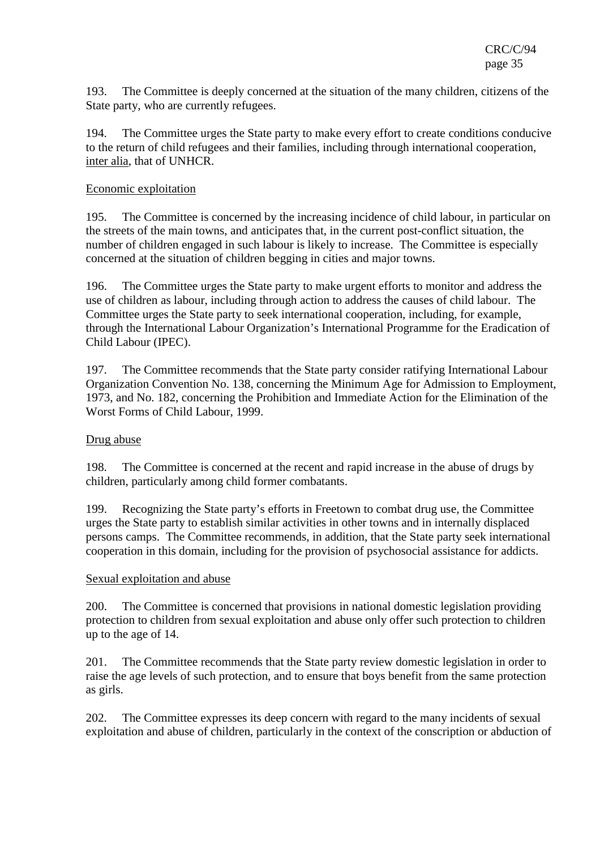193. The Committee is deeply concerned at the situation of the many children, citizens of the State party, who are currently refugees.

194. The Committee urges the State party to make every effort to create conditions conducive to the return of child refugees and their families, including through international cooperation, inter alia, that of UNHCR.

#### Economic exploitation

195. The Committee is concerned by the increasing incidence of child labour, in particular on the streets of the main towns, and anticipates that, in the current post-conflict situation, the number of children engaged in such labour is likely to increase. The Committee is especially concerned at the situation of children begging in cities and major towns.

196. The Committee urges the State party to make urgent efforts to monitor and address the use of children as labour, including through action to address the causes of child labour. The Committee urges the State party to seek international cooperation, including, for example, through the International Labour Organization's International Programme for the Eradication of Child Labour (IPEC).

197. The Committee recommends that the State party consider ratifying International Labour Organization Convention No. 138, concerning the Minimum Age for Admission to Employment, 1973, and No. 182, concerning the Prohibition and Immediate Action for the Elimination of the Worst Forms of Child Labour, 1999.

#### Drug abuse

198. The Committee is concerned at the recent and rapid increase in the abuse of drugs by children, particularly among child former combatants.

199. Recognizing the State party's efforts in Freetown to combat drug use, the Committee urges the State party to establish similar activities in other towns and in internally displaced persons camps. The Committee recommends, in addition, that the State party seek international cooperation in this domain, including for the provision of psychosocial assistance for addicts.

#### Sexual exploitation and abuse

200. The Committee is concerned that provisions in national domestic legislation providing protection to children from sexual exploitation and abuse only offer such protection to children up to the age of 14.

201. The Committee recommends that the State party review domestic legislation in order to raise the age levels of such protection, and to ensure that boys benefit from the same protection as girls.

202. The Committee expresses its deep concern with regard to the many incidents of sexual exploitation and abuse of children, particularly in the context of the conscription or abduction of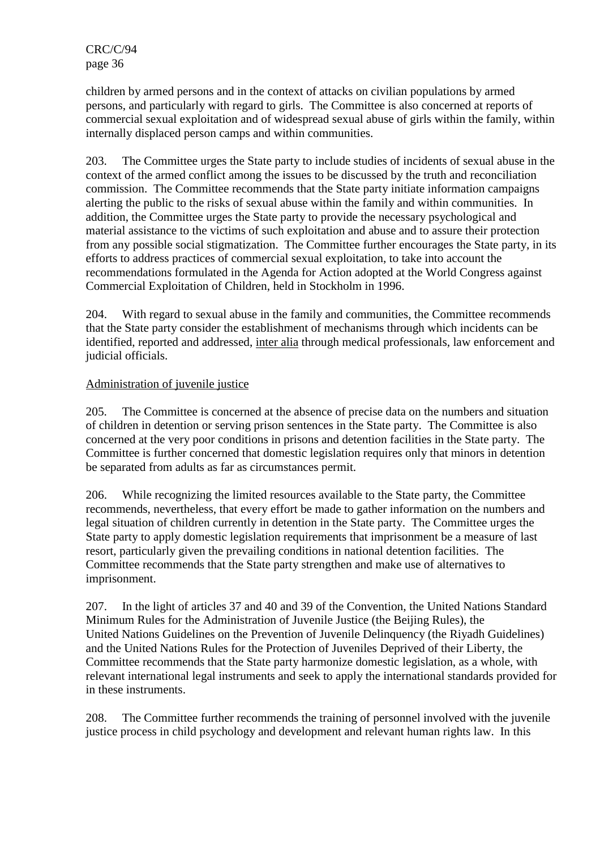children by armed persons and in the context of attacks on civilian populations by armed persons, and particularly with regard to girls. The Committee is also concerned at reports of commercial sexual exploitation and of widespread sexual abuse of girls within the family, within internally displaced person camps and within communities.

203. The Committee urges the State party to include studies of incidents of sexual abuse in the context of the armed conflict among the issues to be discussed by the truth and reconciliation commission. The Committee recommends that the State party initiate information campaigns alerting the public to the risks of sexual abuse within the family and within communities. In addition, the Committee urges the State party to provide the necessary psychological and material assistance to the victims of such exploitation and abuse and to assure their protection from any possible social stigmatization. The Committee further encourages the State party, in its efforts to address practices of commercial sexual exploitation, to take into account the recommendations formulated in the Agenda for Action adopted at the World Congress against Commercial Exploitation of Children, held in Stockholm in 1996.

204. With regard to sexual abuse in the family and communities, the Committee recommends that the State party consider the establishment of mechanisms through which incidents can be identified, reported and addressed, inter alia through medical professionals, law enforcement and judicial officials.

## Administration of juvenile justice

205. The Committee is concerned at the absence of precise data on the numbers and situation of children in detention or serving prison sentences in the State party. The Committee is also concerned at the very poor conditions in prisons and detention facilities in the State party. The Committee is further concerned that domestic legislation requires only that minors in detention be separated from adults as far as circumstances permit.

206. While recognizing the limited resources available to the State party, the Committee recommends, nevertheless, that every effort be made to gather information on the numbers and legal situation of children currently in detention in the State party. The Committee urges the State party to apply domestic legislation requirements that imprisonment be a measure of last resort, particularly given the prevailing conditions in national detention facilities. The Committee recommends that the State party strengthen and make use of alternatives to imprisonment.

207. In the light of articles 37 and 40 and 39 of the Convention, the United Nations Standard Minimum Rules for the Administration of Juvenile Justice (the Beijing Rules), the United Nations Guidelines on the Prevention of Juvenile Delinquency (the Riyadh Guidelines) and the United Nations Rules for the Protection of Juveniles Deprived of their Liberty, the Committee recommends that the State party harmonize domestic legislation, as a whole, with relevant international legal instruments and seek to apply the international standards provided for in these instruments.

208. The Committee further recommends the training of personnel involved with the juvenile justice process in child psychology and development and relevant human rights law. In this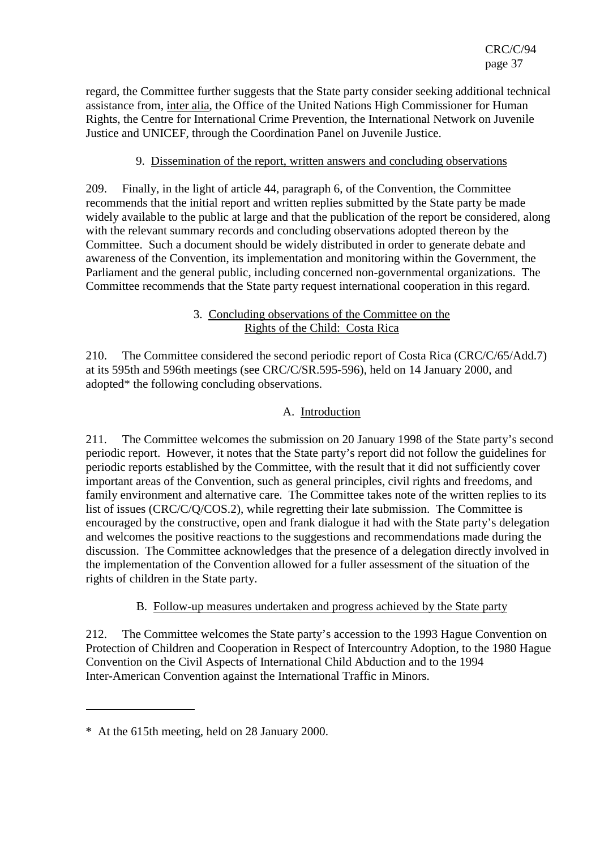regard, the Committee further suggests that the State party consider seeking additional technical assistance from, inter alia, the Office of the United Nations High Commissioner for Human Rights, the Centre for International Crime Prevention, the International Network on Juvenile Justice and UNICEF, through the Coordination Panel on Juvenile Justice.

## 9. Dissemination of the report, written answers and concluding observations

209. Finally, in the light of article 44, paragraph 6, of the Convention, the Committee recommends that the initial report and written replies submitted by the State party be made widely available to the public at large and that the publication of the report be considered, along with the relevant summary records and concluding observations adopted thereon by the Committee. Such a document should be widely distributed in order to generate debate and awareness of the Convention, its implementation and monitoring within the Government, the Parliament and the general public, including concerned non-governmental organizations. The Committee recommends that the State party request international cooperation in this regard.

### 3. Concluding observations of the Committee on the Rights of the Child: Costa Rica

210. The Committee considered the second periodic report of Costa Rica (CRC/C/65/Add.7) at its 595th and 596th meetings (see CRC/C/SR.595-596), held on 14 January 2000, and adopted\* the following concluding observations.

# A. Introduction

211. The Committee welcomes the submission on 20 January 1998 of the State party's second periodic report. However, it notes that the State party's report did not follow the guidelines for periodic reports established by the Committee, with the result that it did not sufficiently cover important areas of the Convention, such as general principles, civil rights and freedoms, and family environment and alternative care. The Committee takes note of the written replies to its list of issues (CRC/C/Q/COS.2), while regretting their late submission. The Committee is encouraged by the constructive, open and frank dialogue it had with the State party's delegation and welcomes the positive reactions to the suggestions and recommendations made during the discussion. The Committee acknowledges that the presence of a delegation directly involved in the implementation of the Convention allowed for a fuller assessment of the situation of the rights of children in the State party.

## B. Follow-up measures undertaken and progress achieved by the State party

212. The Committee welcomes the State party's accession to the 1993 Hague Convention on Protection of Children and Cooperation in Respect of Intercountry Adoption, to the 1980 Hague Convention on the Civil Aspects of International Child Abduction and to the 1994 Inter-American Convention against the International Traffic in Minors.

 $\overline{a}$ 

<sup>\*</sup> At the 615th meeting, held on 28 January 2000.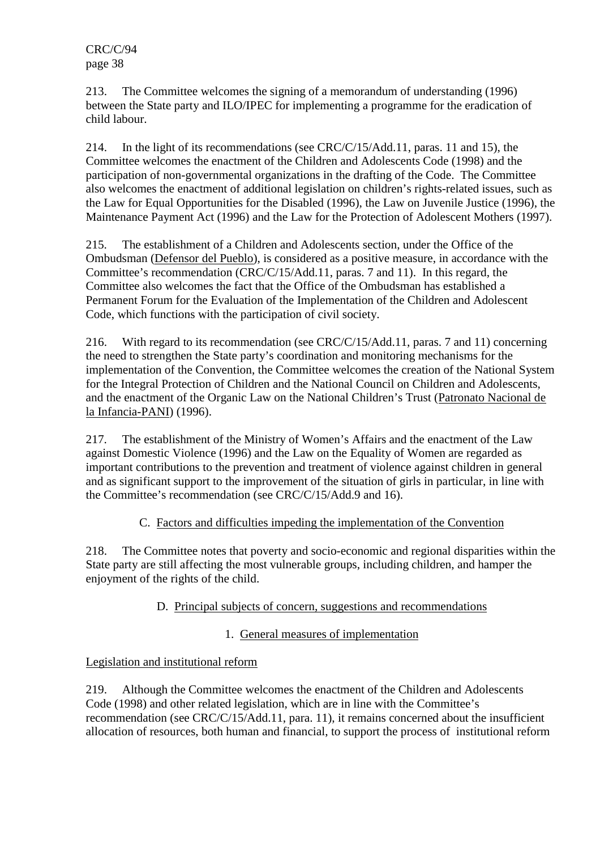213. The Committee welcomes the signing of a memorandum of understanding (1996) between the State party and ILO/IPEC for implementing a programme for the eradication of child labour.

214. In the light of its recommendations (see CRC/C/15/Add.11, paras. 11 and 15), the Committee welcomes the enactment of the Children and Adolescents Code (1998) and the participation of non-governmental organizations in the drafting of the Code. The Committee also welcomes the enactment of additional legislation on children's rights-related issues, such as the Law for Equal Opportunities for the Disabled (1996), the Law on Juvenile Justice (1996), the Maintenance Payment Act (1996) and the Law for the Protection of Adolescent Mothers (1997).

215. The establishment of a Children and Adolescents section, under the Office of the Ombudsman (Defensor del Pueblo), is considered as a positive measure, in accordance with the Committee's recommendation (CRC/C/15/Add.11, paras. 7 and 11). In this regard, the Committee also welcomes the fact that the Office of the Ombudsman has established a Permanent Forum for the Evaluation of the Implementation of the Children and Adolescent Code, which functions with the participation of civil society.

216. With regard to its recommendation (see CRC/C/15/Add.11, paras. 7 and 11) concerning the need to strengthen the State party's coordination and monitoring mechanisms for the implementation of the Convention, the Committee welcomes the creation of the National System for the Integral Protection of Children and the National Council on Children and Adolescents, and the enactment of the Organic Law on the National Children's Trust (Patronato Nacional de la Infancia-PANI) (1996).

217. The establishment of the Ministry of Women's Affairs and the enactment of the Law against Domestic Violence (1996) and the Law on the Equality of Women are regarded as important contributions to the prevention and treatment of violence against children in general and as significant support to the improvement of the situation of girls in particular, in line with the Committee's recommendation (see CRC/C/15/Add.9 and 16).

# C. Factors and difficulties impeding the implementation of the Convention

218. The Committee notes that poverty and socio-economic and regional disparities within the State party are still affecting the most vulnerable groups, including children, and hamper the enjoyment of the rights of the child.

# D. Principal subjects of concern, suggestions and recommendations

# 1. General measures of implementation

# Legislation and institutional reform

219. Although the Committee welcomes the enactment of the Children and Adolescents Code (1998) and other related legislation, which are in line with the Committee's recommendation (see CRC/C/15/Add.11, para. 11), it remains concerned about the insufficient allocation of resources, both human and financial, to support the process of institutional reform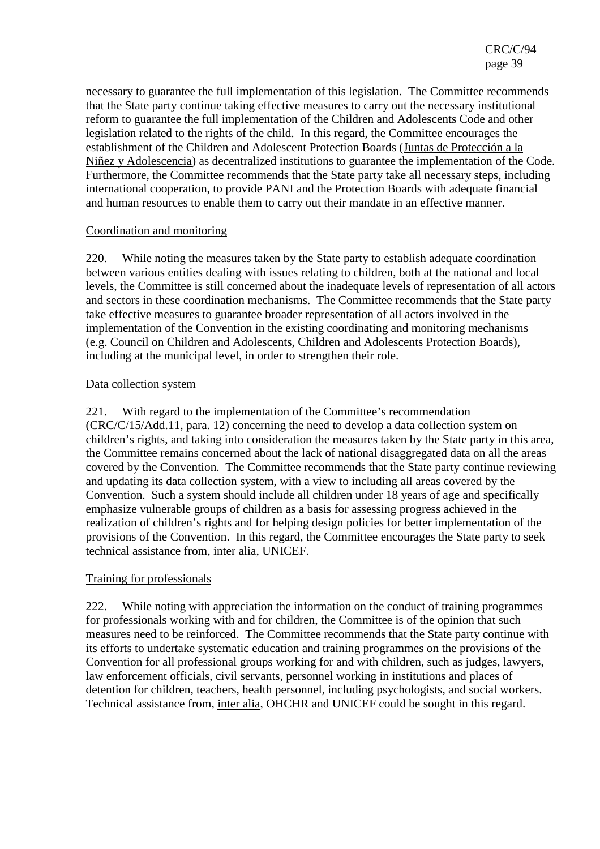necessary to guarantee the full implementation of this legislation. The Committee recommends that the State party continue taking effective measures to carry out the necessary institutional reform to guarantee the full implementation of the Children and Adolescents Code and other legislation related to the rights of the child. In this regard, the Committee encourages the establishment of the Children and Adolescent Protection Boards (Juntas de Protección a la Niñez y Adolescencia) as decentralized institutions to guarantee the implementation of the Code. Furthermore, the Committee recommends that the State party take all necessary steps, including international cooperation, to provide PANI and the Protection Boards with adequate financial and human resources to enable them to carry out their mandate in an effective manner.

#### Coordination and monitoring

220. While noting the measures taken by the State party to establish adequate coordination between various entities dealing with issues relating to children, both at the national and local levels, the Committee is still concerned about the inadequate levels of representation of all actors and sectors in these coordination mechanisms. The Committee recommends that the State party take effective measures to guarantee broader representation of all actors involved in the implementation of the Convention in the existing coordinating and monitoring mechanisms (e.g. Council on Children and Adolescents, Children and Adolescents Protection Boards), including at the municipal level, in order to strengthen their role.

### Data collection system

221. With regard to the implementation of the Committee's recommendation (CRC/C/15/Add.11, para. 12) concerning the need to develop a data collection system on children's rights, and taking into consideration the measures taken by the State party in this area, the Committee remains concerned about the lack of national disaggregated data on all the areas covered by the Convention. The Committee recommends that the State party continue reviewing and updating its data collection system, with a view to including all areas covered by the Convention. Such a system should include all children under 18 years of age and specifically emphasize vulnerable groups of children as a basis for assessing progress achieved in the realization of children's rights and for helping design policies for better implementation of the provisions of the Convention. In this regard, the Committee encourages the State party to seek technical assistance from, inter alia, UNICEF.

#### Training for professionals

222. While noting with appreciation the information on the conduct of training programmes for professionals working with and for children, the Committee is of the opinion that such measures need to be reinforced. The Committee recommends that the State party continue with its efforts to undertake systematic education and training programmes on the provisions of the Convention for all professional groups working for and with children, such as judges, lawyers, law enforcement officials, civil servants, personnel working in institutions and places of detention for children, teachers, health personnel, including psychologists, and social workers. Technical assistance from, inter alia, OHCHR and UNICEF could be sought in this regard.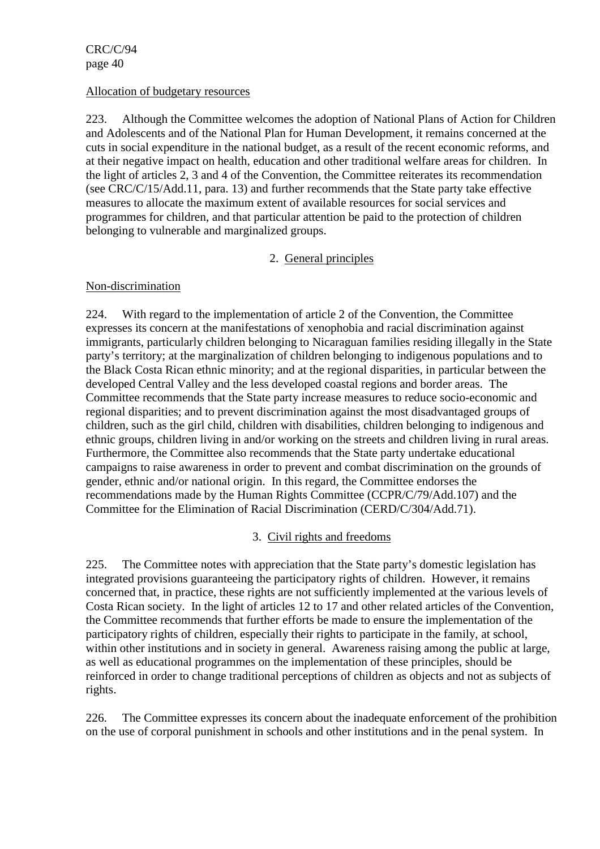#### Allocation of budgetary resources

223. Although the Committee welcomes the adoption of National Plans of Action for Children and Adolescents and of the National Plan for Human Development, it remains concerned at the cuts in social expenditure in the national budget, as a result of the recent economic reforms, and at their negative impact on health, education and other traditional welfare areas for children. In the light of articles 2, 3 and 4 of the Convention, the Committee reiterates its recommendation (see CRC/C/15/Add.11, para. 13) and further recommends that the State party take effective measures to allocate the maximum extent of available resources for social services and programmes for children, and that particular attention be paid to the protection of children belonging to vulnerable and marginalized groups.

## 2. General principles

# Non-discrimination

224. With regard to the implementation of article 2 of the Convention, the Committee expresses its concern at the manifestations of xenophobia and racial discrimination against immigrants, particularly children belonging to Nicaraguan families residing illegally in the State party's territory; at the marginalization of children belonging to indigenous populations and to the Black Costa Rican ethnic minority; and at the regional disparities, in particular between the developed Central Valley and the less developed coastal regions and border areas. The Committee recommends that the State party increase measures to reduce socio-economic and regional disparities; and to prevent discrimination against the most disadvantaged groups of children, such as the girl child, children with disabilities, children belonging to indigenous and ethnic groups, children living in and/or working on the streets and children living in rural areas. Furthermore, the Committee also recommends that the State party undertake educational campaigns to raise awareness in order to prevent and combat discrimination on the grounds of gender, ethnic and/or national origin. In this regard, the Committee endorses the recommendations made by the Human Rights Committee (CCPR/C/79/Add.107) and the Committee for the Elimination of Racial Discrimination (CERD/C/304/Add.71).

# 3. Civil rights and freedoms

225. The Committee notes with appreciation that the State party's domestic legislation has integrated provisions guaranteeing the participatory rights of children. However, it remains concerned that, in practice, these rights are not sufficiently implemented at the various levels of Costa Rican society. In the light of articles 12 to 17 and other related articles of the Convention, the Committee recommends that further efforts be made to ensure the implementation of the participatory rights of children, especially their rights to participate in the family, at school, within other institutions and in society in general. Awareness raising among the public at large, as well as educational programmes on the implementation of these principles, should be reinforced in order to change traditional perceptions of children as objects and not as subjects of rights.

226. The Committee expresses its concern about the inadequate enforcement of the prohibition on the use of corporal punishment in schools and other institutions and in the penal system. In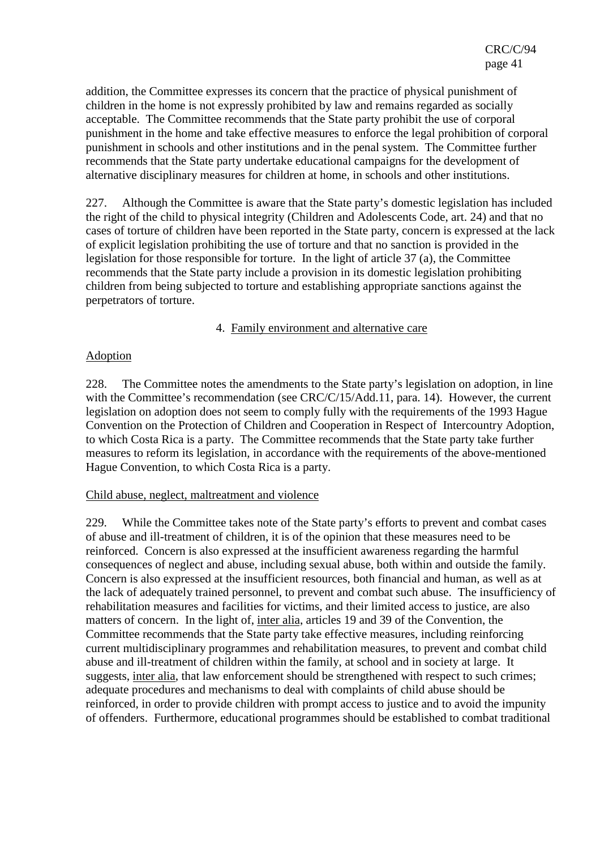addition, the Committee expresses its concern that the practice of physical punishment of children in the home is not expressly prohibited by law and remains regarded as socially acceptable. The Committee recommends that the State party prohibit the use of corporal punishment in the home and take effective measures to enforce the legal prohibition of corporal punishment in schools and other institutions and in the penal system. The Committee further recommends that the State party undertake educational campaigns for the development of alternative disciplinary measures for children at home, in schools and other institutions.

227. Although the Committee is aware that the State party's domestic legislation has included the right of the child to physical integrity (Children and Adolescents Code, art. 24) and that no cases of torture of children have been reported in the State party, concern is expressed at the lack of explicit legislation prohibiting the use of torture and that no sanction is provided in the legislation for those responsible for torture. In the light of article 37 (a), the Committee recommends that the State party include a provision in its domestic legislation prohibiting children from being subjected to torture and establishing appropriate sanctions against the perpetrators of torture.

#### 4. Family environment and alternative care

### Adoption

228. The Committee notes the amendments to the State party's legislation on adoption, in line with the Committee's recommendation (see CRC/C/15/Add.11, para. 14). However, the current legislation on adoption does not seem to comply fully with the requirements of the 1993 Hague Convention on the Protection of Children and Cooperation in Respect of Intercountry Adoption, to which Costa Rica is a party. The Committee recommends that the State party take further measures to reform its legislation, in accordance with the requirements of the above-mentioned Hague Convention, to which Costa Rica is a party.

#### Child abuse, neglect, maltreatment and violence

229. While the Committee takes note of the State party's efforts to prevent and combat cases of abuse and ill-treatment of children, it is of the opinion that these measures need to be reinforced. Concern is also expressed at the insufficient awareness regarding the harmful consequences of neglect and abuse, including sexual abuse, both within and outside the family. Concern is also expressed at the insufficient resources, both financial and human, as well as at the lack of adequately trained personnel, to prevent and combat such abuse. The insufficiency of rehabilitation measures and facilities for victims, and their limited access to justice, are also matters of concern. In the light of, inter alia, articles 19 and 39 of the Convention, the Committee recommends that the State party take effective measures, including reinforcing current multidisciplinary programmes and rehabilitation measures, to prevent and combat child abuse and ill-treatment of children within the family, at school and in society at large. It suggests, inter alia, that law enforcement should be strengthened with respect to such crimes; adequate procedures and mechanisms to deal with complaints of child abuse should be reinforced, in order to provide children with prompt access to justice and to avoid the impunity of offenders. Furthermore, educational programmes should be established to combat traditional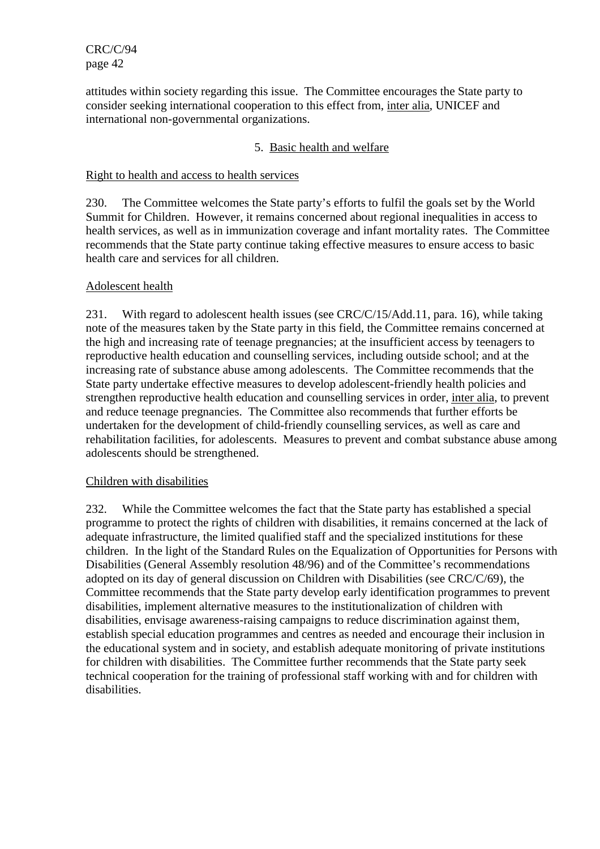attitudes within society regarding this issue. The Committee encourages the State party to consider seeking international cooperation to this effect from, inter alia, UNICEF and international non-governmental organizations.

## 5. Basic health and welfare

### Right to health and access to health services

230. The Committee welcomes the State party's efforts to fulfil the goals set by the World Summit for Children. However, it remains concerned about regional inequalities in access to health services, as well as in immunization coverage and infant mortality rates. The Committee recommends that the State party continue taking effective measures to ensure access to basic health care and services for all children.

### Adolescent health

231. With regard to adolescent health issues (see CRC/C/15/Add.11, para. 16), while taking note of the measures taken by the State party in this field, the Committee remains concerned at the high and increasing rate of teenage pregnancies; at the insufficient access by teenagers to reproductive health education and counselling services, including outside school; and at the increasing rate of substance abuse among adolescents. The Committee recommends that the State party undertake effective measures to develop adolescent-friendly health policies and strengthen reproductive health education and counselling services in order, inter alia, to prevent and reduce teenage pregnancies. The Committee also recommends that further efforts be undertaken for the development of child-friendly counselling services, as well as care and rehabilitation facilities, for adolescents. Measures to prevent and combat substance abuse among adolescents should be strengthened.

#### Children with disabilities

232. While the Committee welcomes the fact that the State party has established a special programme to protect the rights of children with disabilities, it remains concerned at the lack of adequate infrastructure, the limited qualified staff and the specialized institutions for these children. In the light of the Standard Rules on the Equalization of Opportunities for Persons with Disabilities (General Assembly resolution 48/96) and of the Committee's recommendations adopted on its day of general discussion on Children with Disabilities (see CRC/C/69), the Committee recommends that the State party develop early identification programmes to prevent disabilities, implement alternative measures to the institutionalization of children with disabilities, envisage awareness-raising campaigns to reduce discrimination against them, establish special education programmes and centres as needed and encourage their inclusion in the educational system and in society, and establish adequate monitoring of private institutions for children with disabilities. The Committee further recommends that the State party seek technical cooperation for the training of professional staff working with and for children with disabilities.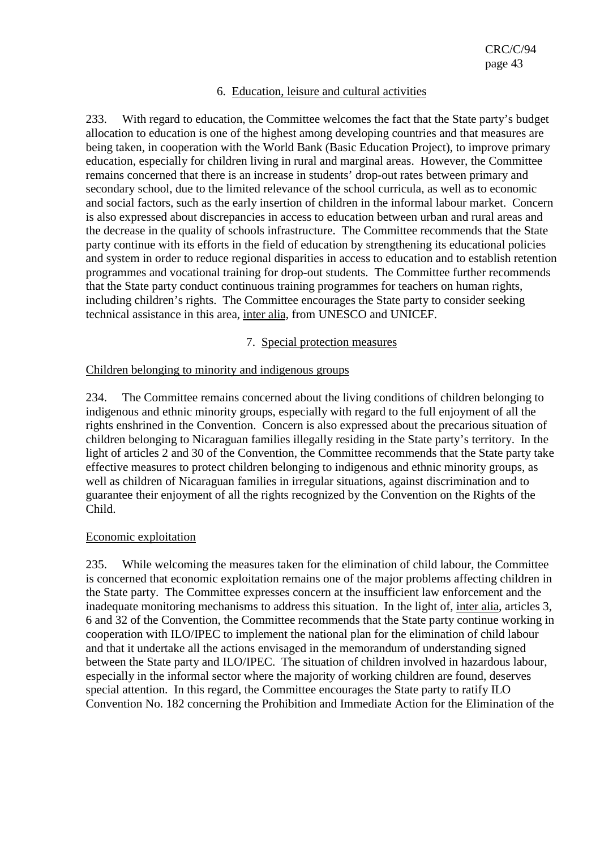### 6. Education, leisure and cultural activities

233. With regard to education, the Committee welcomes the fact that the State party's budget allocation to education is one of the highest among developing countries and that measures are being taken, in cooperation with the World Bank (Basic Education Project), to improve primary education, especially for children living in rural and marginal areas. However, the Committee remains concerned that there is an increase in students' drop-out rates between primary and secondary school, due to the limited relevance of the school curricula, as well as to economic and social factors, such as the early insertion of children in the informal labour market. Concern is also expressed about discrepancies in access to education between urban and rural areas and the decrease in the quality of schools infrastructure. The Committee recommends that the State party continue with its efforts in the field of education by strengthening its educational policies and system in order to reduce regional disparities in access to education and to establish retention programmes and vocational training for drop-out students. The Committee further recommends that the State party conduct continuous training programmes for teachers on human rights, including children's rights. The Committee encourages the State party to consider seeking technical assistance in this area, inter alia, from UNESCO and UNICEF.

7. Special protection measures

## Children belonging to minority and indigenous groups

234. The Committee remains concerned about the living conditions of children belonging to indigenous and ethnic minority groups, especially with regard to the full enjoyment of all the rights enshrined in the Convention. Concern is also expressed about the precarious situation of children belonging to Nicaraguan families illegally residing in the State party's territory. In the light of articles 2 and 30 of the Convention, the Committee recommends that the State party take effective measures to protect children belonging to indigenous and ethnic minority groups, as well as children of Nicaraguan families in irregular situations, against discrimination and to guarantee their enjoyment of all the rights recognized by the Convention on the Rights of the Child.

## Economic exploitation

235. While welcoming the measures taken for the elimination of child labour, the Committee is concerned that economic exploitation remains one of the major problems affecting children in the State party. The Committee expresses concern at the insufficient law enforcement and the inadequate monitoring mechanisms to address this situation. In the light of, inter alia, articles 3, 6 and 32 of the Convention, the Committee recommends that the State party continue working in cooperation with ILO/IPEC to implement the national plan for the elimination of child labour and that it undertake all the actions envisaged in the memorandum of understanding signed between the State party and ILO/IPEC. The situation of children involved in hazardous labour, especially in the informal sector where the majority of working children are found, deserves special attention. In this regard, the Committee encourages the State party to ratify ILO Convention No. 182 concerning the Prohibition and Immediate Action for the Elimination of the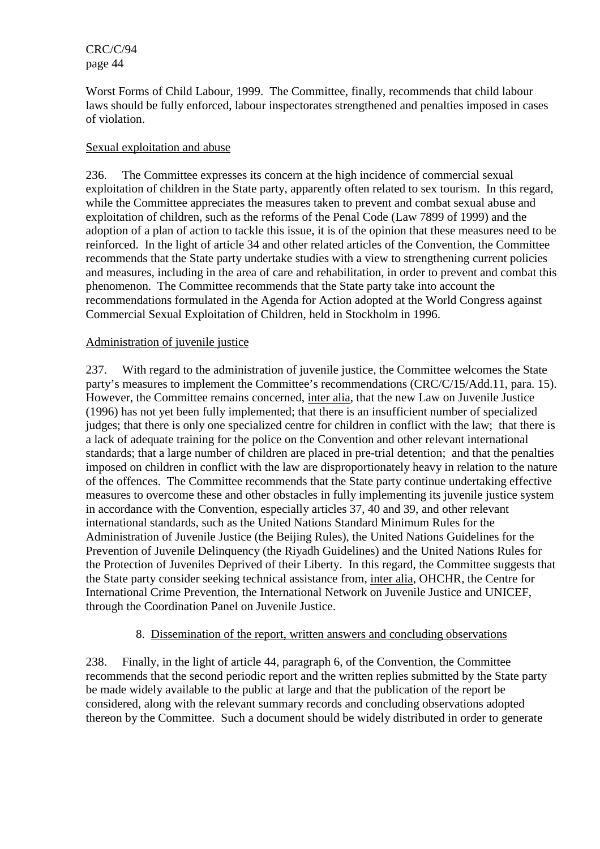Worst Forms of Child Labour, 1999. The Committee, finally, recommends that child labour laws should be fully enforced, labour inspectorates strengthened and penalties imposed in cases of violation.

### Sexual exploitation and abuse

236. The Committee expresses its concern at the high incidence of commercial sexual exploitation of children in the State party, apparently often related to sex tourism. In this regard, while the Committee appreciates the measures taken to prevent and combat sexual abuse and exploitation of children, such as the reforms of the Penal Code (Law 7899 of 1999) and the adoption of a plan of action to tackle this issue, it is of the opinion that these measures need to be reinforced. In the light of article 34 and other related articles of the Convention, the Committee recommends that the State party undertake studies with a view to strengthening current policies and measures, including in the area of care and rehabilitation, in order to prevent and combat this phenomenon. The Committee recommends that the State party take into account the recommendations formulated in the Agenda for Action adopted at the World Congress against Commercial Sexual Exploitation of Children, held in Stockholm in 1996.

### Administration of juvenile justice

237. With regard to the administration of juvenile justice, the Committee welcomes the State party's measures to implement the Committee's recommendations (CRC/C/15/Add.11, para. 15). However, the Committee remains concerned, inter alia, that the new Law on Juvenile Justice (1996) has not yet been fully implemented; that there is an insufficient number of specialized judges; that there is only one specialized centre for children in conflict with the law; that there is a lack of adequate training for the police on the Convention and other relevant international standards; that a large number of children are placed in pre-trial detention; and that the penalties imposed on children in conflict with the law are disproportionately heavy in relation to the nature of the offences. The Committee recommends that the State party continue undertaking effective measures to overcome these and other obstacles in fully implementing its juvenile justice system in accordance with the Convention, especially articles 37, 40 and 39, and other relevant international standards, such as the United Nations Standard Minimum Rules for the Administration of Juvenile Justice (the Beijing Rules), the United Nations Guidelines for the Prevention of Juvenile Delinquency (the Riyadh Guidelines) and the United Nations Rules for the Protection of Juveniles Deprived of their Liberty. In this regard, the Committee suggests that the State party consider seeking technical assistance from, inter alia, OHCHR, the Centre for International Crime Prevention, the International Network on Juvenile Justice and UNICEF, through the Coordination Panel on Juvenile Justice.

## 8. Dissemination of the report, written answers and concluding observations

238. Finally, in the light of article 44, paragraph 6, of the Convention, the Committee recommends that the second periodic report and the written replies submitted by the State party be made widely available to the public at large and that the publication of the report be considered, along with the relevant summary records and concluding observations adopted thereon by the Committee. Such a document should be widely distributed in order to generate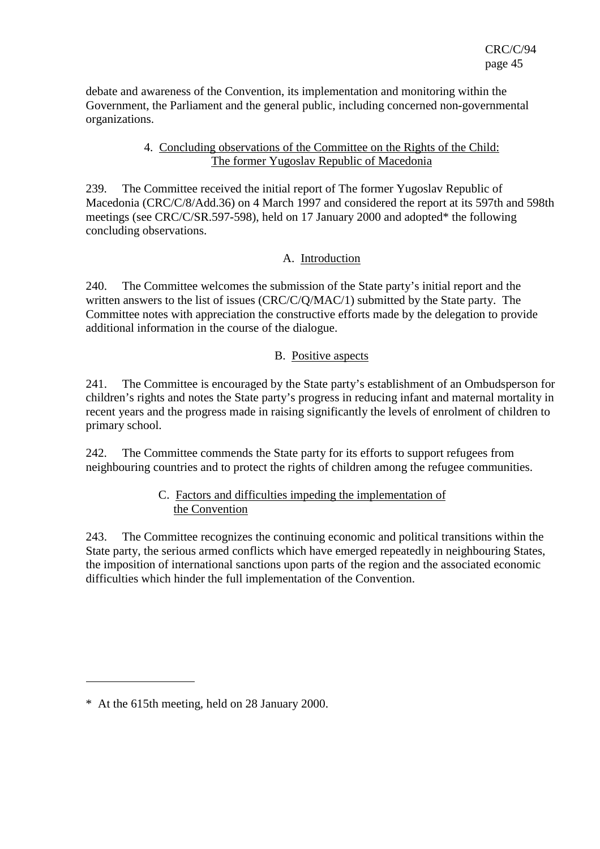debate and awareness of the Convention, its implementation and monitoring within the Government, the Parliament and the general public, including concerned non-governmental organizations.

## 4. Concluding observations of the Committee on the Rights of the Child: The former Yugoslav Republic of Macedonia

239. The Committee received the initial report of The former Yugoslav Republic of Macedonia (CRC/C/8/Add.36) on 4 March 1997 and considered the report at its 597th and 598th meetings (see CRC/C/SR.597-598), held on 17 January 2000 and adopted\* the following concluding observations.

# A. Introduction

240. The Committee welcomes the submission of the State party's initial report and the written answers to the list of issues (CRC/C/Q/MAC/1) submitted by the State party. The Committee notes with appreciation the constructive efforts made by the delegation to provide additional information in the course of the dialogue.

## B. Positive aspects

241. The Committee is encouraged by the State party's establishment of an Ombudsperson for children's rights and notes the State party's progress in reducing infant and maternal mortality in recent years and the progress made in raising significantly the levels of enrolment of children to primary school.

242. The Committee commends the State party for its efforts to support refugees from neighbouring countries and to protect the rights of children among the refugee communities.

## C. Factors and difficulties impeding the implementation of the Convention

243. The Committee recognizes the continuing economic and political transitions within the State party, the serious armed conflicts which have emerged repeatedly in neighbouring States, the imposition of international sanctions upon parts of the region and the associated economic difficulties which hinder the full implementation of the Convention.

 $\overline{a}$ 

<sup>\*</sup> At the 615th meeting, held on 28 January 2000.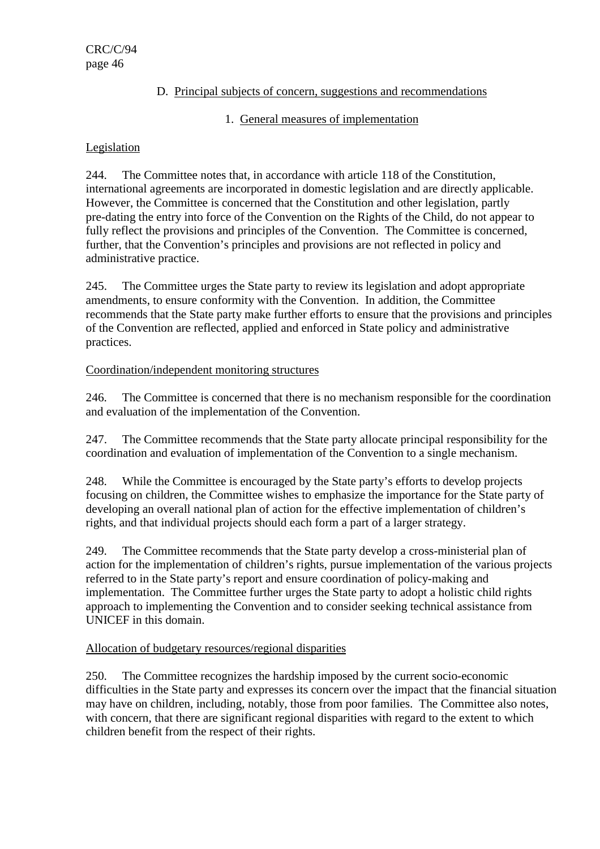# D. Principal subjects of concern, suggestions and recommendations

# 1. General measures of implementation

# Legislation

244. The Committee notes that, in accordance with article 118 of the Constitution, international agreements are incorporated in domestic legislation and are directly applicable. However, the Committee is concerned that the Constitution and other legislation, partly pre-dating the entry into force of the Convention on the Rights of the Child, do not appear to fully reflect the provisions and principles of the Convention. The Committee is concerned, further, that the Convention's principles and provisions are not reflected in policy and administrative practice.

245. The Committee urges the State party to review its legislation and adopt appropriate amendments, to ensure conformity with the Convention. In addition, the Committee recommends that the State party make further efforts to ensure that the provisions and principles of the Convention are reflected, applied and enforced in State policy and administrative practices.

# Coordination/independent monitoring structures

246. The Committee is concerned that there is no mechanism responsible for the coordination and evaluation of the implementation of the Convention.

247. The Committee recommends that the State party allocate principal responsibility for the coordination and evaluation of implementation of the Convention to a single mechanism.

248. While the Committee is encouraged by the State party's efforts to develop projects focusing on children, the Committee wishes to emphasize the importance for the State party of developing an overall national plan of action for the effective implementation of children's rights, and that individual projects should each form a part of a larger strategy.

249. The Committee recommends that the State party develop a cross-ministerial plan of action for the implementation of children's rights, pursue implementation of the various projects referred to in the State party's report and ensure coordination of policy-making and implementation. The Committee further urges the State party to adopt a holistic child rights approach to implementing the Convention and to consider seeking technical assistance from UNICEF in this domain.

# Allocation of budgetary resources/regional disparities

250. The Committee recognizes the hardship imposed by the current socio-economic difficulties in the State party and expresses its concern over the impact that the financial situation may have on children, including, notably, those from poor families. The Committee also notes, with concern, that there are significant regional disparities with regard to the extent to which children benefit from the respect of their rights.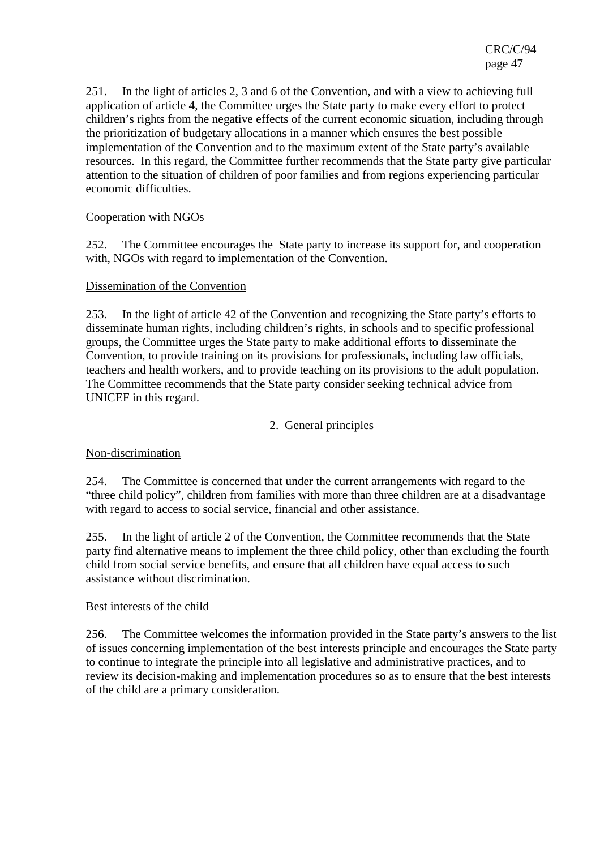251. In the light of articles 2, 3 and 6 of the Convention, and with a view to achieving full application of article 4, the Committee urges the State party to make every effort to protect children's rights from the negative effects of the current economic situation, including through the prioritization of budgetary allocations in a manner which ensures the best possible implementation of the Convention and to the maximum extent of the State party's available resources. In this regard, the Committee further recommends that the State party give particular attention to the situation of children of poor families and from regions experiencing particular economic difficulties.

## Cooperation with NGOs

252. The Committee encourages the State party to increase its support for, and cooperation with, NGOs with regard to implementation of the Convention.

## Dissemination of the Convention

253. In the light of article 42 of the Convention and recognizing the State party's efforts to disseminate human rights, including children's rights, in schools and to specific professional groups, the Committee urges the State party to make additional efforts to disseminate the Convention, to provide training on its provisions for professionals, including law officials, teachers and health workers, and to provide teaching on its provisions to the adult population. The Committee recommends that the State party consider seeking technical advice from UNICEF in this regard.

# 2. General principles

## Non-discrimination

254. The Committee is concerned that under the current arrangements with regard to the "three child policy", children from families with more than three children are at a disadvantage with regard to access to social service, financial and other assistance.

255. In the light of article 2 of the Convention, the Committee recommends that the State party find alternative means to implement the three child policy, other than excluding the fourth child from social service benefits, and ensure that all children have equal access to such assistance without discrimination.

## Best interests of the child

256. The Committee welcomes the information provided in the State party's answers to the list of issues concerning implementation of the best interests principle and encourages the State party to continue to integrate the principle into all legislative and administrative practices, and to review its decision-making and implementation procedures so as to ensure that the best interests of the child are a primary consideration.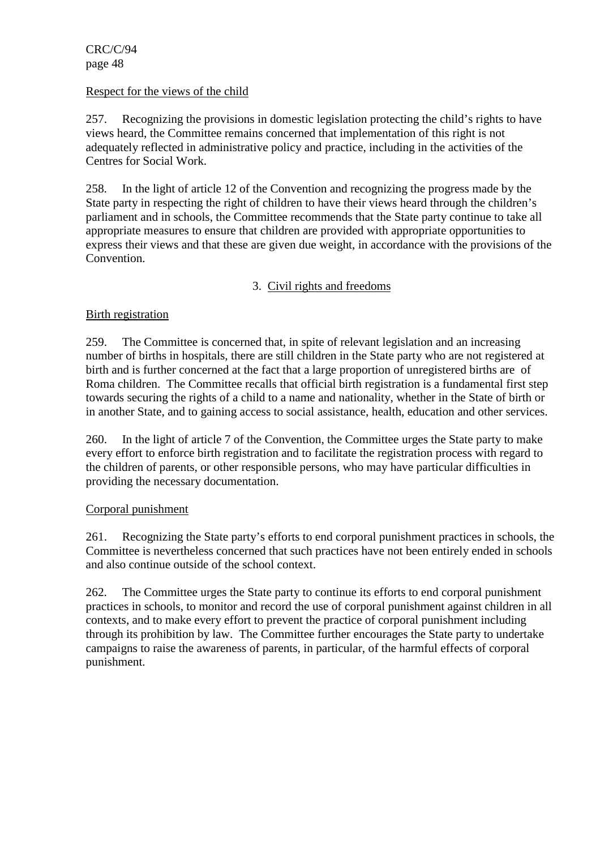#### Respect for the views of the child

257. Recognizing the provisions in domestic legislation protecting the child's rights to have views heard, the Committee remains concerned that implementation of this right is not adequately reflected in administrative policy and practice, including in the activities of the Centres for Social Work.

258. In the light of article 12 of the Convention and recognizing the progress made by the State party in respecting the right of children to have their views heard through the children's parliament and in schools, the Committee recommends that the State party continue to take all appropriate measures to ensure that children are provided with appropriate opportunities to express their views and that these are given due weight, in accordance with the provisions of the Convention.

# 3. Civil rights and freedoms

## Birth registration

259. The Committee is concerned that, in spite of relevant legislation and an increasing number of births in hospitals, there are still children in the State party who are not registered at birth and is further concerned at the fact that a large proportion of unregistered births are of Roma children. The Committee recalls that official birth registration is a fundamental first step towards securing the rights of a child to a name and nationality, whether in the State of birth or in another State, and to gaining access to social assistance, health, education and other services.

260. In the light of article 7 of the Convention, the Committee urges the State party to make every effort to enforce birth registration and to facilitate the registration process with regard to the children of parents, or other responsible persons, who may have particular difficulties in providing the necessary documentation.

## Corporal punishment

261. Recognizing the State party's efforts to end corporal punishment practices in schools, the Committee is nevertheless concerned that such practices have not been entirely ended in schools and also continue outside of the school context.

262. The Committee urges the State party to continue its efforts to end corporal punishment practices in schools, to monitor and record the use of corporal punishment against children in all contexts, and to make every effort to prevent the practice of corporal punishment including through its prohibition by law. The Committee further encourages the State party to undertake campaigns to raise the awareness of parents, in particular, of the harmful effects of corporal punishment.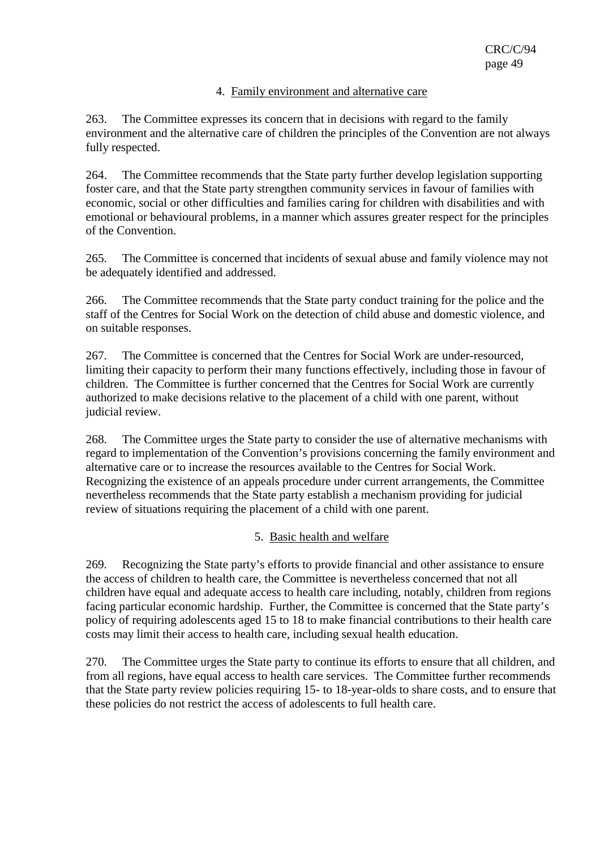### 4. Family environment and alternative care

263. The Committee expresses its concern that in decisions with regard to the family environment and the alternative care of children the principles of the Convention are not always fully respected.

264. The Committee recommends that the State party further develop legislation supporting foster care, and that the State party strengthen community services in favour of families with economic, social or other difficulties and families caring for children with disabilities and with emotional or behavioural problems, in a manner which assures greater respect for the principles of the Convention.

265. The Committee is concerned that incidents of sexual abuse and family violence may not be adequately identified and addressed.

266. The Committee recommends that the State party conduct training for the police and the staff of the Centres for Social Work on the detection of child abuse and domestic violence, and on suitable responses.

267. The Committee is concerned that the Centres for Social Work are under-resourced, limiting their capacity to perform their many functions effectively, including those in favour of children. The Committee is further concerned that the Centres for Social Work are currently authorized to make decisions relative to the placement of a child with one parent, without judicial review.

268. The Committee urges the State party to consider the use of alternative mechanisms with regard to implementation of the Convention's provisions concerning the family environment and alternative care or to increase the resources available to the Centres for Social Work. Recognizing the existence of an appeals procedure under current arrangements, the Committee nevertheless recommends that the State party establish a mechanism providing for judicial review of situations requiring the placement of a child with one parent.

## 5. Basic health and welfare

269. Recognizing the State party's efforts to provide financial and other assistance to ensure the access of children to health care, the Committee is nevertheless concerned that not all children have equal and adequate access to health care including, notably, children from regions facing particular economic hardship. Further, the Committee is concerned that the State party's policy of requiring adolescents aged 15 to 18 to make financial contributions to their health care costs may limit their access to health care, including sexual health education.

270. The Committee urges the State party to continue its efforts to ensure that all children, and from all regions, have equal access to health care services. The Committee further recommends that the State party review policies requiring 15- to 18-year-olds to share costs, and to ensure that these policies do not restrict the access of adolescents to full health care.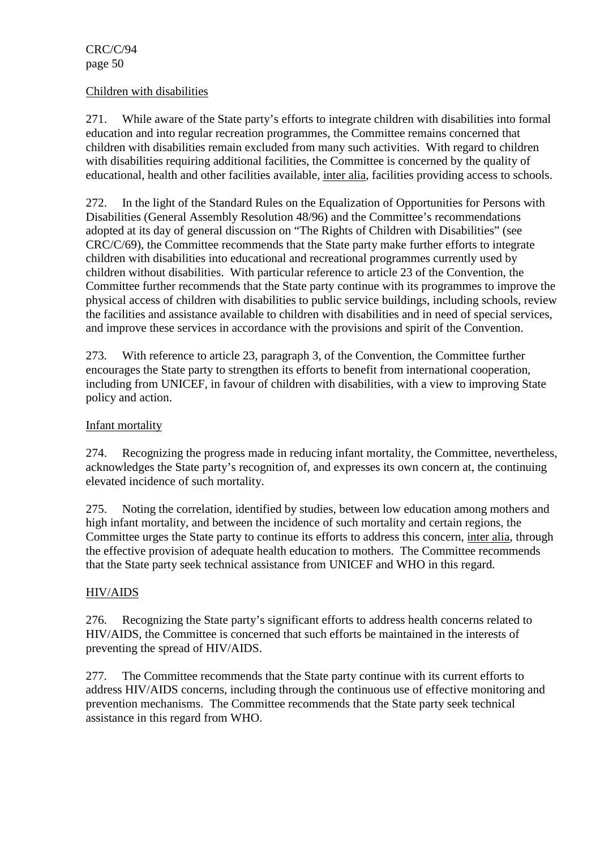### Children with disabilities

271. While aware of the State party's efforts to integrate children with disabilities into formal education and into regular recreation programmes, the Committee remains concerned that children with disabilities remain excluded from many such activities. With regard to children with disabilities requiring additional facilities, the Committee is concerned by the quality of educational, health and other facilities available, inter alia, facilities providing access to schools.

272. In the light of the Standard Rules on the Equalization of Opportunities for Persons with Disabilities (General Assembly Resolution 48/96) and the Committee's recommendations adopted at its day of general discussion on "The Rights of Children with Disabilities" (see CRC/C/69), the Committee recommends that the State party make further efforts to integrate children with disabilities into educational and recreational programmes currently used by children without disabilities. With particular reference to article 23 of the Convention, the Committee further recommends that the State party continue with its programmes to improve the physical access of children with disabilities to public service buildings, including schools, review the facilities and assistance available to children with disabilities and in need of special services, and improve these services in accordance with the provisions and spirit of the Convention.

273. With reference to article 23, paragraph 3, of the Convention, the Committee further encourages the State party to strengthen its efforts to benefit from international cooperation, including from UNICEF, in favour of children with disabilities, with a view to improving State policy and action.

## Infant mortality

274. Recognizing the progress made in reducing infant mortality, the Committee, nevertheless, acknowledges the State party's recognition of, and expresses its own concern at, the continuing elevated incidence of such mortality.

275. Noting the correlation, identified by studies, between low education among mothers and high infant mortality, and between the incidence of such mortality and certain regions, the Committee urges the State party to continue its efforts to address this concern, inter alia, through the effective provision of adequate health education to mothers. The Committee recommends that the State party seek technical assistance from UNICEF and WHO in this regard.

## HIV/AIDS

276. Recognizing the State party's significant efforts to address health concerns related to HIV/AIDS, the Committee is concerned that such efforts be maintained in the interests of preventing the spread of HIV/AIDS.

277. The Committee recommends that the State party continue with its current efforts to address HIV/AIDS concerns, including through the continuous use of effective monitoring and prevention mechanisms. The Committee recommends that the State party seek technical assistance in this regard from WHO.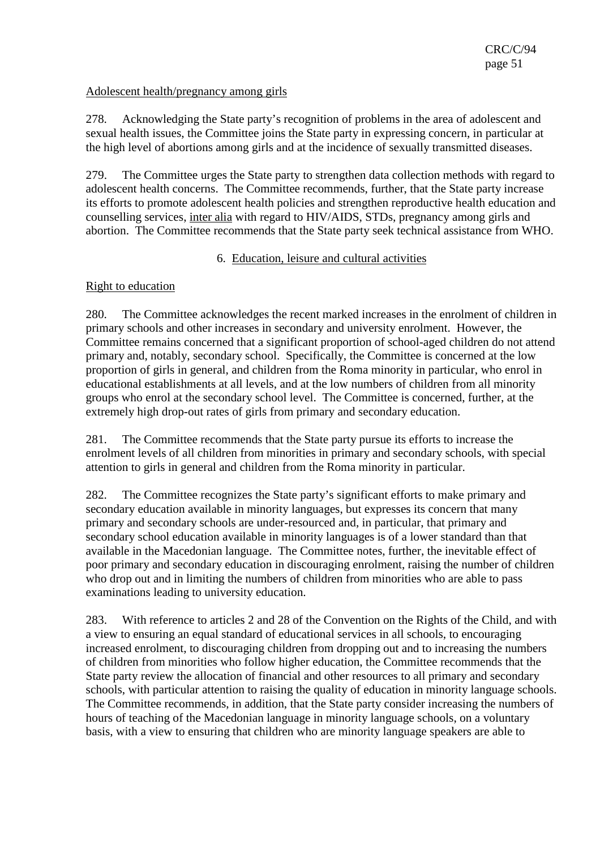## Adolescent health/pregnancy among girls

278. Acknowledging the State party's recognition of problems in the area of adolescent and sexual health issues, the Committee joins the State party in expressing concern, in particular at the high level of abortions among girls and at the incidence of sexually transmitted diseases.

279. The Committee urges the State party to strengthen data collection methods with regard to adolescent health concerns. The Committee recommends, further, that the State party increase its efforts to promote adolescent health policies and strengthen reproductive health education and counselling services, inter alia with regard to HIV/AIDS, STDs, pregnancy among girls and abortion. The Committee recommends that the State party seek technical assistance from WHO.

## 6. Education, leisure and cultural activities

## Right to education

280. The Committee acknowledges the recent marked increases in the enrolment of children in primary schools and other increases in secondary and university enrolment. However, the Committee remains concerned that a significant proportion of school-aged children do not attend primary and, notably, secondary school. Specifically, the Committee is concerned at the low proportion of girls in general, and children from the Roma minority in particular, who enrol in educational establishments at all levels, and at the low numbers of children from all minority groups who enrol at the secondary school level. The Committee is concerned, further, at the extremely high drop-out rates of girls from primary and secondary education.

281. The Committee recommends that the State party pursue its efforts to increase the enrolment levels of all children from minorities in primary and secondary schools, with special attention to girls in general and children from the Roma minority in particular.

282. The Committee recognizes the State party's significant efforts to make primary and secondary education available in minority languages, but expresses its concern that many primary and secondary schools are under-resourced and, in particular, that primary and secondary school education available in minority languages is of a lower standard than that available in the Macedonian language. The Committee notes, further, the inevitable effect of poor primary and secondary education in discouraging enrolment, raising the number of children who drop out and in limiting the numbers of children from minorities who are able to pass examinations leading to university education.

283. With reference to articles 2 and 28 of the Convention on the Rights of the Child, and with a view to ensuring an equal standard of educational services in all schools, to encouraging increased enrolment, to discouraging children from dropping out and to increasing the numbers of children from minorities who follow higher education, the Committee recommends that the State party review the allocation of financial and other resources to all primary and secondary schools, with particular attention to raising the quality of education in minority language schools. The Committee recommends, in addition, that the State party consider increasing the numbers of hours of teaching of the Macedonian language in minority language schools, on a voluntary basis, with a view to ensuring that children who are minority language speakers are able to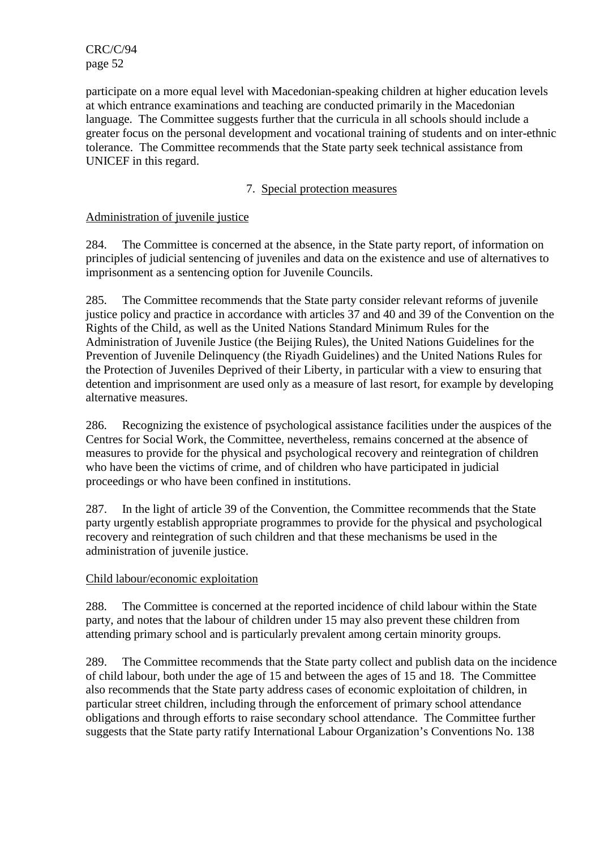participate on a more equal level with Macedonian-speaking children at higher education levels at which entrance examinations and teaching are conducted primarily in the Macedonian language. The Committee suggests further that the curricula in all schools should include a greater focus on the personal development and vocational training of students and on inter-ethnic tolerance. The Committee recommends that the State party seek technical assistance from UNICEF in this regard.

# 7. Special protection measures

## Administration of juvenile justice

284. The Committee is concerned at the absence, in the State party report, of information on principles of judicial sentencing of juveniles and data on the existence and use of alternatives to imprisonment as a sentencing option for Juvenile Councils.

285. The Committee recommends that the State party consider relevant reforms of juvenile justice policy and practice in accordance with articles 37 and 40 and 39 of the Convention on the Rights of the Child, as well as the United Nations Standard Minimum Rules for the Administration of Juvenile Justice (the Beijing Rules), the United Nations Guidelines for the Prevention of Juvenile Delinquency (the Riyadh Guidelines) and the United Nations Rules for the Protection of Juveniles Deprived of their Liberty, in particular with a view to ensuring that detention and imprisonment are used only as a measure of last resort, for example by developing alternative measures.

286. Recognizing the existence of psychological assistance facilities under the auspices of the Centres for Social Work, the Committee, nevertheless, remains concerned at the absence of measures to provide for the physical and psychological recovery and reintegration of children who have been the victims of crime, and of children who have participated in judicial proceedings or who have been confined in institutions.

287. In the light of article 39 of the Convention, the Committee recommends that the State party urgently establish appropriate programmes to provide for the physical and psychological recovery and reintegration of such children and that these mechanisms be used in the administration of juvenile justice.

## Child labour/economic exploitation

288. The Committee is concerned at the reported incidence of child labour within the State party, and notes that the labour of children under 15 may also prevent these children from attending primary school and is particularly prevalent among certain minority groups.

289. The Committee recommends that the State party collect and publish data on the incidence of child labour, both under the age of 15 and between the ages of 15 and 18. The Committee also recommends that the State party address cases of economic exploitation of children, in particular street children, including through the enforcement of primary school attendance obligations and through efforts to raise secondary school attendance. The Committee further suggests that the State party ratify International Labour Organization's Conventions No. 138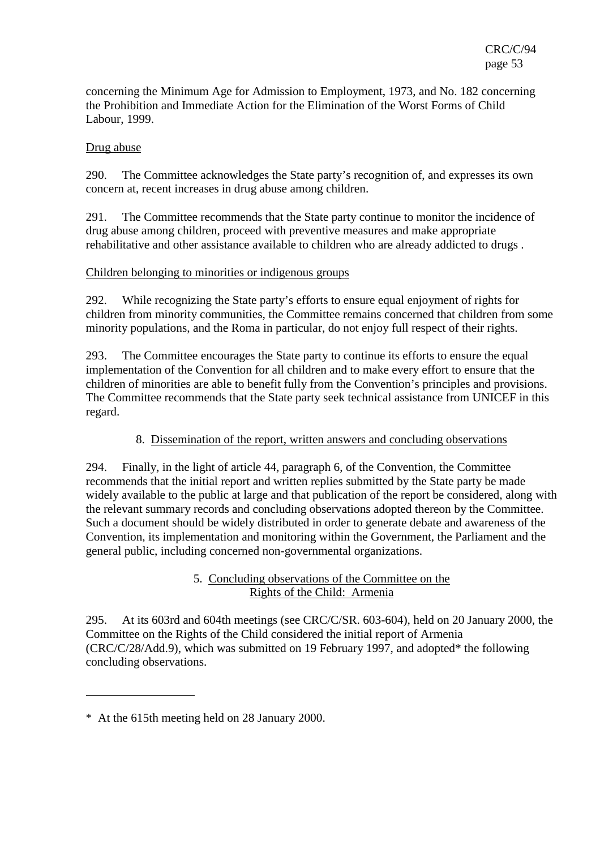concerning the Minimum Age for Admission to Employment, 1973, and No. 182 concerning the Prohibition and Immediate Action for the Elimination of the Worst Forms of Child Labour, 1999.

## Drug abuse

290. The Committee acknowledges the State party's recognition of, and expresses its own concern at, recent increases in drug abuse among children.

291. The Committee recommends that the State party continue to monitor the incidence of drug abuse among children, proceed with preventive measures and make appropriate rehabilitative and other assistance available to children who are already addicted to drugs .

## Children belonging to minorities or indigenous groups

292. While recognizing the State party's efforts to ensure equal enjoyment of rights for children from minority communities, the Committee remains concerned that children from some minority populations, and the Roma in particular, do not enjoy full respect of their rights.

293. The Committee encourages the State party to continue its efforts to ensure the equal implementation of the Convention for all children and to make every effort to ensure that the children of minorities are able to benefit fully from the Convention's principles and provisions. The Committee recommends that the State party seek technical assistance from UNICEF in this regard.

## 8. Dissemination of the report, written answers and concluding observations

294. Finally, in the light of article 44, paragraph 6, of the Convention, the Committee recommends that the initial report and written replies submitted by the State party be made widely available to the public at large and that publication of the report be considered, along with the relevant summary records and concluding observations adopted thereon by the Committee. Such a document should be widely distributed in order to generate debate and awareness of the Convention, its implementation and monitoring within the Government, the Parliament and the general public, including concerned non-governmental organizations.

## 5. Concluding observations of the Committee on the Rights of the Child: Armenia

295. At its 603rd and 604th meetings (see CRC/C/SR. 603-604), held on 20 January 2000, the Committee on the Rights of the Child considered the initial report of Armenia (CRC/C/28/Add.9), which was submitted on 19 February 1997, and adopted\* the following concluding observations.

 $\overline{a}$ 

<sup>\*</sup> At the 615th meeting held on 28 January 2000.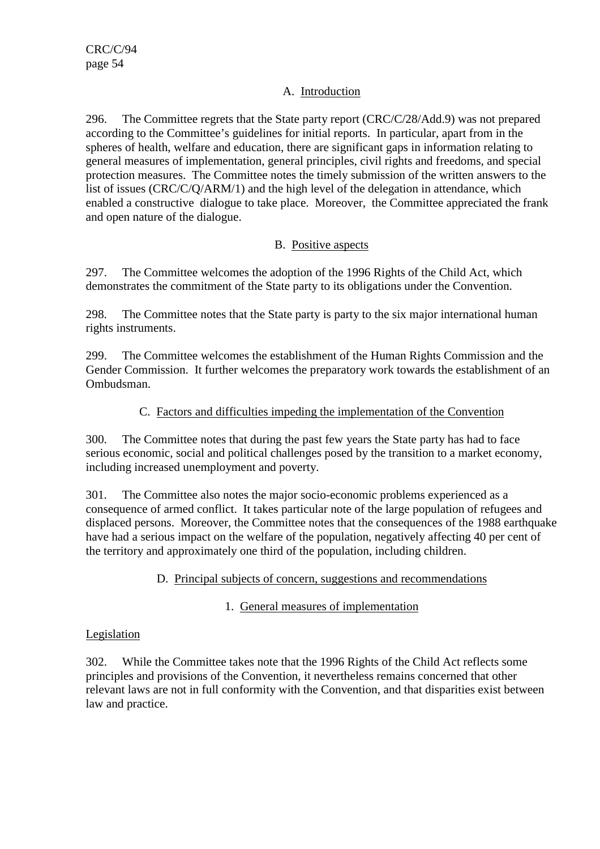## A. Introduction

296. The Committee regrets that the State party report (CRC/C/28/Add.9) was not prepared according to the Committee's guidelines for initial reports. In particular, apart from in the spheres of health, welfare and education, there are significant gaps in information relating to general measures of implementation, general principles, civil rights and freedoms, and special protection measures. The Committee notes the timely submission of the written answers to the list of issues (CRC/C/Q/ARM/1) and the high level of the delegation in attendance, which enabled a constructive dialogue to take place. Moreover, the Committee appreciated the frank and open nature of the dialogue.

# B. Positive aspects

297. The Committee welcomes the adoption of the 1996 Rights of the Child Act, which demonstrates the commitment of the State party to its obligations under the Convention.

298. The Committee notes that the State party is party to the six major international human rights instruments.

299. The Committee welcomes the establishment of the Human Rights Commission and the Gender Commission. It further welcomes the preparatory work towards the establishment of an Ombudsman.

# C. Factors and difficulties impeding the implementation of the Convention

300. The Committee notes that during the past few years the State party has had to face serious economic, social and political challenges posed by the transition to a market economy, including increased unemployment and poverty.

301. The Committee also notes the major socio-economic problems experienced as a consequence of armed conflict. It takes particular note of the large population of refugees and displaced persons. Moreover, the Committee notes that the consequences of the 1988 earthquake have had a serious impact on the welfare of the population, negatively affecting 40 per cent of the territory and approximately one third of the population, including children.

## D. Principal subjects of concern, suggestions and recommendations

# 1. General measures of implementation

## Legislation

302. While the Committee takes note that the 1996 Rights of the Child Act reflects some principles and provisions of the Convention, it nevertheless remains concerned that other relevant laws are not in full conformity with the Convention, and that disparities exist between law and practice.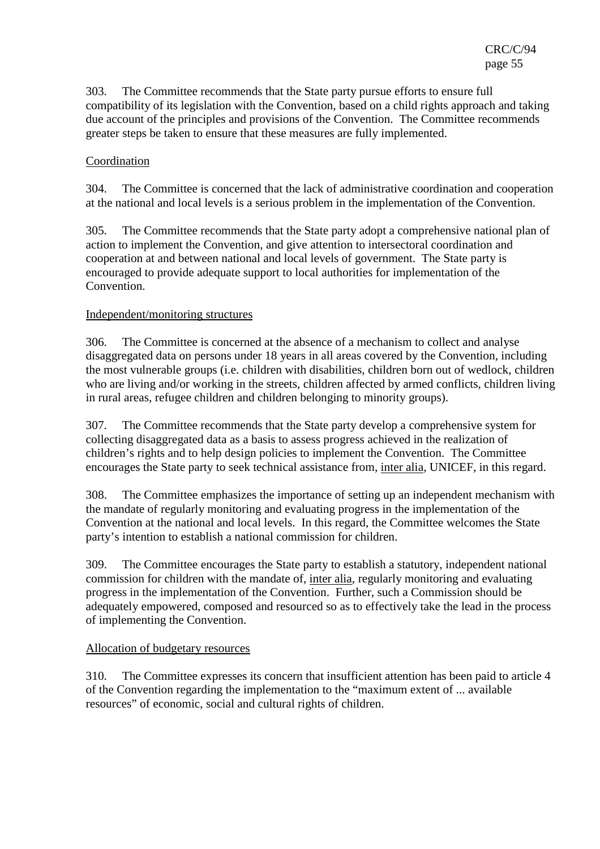303. The Committee recommends that the State party pursue efforts to ensure full compatibility of its legislation with the Convention, based on a child rights approach and taking due account of the principles and provisions of the Convention. The Committee recommends greater steps be taken to ensure that these measures are fully implemented.

## Coordination

304. The Committee is concerned that the lack of administrative coordination and cooperation at the national and local levels is a serious problem in the implementation of the Convention.

305. The Committee recommends that the State party adopt a comprehensive national plan of action to implement the Convention, and give attention to intersectoral coordination and cooperation at and between national and local levels of government. The State party is encouraged to provide adequate support to local authorities for implementation of the Convention.

### Independent/monitoring structures

306. The Committee is concerned at the absence of a mechanism to collect and analyse disaggregated data on persons under 18 years in all areas covered by the Convention, including the most vulnerable groups (i.e. children with disabilities, children born out of wedlock, children who are living and/or working in the streets, children affected by armed conflicts, children living in rural areas, refugee children and children belonging to minority groups).

307. The Committee recommends that the State party develop a comprehensive system for collecting disaggregated data as a basis to assess progress achieved in the realization of children's rights and to help design policies to implement the Convention. The Committee encourages the State party to seek technical assistance from, inter alia, UNICEF, in this regard.

308. The Committee emphasizes the importance of setting up an independent mechanism with the mandate of regularly monitoring and evaluating progress in the implementation of the Convention at the national and local levels. In this regard, the Committee welcomes the State party's intention to establish a national commission for children.

309. The Committee encourages the State party to establish a statutory, independent national commission for children with the mandate of, inter alia, regularly monitoring and evaluating progress in the implementation of the Convention. Further, such a Commission should be adequately empowered, composed and resourced so as to effectively take the lead in the process of implementing the Convention.

#### Allocation of budgetary resources

310. The Committee expresses its concern that insufficient attention has been paid to article 4 of the Convention regarding the implementation to the "maximum extent of ... available resources" of economic, social and cultural rights of children.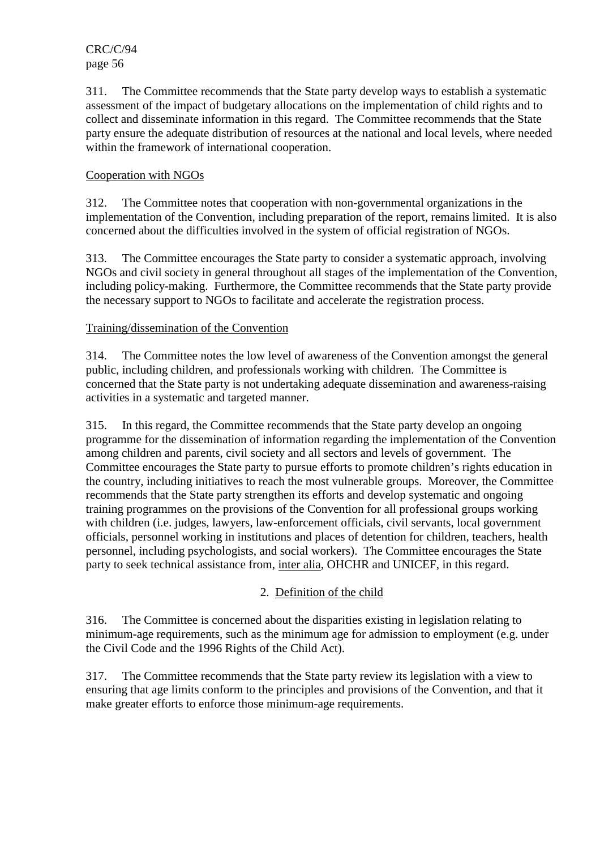311. The Committee recommends that the State party develop ways to establish a systematic assessment of the impact of budgetary allocations on the implementation of child rights and to collect and disseminate information in this regard. The Committee recommends that the State party ensure the adequate distribution of resources at the national and local levels, where needed within the framework of international cooperation.

# Cooperation with NGOs

312. The Committee notes that cooperation with non-governmental organizations in the implementation of the Convention, including preparation of the report, remains limited. It is also concerned about the difficulties involved in the system of official registration of NGOs.

313. The Committee encourages the State party to consider a systematic approach, involving NGOs and civil society in general throughout all stages of the implementation of the Convention, including policy-making. Furthermore, the Committee recommends that the State party provide the necessary support to NGOs to facilitate and accelerate the registration process.

### Training/dissemination of the Convention

314. The Committee notes the low level of awareness of the Convention amongst the general public, including children, and professionals working with children. The Committee is concerned that the State party is not undertaking adequate dissemination and awareness-raising activities in a systematic and targeted manner.

315. In this regard, the Committee recommends that the State party develop an ongoing programme for the dissemination of information regarding the implementation of the Convention among children and parents, civil society and all sectors and levels of government. The Committee encourages the State party to pursue efforts to promote children's rights education in the country, including initiatives to reach the most vulnerable groups. Moreover, the Committee recommends that the State party strengthen its efforts and develop systematic and ongoing training programmes on the provisions of the Convention for all professional groups working with children (*i.e.* judges, lawyers, law-enforcement officials, civil servants, local government officials, personnel working in institutions and places of detention for children, teachers, health personnel, including psychologists, and social workers). The Committee encourages the State party to seek technical assistance from, inter alia, OHCHR and UNICEF, in this regard.

## 2. Definition of the child

316. The Committee is concerned about the disparities existing in legislation relating to minimum-age requirements, such as the minimum age for admission to employment (e.g. under the Civil Code and the 1996 Rights of the Child Act).

317. The Committee recommends that the State party review its legislation with a view to ensuring that age limits conform to the principles and provisions of the Convention, and that it make greater efforts to enforce those minimum-age requirements.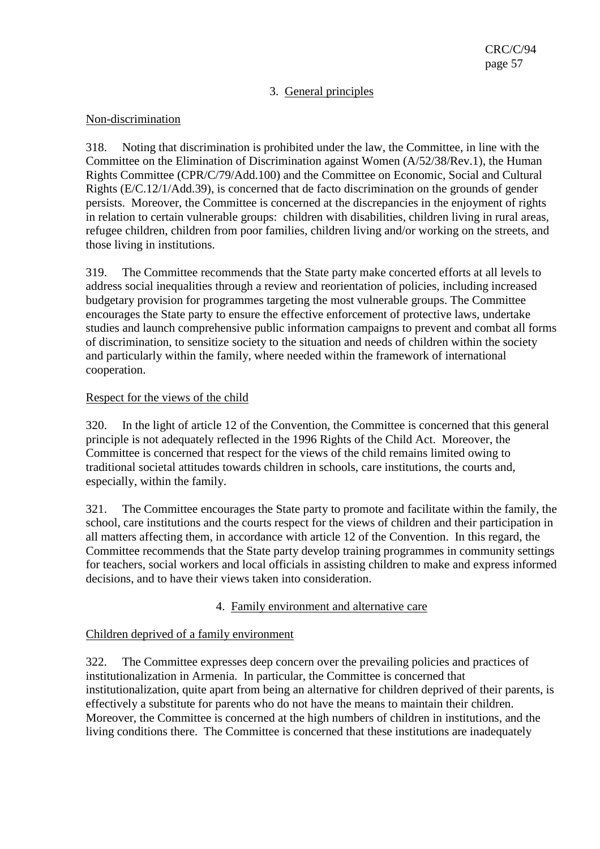# 3. General principles

### Non-discrimination

318. Noting that discrimination is prohibited under the law, the Committee, in line with the Committee on the Elimination of Discrimination against Women (A/52/38/Rev.1), the Human Rights Committee (CPR/C/79/Add.100) and the Committee on Economic, Social and Cultural Rights (E/C.12/1/Add.39), is concerned that de facto discrimination on the grounds of gender persists. Moreover, the Committee is concerned at the discrepancies in the enjoyment of rights in relation to certain vulnerable groups: children with disabilities, children living in rural areas, refugee children, children from poor families, children living and/or working on the streets, and those living in institutions.

319. The Committee recommends that the State party make concerted efforts at all levels to address social inequalities through a review and reorientation of policies, including increased budgetary provision for programmes targeting the most vulnerable groups. The Committee encourages the State party to ensure the effective enforcement of protective laws, undertake studies and launch comprehensive public information campaigns to prevent and combat all forms of discrimination, to sensitize society to the situation and needs of children within the society and particularly within the family, where needed within the framework of international cooperation.

## Respect for the views of the child

320. In the light of article 12 of the Convention, the Committee is concerned that this general principle is not adequately reflected in the 1996 Rights of the Child Act. Moreover, the Committee is concerned that respect for the views of the child remains limited owing to traditional societal attitudes towards children in schools, care institutions, the courts and, especially, within the family.

321. The Committee encourages the State party to promote and facilitate within the family, the school, care institutions and the courts respect for the views of children and their participation in all matters affecting them, in accordance with article 12 of the Convention. In this regard, the Committee recommends that the State party develop training programmes in community settings for teachers, social workers and local officials in assisting children to make and express informed decisions, and to have their views taken into consideration.

## 4. Family environment and alternative care

## Children deprived of a family environment

322. The Committee expresses deep concern over the prevailing policies and practices of institutionalization in Armenia. In particular, the Committee is concerned that institutionalization, quite apart from being an alternative for children deprived of their parents, is effectively a substitute for parents who do not have the means to maintain their children. Moreover, the Committee is concerned at the high numbers of children in institutions, and the living conditions there. The Committee is concerned that these institutions are inadequately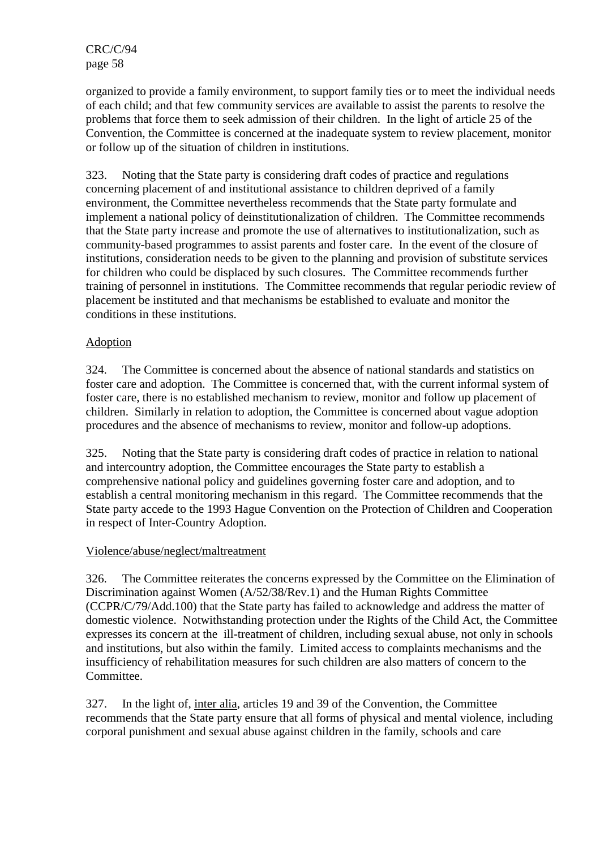organized to provide a family environment, to support family ties or to meet the individual needs of each child; and that few community services are available to assist the parents to resolve the problems that force them to seek admission of their children. In the light of article 25 of the Convention, the Committee is concerned at the inadequate system to review placement, monitor or follow up of the situation of children in institutions.

323. Noting that the State party is considering draft codes of practice and regulations concerning placement of and institutional assistance to children deprived of a family environment, the Committee nevertheless recommends that the State party formulate and implement a national policy of deinstitutionalization of children. The Committee recommends that the State party increase and promote the use of alternatives to institutionalization, such as community-based programmes to assist parents and foster care. In the event of the closure of institutions, consideration needs to be given to the planning and provision of substitute services for children who could be displaced by such closures. The Committee recommends further training of personnel in institutions. The Committee recommends that regular periodic review of placement be instituted and that mechanisms be established to evaluate and monitor the conditions in these institutions.

# Adoption

324. The Committee is concerned about the absence of national standards and statistics on foster care and adoption. The Committee is concerned that, with the current informal system of foster care, there is no established mechanism to review, monitor and follow up placement of children. Similarly in relation to adoption, the Committee is concerned about vague adoption procedures and the absence of mechanisms to review, monitor and follow-up adoptions.

325. Noting that the State party is considering draft codes of practice in relation to national and intercountry adoption, the Committee encourages the State party to establish a comprehensive national policy and guidelines governing foster care and adoption, and to establish a central monitoring mechanism in this regard. The Committee recommends that the State party accede to the 1993 Hague Convention on the Protection of Children and Cooperation in respect of Inter-Country Adoption.

## Violence/abuse/neglect/maltreatment

326. The Committee reiterates the concerns expressed by the Committee on the Elimination of Discrimination against Women (A/52/38/Rev.1) and the Human Rights Committee (CCPR/C/79/Add.100) that the State party has failed to acknowledge and address the matter of domestic violence. Notwithstanding protection under the Rights of the Child Act, the Committee expresses its concern at the ill-treatment of children, including sexual abuse, not only in schools and institutions, but also within the family. Limited access to complaints mechanisms and the insufficiency of rehabilitation measures for such children are also matters of concern to the Committee.

327. In the light of, inter alia, articles 19 and 39 of the Convention, the Committee recommends that the State party ensure that all forms of physical and mental violence, including corporal punishment and sexual abuse against children in the family, schools and care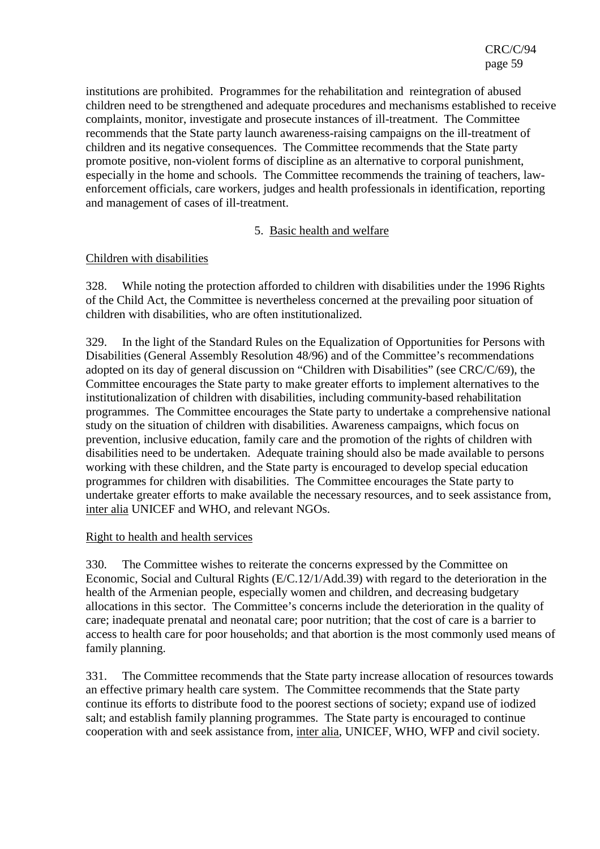institutions are prohibited. Programmes for the rehabilitation and reintegration of abused children need to be strengthened and adequate procedures and mechanisms established to receive complaints, monitor, investigate and prosecute instances of ill-treatment. The Committee recommends that the State party launch awareness-raising campaigns on the ill-treatment of children and its negative consequences. The Committee recommends that the State party promote positive, non-violent forms of discipline as an alternative to corporal punishment, especially in the home and schools. The Committee recommends the training of teachers, lawenforcement officials, care workers, judges and health professionals in identification, reporting and management of cases of ill-treatment.

### 5. Basic health and welfare

### Children with disabilities

328. While noting the protection afforded to children with disabilities under the 1996 Rights of the Child Act, the Committee is nevertheless concerned at the prevailing poor situation of children with disabilities, who are often institutionalized.

329. In the light of the Standard Rules on the Equalization of Opportunities for Persons with Disabilities (General Assembly Resolution 48/96) and of the Committee's recommendations adopted on its day of general discussion on "Children with Disabilities" (see CRC/C/69), the Committee encourages the State party to make greater efforts to implement alternatives to the institutionalization of children with disabilities, including community-based rehabilitation programmes. The Committee encourages the State party to undertake a comprehensive national study on the situation of children with disabilities. Awareness campaigns, which focus on prevention, inclusive education, family care and the promotion of the rights of children with disabilities need to be undertaken. Adequate training should also be made available to persons working with these children, and the State party is encouraged to develop special education programmes for children with disabilities. The Committee encourages the State party to undertake greater efforts to make available the necessary resources, and to seek assistance from, inter alia UNICEF and WHO, and relevant NGOs.

#### Right to health and health services

330. The Committee wishes to reiterate the concerns expressed by the Committee on Economic, Social and Cultural Rights (E/C.12/1/Add.39) with regard to the deterioration in the health of the Armenian people, especially women and children, and decreasing budgetary allocations in this sector. The Committee's concerns include the deterioration in the quality of care; inadequate prenatal and neonatal care; poor nutrition; that the cost of care is a barrier to access to health care for poor households; and that abortion is the most commonly used means of family planning.

331. The Committee recommends that the State party increase allocation of resources towards an effective primary health care system. The Committee recommends that the State party continue its efforts to distribute food to the poorest sections of society; expand use of iodized salt; and establish family planning programmes. The State party is encouraged to continue cooperation with and seek assistance from, inter alia, UNICEF, WHO, WFP and civil society.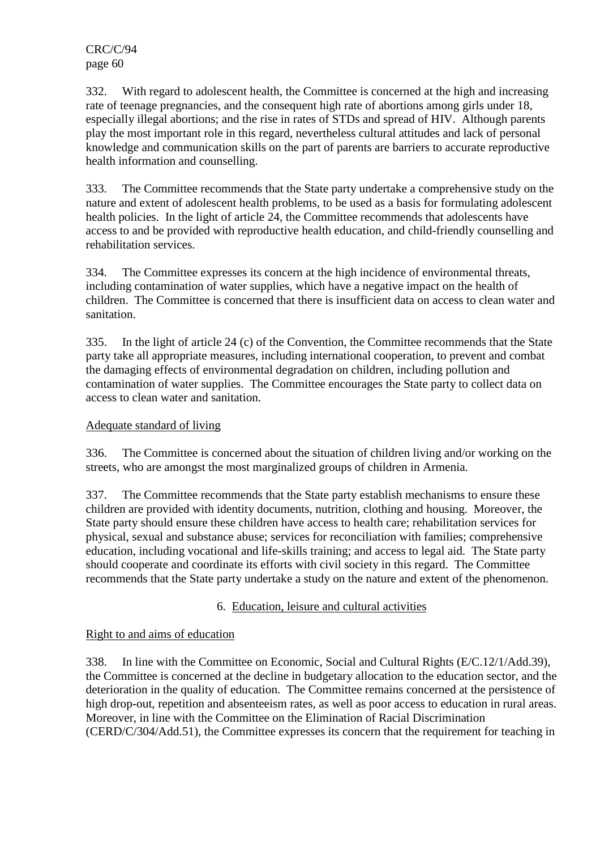332. With regard to adolescent health, the Committee is concerned at the high and increasing rate of teenage pregnancies, and the consequent high rate of abortions among girls under 18, especially illegal abortions; and the rise in rates of STDs and spread of HIV. Although parents play the most important role in this regard, nevertheless cultural attitudes and lack of personal knowledge and communication skills on the part of parents are barriers to accurate reproductive health information and counselling.

333. The Committee recommends that the State party undertake a comprehensive study on the nature and extent of adolescent health problems, to be used as a basis for formulating adolescent health policies. In the light of article 24, the Committee recommends that adolescents have access to and be provided with reproductive health education, and child-friendly counselling and rehabilitation services.

334. The Committee expresses its concern at the high incidence of environmental threats, including contamination of water supplies, which have a negative impact on the health of children. The Committee is concerned that there is insufficient data on access to clean water and sanitation.

335. In the light of article 24 (c) of the Convention, the Committee recommends that the State party take all appropriate measures, including international cooperation, to prevent and combat the damaging effects of environmental degradation on children, including pollution and contamination of water supplies. The Committee encourages the State party to collect data on access to clean water and sanitation.

## Adequate standard of living

336. The Committee is concerned about the situation of children living and/or working on the streets, who are amongst the most marginalized groups of children in Armenia.

337. The Committee recommends that the State party establish mechanisms to ensure these children are provided with identity documents, nutrition, clothing and housing. Moreover, the State party should ensure these children have access to health care; rehabilitation services for physical, sexual and substance abuse; services for reconciliation with families; comprehensive education, including vocational and life-skills training; and access to legal aid. The State party should cooperate and coordinate its efforts with civil society in this regard. The Committee recommends that the State party undertake a study on the nature and extent of the phenomenon.

## 6. Education, leisure and cultural activities

#### Right to and aims of education

338. In line with the Committee on Economic, Social and Cultural Rights (E/C.12/1/Add.39), the Committee is concerned at the decline in budgetary allocation to the education sector, and the deterioration in the quality of education. The Committee remains concerned at the persistence of high drop-out, repetition and absenteeism rates, as well as poor access to education in rural areas. Moreover, in line with the Committee on the Elimination of Racial Discrimination (CERD/C/304/Add.51), the Committee expresses its concern that the requirement for teaching in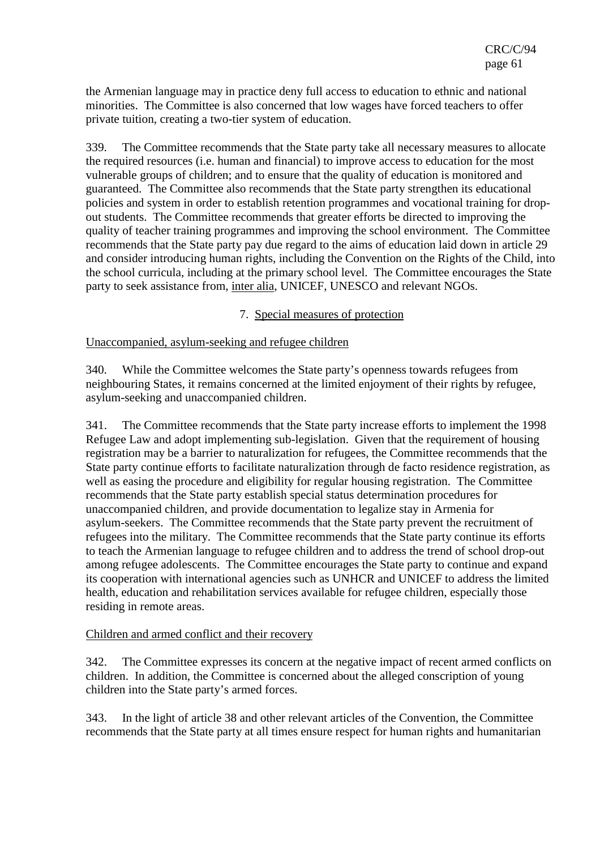the Armenian language may in practice deny full access to education to ethnic and national minorities. The Committee is also concerned that low wages have forced teachers to offer private tuition, creating a two-tier system of education.

339. The Committee recommends that the State party take all necessary measures to allocate the required resources (i.e. human and financial) to improve access to education for the most vulnerable groups of children; and to ensure that the quality of education is monitored and guaranteed. The Committee also recommends that the State party strengthen its educational policies and system in order to establish retention programmes and vocational training for dropout students. The Committee recommends that greater efforts be directed to improving the quality of teacher training programmes and improving the school environment. The Committee recommends that the State party pay due regard to the aims of education laid down in article 29 and consider introducing human rights, including the Convention on the Rights of the Child, into the school curricula, including at the primary school level. The Committee encourages the State party to seek assistance from, inter alia, UNICEF, UNESCO and relevant NGOs.

7. Special measures of protection

#### Unaccompanied, asylum-seeking and refugee children

340. While the Committee welcomes the State party's openness towards refugees from neighbouring States, it remains concerned at the limited enjoyment of their rights by refugee, asylum-seeking and unaccompanied children.

341. The Committee recommends that the State party increase efforts to implement the 1998 Refugee Law and adopt implementing sub-legislation. Given that the requirement of housing registration may be a barrier to naturalization for refugees, the Committee recommends that the State party continue efforts to facilitate naturalization through de facto residence registration, as well as easing the procedure and eligibility for regular housing registration. The Committee recommends that the State party establish special status determination procedures for unaccompanied children, and provide documentation to legalize stay in Armenia for asylum-seekers. The Committee recommends that the State party prevent the recruitment of refugees into the military. The Committee recommends that the State party continue its efforts to teach the Armenian language to refugee children and to address the trend of school drop-out among refugee adolescents. The Committee encourages the State party to continue and expand its cooperation with international agencies such as UNHCR and UNICEF to address the limited health, education and rehabilitation services available for refugee children, especially those residing in remote areas.

#### Children and armed conflict and their recovery

342. The Committee expresses its concern at the negative impact of recent armed conflicts on children. In addition, the Committee is concerned about the alleged conscription of young children into the State party's armed forces.

343. In the light of article 38 and other relevant articles of the Convention, the Committee recommends that the State party at all times ensure respect for human rights and humanitarian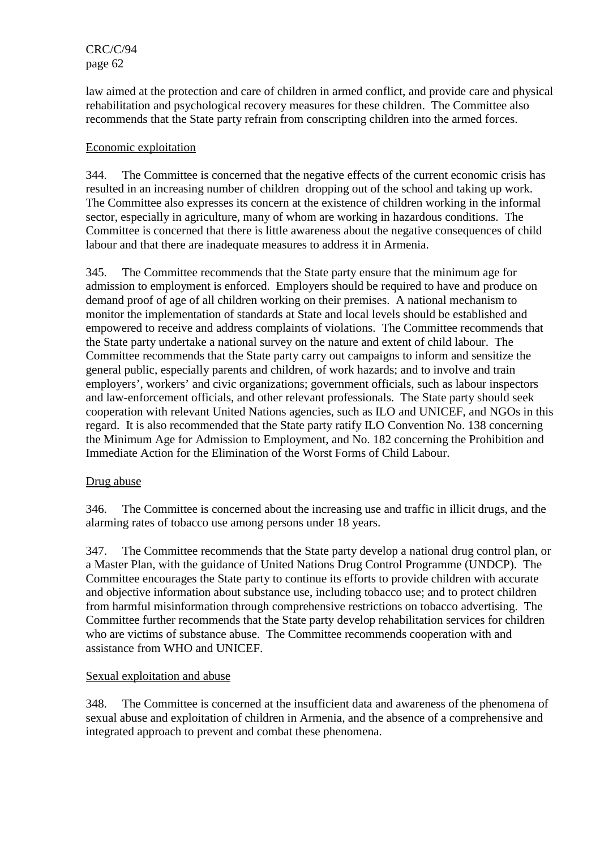law aimed at the protection and care of children in armed conflict, and provide care and physical rehabilitation and psychological recovery measures for these children. The Committee also recommends that the State party refrain from conscripting children into the armed forces.

### Economic exploitation

344. The Committee is concerned that the negative effects of the current economic crisis has resulted in an increasing number of children dropping out of the school and taking up work. The Committee also expresses its concern at the existence of children working in the informal sector, especially in agriculture, many of whom are working in hazardous conditions. The Committee is concerned that there is little awareness about the negative consequences of child labour and that there are inadequate measures to address it in Armenia.

345. The Committee recommends that the State party ensure that the minimum age for admission to employment is enforced. Employers should be required to have and produce on demand proof of age of all children working on their premises. A national mechanism to monitor the implementation of standards at State and local levels should be established and empowered to receive and address complaints of violations. The Committee recommends that the State party undertake a national survey on the nature and extent of child labour. The Committee recommends that the State party carry out campaigns to inform and sensitize the general public, especially parents and children, of work hazards; and to involve and train employers', workers' and civic organizations; government officials, such as labour inspectors and law-enforcement officials, and other relevant professionals. The State party should seek cooperation with relevant United Nations agencies, such as ILO and UNICEF, and NGOs in this regard. It is also recommended that the State party ratify ILO Convention No. 138 concerning the Minimum Age for Admission to Employment, and No. 182 concerning the Prohibition and Immediate Action for the Elimination of the Worst Forms of Child Labour.

#### Drug abuse

346. The Committee is concerned about the increasing use and traffic in illicit drugs, and the alarming rates of tobacco use among persons under 18 years.

347. The Committee recommends that the State party develop a national drug control plan, or a Master Plan, with the guidance of United Nations Drug Control Programme (UNDCP). The Committee encourages the State party to continue its efforts to provide children with accurate and objective information about substance use, including tobacco use; and to protect children from harmful misinformation through comprehensive restrictions on tobacco advertising. The Committee further recommends that the State party develop rehabilitation services for children who are victims of substance abuse. The Committee recommends cooperation with and assistance from WHO and UNICEF.

#### Sexual exploitation and abuse

348. The Committee is concerned at the insufficient data and awareness of the phenomena of sexual abuse and exploitation of children in Armenia, and the absence of a comprehensive and integrated approach to prevent and combat these phenomena.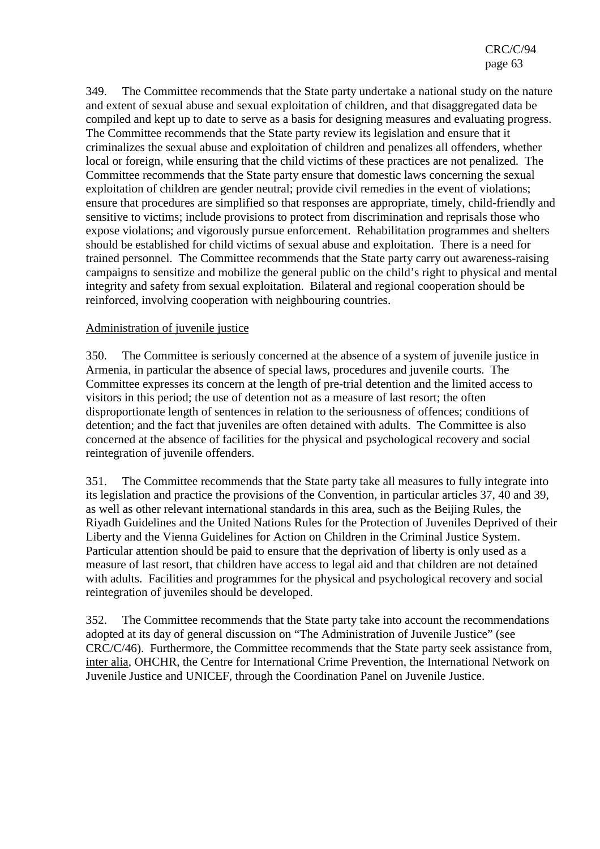349. The Committee recommends that the State party undertake a national study on the nature and extent of sexual abuse and sexual exploitation of children, and that disaggregated data be compiled and kept up to date to serve as a basis for designing measures and evaluating progress. The Committee recommends that the State party review its legislation and ensure that it criminalizes the sexual abuse and exploitation of children and penalizes all offenders, whether local or foreign, while ensuring that the child victims of these practices are not penalized. The Committee recommends that the State party ensure that domestic laws concerning the sexual exploitation of children are gender neutral; provide civil remedies in the event of violations; ensure that procedures are simplified so that responses are appropriate, timely, child-friendly and sensitive to victims; include provisions to protect from discrimination and reprisals those who expose violations; and vigorously pursue enforcement. Rehabilitation programmes and shelters should be established for child victims of sexual abuse and exploitation. There is a need for trained personnel. The Committee recommends that the State party carry out awareness-raising campaigns to sensitize and mobilize the general public on the child's right to physical and mental integrity and safety from sexual exploitation. Bilateral and regional cooperation should be reinforced, involving cooperation with neighbouring countries.

#### Administration of juvenile justice

350. The Committee is seriously concerned at the absence of a system of juvenile justice in Armenia, in particular the absence of special laws, procedures and juvenile courts. The Committee expresses its concern at the length of pre-trial detention and the limited access to visitors in this period; the use of detention not as a measure of last resort; the often disproportionate length of sentences in relation to the seriousness of offences; conditions of detention; and the fact that juveniles are often detained with adults. The Committee is also concerned at the absence of facilities for the physical and psychological recovery and social reintegration of juvenile offenders.

351. The Committee recommends that the State party take all measures to fully integrate into its legislation and practice the provisions of the Convention, in particular articles 37, 40 and 39, as well as other relevant international standards in this area, such as the Beijing Rules, the Riyadh Guidelines and the United Nations Rules for the Protection of Juveniles Deprived of their Liberty and the Vienna Guidelines for Action on Children in the Criminal Justice System. Particular attention should be paid to ensure that the deprivation of liberty is only used as a measure of last resort, that children have access to legal aid and that children are not detained with adults. Facilities and programmes for the physical and psychological recovery and social reintegration of juveniles should be developed.

352. The Committee recommends that the State party take into account the recommendations adopted at its day of general discussion on "The Administration of Juvenile Justice" (see CRC/C/46). Furthermore, the Committee recommends that the State party seek assistance from, inter alia, OHCHR, the Centre for International Crime Prevention, the International Network on Juvenile Justice and UNICEF, through the Coordination Panel on Juvenile Justice.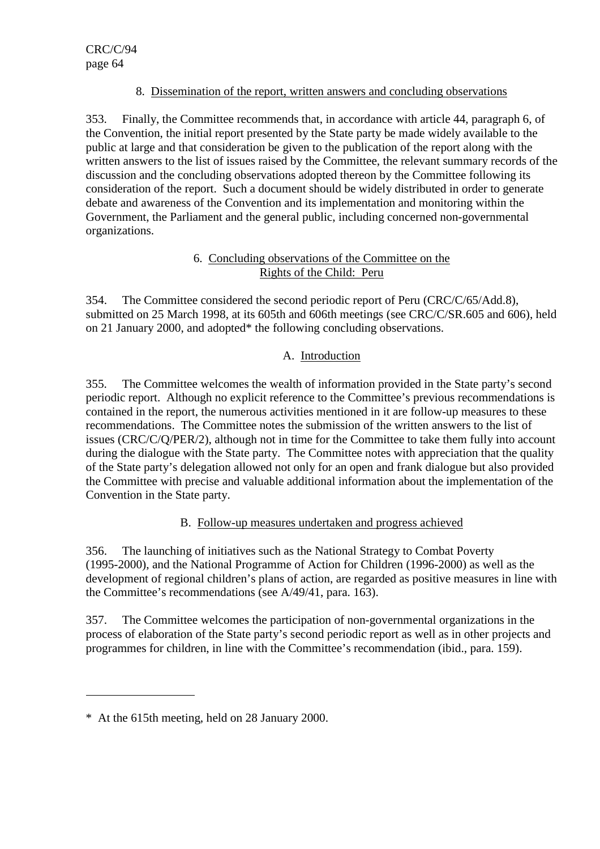## 8. Dissemination of the report, written answers and concluding observations

353. Finally, the Committee recommends that, in accordance with article 44, paragraph 6, of the Convention, the initial report presented by the State party be made widely available to the public at large and that consideration be given to the publication of the report along with the written answers to the list of issues raised by the Committee, the relevant summary records of the discussion and the concluding observations adopted thereon by the Committee following its consideration of the report. Such a document should be widely distributed in order to generate debate and awareness of the Convention and its implementation and monitoring within the Government, the Parliament and the general public, including concerned non-governmental organizations.

# 6. Concluding observations of the Committee on the Rights of the Child: Peru

354. The Committee considered the second periodic report of Peru (CRC/C/65/Add.8), submitted on 25 March 1998, at its 605th and 606th meetings (see CRC/C/SR.605 and 606), held on 21 January 2000, and adopted\* the following concluding observations.

# A. Introduction

355. The Committee welcomes the wealth of information provided in the State party's second periodic report. Although no explicit reference to the Committee's previous recommendations is contained in the report, the numerous activities mentioned in it are follow-up measures to these recommendations. The Committee notes the submission of the written answers to the list of issues (CRC/C/Q/PER/2), although not in time for the Committee to take them fully into account during the dialogue with the State party. The Committee notes with appreciation that the quality of the State party's delegation allowed not only for an open and frank dialogue but also provided the Committee with precise and valuable additional information about the implementation of the Convention in the State party.

# B. Follow-up measures undertaken and progress achieved

356. The launching of initiatives such as the National Strategy to Combat Poverty (1995-2000), and the National Programme of Action for Children (1996-2000) as well as the development of regional children's plans of action, are regarded as positive measures in line with the Committee's recommendations (see A/49/41, para. 163).

357. The Committee welcomes the participation of non-governmental organizations in the process of elaboration of the State party's second periodic report as well as in other projects and programmes for children, in line with the Committee's recommendation (ibid., para. 159).

 $\overline{a}$ 

<sup>\*</sup> At the 615th meeting, held on 28 January 2000.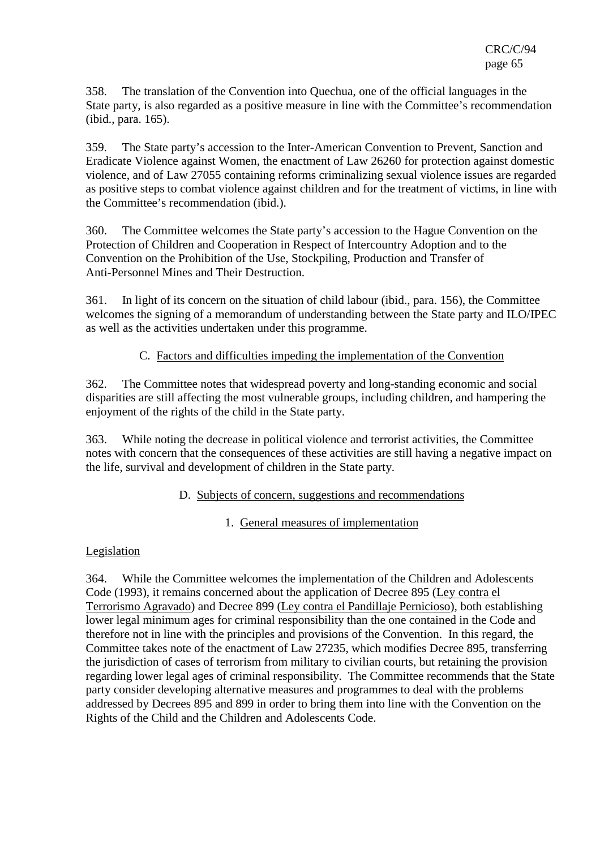358. The translation of the Convention into Quechua, one of the official languages in the State party, is also regarded as a positive measure in line with the Committee's recommendation (ibid., para. 165).

359. The State party's accession to the Inter-American Convention to Prevent, Sanction and Eradicate Violence against Women, the enactment of Law 26260 for protection against domestic violence, and of Law 27055 containing reforms criminalizing sexual violence issues are regarded as positive steps to combat violence against children and for the treatment of victims, in line with the Committee's recommendation (ibid.).

360. The Committee welcomes the State party's accession to the Hague Convention on the Protection of Children and Cooperation in Respect of Intercountry Adoption and to the Convention on the Prohibition of the Use, Stockpiling, Production and Transfer of Anti-Personnel Mines and Their Destruction.

361. In light of its concern on the situation of child labour (ibid., para. 156), the Committee welcomes the signing of a memorandum of understanding between the State party and ILO/IPEC as well as the activities undertaken under this programme.

# C. Factors and difficulties impeding the implementation of the Convention

362. The Committee notes that widespread poverty and long-standing economic and social disparities are still affecting the most vulnerable groups, including children, and hampering the enjoyment of the rights of the child in the State party.

363. While noting the decrease in political violence and terrorist activities, the Committee notes with concern that the consequences of these activities are still having a negative impact on the life, survival and development of children in the State party.

## D. Subjects of concern, suggestions and recommendations

## 1. General measures of implementation

## Legislation

364. While the Committee welcomes the implementation of the Children and Adolescents Code (1993), it remains concerned about the application of Decree 895 (Ley contra el Terrorismo Agravado) and Decree 899 (Ley contra el Pandillaje Pernicioso), both establishing lower legal minimum ages for criminal responsibility than the one contained in the Code and therefore not in line with the principles and provisions of the Convention. In this regard, the Committee takes note of the enactment of Law 27235, which modifies Decree 895, transferring the jurisdiction of cases of terrorism from military to civilian courts, but retaining the provision regarding lower legal ages of criminal responsibility. The Committee recommends that the State party consider developing alternative measures and programmes to deal with the problems addressed by Decrees 895 and 899 in order to bring them into line with the Convention on the Rights of the Child and the Children and Adolescents Code.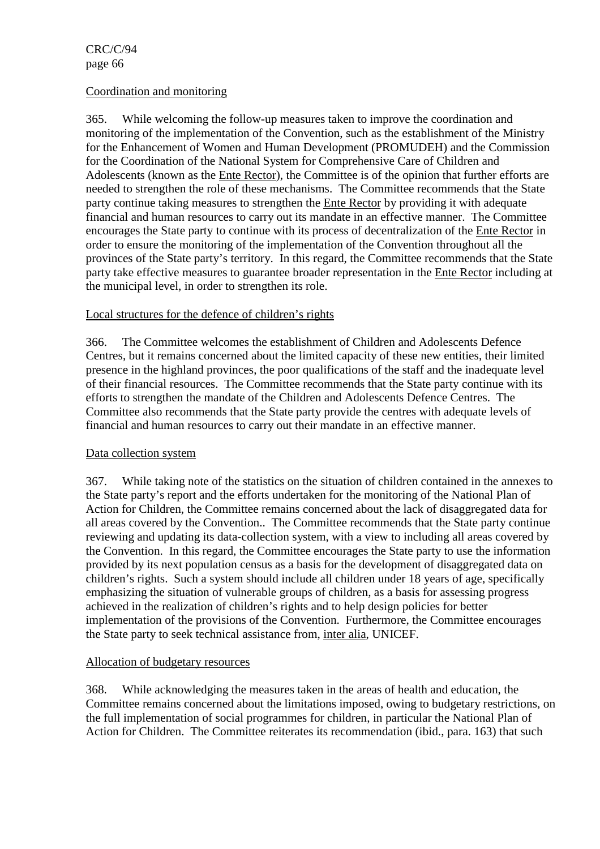#### Coordination and monitoring

365. While welcoming the follow-up measures taken to improve the coordination and monitoring of the implementation of the Convention, such as the establishment of the Ministry for the Enhancement of Women and Human Development (PROMUDEH) and the Commission for the Coordination of the National System for Comprehensive Care of Children and Adolescents (known as the Ente Rector), the Committee is of the opinion that further efforts are needed to strengthen the role of these mechanisms. The Committee recommends that the State party continue taking measures to strengthen the Ente Rector by providing it with adequate financial and human resources to carry out its mandate in an effective manner. The Committee encourages the State party to continue with its process of decentralization of the Ente Rector in order to ensure the monitoring of the implementation of the Convention throughout all the provinces of the State party's territory. In this regard, the Committee recommends that the State party take effective measures to guarantee broader representation in the Ente Rector including at the municipal level, in order to strengthen its role.

### Local structures for the defence of children's rights

366. The Committee welcomes the establishment of Children and Adolescents Defence Centres, but it remains concerned about the limited capacity of these new entities, their limited presence in the highland provinces, the poor qualifications of the staff and the inadequate level of their financial resources. The Committee recommends that the State party continue with its efforts to strengthen the mandate of the Children and Adolescents Defence Centres. The Committee also recommends that the State party provide the centres with adequate levels of financial and human resources to carry out their mandate in an effective manner.

#### Data collection system

367. While taking note of the statistics on the situation of children contained in the annexes to the State party's report and the efforts undertaken for the monitoring of the National Plan of Action for Children, the Committee remains concerned about the lack of disaggregated data for all areas covered by the Convention.. The Committee recommends that the State party continue reviewing and updating its data-collection system, with a view to including all areas covered by the Convention. In this regard, the Committee encourages the State party to use the information provided by its next population census as a basis for the development of disaggregated data on children's rights. Such a system should include all children under 18 years of age, specifically emphasizing the situation of vulnerable groups of children, as a basis for assessing progress achieved in the realization of children's rights and to help design policies for better implementation of the provisions of the Convention. Furthermore, the Committee encourages the State party to seek technical assistance from, inter alia, UNICEF.

#### Allocation of budgetary resources

368. While acknowledging the measures taken in the areas of health and education, the Committee remains concerned about the limitations imposed, owing to budgetary restrictions, on the full implementation of social programmes for children, in particular the National Plan of Action for Children. The Committee reiterates its recommendation (ibid., para. 163) that such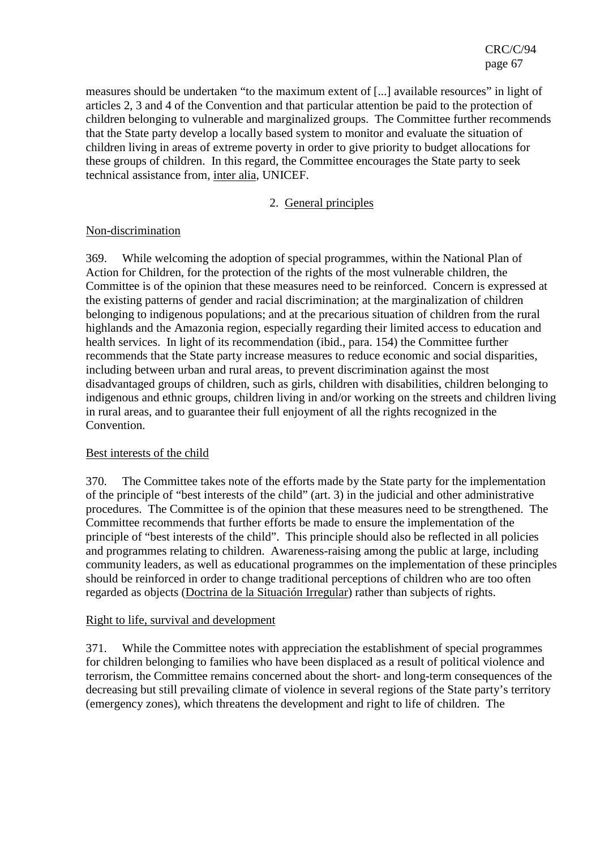measures should be undertaken "to the maximum extent of [...] available resources" in light of articles 2, 3 and 4 of the Convention and that particular attention be paid to the protection of children belonging to vulnerable and marginalized groups. The Committee further recommends that the State party develop a locally based system to monitor and evaluate the situation of children living in areas of extreme poverty in order to give priority to budget allocations for these groups of children. In this regard, the Committee encourages the State party to seek technical assistance from, inter alia, UNICEF.

### 2. General principles

### Non-discrimination

369. While welcoming the adoption of special programmes, within the National Plan of Action for Children, for the protection of the rights of the most vulnerable children, the Committee is of the opinion that these measures need to be reinforced. Concern is expressed at the existing patterns of gender and racial discrimination; at the marginalization of children belonging to indigenous populations; and at the precarious situation of children from the rural highlands and the Amazonia region, especially regarding their limited access to education and health services. In light of its recommendation (ibid., para. 154) the Committee further recommends that the State party increase measures to reduce economic and social disparities, including between urban and rural areas, to prevent discrimination against the most disadvantaged groups of children, such as girls, children with disabilities, children belonging to indigenous and ethnic groups, children living in and/or working on the streets and children living in rural areas, and to guarantee their full enjoyment of all the rights recognized in the Convention.

## Best interests of the child

370. The Committee takes note of the efforts made by the State party for the implementation of the principle of "best interests of the child" (art. 3) in the judicial and other administrative procedures. The Committee is of the opinion that these measures need to be strengthened. The Committee recommends that further efforts be made to ensure the implementation of the principle of "best interests of the child". This principle should also be reflected in all policies and programmes relating to children. Awareness-raising among the public at large, including community leaders, as well as educational programmes on the implementation of these principles should be reinforced in order to change traditional perceptions of children who are too often regarded as objects (Doctrina de la Situación Irregular) rather than subjects of rights.

#### Right to life, survival and development

371. While the Committee notes with appreciation the establishment of special programmes for children belonging to families who have been displaced as a result of political violence and terrorism, the Committee remains concerned about the short- and long-term consequences of the decreasing but still prevailing climate of violence in several regions of the State party's territory (emergency zones), which threatens the development and right to life of children. The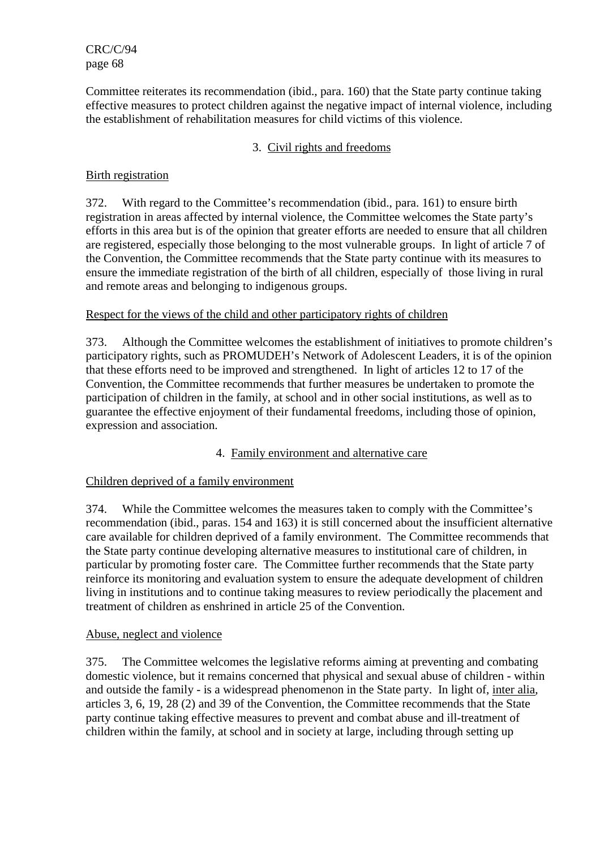Committee reiterates its recommendation (ibid., para. 160) that the State party continue taking effective measures to protect children against the negative impact of internal violence, including the establishment of rehabilitation measures for child victims of this violence.

# 3. Civil rights and freedoms

## Birth registration

372. With regard to the Committee's recommendation (ibid., para. 161) to ensure birth registration in areas affected by internal violence, the Committee welcomes the State party's efforts in this area but is of the opinion that greater efforts are needed to ensure that all children are registered, especially those belonging to the most vulnerable groups. In light of article 7 of the Convention, the Committee recommends that the State party continue with its measures to ensure the immediate registration of the birth of all children, especially of those living in rural and remote areas and belonging to indigenous groups.

## Respect for the views of the child and other participatory rights of children

373. Although the Committee welcomes the establishment of initiatives to promote children's participatory rights, such as PROMUDEH's Network of Adolescent Leaders, it is of the opinion that these efforts need to be improved and strengthened. In light of articles 12 to 17 of the Convention, the Committee recommends that further measures be undertaken to promote the participation of children in the family, at school and in other social institutions, as well as to guarantee the effective enjoyment of their fundamental freedoms, including those of opinion, expression and association.

## 4. Family environment and alternative care

## Children deprived of a family environment

374. While the Committee welcomes the measures taken to comply with the Committee's recommendation (ibid., paras. 154 and 163) it is still concerned about the insufficient alternative care available for children deprived of a family environment. The Committee recommends that the State party continue developing alternative measures to institutional care of children, in particular by promoting foster care. The Committee further recommends that the State party reinforce its monitoring and evaluation system to ensure the adequate development of children living in institutions and to continue taking measures to review periodically the placement and treatment of children as enshrined in article 25 of the Convention.

## Abuse, neglect and violence

375. The Committee welcomes the legislative reforms aiming at preventing and combating domestic violence, but it remains concerned that physical and sexual abuse of children - within and outside the family - is a widespread phenomenon in the State party. In light of, inter alia, articles 3, 6, 19, 28 (2) and 39 of the Convention, the Committee recommends that the State party continue taking effective measures to prevent and combat abuse and ill-treatment of children within the family, at school and in society at large, including through setting up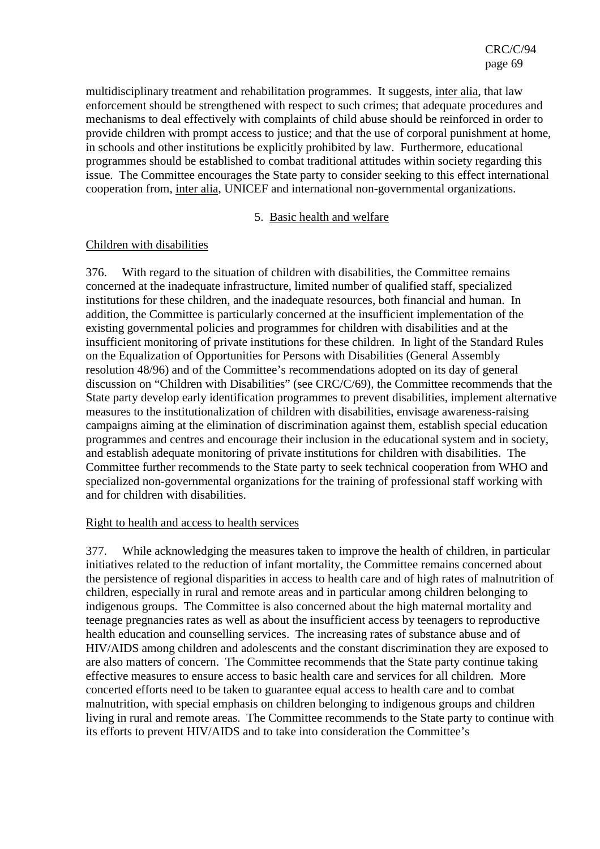multidisciplinary treatment and rehabilitation programmes. It suggests, inter alia, that law enforcement should be strengthened with respect to such crimes; that adequate procedures and mechanisms to deal effectively with complaints of child abuse should be reinforced in order to provide children with prompt access to justice; and that the use of corporal punishment at home, in schools and other institutions be explicitly prohibited by law. Furthermore, educational programmes should be established to combat traditional attitudes within society regarding this issue. The Committee encourages the State party to consider seeking to this effect international cooperation from, inter alia, UNICEF and international non-governmental organizations.

### 5. Basic health and welfare

### Children with disabilities

376. With regard to the situation of children with disabilities, the Committee remains concerned at the inadequate infrastructure, limited number of qualified staff, specialized institutions for these children, and the inadequate resources, both financial and human. In addition, the Committee is particularly concerned at the insufficient implementation of the existing governmental policies and programmes for children with disabilities and at the insufficient monitoring of private institutions for these children. In light of the Standard Rules on the Equalization of Opportunities for Persons with Disabilities (General Assembly resolution 48/96) and of the Committee's recommendations adopted on its day of general discussion on "Children with Disabilities" (see CRC/C/69), the Committee recommends that the State party develop early identification programmes to prevent disabilities, implement alternative measures to the institutionalization of children with disabilities, envisage awareness-raising campaigns aiming at the elimination of discrimination against them, establish special education programmes and centres and encourage their inclusion in the educational system and in society, and establish adequate monitoring of private institutions for children with disabilities. The Committee further recommends to the State party to seek technical cooperation from WHO and specialized non-governmental organizations for the training of professional staff working with and for children with disabilities.

#### Right to health and access to health services

377. While acknowledging the measures taken to improve the health of children, in particular initiatives related to the reduction of infant mortality, the Committee remains concerned about the persistence of regional disparities in access to health care and of high rates of malnutrition of children, especially in rural and remote areas and in particular among children belonging to indigenous groups. The Committee is also concerned about the high maternal mortality and teenage pregnancies rates as well as about the insufficient access by teenagers to reproductive health education and counselling services. The increasing rates of substance abuse and of HIV/AIDS among children and adolescents and the constant discrimination they are exposed to are also matters of concern. The Committee recommends that the State party continue taking effective measures to ensure access to basic health care and services for all children. More concerted efforts need to be taken to guarantee equal access to health care and to combat malnutrition, with special emphasis on children belonging to indigenous groups and children living in rural and remote areas. The Committee recommends to the State party to continue with its efforts to prevent HIV/AIDS and to take into consideration the Committee's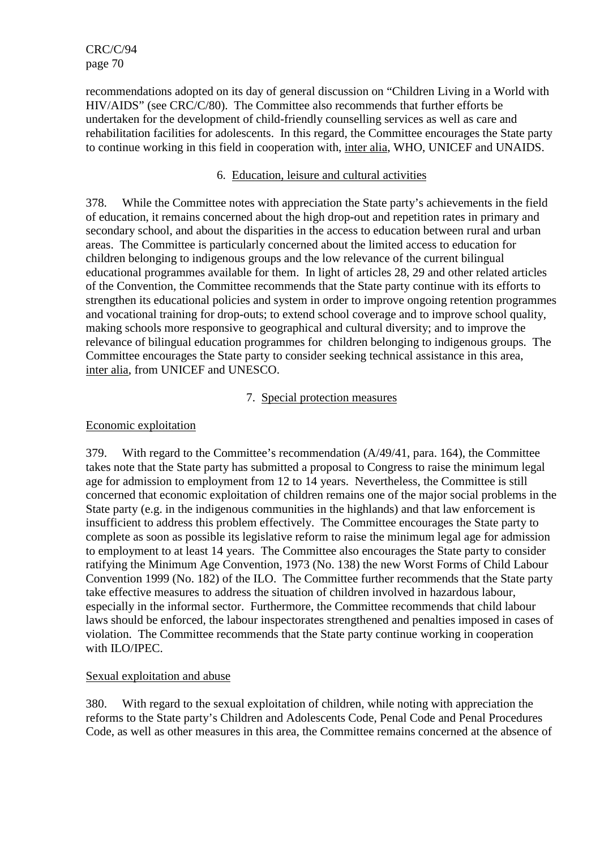recommendations adopted on its day of general discussion on "Children Living in a World with HIV/AIDS" (see CRC/C/80). The Committee also recommends that further efforts be undertaken for the development of child-friendly counselling services as well as care and rehabilitation facilities for adolescents. In this regard, the Committee encourages the State party to continue working in this field in cooperation with, inter alia, WHO, UNICEF and UNAIDS.

## 6. Education, leisure and cultural activities

378. While the Committee notes with appreciation the State party's achievements in the field of education, it remains concerned about the high drop-out and repetition rates in primary and secondary school, and about the disparities in the access to education between rural and urban areas. The Committee is particularly concerned about the limited access to education for children belonging to indigenous groups and the low relevance of the current bilingual educational programmes available for them. In light of articles 28, 29 and other related articles of the Convention, the Committee recommends that the State party continue with its efforts to strengthen its educational policies and system in order to improve ongoing retention programmes and vocational training for drop-outs; to extend school coverage and to improve school quality, making schools more responsive to geographical and cultural diversity; and to improve the relevance of bilingual education programmes for children belonging to indigenous groups. The Committee encourages the State party to consider seeking technical assistance in this area, inter alia, from UNICEF and UNESCO.

### 7. Special protection measures

### Economic exploitation

379. With regard to the Committee's recommendation (A/49/41, para. 164), the Committee takes note that the State party has submitted a proposal to Congress to raise the minimum legal age for admission to employment from 12 to 14 years. Nevertheless, the Committee is still concerned that economic exploitation of children remains one of the major social problems in the State party (e.g. in the indigenous communities in the highlands) and that law enforcement is insufficient to address this problem effectively. The Committee encourages the State party to complete as soon as possible its legislative reform to raise the minimum legal age for admission to employment to at least 14 years. The Committee also encourages the State party to consider ratifying the Minimum Age Convention, 1973 (No. 138) the new Worst Forms of Child Labour Convention 1999 (No. 182) of the ILO. The Committee further recommends that the State party take effective measures to address the situation of children involved in hazardous labour, especially in the informal sector. Furthermore, the Committee recommends that child labour laws should be enforced, the labour inspectorates strengthened and penalties imposed in cases of violation. The Committee recommends that the State party continue working in cooperation with ILO/IPEC.

## Sexual exploitation and abuse

380. With regard to the sexual exploitation of children, while noting with appreciation the reforms to the State party's Children and Adolescents Code, Penal Code and Penal Procedures Code, as well as other measures in this area, the Committee remains concerned at the absence of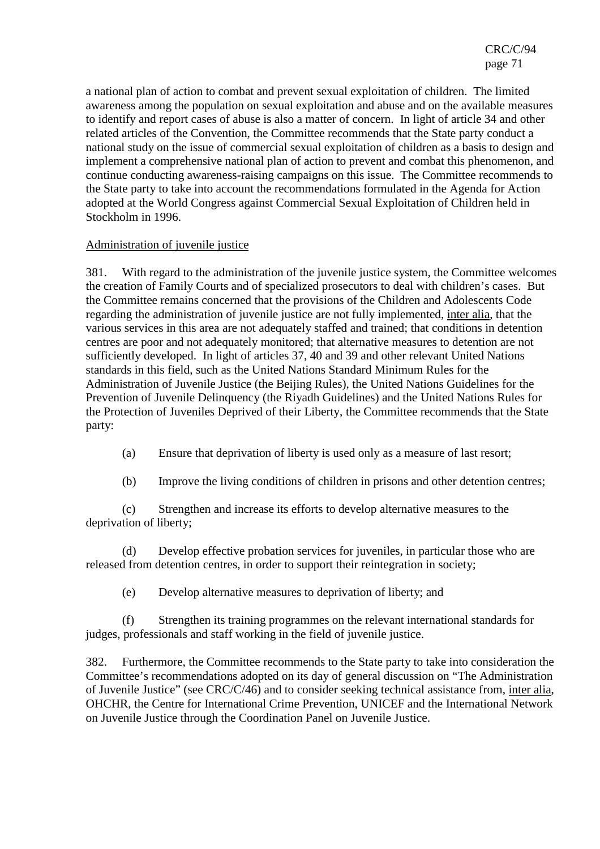a national plan of action to combat and prevent sexual exploitation of children. The limited awareness among the population on sexual exploitation and abuse and on the available measures to identify and report cases of abuse is also a matter of concern. In light of article 34 and other related articles of the Convention, the Committee recommends that the State party conduct a national study on the issue of commercial sexual exploitation of children as a basis to design and implement a comprehensive national plan of action to prevent and combat this phenomenon, and continue conducting awareness-raising campaigns on this issue. The Committee recommends to the State party to take into account the recommendations formulated in the Agenda for Action adopted at the World Congress against Commercial Sexual Exploitation of Children held in Stockholm in 1996.

## Administration of juvenile justice

381. With regard to the administration of the juvenile justice system, the Committee welcomes the creation of Family Courts and of specialized prosecutors to deal with children's cases. But the Committee remains concerned that the provisions of the Children and Adolescents Code regarding the administration of juvenile justice are not fully implemented, inter alia, that the various services in this area are not adequately staffed and trained; that conditions in detention centres are poor and not adequately monitored; that alternative measures to detention are not sufficiently developed. In light of articles 37, 40 and 39 and other relevant United Nations standards in this field, such as the United Nations Standard Minimum Rules for the Administration of Juvenile Justice (the Beijing Rules), the United Nations Guidelines for the Prevention of Juvenile Delinquency (the Riyadh Guidelines) and the United Nations Rules for the Protection of Juveniles Deprived of their Liberty, the Committee recommends that the State party:

- (a) Ensure that deprivation of liberty is used only as a measure of last resort;
- (b) Improve the living conditions of children in prisons and other detention centres;

(c) Strengthen and increase its efforts to develop alternative measures to the deprivation of liberty;

(d) Develop effective probation services for juveniles, in particular those who are released from detention centres, in order to support their reintegration in society;

(e) Develop alternative measures to deprivation of liberty; and

(f) Strengthen its training programmes on the relevant international standards for judges, professionals and staff working in the field of juvenile justice.

382. Furthermore, the Committee recommends to the State party to take into consideration the Committee's recommendations adopted on its day of general discussion on "The Administration of Juvenile Justice" (see CRC/C/46) and to consider seeking technical assistance from, inter alia, OHCHR, the Centre for International Crime Prevention, UNICEF and the International Network on Juvenile Justice through the Coordination Panel on Juvenile Justice.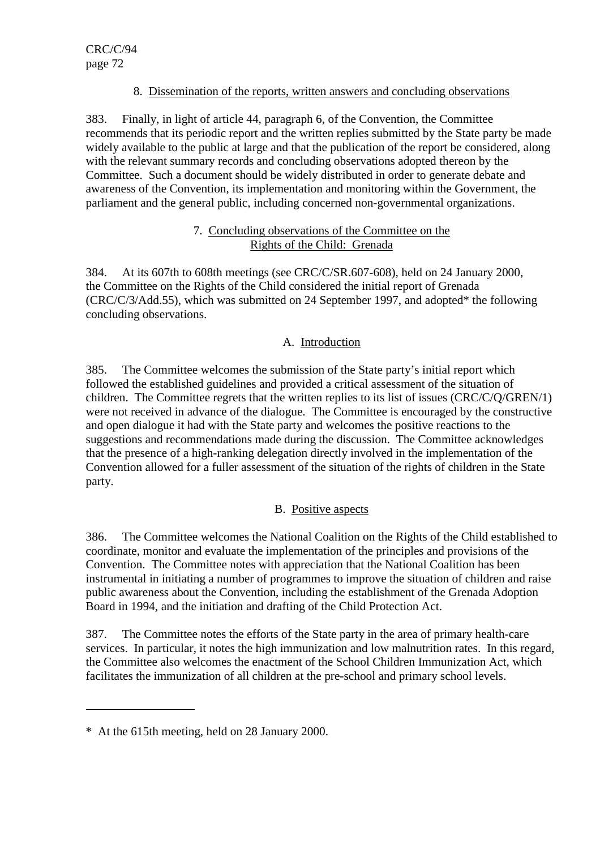# 8. Dissemination of the reports, written answers and concluding observations

383. Finally, in light of article 44, paragraph 6, of the Convention, the Committee recommends that its periodic report and the written replies submitted by the State party be made widely available to the public at large and that the publication of the report be considered, along with the relevant summary records and concluding observations adopted thereon by the Committee. Such a document should be widely distributed in order to generate debate and awareness of the Convention, its implementation and monitoring within the Government, the parliament and the general public, including concerned non-governmental organizations.

## 7. Concluding observations of the Committee on the Rights of the Child: Grenada

384. At its 607th to 608th meetings (see CRC/C/SR.607-608), held on 24 January 2000, the Committee on the Rights of the Child considered the initial report of Grenada (CRC/C/3/Add.55), which was submitted on 24 September 1997, and adopted\* the following concluding observations.

# A. Introduction

385. The Committee welcomes the submission of the State party's initial report which followed the established guidelines and provided a critical assessment of the situation of children. The Committee regrets that the written replies to its list of issues (CRC/C/Q/GREN/1) were not received in advance of the dialogue. The Committee is encouraged by the constructive and open dialogue it had with the State party and welcomes the positive reactions to the suggestions and recommendations made during the discussion. The Committee acknowledges that the presence of a high-ranking delegation directly involved in the implementation of the Convention allowed for a fuller assessment of the situation of the rights of children in the State party.

# B. Positive aspects

386. The Committee welcomes the National Coalition on the Rights of the Child established to coordinate, monitor and evaluate the implementation of the principles and provisions of the Convention. The Committee notes with appreciation that the National Coalition has been instrumental in initiating a number of programmes to improve the situation of children and raise public awareness about the Convention, including the establishment of the Grenada Adoption Board in 1994, and the initiation and drafting of the Child Protection Act.

387. The Committee notes the efforts of the State party in the area of primary health-care services. In particular, it notes the high immunization and low malnutrition rates. In this regard, the Committee also welcomes the enactment of the School Children Immunization Act, which facilitates the immunization of all children at the pre-school and primary school levels.

 $\overline{a}$ 

<sup>\*</sup> At the 615th meeting, held on 28 January 2000.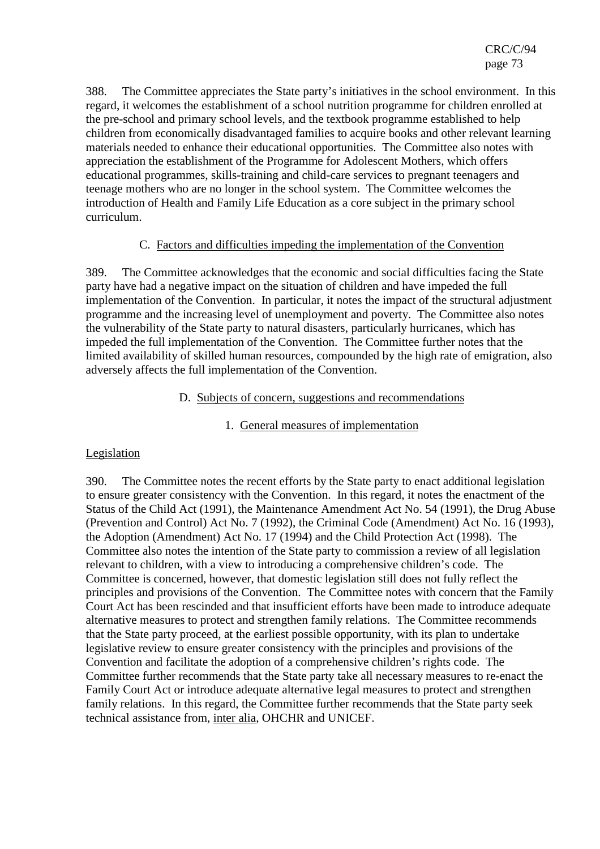388. The Committee appreciates the State party's initiatives in the school environment. In this regard, it welcomes the establishment of a school nutrition programme for children enrolled at the pre-school and primary school levels, and the textbook programme established to help children from economically disadvantaged families to acquire books and other relevant learning materials needed to enhance their educational opportunities. The Committee also notes with appreciation the establishment of the Programme for Adolescent Mothers, which offers educational programmes, skills-training and child-care services to pregnant teenagers and teenage mothers who are no longer in the school system. The Committee welcomes the introduction of Health and Family Life Education as a core subject in the primary school curriculum.

## C. Factors and difficulties impeding the implementation of the Convention

389. The Committee acknowledges that the economic and social difficulties facing the State party have had a negative impact on the situation of children and have impeded the full implementation of the Convention. In particular, it notes the impact of the structural adjustment programme and the increasing level of unemployment and poverty. The Committee also notes the vulnerability of the State party to natural disasters, particularly hurricanes, which has impeded the full implementation of the Convention. The Committee further notes that the limited availability of skilled human resources, compounded by the high rate of emigration, also adversely affects the full implementation of the Convention.

#### D. Subjects of concern, suggestions and recommendations

## 1. General measures of implementation

## Legislation

390. The Committee notes the recent efforts by the State party to enact additional legislation to ensure greater consistency with the Convention. In this regard, it notes the enactment of the Status of the Child Act (1991), the Maintenance Amendment Act No. 54 (1991), the Drug Abuse (Prevention and Control) Act No. 7 (1992), the Criminal Code (Amendment) Act No. 16 (1993), the Adoption (Amendment) Act No. 17 (1994) and the Child Protection Act (1998). The Committee also notes the intention of the State party to commission a review of all legislation relevant to children, with a view to introducing a comprehensive children's code. The Committee is concerned, however, that domestic legislation still does not fully reflect the principles and provisions of the Convention. The Committee notes with concern that the Family Court Act has been rescinded and that insufficient efforts have been made to introduce adequate alternative measures to protect and strengthen family relations. The Committee recommends that the State party proceed, at the earliest possible opportunity, with its plan to undertake legislative review to ensure greater consistency with the principles and provisions of the Convention and facilitate the adoption of a comprehensive children's rights code. The Committee further recommends that the State party take all necessary measures to re-enact the Family Court Act or introduce adequate alternative legal measures to protect and strengthen family relations. In this regard, the Committee further recommends that the State party seek technical assistance from, inter alia, OHCHR and UNICEF.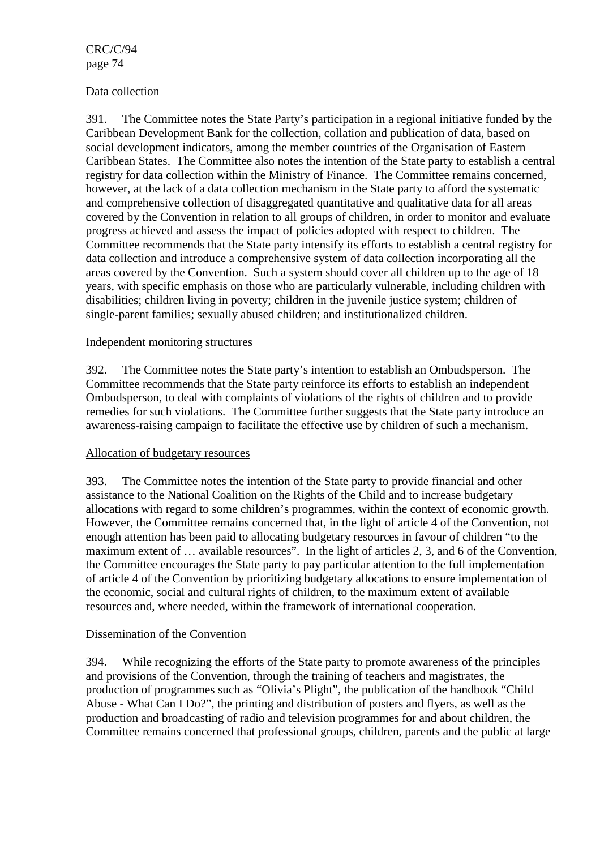### Data collection

391. The Committee notes the State Party's participation in a regional initiative funded by the Caribbean Development Bank for the collection, collation and publication of data, based on social development indicators, among the member countries of the Organisation of Eastern Caribbean States. The Committee also notes the intention of the State party to establish a central registry for data collection within the Ministry of Finance. The Committee remains concerned, however, at the lack of a data collection mechanism in the State party to afford the systematic and comprehensive collection of disaggregated quantitative and qualitative data for all areas covered by the Convention in relation to all groups of children, in order to monitor and evaluate progress achieved and assess the impact of policies adopted with respect to children. The Committee recommends that the State party intensify its efforts to establish a central registry for data collection and introduce a comprehensive system of data collection incorporating all the areas covered by the Convention. Such a system should cover all children up to the age of 18 years, with specific emphasis on those who are particularly vulnerable, including children with disabilities; children living in poverty; children in the juvenile justice system; children of single-parent families; sexually abused children; and institutionalized children.

### Independent monitoring structures

392. The Committee notes the State party's intention to establish an Ombudsperson. The Committee recommends that the State party reinforce its efforts to establish an independent Ombudsperson, to deal with complaints of violations of the rights of children and to provide remedies for such violations. The Committee further suggests that the State party introduce an awareness-raising campaign to facilitate the effective use by children of such a mechanism.

#### Allocation of budgetary resources

393. The Committee notes the intention of the State party to provide financial and other assistance to the National Coalition on the Rights of the Child and to increase budgetary allocations with regard to some children's programmes, within the context of economic growth. However, the Committee remains concerned that, in the light of article 4 of the Convention, not enough attention has been paid to allocating budgetary resources in favour of children "to the maximum extent of … available resources". In the light of articles 2, 3, and 6 of the Convention, the Committee encourages the State party to pay particular attention to the full implementation of article 4 of the Convention by prioritizing budgetary allocations to ensure implementation of the economic, social and cultural rights of children, to the maximum extent of available resources and, where needed, within the framework of international cooperation.

#### Dissemination of the Convention

394. While recognizing the efforts of the State party to promote awareness of the principles and provisions of the Convention, through the training of teachers and magistrates, the production of programmes such as "Olivia's Plight", the publication of the handbook "Child Abuse - What Can I Do?", the printing and distribution of posters and flyers, as well as the production and broadcasting of radio and television programmes for and about children, the Committee remains concerned that professional groups, children, parents and the public at large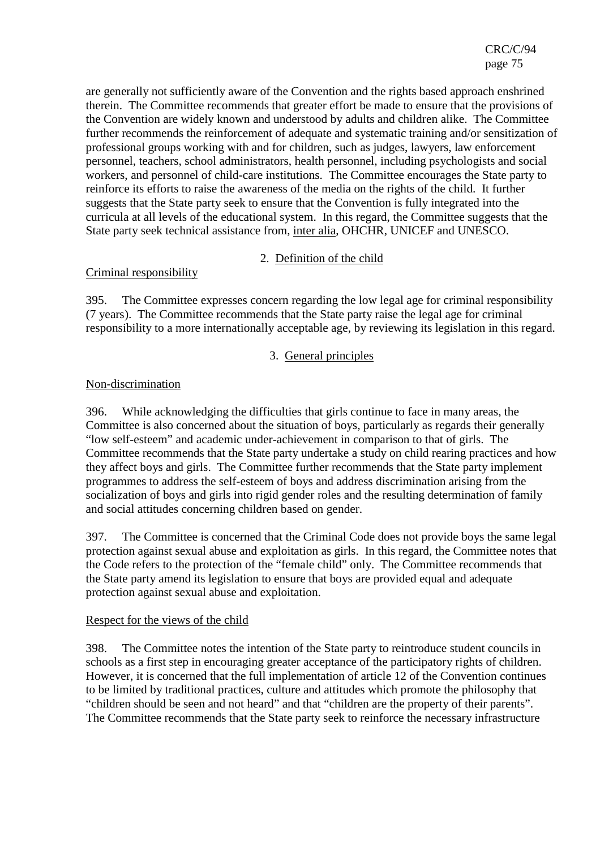are generally not sufficiently aware of the Convention and the rights based approach enshrined therein. The Committee recommends that greater effort be made to ensure that the provisions of the Convention are widely known and understood by adults and children alike. The Committee further recommends the reinforcement of adequate and systematic training and/or sensitization of professional groups working with and for children, such as judges, lawyers, law enforcement personnel, teachers, school administrators, health personnel, including psychologists and social workers, and personnel of child-care institutions. The Committee encourages the State party to reinforce its efforts to raise the awareness of the media on the rights of the child. It further suggests that the State party seek to ensure that the Convention is fully integrated into the curricula at all levels of the educational system. In this regard, the Committee suggests that the State party seek technical assistance from, inter alia, OHCHR, UNICEF and UNESCO.

## 2. Definition of the child

## Criminal responsibility

395. The Committee expresses concern regarding the low legal age for criminal responsibility (7 years). The Committee recommends that the State party raise the legal age for criminal responsibility to a more internationally acceptable age, by reviewing its legislation in this regard.

## 3. General principles

## Non-discrimination

396. While acknowledging the difficulties that girls continue to face in many areas, the Committee is also concerned about the situation of boys, particularly as regards their generally "low self-esteem" and academic under-achievement in comparison to that of girls. The Committee recommends that the State party undertake a study on child rearing practices and how they affect boys and girls. The Committee further recommends that the State party implement programmes to address the self-esteem of boys and address discrimination arising from the socialization of boys and girls into rigid gender roles and the resulting determination of family and social attitudes concerning children based on gender.

397. The Committee is concerned that the Criminal Code does not provide boys the same legal protection against sexual abuse and exploitation as girls. In this regard, the Committee notes that the Code refers to the protection of the "female child" only. The Committee recommends that the State party amend its legislation to ensure that boys are provided equal and adequate protection against sexual abuse and exploitation.

## Respect for the views of the child

398. The Committee notes the intention of the State party to reintroduce student councils in schools as a first step in encouraging greater acceptance of the participatory rights of children. However, it is concerned that the full implementation of article 12 of the Convention continues to be limited by traditional practices, culture and attitudes which promote the philosophy that "children should be seen and not heard" and that "children are the property of their parents". The Committee recommends that the State party seek to reinforce the necessary infrastructure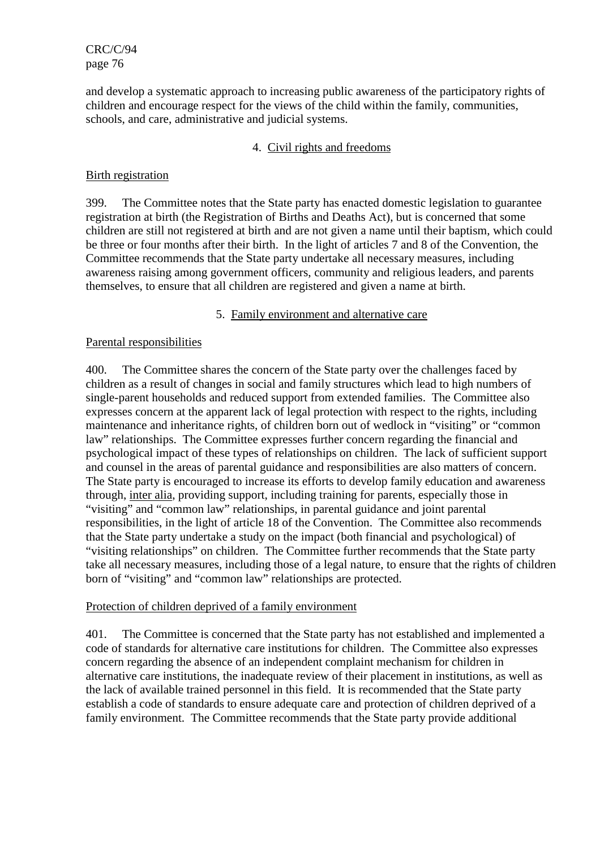and develop a systematic approach to increasing public awareness of the participatory rights of children and encourage respect for the views of the child within the family, communities, schools, and care, administrative and judicial systems.

## 4. Civil rights and freedoms

## Birth registration

399. The Committee notes that the State party has enacted domestic legislation to guarantee registration at birth (the Registration of Births and Deaths Act), but is concerned that some children are still not registered at birth and are not given a name until their baptism, which could be three or four months after their birth. In the light of articles 7 and 8 of the Convention, the Committee recommends that the State party undertake all necessary measures, including awareness raising among government officers, community and religious leaders, and parents themselves, to ensure that all children are registered and given a name at birth.

### 5. Family environment and alternative care

### Parental responsibilities

400. The Committee shares the concern of the State party over the challenges faced by children as a result of changes in social and family structures which lead to high numbers of single-parent households and reduced support from extended families. The Committee also expresses concern at the apparent lack of legal protection with respect to the rights, including maintenance and inheritance rights, of children born out of wedlock in "visiting" or "common law" relationships. The Committee expresses further concern regarding the financial and psychological impact of these types of relationships on children. The lack of sufficient support and counsel in the areas of parental guidance and responsibilities are also matters of concern. The State party is encouraged to increase its efforts to develop family education and awareness through, inter alia, providing support, including training for parents, especially those in "visiting" and "common law" relationships, in parental guidance and joint parental responsibilities, in the light of article 18 of the Convention. The Committee also recommends that the State party undertake a study on the impact (both financial and psychological) of "visiting relationships" on children. The Committee further recommends that the State party take all necessary measures, including those of a legal nature, to ensure that the rights of children born of "visiting" and "common law" relationships are protected.

#### Protection of children deprived of a family environment

401. The Committee is concerned that the State party has not established and implemented a code of standards for alternative care institutions for children. The Committee also expresses concern regarding the absence of an independent complaint mechanism for children in alternative care institutions, the inadequate review of their placement in institutions, as well as the lack of available trained personnel in this field. It is recommended that the State party establish a code of standards to ensure adequate care and protection of children deprived of a family environment. The Committee recommends that the State party provide additional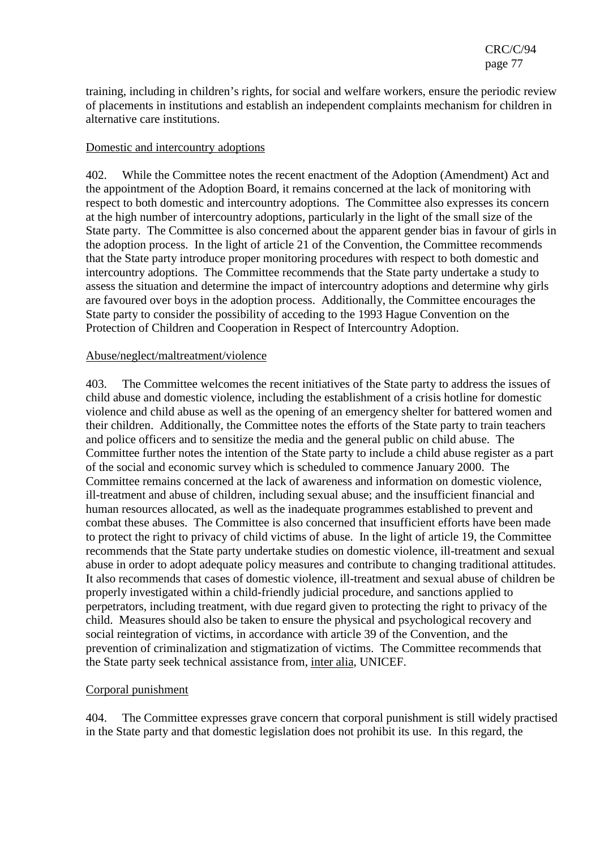training, including in children's rights, for social and welfare workers, ensure the periodic review of placements in institutions and establish an independent complaints mechanism for children in alternative care institutions.

### Domestic and intercountry adoptions

402. While the Committee notes the recent enactment of the Adoption (Amendment) Act and the appointment of the Adoption Board, it remains concerned at the lack of monitoring with respect to both domestic and intercountry adoptions. The Committee also expresses its concern at the high number of intercountry adoptions, particularly in the light of the small size of the State party. The Committee is also concerned about the apparent gender bias in favour of girls in the adoption process. In the light of article 21 of the Convention, the Committee recommends that the State party introduce proper monitoring procedures with respect to both domestic and intercountry adoptions. The Committee recommends that the State party undertake a study to assess the situation and determine the impact of intercountry adoptions and determine why girls are favoured over boys in the adoption process. Additionally, the Committee encourages the State party to consider the possibility of acceding to the 1993 Hague Convention on the Protection of Children and Cooperation in Respect of Intercountry Adoption.

#### Abuse/neglect/maltreatment/violence

403. The Committee welcomes the recent initiatives of the State party to address the issues of child abuse and domestic violence, including the establishment of a crisis hotline for domestic violence and child abuse as well as the opening of an emergency shelter for battered women and their children. Additionally, the Committee notes the efforts of the State party to train teachers and police officers and to sensitize the media and the general public on child abuse. The Committee further notes the intention of the State party to include a child abuse register as a part of the social and economic survey which is scheduled to commence January 2000. The Committee remains concerned at the lack of awareness and information on domestic violence, ill-treatment and abuse of children, including sexual abuse; and the insufficient financial and human resources allocated, as well as the inadequate programmes established to prevent and combat these abuses. The Committee is also concerned that insufficient efforts have been made to protect the right to privacy of child victims of abuse. In the light of article 19, the Committee recommends that the State party undertake studies on domestic violence, ill-treatment and sexual abuse in order to adopt adequate policy measures and contribute to changing traditional attitudes. It also recommends that cases of domestic violence, ill-treatment and sexual abuse of children be properly investigated within a child-friendly judicial procedure, and sanctions applied to perpetrators, including treatment, with due regard given to protecting the right to privacy of the child. Measures should also be taken to ensure the physical and psychological recovery and social reintegration of victims, in accordance with article 39 of the Convention, and the prevention of criminalization and stigmatization of victims. The Committee recommends that the State party seek technical assistance from, inter alia, UNICEF.

## Corporal punishment

404. The Committee expresses grave concern that corporal punishment is still widely practised in the State party and that domestic legislation does not prohibit its use. In this regard, the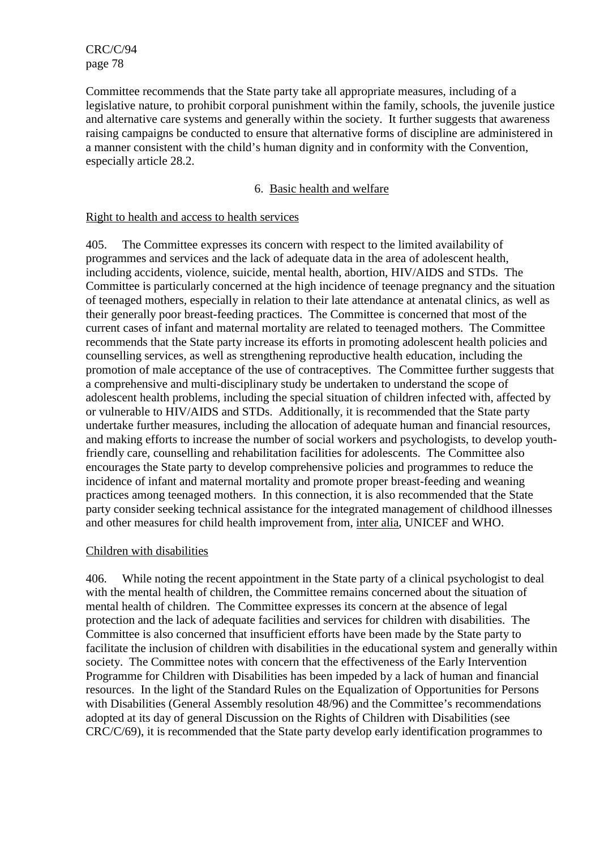Committee recommends that the State party take all appropriate measures, including of a legislative nature, to prohibit corporal punishment within the family, schools, the juvenile justice and alternative care systems and generally within the society. It further suggests that awareness raising campaigns be conducted to ensure that alternative forms of discipline are administered in a manner consistent with the child's human dignity and in conformity with the Convention, especially article 28.2.

### 6. Basic health and welfare

### Right to health and access to health services

405. The Committee expresses its concern with respect to the limited availability of programmes and services and the lack of adequate data in the area of adolescent health, including accidents, violence, suicide, mental health, abortion, HIV/AIDS and STDs. The Committee is particularly concerned at the high incidence of teenage pregnancy and the situation of teenaged mothers, especially in relation to their late attendance at antenatal clinics, as well as their generally poor breast-feeding practices. The Committee is concerned that most of the current cases of infant and maternal mortality are related to teenaged mothers. The Committee recommends that the State party increase its efforts in promoting adolescent health policies and counselling services, as well as strengthening reproductive health education, including the promotion of male acceptance of the use of contraceptives. The Committee further suggests that a comprehensive and multi-disciplinary study be undertaken to understand the scope of adolescent health problems, including the special situation of children infected with, affected by or vulnerable to HIV/AIDS and STDs. Additionally, it is recommended that the State party undertake further measures, including the allocation of adequate human and financial resources, and making efforts to increase the number of social workers and psychologists, to develop youthfriendly care, counselling and rehabilitation facilities for adolescents. The Committee also encourages the State party to develop comprehensive policies and programmes to reduce the incidence of infant and maternal mortality and promote proper breast-feeding and weaning practices among teenaged mothers. In this connection, it is also recommended that the State party consider seeking technical assistance for the integrated management of childhood illnesses and other measures for child health improvement from, inter alia, UNICEF and WHO.

#### Children with disabilities

406. While noting the recent appointment in the State party of a clinical psychologist to deal with the mental health of children, the Committee remains concerned about the situation of mental health of children. The Committee expresses its concern at the absence of legal protection and the lack of adequate facilities and services for children with disabilities. The Committee is also concerned that insufficient efforts have been made by the State party to facilitate the inclusion of children with disabilities in the educational system and generally within society. The Committee notes with concern that the effectiveness of the Early Intervention Programme for Children with Disabilities has been impeded by a lack of human and financial resources. In the light of the Standard Rules on the Equalization of Opportunities for Persons with Disabilities (General Assembly resolution 48/96) and the Committee's recommendations adopted at its day of general Discussion on the Rights of Children with Disabilities (see CRC/C/69), it is recommended that the State party develop early identification programmes to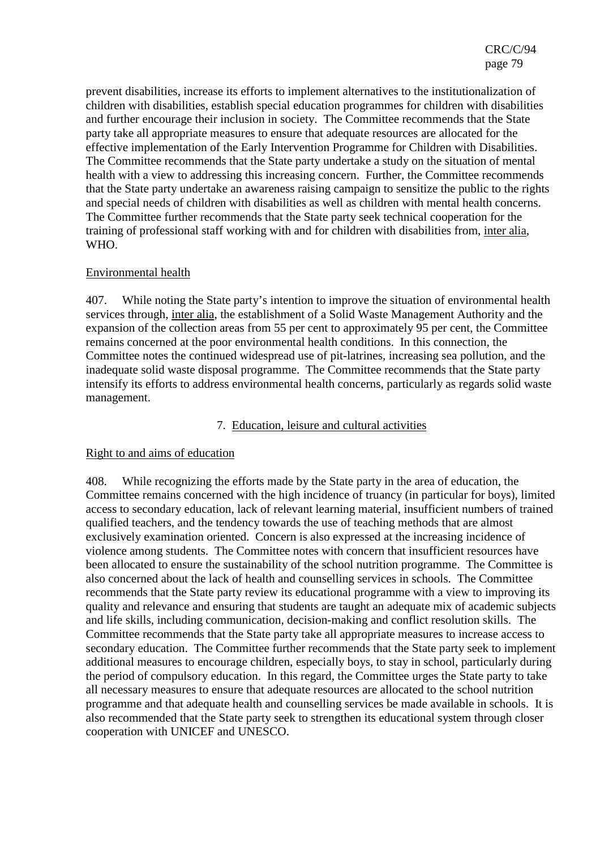prevent disabilities, increase its efforts to implement alternatives to the institutionalization of children with disabilities, establish special education programmes for children with disabilities and further encourage their inclusion in society. The Committee recommends that the State party take all appropriate measures to ensure that adequate resources are allocated for the effective implementation of the Early Intervention Programme for Children with Disabilities. The Committee recommends that the State party undertake a study on the situation of mental health with a view to addressing this increasing concern. Further, the Committee recommends that the State party undertake an awareness raising campaign to sensitize the public to the rights and special needs of children with disabilities as well as children with mental health concerns. The Committee further recommends that the State party seek technical cooperation for the training of professional staff working with and for children with disabilities from, inter alia, WHO.

## Environmental health

407. While noting the State party's intention to improve the situation of environmental health services through, inter alia, the establishment of a Solid Waste Management Authority and the expansion of the collection areas from 55 per cent to approximately 95 per cent, the Committee remains concerned at the poor environmental health conditions. In this connection, the Committee notes the continued widespread use of pit-latrines, increasing sea pollution, and the inadequate solid waste disposal programme. The Committee recommends that the State party intensify its efforts to address environmental health concerns, particularly as regards solid waste management.

## 7. Education, leisure and cultural activities

## Right to and aims of education

408. While recognizing the efforts made by the State party in the area of education, the Committee remains concerned with the high incidence of truancy (in particular for boys), limited access to secondary education, lack of relevant learning material, insufficient numbers of trained qualified teachers, and the tendency towards the use of teaching methods that are almost exclusively examination oriented. Concern is also expressed at the increasing incidence of violence among students. The Committee notes with concern that insufficient resources have been allocated to ensure the sustainability of the school nutrition programme. The Committee is also concerned about the lack of health and counselling services in schools. The Committee recommends that the State party review its educational programme with a view to improving its quality and relevance and ensuring that students are taught an adequate mix of academic subjects and life skills, including communication, decision-making and conflict resolution skills. The Committee recommends that the State party take all appropriate measures to increase access to secondary education. The Committee further recommends that the State party seek to implement additional measures to encourage children, especially boys, to stay in school, particularly during the period of compulsory education. In this regard, the Committee urges the State party to take all necessary measures to ensure that adequate resources are allocated to the school nutrition programme and that adequate health and counselling services be made available in schools. It is also recommended that the State party seek to strengthen its educational system through closer cooperation with UNICEF and UNESCO.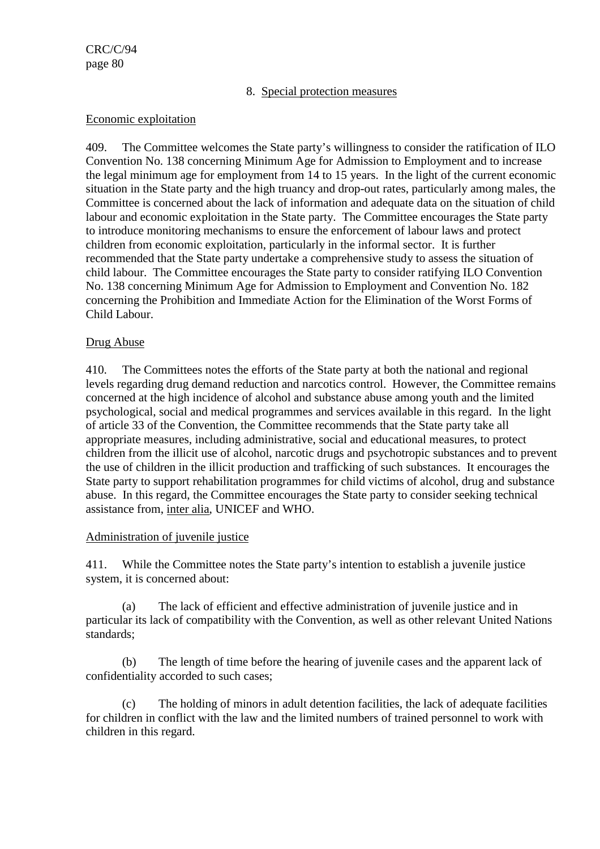### 8. Special protection measures

### Economic exploitation

409. The Committee welcomes the State party's willingness to consider the ratification of ILO Convention No. 138 concerning Minimum Age for Admission to Employment and to increase the legal minimum age for employment from 14 to 15 years. In the light of the current economic situation in the State party and the high truancy and drop-out rates, particularly among males, the Committee is concerned about the lack of information and adequate data on the situation of child labour and economic exploitation in the State party. The Committee encourages the State party to introduce monitoring mechanisms to ensure the enforcement of labour laws and protect children from economic exploitation, particularly in the informal sector. It is further recommended that the State party undertake a comprehensive study to assess the situation of child labour. The Committee encourages the State party to consider ratifying ILO Convention No. 138 concerning Minimum Age for Admission to Employment and Convention No. 182 concerning the Prohibition and Immediate Action for the Elimination of the Worst Forms of Child Labour.

### Drug Abuse

410. The Committees notes the efforts of the State party at both the national and regional levels regarding drug demand reduction and narcotics control. However, the Committee remains concerned at the high incidence of alcohol and substance abuse among youth and the limited psychological, social and medical programmes and services available in this regard. In the light of article 33 of the Convention, the Committee recommends that the State party take all appropriate measures, including administrative, social and educational measures, to protect children from the illicit use of alcohol, narcotic drugs and psychotropic substances and to prevent the use of children in the illicit production and trafficking of such substances. It encourages the State party to support rehabilitation programmes for child victims of alcohol, drug and substance abuse. In this regard, the Committee encourages the State party to consider seeking technical assistance from, inter alia, UNICEF and WHO.

#### Administration of juvenile justice

411. While the Committee notes the State party's intention to establish a juvenile justice system, it is concerned about:

(a) The lack of efficient and effective administration of juvenile justice and in particular its lack of compatibility with the Convention, as well as other relevant United Nations standards;

(b) The length of time before the hearing of juvenile cases and the apparent lack of confidentiality accorded to such cases;

(c) The holding of minors in adult detention facilities, the lack of adequate facilities for children in conflict with the law and the limited numbers of trained personnel to work with children in this regard.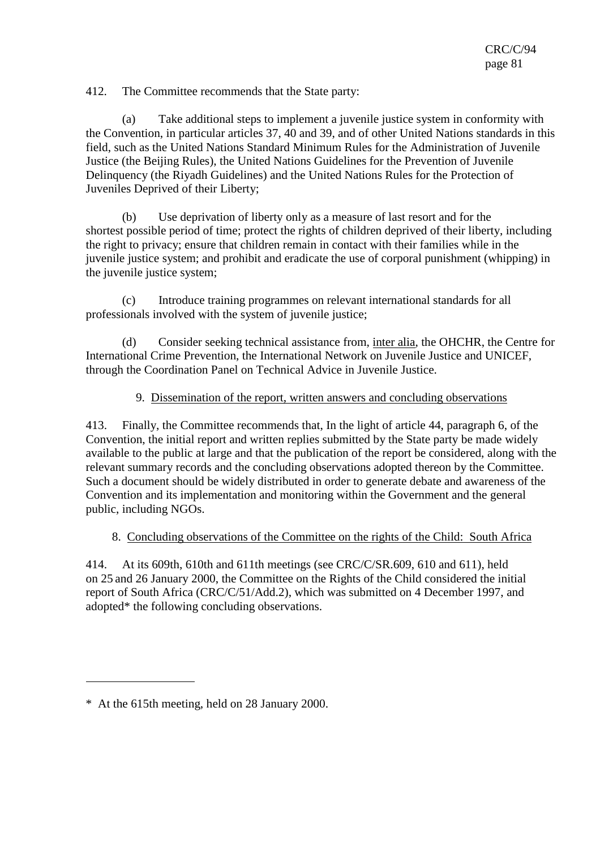412. The Committee recommends that the State party:

(a) Take additional steps to implement a juvenile justice system in conformity with the Convention, in particular articles 37, 40 and 39, and of other United Nations standards in this field, such as the United Nations Standard Minimum Rules for the Administration of Juvenile Justice (the Beijing Rules), the United Nations Guidelines for the Prevention of Juvenile Delinquency (the Riyadh Guidelines) and the United Nations Rules for the Protection of Juveniles Deprived of their Liberty;

(b) Use deprivation of liberty only as a measure of last resort and for the shortest possible period of time; protect the rights of children deprived of their liberty, including the right to privacy; ensure that children remain in contact with their families while in the juvenile justice system; and prohibit and eradicate the use of corporal punishment (whipping) in the juvenile justice system;

(c) Introduce training programmes on relevant international standards for all professionals involved with the system of juvenile justice;

(d) Consider seeking technical assistance from, inter alia, the OHCHR, the Centre for International Crime Prevention, the International Network on Juvenile Justice and UNICEF, through the Coordination Panel on Technical Advice in Juvenile Justice.

## 9. Dissemination of the report, written answers and concluding observations

413. Finally, the Committee recommends that, In the light of article 44, paragraph 6, of the Convention, the initial report and written replies submitted by the State party be made widely available to the public at large and that the publication of the report be considered, along with the relevant summary records and the concluding observations adopted thereon by the Committee. Such a document should be widely distributed in order to generate debate and awareness of the Convention and its implementation and monitoring within the Government and the general public, including NGOs.

#### 8. Concluding observations of the Committee on the rights of the Child: South Africa

414. At its 609th, 610th and 611th meetings (see CRC/C/SR.609, 610 and 611), held on 25 and 26 January 2000, the Committee on the Rights of the Child considered the initial report of South Africa (CRC/C/51/Add.2), which was submitted on 4 December 1997, and adopted\* the following concluding observations.

 $\overline{a}$ 

<sup>\*</sup> At the 615th meeting, held on 28 January 2000.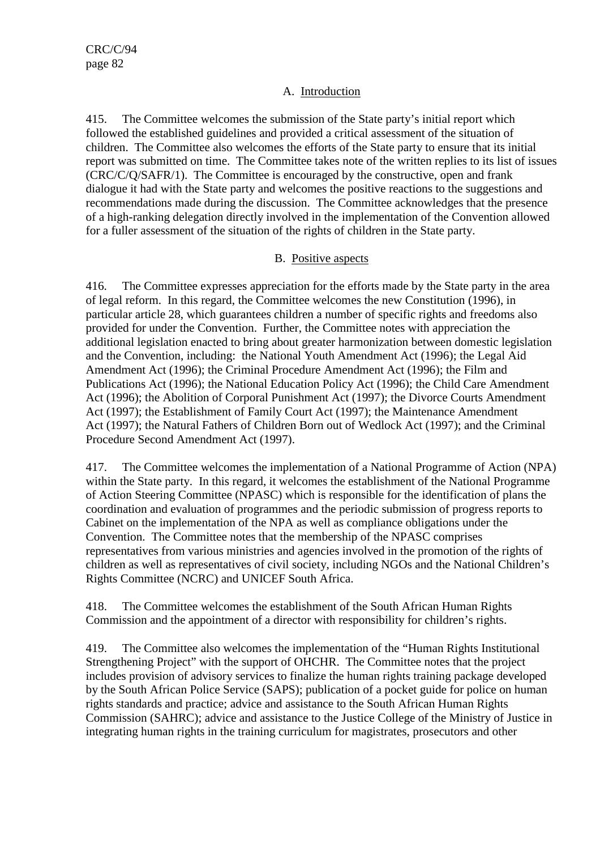## A. Introduction

415. The Committee welcomes the submission of the State party's initial report which followed the established guidelines and provided a critical assessment of the situation of children. The Committee also welcomes the efforts of the State party to ensure that its initial report was submitted on time. The Committee takes note of the written replies to its list of issues (CRC/C/Q/SAFR/1). The Committee is encouraged by the constructive, open and frank dialogue it had with the State party and welcomes the positive reactions to the suggestions and recommendations made during the discussion. The Committee acknowledges that the presence of a high-ranking delegation directly involved in the implementation of the Convention allowed for a fuller assessment of the situation of the rights of children in the State party.

## B. Positive aspects

416. The Committee expresses appreciation for the efforts made by the State party in the area of legal reform. In this regard, the Committee welcomes the new Constitution (1996), in particular article 28, which guarantees children a number of specific rights and freedoms also provided for under the Convention. Further, the Committee notes with appreciation the additional legislation enacted to bring about greater harmonization between domestic legislation and the Convention, including: the National Youth Amendment Act (1996); the Legal Aid Amendment Act (1996); the Criminal Procedure Amendment Act (1996); the Film and Publications Act (1996); the National Education Policy Act (1996); the Child Care Amendment Act (1996); the Abolition of Corporal Punishment Act (1997); the Divorce Courts Amendment Act (1997); the Establishment of Family Court Act (1997); the Maintenance Amendment Act (1997); the Natural Fathers of Children Born out of Wedlock Act (1997); and the Criminal Procedure Second Amendment Act (1997).

417. The Committee welcomes the implementation of a National Programme of Action (NPA) within the State party. In this regard, it welcomes the establishment of the National Programme of Action Steering Committee (NPASC) which is responsible for the identification of plans the coordination and evaluation of programmes and the periodic submission of progress reports to Cabinet on the implementation of the NPA as well as compliance obligations under the Convention. The Committee notes that the membership of the NPASC comprises representatives from various ministries and agencies involved in the promotion of the rights of children as well as representatives of civil society, including NGOs and the National Children's Rights Committee (NCRC) and UNICEF South Africa.

418. The Committee welcomes the establishment of the South African Human Rights Commission and the appointment of a director with responsibility for children's rights.

419. The Committee also welcomes the implementation of the "Human Rights Institutional Strengthening Project" with the support of OHCHR. The Committee notes that the project includes provision of advisory services to finalize the human rights training package developed by the South African Police Service (SAPS); publication of a pocket guide for police on human rights standards and practice; advice and assistance to the South African Human Rights Commission (SAHRC); advice and assistance to the Justice College of the Ministry of Justice in integrating human rights in the training curriculum for magistrates, prosecutors and other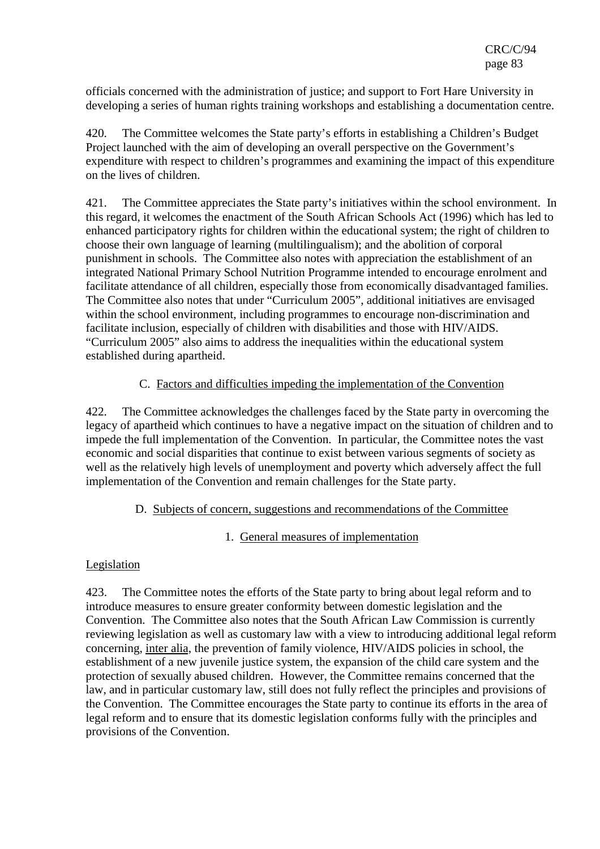officials concerned with the administration of justice; and support to Fort Hare University in developing a series of human rights training workshops and establishing a documentation centre.

420. The Committee welcomes the State party's efforts in establishing a Children's Budget Project launched with the aim of developing an overall perspective on the Government's expenditure with respect to children's programmes and examining the impact of this expenditure on the lives of children.

421. The Committee appreciates the State party's initiatives within the school environment. In this regard, it welcomes the enactment of the South African Schools Act (1996) which has led to enhanced participatory rights for children within the educational system; the right of children to choose their own language of learning (multilingualism); and the abolition of corporal punishment in schools. The Committee also notes with appreciation the establishment of an integrated National Primary School Nutrition Programme intended to encourage enrolment and facilitate attendance of all children, especially those from economically disadvantaged families. The Committee also notes that under "Curriculum 2005", additional initiatives are envisaged within the school environment, including programmes to encourage non-discrimination and facilitate inclusion, especially of children with disabilities and those with HIV/AIDS. "Curriculum 2005" also aims to address the inequalities within the educational system established during apartheid.

# C. Factors and difficulties impeding the implementation of the Convention

422. The Committee acknowledges the challenges faced by the State party in overcoming the legacy of apartheid which continues to have a negative impact on the situation of children and to impede the full implementation of the Convention. In particular, the Committee notes the vast economic and social disparities that continue to exist between various segments of society as well as the relatively high levels of unemployment and poverty which adversely affect the full implementation of the Convention and remain challenges for the State party.

## D. Subjects of concern, suggestions and recommendations of the Committee

## 1. General measures of implementation

## Legislation

423. The Committee notes the efforts of the State party to bring about legal reform and to introduce measures to ensure greater conformity between domestic legislation and the Convention. The Committee also notes that the South African Law Commission is currently reviewing legislation as well as customary law with a view to introducing additional legal reform concerning, inter alia, the prevention of family violence, HIV/AIDS policies in school, the establishment of a new juvenile justice system, the expansion of the child care system and the protection of sexually abused children. However, the Committee remains concerned that the law, and in particular customary law, still does not fully reflect the principles and provisions of the Convention. The Committee encourages the State party to continue its efforts in the area of legal reform and to ensure that its domestic legislation conforms fully with the principles and provisions of the Convention.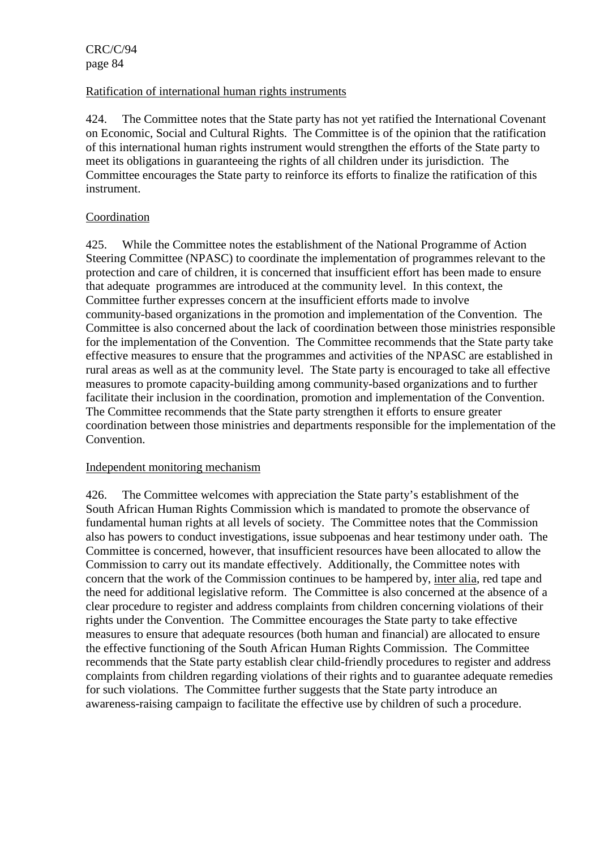### Ratification of international human rights instruments

424. The Committee notes that the State party has not yet ratified the International Covenant on Economic, Social and Cultural Rights. The Committee is of the opinion that the ratification of this international human rights instrument would strengthen the efforts of the State party to meet its obligations in guaranteeing the rights of all children under its jurisdiction. The Committee encourages the State party to reinforce its efforts to finalize the ratification of this instrument.

## Coordination

425. While the Committee notes the establishment of the National Programme of Action Steering Committee (NPASC) to coordinate the implementation of programmes relevant to the protection and care of children, it is concerned that insufficient effort has been made to ensure that adequate programmes are introduced at the community level. In this context, the Committee further expresses concern at the insufficient efforts made to involve community-based organizations in the promotion and implementation of the Convention. The Committee is also concerned about the lack of coordination between those ministries responsible for the implementation of the Convention. The Committee recommends that the State party take effective measures to ensure that the programmes and activities of the NPASC are established in rural areas as well as at the community level. The State party is encouraged to take all effective measures to promote capacity-building among community-based organizations and to further facilitate their inclusion in the coordination, promotion and implementation of the Convention. The Committee recommends that the State party strengthen it efforts to ensure greater coordination between those ministries and departments responsible for the implementation of the **Convention** 

#### Independent monitoring mechanism

426. The Committee welcomes with appreciation the State party's establishment of the South African Human Rights Commission which is mandated to promote the observance of fundamental human rights at all levels of society. The Committee notes that the Commission also has powers to conduct investigations, issue subpoenas and hear testimony under oath. The Committee is concerned, however, that insufficient resources have been allocated to allow the Commission to carry out its mandate effectively. Additionally, the Committee notes with concern that the work of the Commission continues to be hampered by, inter alia, red tape and the need for additional legislative reform. The Committee is also concerned at the absence of a clear procedure to register and address complaints from children concerning violations of their rights under the Convention. The Committee encourages the State party to take effective measures to ensure that adequate resources (both human and financial) are allocated to ensure the effective functioning of the South African Human Rights Commission. The Committee recommends that the State party establish clear child-friendly procedures to register and address complaints from children regarding violations of their rights and to guarantee adequate remedies for such violations. The Committee further suggests that the State party introduce an awareness-raising campaign to facilitate the effective use by children of such a procedure.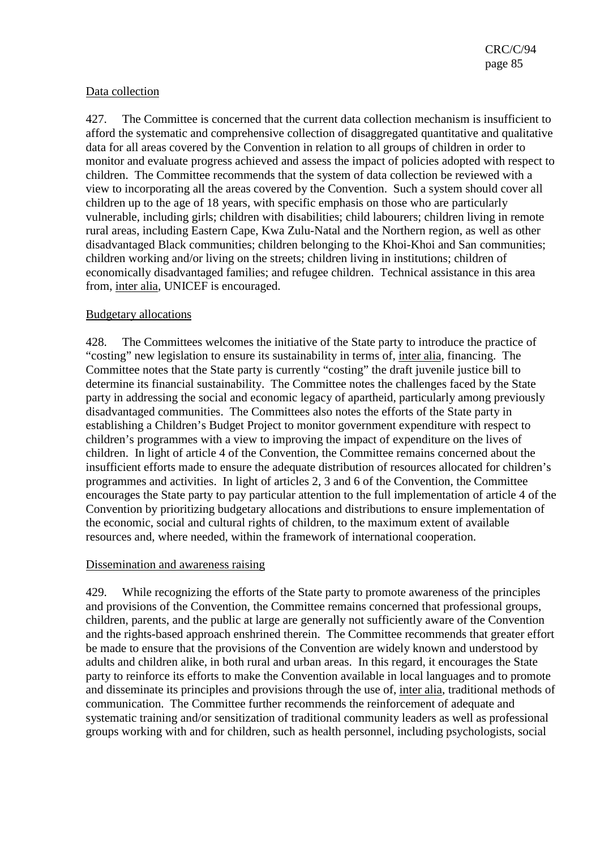## Data collection

427. The Committee is concerned that the current data collection mechanism is insufficient to afford the systematic and comprehensive collection of disaggregated quantitative and qualitative data for all areas covered by the Convention in relation to all groups of children in order to monitor and evaluate progress achieved and assess the impact of policies adopted with respect to children. The Committee recommends that the system of data collection be reviewed with a view to incorporating all the areas covered by the Convention. Such a system should cover all children up to the age of 18 years, with specific emphasis on those who are particularly vulnerable, including girls; children with disabilities; child labourers; children living in remote rural areas, including Eastern Cape, Kwa Zulu-Natal and the Northern region, as well as other disadvantaged Black communities; children belonging to the Khoi-Khoi and San communities; children working and/or living on the streets; children living in institutions; children of economically disadvantaged families; and refugee children. Technical assistance in this area from, inter alia, UNICEF is encouraged.

### Budgetary allocations

428. The Committees welcomes the initiative of the State party to introduce the practice of "costing" new legislation to ensure its sustainability in terms of, inter alia, financing. The Committee notes that the State party is currently "costing" the draft juvenile justice bill to determine its financial sustainability. The Committee notes the challenges faced by the State party in addressing the social and economic legacy of apartheid, particularly among previously disadvantaged communities. The Committees also notes the efforts of the State party in establishing a Children's Budget Project to monitor government expenditure with respect to children's programmes with a view to improving the impact of expenditure on the lives of children. In light of article 4 of the Convention, the Committee remains concerned about the insufficient efforts made to ensure the adequate distribution of resources allocated for children's programmes and activities. In light of articles 2, 3 and 6 of the Convention, the Committee encourages the State party to pay particular attention to the full implementation of article 4 of the Convention by prioritizing budgetary allocations and distributions to ensure implementation of the economic, social and cultural rights of children, to the maximum extent of available resources and, where needed, within the framework of international cooperation.

#### Dissemination and awareness raising

429. While recognizing the efforts of the State party to promote awareness of the principles and provisions of the Convention, the Committee remains concerned that professional groups, children, parents, and the public at large are generally not sufficiently aware of the Convention and the rights-based approach enshrined therein. The Committee recommends that greater effort be made to ensure that the provisions of the Convention are widely known and understood by adults and children alike, in both rural and urban areas. In this regard, it encourages the State party to reinforce its efforts to make the Convention available in local languages and to promote and disseminate its principles and provisions through the use of, inter alia, traditional methods of communication. The Committee further recommends the reinforcement of adequate and systematic training and/or sensitization of traditional community leaders as well as professional groups working with and for children, such as health personnel, including psychologists, social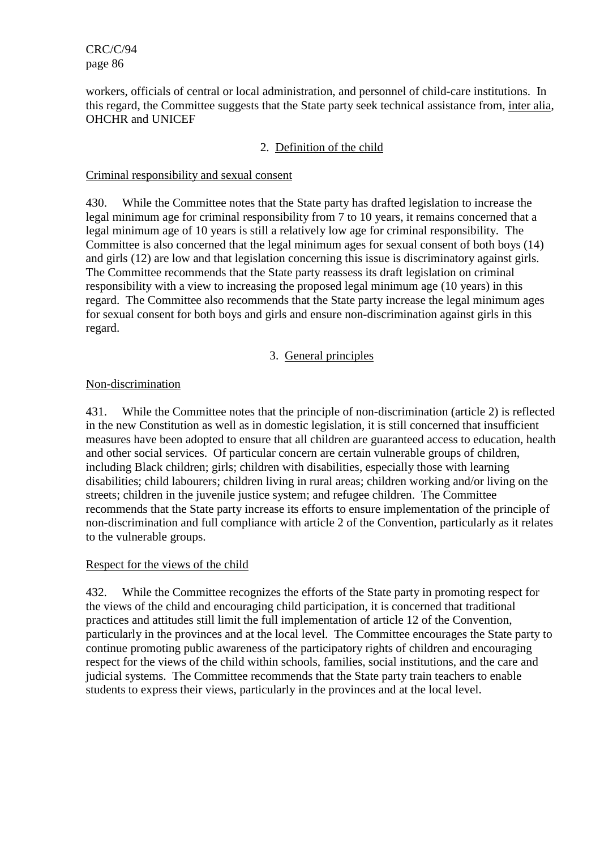workers, officials of central or local administration, and personnel of child-care institutions. In this regard, the Committee suggests that the State party seek technical assistance from, inter alia, OHCHR and UNICEF

## 2. Definition of the child

### Criminal responsibility and sexual consent

430. While the Committee notes that the State party has drafted legislation to increase the legal minimum age for criminal responsibility from 7 to 10 years, it remains concerned that a legal minimum age of 10 years is still a relatively low age for criminal responsibility. The Committee is also concerned that the legal minimum ages for sexual consent of both boys (14) and girls (12) are low and that legislation concerning this issue is discriminatory against girls. The Committee recommends that the State party reassess its draft legislation on criminal responsibility with a view to increasing the proposed legal minimum age (10 years) in this regard. The Committee also recommends that the State party increase the legal minimum ages for sexual consent for both boys and girls and ensure non-discrimination against girls in this regard.

## 3. General principles

### Non-discrimination

431. While the Committee notes that the principle of non-discrimination (article 2) is reflected in the new Constitution as well as in domestic legislation, it is still concerned that insufficient measures have been adopted to ensure that all children are guaranteed access to education, health and other social services. Of particular concern are certain vulnerable groups of children, including Black children; girls; children with disabilities, especially those with learning disabilities; child labourers; children living in rural areas; children working and/or living on the streets; children in the juvenile justice system; and refugee children. The Committee recommends that the State party increase its efforts to ensure implementation of the principle of non-discrimination and full compliance with article 2 of the Convention, particularly as it relates to the vulnerable groups.

#### Respect for the views of the child

432. While the Committee recognizes the efforts of the State party in promoting respect for the views of the child and encouraging child participation, it is concerned that traditional practices and attitudes still limit the full implementation of article 12 of the Convention, particularly in the provinces and at the local level. The Committee encourages the State party to continue promoting public awareness of the participatory rights of children and encouraging respect for the views of the child within schools, families, social institutions, and the care and judicial systems. The Committee recommends that the State party train teachers to enable students to express their views, particularly in the provinces and at the local level.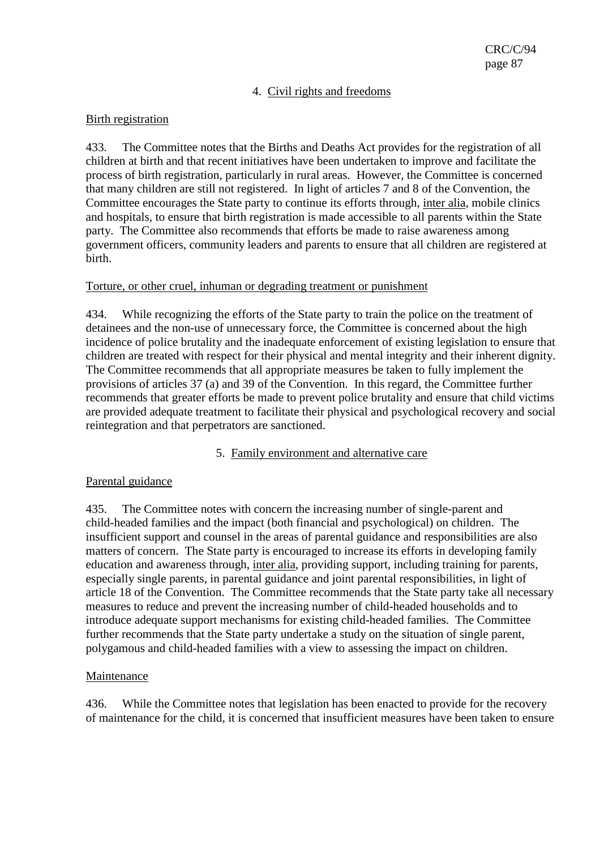## 4. Civil rights and freedoms

### Birth registration

433. The Committee notes that the Births and Deaths Act provides for the registration of all children at birth and that recent initiatives have been undertaken to improve and facilitate the process of birth registration, particularly in rural areas. However, the Committee is concerned that many children are still not registered. In light of articles 7 and 8 of the Convention, the Committee encourages the State party to continue its efforts through, inter alia, mobile clinics and hospitals, to ensure that birth registration is made accessible to all parents within the State party. The Committee also recommends that efforts be made to raise awareness among government officers, community leaders and parents to ensure that all children are registered at birth.

### Torture, or other cruel, inhuman or degrading treatment or punishment

434. While recognizing the efforts of the State party to train the police on the treatment of detainees and the non-use of unnecessary force, the Committee is concerned about the high incidence of police brutality and the inadequate enforcement of existing legislation to ensure that children are treated with respect for their physical and mental integrity and their inherent dignity. The Committee recommends that all appropriate measures be taken to fully implement the provisions of articles 37 (a) and 39 of the Convention. In this regard, the Committee further recommends that greater efforts be made to prevent police brutality and ensure that child victims are provided adequate treatment to facilitate their physical and psychological recovery and social reintegration and that perpetrators are sanctioned.

## 5. Family environment and alternative care

## Parental guidance

435. The Committee notes with concern the increasing number of single-parent and child-headed families and the impact (both financial and psychological) on children. The insufficient support and counsel in the areas of parental guidance and responsibilities are also matters of concern. The State party is encouraged to increase its efforts in developing family education and awareness through, inter alia, providing support, including training for parents, especially single parents, in parental guidance and joint parental responsibilities, in light of article 18 of the Convention. The Committee recommends that the State party take all necessary measures to reduce and prevent the increasing number of child-headed households and to introduce adequate support mechanisms for existing child-headed families. The Committee further recommends that the State party undertake a study on the situation of single parent, polygamous and child-headed families with a view to assessing the impact on children.

## Maintenance

436. While the Committee notes that legislation has been enacted to provide for the recovery of maintenance for the child, it is concerned that insufficient measures have been taken to ensure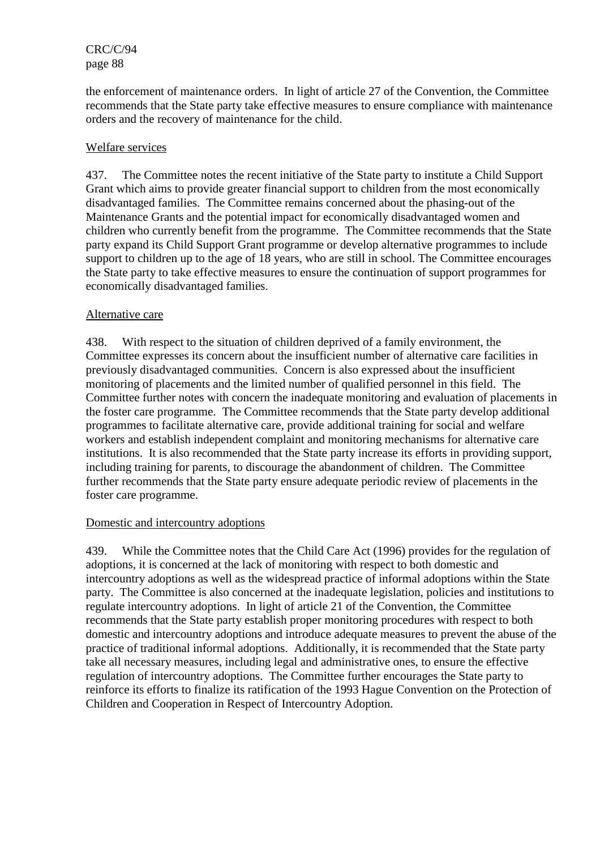the enforcement of maintenance orders. In light of article 27 of the Convention, the Committee recommends that the State party take effective measures to ensure compliance with maintenance orders and the recovery of maintenance for the child.

### Welfare services

437. The Committee notes the recent initiative of the State party to institute a Child Support Grant which aims to provide greater financial support to children from the most economically disadvantaged families. The Committee remains concerned about the phasing-out of the Maintenance Grants and the potential impact for economically disadvantaged women and children who currently benefit from the programme. The Committee recommends that the State party expand its Child Support Grant programme or develop alternative programmes to include support to children up to the age of 18 years, who are still in school. The Committee encourages the State party to take effective measures to ensure the continuation of support programmes for economically disadvantaged families.

### Alternative care

438. With respect to the situation of children deprived of a family environment, the Committee expresses its concern about the insufficient number of alternative care facilities in previously disadvantaged communities. Concern is also expressed about the insufficient monitoring of placements and the limited number of qualified personnel in this field. The Committee further notes with concern the inadequate monitoring and evaluation of placements in the foster care programme. The Committee recommends that the State party develop additional programmes to facilitate alternative care, provide additional training for social and welfare workers and establish independent complaint and monitoring mechanisms for alternative care institutions. It is also recommended that the State party increase its efforts in providing support, including training for parents, to discourage the abandonment of children. The Committee further recommends that the State party ensure adequate periodic review of placements in the foster care programme.

#### Domestic and intercountry adoptions

439. While the Committee notes that the Child Care Act (1996) provides for the regulation of adoptions, it is concerned at the lack of monitoring with respect to both domestic and intercountry adoptions as well as the widespread practice of informal adoptions within the State party. The Committee is also concerned at the inadequate legislation, policies and institutions to regulate intercountry adoptions. In light of article 21 of the Convention, the Committee recommends that the State party establish proper monitoring procedures with respect to both domestic and intercountry adoptions and introduce adequate measures to prevent the abuse of the practice of traditional informal adoptions. Additionally, it is recommended that the State party take all necessary measures, including legal and administrative ones, to ensure the effective regulation of intercountry adoptions. The Committee further encourages the State party to reinforce its efforts to finalize its ratification of the 1993 Hague Convention on the Protection of Children and Cooperation in Respect of Intercountry Adoption.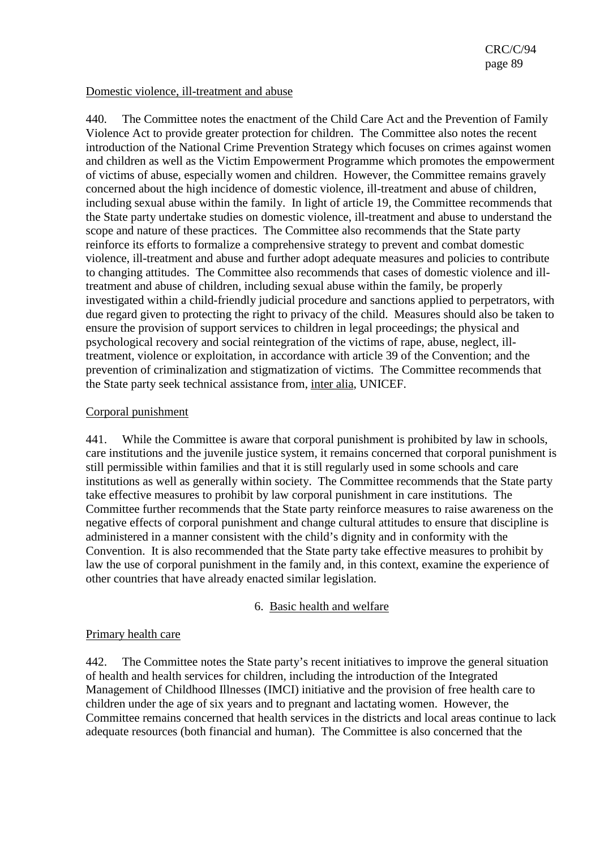### Domestic violence, ill-treatment and abuse

440. The Committee notes the enactment of the Child Care Act and the Prevention of Family Violence Act to provide greater protection for children. The Committee also notes the recent introduction of the National Crime Prevention Strategy which focuses on crimes against women and children as well as the Victim Empowerment Programme which promotes the empowerment of victims of abuse, especially women and children. However, the Committee remains gravely concerned about the high incidence of domestic violence, ill-treatment and abuse of children, including sexual abuse within the family. In light of article 19, the Committee recommends that the State party undertake studies on domestic violence, ill-treatment and abuse to understand the scope and nature of these practices. The Committee also recommends that the State party reinforce its efforts to formalize a comprehensive strategy to prevent and combat domestic violence, ill-treatment and abuse and further adopt adequate measures and policies to contribute to changing attitudes. The Committee also recommends that cases of domestic violence and illtreatment and abuse of children, including sexual abuse within the family, be properly investigated within a child-friendly judicial procedure and sanctions applied to perpetrators, with due regard given to protecting the right to privacy of the child. Measures should also be taken to ensure the provision of support services to children in legal proceedings; the physical and psychological recovery and social reintegration of the victims of rape, abuse, neglect, illtreatment, violence or exploitation, in accordance with article 39 of the Convention; and the prevention of criminalization and stigmatization of victims. The Committee recommends that the State party seek technical assistance from, inter alia, UNICEF.

### Corporal punishment

441. While the Committee is aware that corporal punishment is prohibited by law in schools, care institutions and the juvenile justice system, it remains concerned that corporal punishment is still permissible within families and that it is still regularly used in some schools and care institutions as well as generally within society. The Committee recommends that the State party take effective measures to prohibit by law corporal punishment in care institutions. The Committee further recommends that the State party reinforce measures to raise awareness on the negative effects of corporal punishment and change cultural attitudes to ensure that discipline is administered in a manner consistent with the child's dignity and in conformity with the Convention. It is also recommended that the State party take effective measures to prohibit by law the use of corporal punishment in the family and, in this context, examine the experience of other countries that have already enacted similar legislation.

## 6. Basic health and welfare

#### Primary health care

442. The Committee notes the State party's recent initiatives to improve the general situation of health and health services for children, including the introduction of the Integrated Management of Childhood Illnesses (IMCI) initiative and the provision of free health care to children under the age of six years and to pregnant and lactating women. However, the Committee remains concerned that health services in the districts and local areas continue to lack adequate resources (both financial and human). The Committee is also concerned that the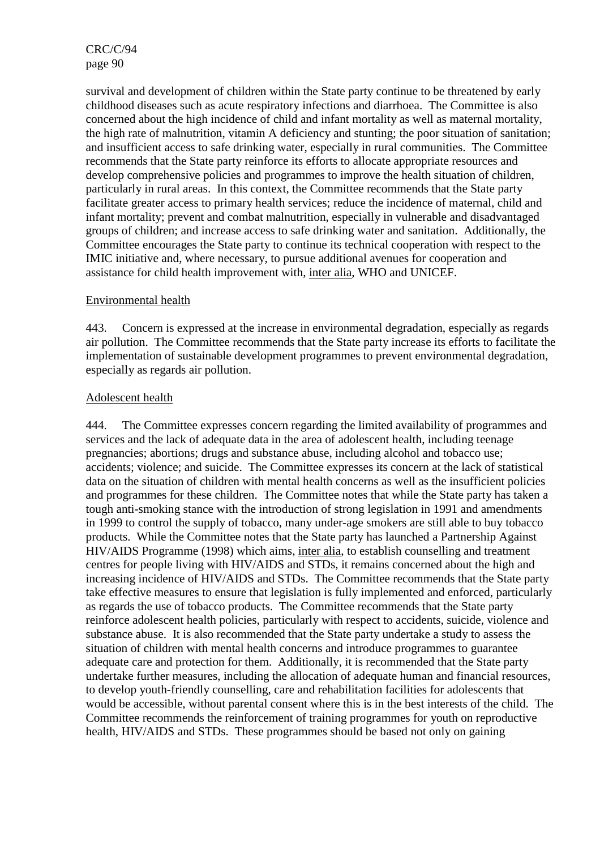survival and development of children within the State party continue to be threatened by early childhood diseases such as acute respiratory infections and diarrhoea. The Committee is also concerned about the high incidence of child and infant mortality as well as maternal mortality, the high rate of malnutrition, vitamin A deficiency and stunting; the poor situation of sanitation; and insufficient access to safe drinking water, especially in rural communities. The Committee recommends that the State party reinforce its efforts to allocate appropriate resources and develop comprehensive policies and programmes to improve the health situation of children, particularly in rural areas. In this context, the Committee recommends that the State party facilitate greater access to primary health services; reduce the incidence of maternal, child and infant mortality; prevent and combat malnutrition, especially in vulnerable and disadvantaged groups of children; and increase access to safe drinking water and sanitation. Additionally, the Committee encourages the State party to continue its technical cooperation with respect to the IMIC initiative and, where necessary, to pursue additional avenues for cooperation and assistance for child health improvement with, inter alia, WHO and UNICEF.

### Environmental health

443. Concern is expressed at the increase in environmental degradation, especially as regards air pollution. The Committee recommends that the State party increase its efforts to facilitate the implementation of sustainable development programmes to prevent environmental degradation, especially as regards air pollution.

### Adolescent health

444. The Committee expresses concern regarding the limited availability of programmes and services and the lack of adequate data in the area of adolescent health, including teenage pregnancies; abortions; drugs and substance abuse, including alcohol and tobacco use; accidents; violence; and suicide. The Committee expresses its concern at the lack of statistical data on the situation of children with mental health concerns as well as the insufficient policies and programmes for these children. The Committee notes that while the State party has taken a tough anti-smoking stance with the introduction of strong legislation in 1991 and amendments in 1999 to control the supply of tobacco, many under-age smokers are still able to buy tobacco products. While the Committee notes that the State party has launched a Partnership Against HIV/AIDS Programme (1998) which aims, inter alia, to establish counselling and treatment centres for people living with HIV/AIDS and STDs, it remains concerned about the high and increasing incidence of HIV/AIDS and STDs. The Committee recommends that the State party take effective measures to ensure that legislation is fully implemented and enforced, particularly as regards the use of tobacco products. The Committee recommends that the State party reinforce adolescent health policies, particularly with respect to accidents, suicide, violence and substance abuse. It is also recommended that the State party undertake a study to assess the situation of children with mental health concerns and introduce programmes to guarantee adequate care and protection for them. Additionally, it is recommended that the State party undertake further measures, including the allocation of adequate human and financial resources, to develop youth-friendly counselling, care and rehabilitation facilities for adolescents that would be accessible, without parental consent where this is in the best interests of the child. The Committee recommends the reinforcement of training programmes for youth on reproductive health, HIV/AIDS and STDs. These programmes should be based not only on gaining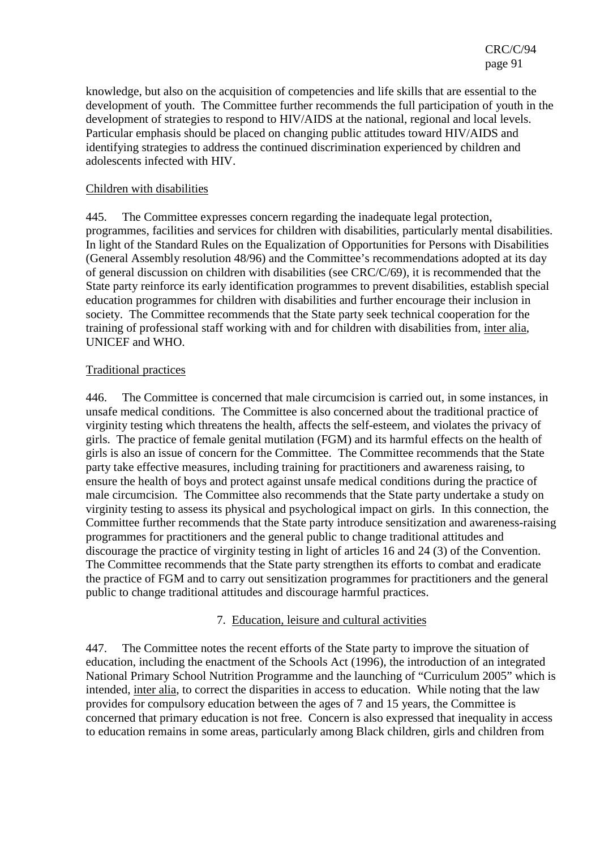knowledge, but also on the acquisition of competencies and life skills that are essential to the development of youth. The Committee further recommends the full participation of youth in the development of strategies to respond to HIV/AIDS at the national, regional and local levels. Particular emphasis should be placed on changing public attitudes toward HIV/AIDS and identifying strategies to address the continued discrimination experienced by children and adolescents infected with HIV.

### Children with disabilities

445. The Committee expresses concern regarding the inadequate legal protection, programmes, facilities and services for children with disabilities, particularly mental disabilities. In light of the Standard Rules on the Equalization of Opportunities for Persons with Disabilities (General Assembly resolution 48/96) and the Committee's recommendations adopted at its day of general discussion on children with disabilities (see CRC/C/69), it is recommended that the State party reinforce its early identification programmes to prevent disabilities, establish special education programmes for children with disabilities and further encourage their inclusion in society. The Committee recommends that the State party seek technical cooperation for the training of professional staff working with and for children with disabilities from, inter alia, UNICEF and WHO.

### Traditional practices

446. The Committee is concerned that male circumcision is carried out, in some instances, in unsafe medical conditions. The Committee is also concerned about the traditional practice of virginity testing which threatens the health, affects the self-esteem, and violates the privacy of girls. The practice of female genital mutilation (FGM) and its harmful effects on the health of girls is also an issue of concern for the Committee. The Committee recommends that the State party take effective measures, including training for practitioners and awareness raising, to ensure the health of boys and protect against unsafe medical conditions during the practice of male circumcision. The Committee also recommends that the State party undertake a study on virginity testing to assess its physical and psychological impact on girls. In this connection, the Committee further recommends that the State party introduce sensitization and awareness-raising programmes for practitioners and the general public to change traditional attitudes and discourage the practice of virginity testing in light of articles 16 and 24 (3) of the Convention. The Committee recommends that the State party strengthen its efforts to combat and eradicate the practice of FGM and to carry out sensitization programmes for practitioners and the general public to change traditional attitudes and discourage harmful practices.

## 7. Education, leisure and cultural activities

447. The Committee notes the recent efforts of the State party to improve the situation of education, including the enactment of the Schools Act (1996), the introduction of an integrated National Primary School Nutrition Programme and the launching of "Curriculum 2005" which is intended, inter alia, to correct the disparities in access to education. While noting that the law provides for compulsory education between the ages of 7 and 15 years, the Committee is concerned that primary education is not free. Concern is also expressed that inequality in access to education remains in some areas, particularly among Black children, girls and children from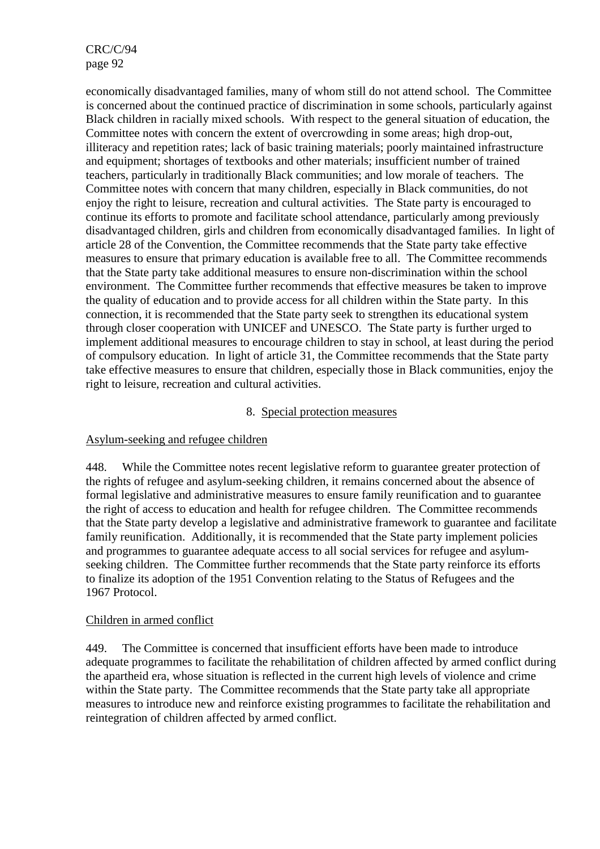economically disadvantaged families, many of whom still do not attend school. The Committee is concerned about the continued practice of discrimination in some schools, particularly against Black children in racially mixed schools. With respect to the general situation of education, the Committee notes with concern the extent of overcrowding in some areas; high drop-out, illiteracy and repetition rates; lack of basic training materials; poorly maintained infrastructure and equipment; shortages of textbooks and other materials; insufficient number of trained teachers, particularly in traditionally Black communities; and low morale of teachers. The Committee notes with concern that many children, especially in Black communities, do not enjoy the right to leisure, recreation and cultural activities. The State party is encouraged to continue its efforts to promote and facilitate school attendance, particularly among previously disadvantaged children, girls and children from economically disadvantaged families. In light of article 28 of the Convention, the Committee recommends that the State party take effective measures to ensure that primary education is available free to all. The Committee recommends that the State party take additional measures to ensure non-discrimination within the school environment. The Committee further recommends that effective measures be taken to improve the quality of education and to provide access for all children within the State party. In this connection, it is recommended that the State party seek to strengthen its educational system through closer cooperation with UNICEF and UNESCO. The State party is further urged to implement additional measures to encourage children to stay in school, at least during the period of compulsory education. In light of article 31, the Committee recommends that the State party take effective measures to ensure that children, especially those in Black communities, enjoy the right to leisure, recreation and cultural activities.

#### 8. Special protection measures

## Asylum-seeking and refugee children

448. While the Committee notes recent legislative reform to guarantee greater protection of the rights of refugee and asylum-seeking children, it remains concerned about the absence of formal legislative and administrative measures to ensure family reunification and to guarantee the right of access to education and health for refugee children. The Committee recommends that the State party develop a legislative and administrative framework to guarantee and facilitate family reunification. Additionally, it is recommended that the State party implement policies and programmes to guarantee adequate access to all social services for refugee and asylumseeking children. The Committee further recommends that the State party reinforce its efforts to finalize its adoption of the 1951 Convention relating to the Status of Refugees and the 1967 Protocol.

## Children in armed conflict

449. The Committee is concerned that insufficient efforts have been made to introduce adequate programmes to facilitate the rehabilitation of children affected by armed conflict during the apartheid era, whose situation is reflected in the current high levels of violence and crime within the State party. The Committee recommends that the State party take all appropriate measures to introduce new and reinforce existing programmes to facilitate the rehabilitation and reintegration of children affected by armed conflict.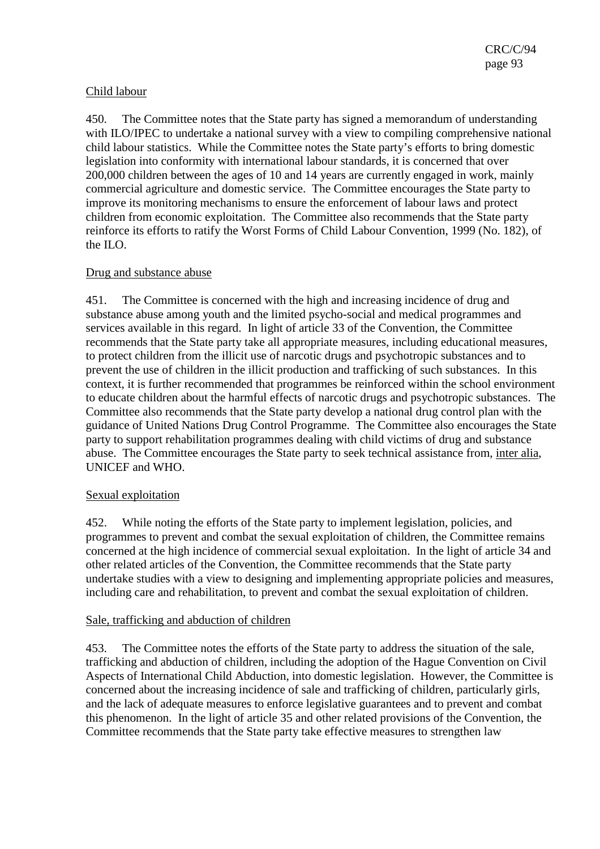## Child labour

450. The Committee notes that the State party has signed a memorandum of understanding with ILO/IPEC to undertake a national survey with a view to compiling comprehensive national child labour statistics. While the Committee notes the State party's efforts to bring domestic legislation into conformity with international labour standards, it is concerned that over 200,000 children between the ages of 10 and 14 years are currently engaged in work, mainly commercial agriculture and domestic service. The Committee encourages the State party to improve its monitoring mechanisms to ensure the enforcement of labour laws and protect children from economic exploitation. The Committee also recommends that the State party reinforce its efforts to ratify the Worst Forms of Child Labour Convention, 1999 (No. 182), of the ILO.

### Drug and substance abuse

451. The Committee is concerned with the high and increasing incidence of drug and substance abuse among youth and the limited psycho-social and medical programmes and services available in this regard. In light of article 33 of the Convention, the Committee recommends that the State party take all appropriate measures, including educational measures, to protect children from the illicit use of narcotic drugs and psychotropic substances and to prevent the use of children in the illicit production and trafficking of such substances. In this context, it is further recommended that programmes be reinforced within the school environment to educate children about the harmful effects of narcotic drugs and psychotropic substances. The Committee also recommends that the State party develop a national drug control plan with the guidance of United Nations Drug Control Programme. The Committee also encourages the State party to support rehabilitation programmes dealing with child victims of drug and substance abuse. The Committee encourages the State party to seek technical assistance from, inter alia, UNICEF and WHO.

#### Sexual exploitation

452. While noting the efforts of the State party to implement legislation, policies, and programmes to prevent and combat the sexual exploitation of children, the Committee remains concerned at the high incidence of commercial sexual exploitation. In the light of article 34 and other related articles of the Convention, the Committee recommends that the State party undertake studies with a view to designing and implementing appropriate policies and measures, including care and rehabilitation, to prevent and combat the sexual exploitation of children.

#### Sale, trafficking and abduction of children

453. The Committee notes the efforts of the State party to address the situation of the sale, trafficking and abduction of children, including the adoption of the Hague Convention on Civil Aspects of International Child Abduction, into domestic legislation. However, the Committee is concerned about the increasing incidence of sale and trafficking of children, particularly girls, and the lack of adequate measures to enforce legislative guarantees and to prevent and combat this phenomenon. In the light of article 35 and other related provisions of the Convention, the Committee recommends that the State party take effective measures to strengthen law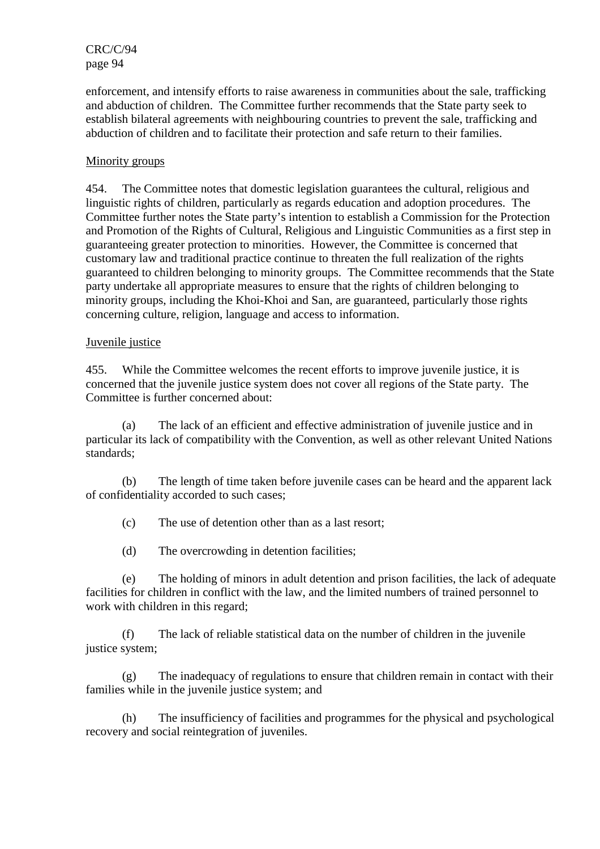enforcement, and intensify efforts to raise awareness in communities about the sale, trafficking and abduction of children. The Committee further recommends that the State party seek to establish bilateral agreements with neighbouring countries to prevent the sale, trafficking and abduction of children and to facilitate their protection and safe return to their families.

## Minority groups

454. The Committee notes that domestic legislation guarantees the cultural, religious and linguistic rights of children, particularly as regards education and adoption procedures. The Committee further notes the State party's intention to establish a Commission for the Protection and Promotion of the Rights of Cultural, Religious and Linguistic Communities as a first step in guaranteeing greater protection to minorities. However, the Committee is concerned that customary law and traditional practice continue to threaten the full realization of the rights guaranteed to children belonging to minority groups. The Committee recommends that the State party undertake all appropriate measures to ensure that the rights of children belonging to minority groups, including the Khoi-Khoi and San, are guaranteed, particularly those rights concerning culture, religion, language and access to information.

### Juvenile justice

455. While the Committee welcomes the recent efforts to improve juvenile justice, it is concerned that the juvenile justice system does not cover all regions of the State party. The Committee is further concerned about:

(a) The lack of an efficient and effective administration of juvenile justice and in particular its lack of compatibility with the Convention, as well as other relevant United Nations standards;

(b) The length of time taken before juvenile cases can be heard and the apparent lack of confidentiality accorded to such cases;

(c) The use of detention other than as a last resort;

(d) The overcrowding in detention facilities;

(e) The holding of minors in adult detention and prison facilities, the lack of adequate facilities for children in conflict with the law, and the limited numbers of trained personnel to work with children in this regard;

(f) The lack of reliable statistical data on the number of children in the juvenile justice system;

(g) The inadequacy of regulations to ensure that children remain in contact with their families while in the juvenile justice system; and

(h) The insufficiency of facilities and programmes for the physical and psychological recovery and social reintegration of juveniles.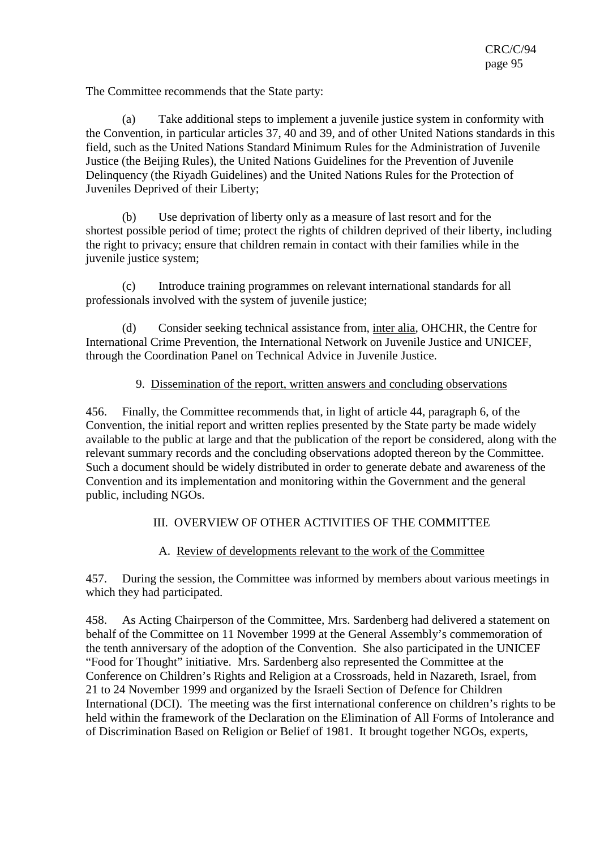The Committee recommends that the State party:

(a) Take additional steps to implement a juvenile justice system in conformity with the Convention, in particular articles 37, 40 and 39, and of other United Nations standards in this field, such as the United Nations Standard Minimum Rules for the Administration of Juvenile Justice (the Beijing Rules), the United Nations Guidelines for the Prevention of Juvenile Delinquency (the Riyadh Guidelines) and the United Nations Rules for the Protection of Juveniles Deprived of their Liberty;

(b) Use deprivation of liberty only as a measure of last resort and for the shortest possible period of time; protect the rights of children deprived of their liberty, including the right to privacy; ensure that children remain in contact with their families while in the juvenile justice system;

(c) Introduce training programmes on relevant international standards for all professionals involved with the system of juvenile justice;

(d) Consider seeking technical assistance from, inter alia, OHCHR, the Centre for International Crime Prevention, the International Network on Juvenile Justice and UNICEF, through the Coordination Panel on Technical Advice in Juvenile Justice.

## 9. Dissemination of the report, written answers and concluding observations

456. Finally, the Committee recommends that, in light of article 44, paragraph 6, of the Convention, the initial report and written replies presented by the State party be made widely available to the public at large and that the publication of the report be considered, along with the relevant summary records and the concluding observations adopted thereon by the Committee. Such a document should be widely distributed in order to generate debate and awareness of the Convention and its implementation and monitoring within the Government and the general public, including NGOs.

# III. OVERVIEW OF OTHER ACTIVITIES OF THE COMMITTEE

## A. Review of developments relevant to the work of the Committee

457. During the session, the Committee was informed by members about various meetings in which they had participated.

458. As Acting Chairperson of the Committee, Mrs. Sardenberg had delivered a statement on behalf of the Committee on 11 November 1999 at the General Assembly's commemoration of the tenth anniversary of the adoption of the Convention. She also participated in the UNICEF "Food for Thought" initiative. Mrs. Sardenberg also represented the Committee at the Conference on Children's Rights and Religion at a Crossroads, held in Nazareth, Israel, from 21 to 24 November 1999 and organized by the Israeli Section of Defence for Children International (DCI). The meeting was the first international conference on children's rights to be held within the framework of the Declaration on the Elimination of All Forms of Intolerance and of Discrimination Based on Religion or Belief of 1981. It brought together NGOs, experts,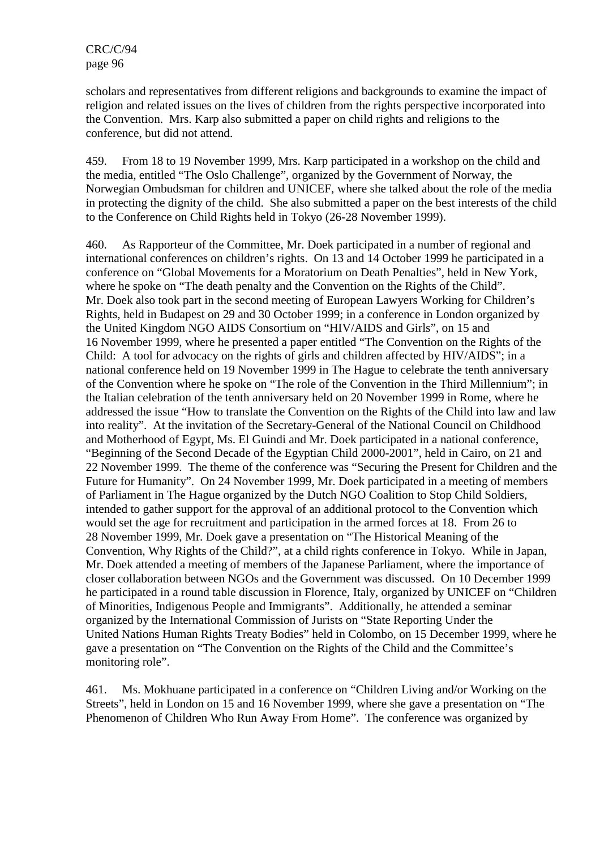scholars and representatives from different religions and backgrounds to examine the impact of religion and related issues on the lives of children from the rights perspective incorporated into the Convention. Mrs. Karp also submitted a paper on child rights and religions to the conference, but did not attend.

459. From 18 to 19 November 1999, Mrs. Karp participated in a workshop on the child and the media, entitled "The Oslo Challenge", organized by the Government of Norway, the Norwegian Ombudsman for children and UNICEF, where she talked about the role of the media in protecting the dignity of the child. She also submitted a paper on the best interests of the child to the Conference on Child Rights held in Tokyo (26-28 November 1999).

460. As Rapporteur of the Committee, Mr. Doek participated in a number of regional and international conferences on children's rights. On 13 and 14 October 1999 he participated in a conference on "Global Movements for a Moratorium on Death Penalties", held in New York, where he spoke on "The death penalty and the Convention on the Rights of the Child". Mr. Doek also took part in the second meeting of European Lawyers Working for Children's Rights, held in Budapest on 29 and 30 October 1999; in a conference in London organized by the United Kingdom NGO AIDS Consortium on "HIV/AIDS and Girls", on 15 and 16 November 1999, where he presented a paper entitled "The Convention on the Rights of the Child: A tool for advocacy on the rights of girls and children affected by HIV/AIDS"; in a national conference held on 19 November 1999 in The Hague to celebrate the tenth anniversary of the Convention where he spoke on "The role of the Convention in the Third Millennium"; in the Italian celebration of the tenth anniversary held on 20 November 1999 in Rome, where he addressed the issue "How to translate the Convention on the Rights of the Child into law and law into reality". At the invitation of the Secretary-General of the National Council on Childhood and Motherhood of Egypt, Ms. El Guindi and Mr. Doek participated in a national conference, "Beginning of the Second Decade of the Egyptian Child 2000-2001", held in Cairo, on 21 and 22 November 1999. The theme of the conference was "Securing the Present for Children and the Future for Humanity". On 24 November 1999, Mr. Doek participated in a meeting of members of Parliament in The Hague organized by the Dutch NGO Coalition to Stop Child Soldiers, intended to gather support for the approval of an additional protocol to the Convention which would set the age for recruitment and participation in the armed forces at 18. From 26 to 28 November 1999, Mr. Doek gave a presentation on "The Historical Meaning of the Convention, Why Rights of the Child?", at a child rights conference in Tokyo. While in Japan, Mr. Doek attended a meeting of members of the Japanese Parliament, where the importance of closer collaboration between NGOs and the Government was discussed. On 10 December 1999 he participated in a round table discussion in Florence, Italy, organized by UNICEF on "Children of Minorities, Indigenous People and Immigrants". Additionally, he attended a seminar organized by the International Commission of Jurists on "State Reporting Under the United Nations Human Rights Treaty Bodies" held in Colombo, on 15 December 1999, where he gave a presentation on "The Convention on the Rights of the Child and the Committee's monitoring role".

461. Ms. Mokhuane participated in a conference on "Children Living and/or Working on the Streets", held in London on 15 and 16 November 1999, where she gave a presentation on "The Phenomenon of Children Who Run Away From Home". The conference was organized by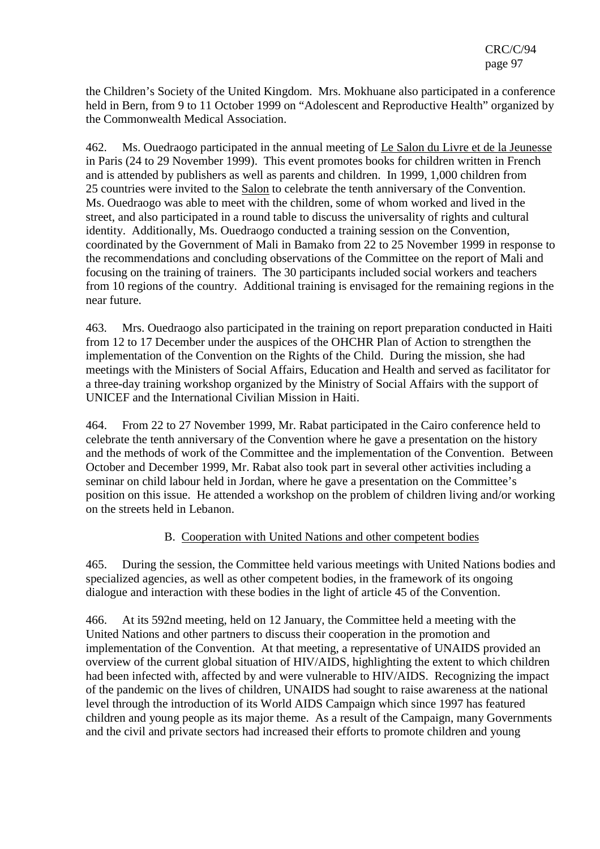the Children's Society of the United Kingdom. Mrs. Mokhuane also participated in a conference held in Bern, from 9 to 11 October 1999 on "Adolescent and Reproductive Health" organized by the Commonwealth Medical Association.

462. Ms. Ouedraogo participated in the annual meeting of Le Salon du Livre et de la Jeunesse in Paris (24 to 29 November 1999). This event promotes books for children written in French and is attended by publishers as well as parents and children. In 1999, 1,000 children from 25 countries were invited to the Salon to celebrate the tenth anniversary of the Convention. Ms. Ouedraogo was able to meet with the children, some of whom worked and lived in the street, and also participated in a round table to discuss the universality of rights and cultural identity. Additionally, Ms. Ouedraogo conducted a training session on the Convention, coordinated by the Government of Mali in Bamako from 22 to 25 November 1999 in response to the recommendations and concluding observations of the Committee on the report of Mali and focusing on the training of trainers. The 30 participants included social workers and teachers from 10 regions of the country. Additional training is envisaged for the remaining regions in the near future.

463. Mrs. Ouedraogo also participated in the training on report preparation conducted in Haiti from 12 to 17 December under the auspices of the OHCHR Plan of Action to strengthen the implementation of the Convention on the Rights of the Child. During the mission, she had meetings with the Ministers of Social Affairs, Education and Health and served as facilitator for a three-day training workshop organized by the Ministry of Social Affairs with the support of UNICEF and the International Civilian Mission in Haiti.

464. From 22 to 27 November 1999, Mr. Rabat participated in the Cairo conference held to celebrate the tenth anniversary of the Convention where he gave a presentation on the history and the methods of work of the Committee and the implementation of the Convention. Between October and December 1999, Mr. Rabat also took part in several other activities including a seminar on child labour held in Jordan, where he gave a presentation on the Committee's position on this issue. He attended a workshop on the problem of children living and/or working on the streets held in Lebanon.

## B. Cooperation with United Nations and other competent bodies

465. During the session, the Committee held various meetings with United Nations bodies and specialized agencies, as well as other competent bodies, in the framework of its ongoing dialogue and interaction with these bodies in the light of article 45 of the Convention.

466. At its 592nd meeting, held on 12 January, the Committee held a meeting with the United Nations and other partners to discuss their cooperation in the promotion and implementation of the Convention. At that meeting, a representative of UNAIDS provided an overview of the current global situation of HIV/AIDS, highlighting the extent to which children had been infected with, affected by and were vulnerable to HIV/AIDS. Recognizing the impact of the pandemic on the lives of children, UNAIDS had sought to raise awareness at the national level through the introduction of its World AIDS Campaign which since 1997 has featured children and young people as its major theme. As a result of the Campaign, many Governments and the civil and private sectors had increased their efforts to promote children and young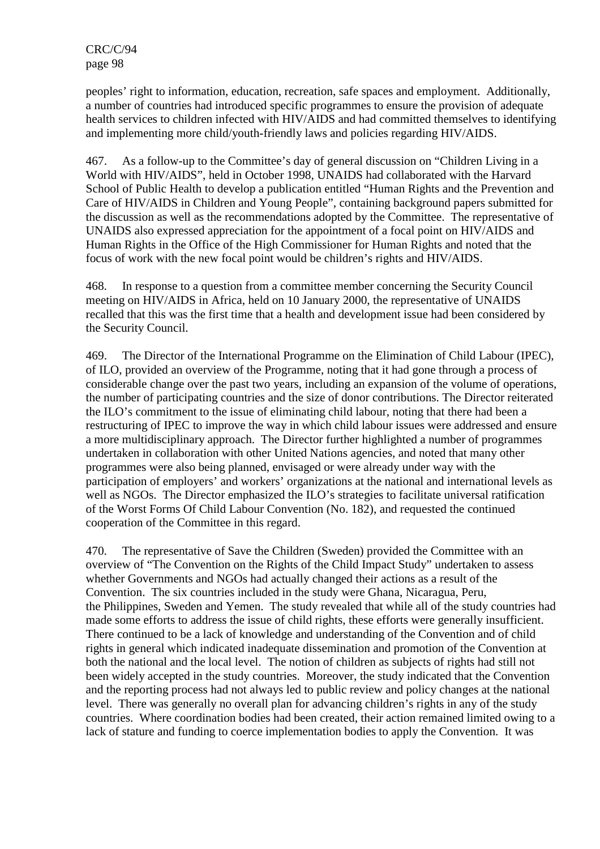peoples' right to information, education, recreation, safe spaces and employment. Additionally, a number of countries had introduced specific programmes to ensure the provision of adequate health services to children infected with HIV/AIDS and had committed themselves to identifying and implementing more child/youth-friendly laws and policies regarding HIV/AIDS.

467. As a follow-up to the Committee's day of general discussion on "Children Living in a World with HIV/AIDS", held in October 1998, UNAIDS had collaborated with the Harvard School of Public Health to develop a publication entitled "Human Rights and the Prevention and Care of HIV/AIDS in Children and Young People", containing background papers submitted for the discussion as well as the recommendations adopted by the Committee. The representative of UNAIDS also expressed appreciation for the appointment of a focal point on HIV/AIDS and Human Rights in the Office of the High Commissioner for Human Rights and noted that the focus of work with the new focal point would be children's rights and HIV/AIDS.

468. In response to a question from a committee member concerning the Security Council meeting on HIV/AIDS in Africa, held on 10 January 2000, the representative of UNAIDS recalled that this was the first time that a health and development issue had been considered by the Security Council.

469. The Director of the International Programme on the Elimination of Child Labour (IPEC), of ILO, provided an overview of the Programme, noting that it had gone through a process of considerable change over the past two years, including an expansion of the volume of operations, the number of participating countries and the size of donor contributions. The Director reiterated the ILO's commitment to the issue of eliminating child labour, noting that there had been a restructuring of IPEC to improve the way in which child labour issues were addressed and ensure a more multidisciplinary approach. The Director further highlighted a number of programmes undertaken in collaboration with other United Nations agencies, and noted that many other programmes were also being planned, envisaged or were already under way with the participation of employers' and workers' organizations at the national and international levels as well as NGOs. The Director emphasized the ILO's strategies to facilitate universal ratification of the Worst Forms Of Child Labour Convention (No. 182), and requested the continued cooperation of the Committee in this regard.

470. The representative of Save the Children (Sweden) provided the Committee with an overview of "The Convention on the Rights of the Child Impact Study" undertaken to assess whether Governments and NGOs had actually changed their actions as a result of the Convention. The six countries included in the study were Ghana, Nicaragua, Peru, the Philippines, Sweden and Yemen. The study revealed that while all of the study countries had made some efforts to address the issue of child rights, these efforts were generally insufficient. There continued to be a lack of knowledge and understanding of the Convention and of child rights in general which indicated inadequate dissemination and promotion of the Convention at both the national and the local level. The notion of children as subjects of rights had still not been widely accepted in the study countries. Moreover, the study indicated that the Convention and the reporting process had not always led to public review and policy changes at the national level. There was generally no overall plan for advancing children's rights in any of the study countries. Where coordination bodies had been created, their action remained limited owing to a lack of stature and funding to coerce implementation bodies to apply the Convention. It was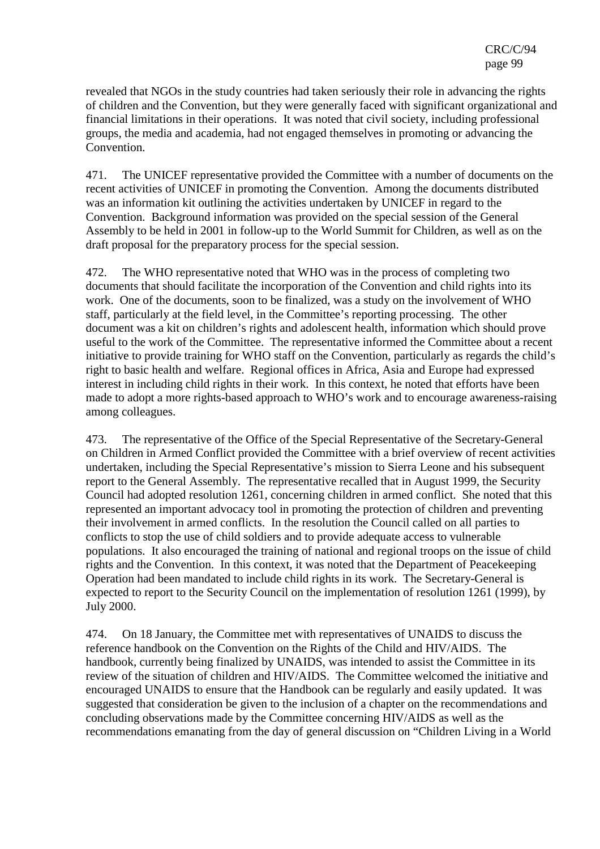revealed that NGOs in the study countries had taken seriously their role in advancing the rights of children and the Convention, but they were generally faced with significant organizational and financial limitations in their operations. It was noted that civil society, including professional groups, the media and academia, had not engaged themselves in promoting or advancing the Convention.

471. The UNICEF representative provided the Committee with a number of documents on the recent activities of UNICEF in promoting the Convention. Among the documents distributed was an information kit outlining the activities undertaken by UNICEF in regard to the Convention. Background information was provided on the special session of the General Assembly to be held in 2001 in follow-up to the World Summit for Children, as well as on the draft proposal for the preparatory process for the special session.

472. The WHO representative noted that WHO was in the process of completing two documents that should facilitate the incorporation of the Convention and child rights into its work. One of the documents, soon to be finalized, was a study on the involvement of WHO staff, particularly at the field level, in the Committee's reporting processing. The other document was a kit on children's rights and adolescent health, information which should prove useful to the work of the Committee. The representative informed the Committee about a recent initiative to provide training for WHO staff on the Convention, particularly as regards the child's right to basic health and welfare. Regional offices in Africa, Asia and Europe had expressed interest in including child rights in their work. In this context, he noted that efforts have been made to adopt a more rights-based approach to WHO's work and to encourage awareness-raising among colleagues.

473. The representative of the Office of the Special Representative of the Secretary-General on Children in Armed Conflict provided the Committee with a brief overview of recent activities undertaken, including the Special Representative's mission to Sierra Leone and his subsequent report to the General Assembly. The representative recalled that in August 1999, the Security Council had adopted resolution 1261, concerning children in armed conflict. She noted that this represented an important advocacy tool in promoting the protection of children and preventing their involvement in armed conflicts. In the resolution the Council called on all parties to conflicts to stop the use of child soldiers and to provide adequate access to vulnerable populations. It also encouraged the training of national and regional troops on the issue of child rights and the Convention. In this context, it was noted that the Department of Peacekeeping Operation had been mandated to include child rights in its work. The Secretary-General is expected to report to the Security Council on the implementation of resolution 1261 (1999), by July 2000.

474. On 18 January, the Committee met with representatives of UNAIDS to discuss the reference handbook on the Convention on the Rights of the Child and HIV/AIDS. The handbook, currently being finalized by UNAIDS, was intended to assist the Committee in its review of the situation of children and HIV/AIDS. The Committee welcomed the initiative and encouraged UNAIDS to ensure that the Handbook can be regularly and easily updated. It was suggested that consideration be given to the inclusion of a chapter on the recommendations and concluding observations made by the Committee concerning HIV/AIDS as well as the recommendations emanating from the day of general discussion on "Children Living in a World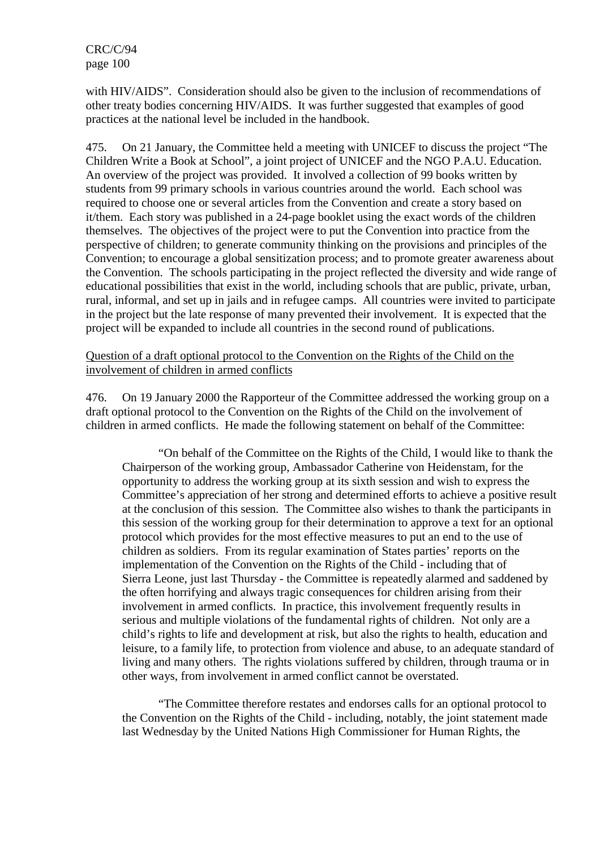with HIV/AIDS". Consideration should also be given to the inclusion of recommendations of other treaty bodies concerning HIV/AIDS. It was further suggested that examples of good practices at the national level be included in the handbook.

475. On 21 January, the Committee held a meeting with UNICEF to discuss the project "The Children Write a Book at School", a joint project of UNICEF and the NGO P.A.U. Education. An overview of the project was provided. It involved a collection of 99 books written by students from 99 primary schools in various countries around the world. Each school was required to choose one or several articles from the Convention and create a story based on it/them. Each story was published in a 24-page booklet using the exact words of the children themselves. The objectives of the project were to put the Convention into practice from the perspective of children; to generate community thinking on the provisions and principles of the Convention; to encourage a global sensitization process; and to promote greater awareness about the Convention. The schools participating in the project reflected the diversity and wide range of educational possibilities that exist in the world, including schools that are public, private, urban, rural, informal, and set up in jails and in refugee camps. All countries were invited to participate in the project but the late response of many prevented their involvement. It is expected that the project will be expanded to include all countries in the second round of publications.

### Question of a draft optional protocol to the Convention on the Rights of the Child on the involvement of children in armed conflicts

476. On 19 January 2000 the Rapporteur of the Committee addressed the working group on a draft optional protocol to the Convention on the Rights of the Child on the involvement of children in armed conflicts. He made the following statement on behalf of the Committee:

"On behalf of the Committee on the Rights of the Child, I would like to thank the Chairperson of the working group, Ambassador Catherine von Heidenstam, for the opportunity to address the working group at its sixth session and wish to express the Committee's appreciation of her strong and determined efforts to achieve a positive result at the conclusion of this session. The Committee also wishes to thank the participants in this session of the working group for their determination to approve a text for an optional protocol which provides for the most effective measures to put an end to the use of children as soldiers. From its regular examination of States parties' reports on the implementation of the Convention on the Rights of the Child - including that of Sierra Leone, just last Thursday - the Committee is repeatedly alarmed and saddened by the often horrifying and always tragic consequences for children arising from their involvement in armed conflicts. In practice, this involvement frequently results in serious and multiple violations of the fundamental rights of children. Not only are a child's rights to life and development at risk, but also the rights to health, education and leisure, to a family life, to protection from violence and abuse, to an adequate standard of living and many others. The rights violations suffered by children, through trauma or in other ways, from involvement in armed conflict cannot be overstated.

"The Committee therefore restates and endorses calls for an optional protocol to the Convention on the Rights of the Child - including, notably, the joint statement made last Wednesday by the United Nations High Commissioner for Human Rights, the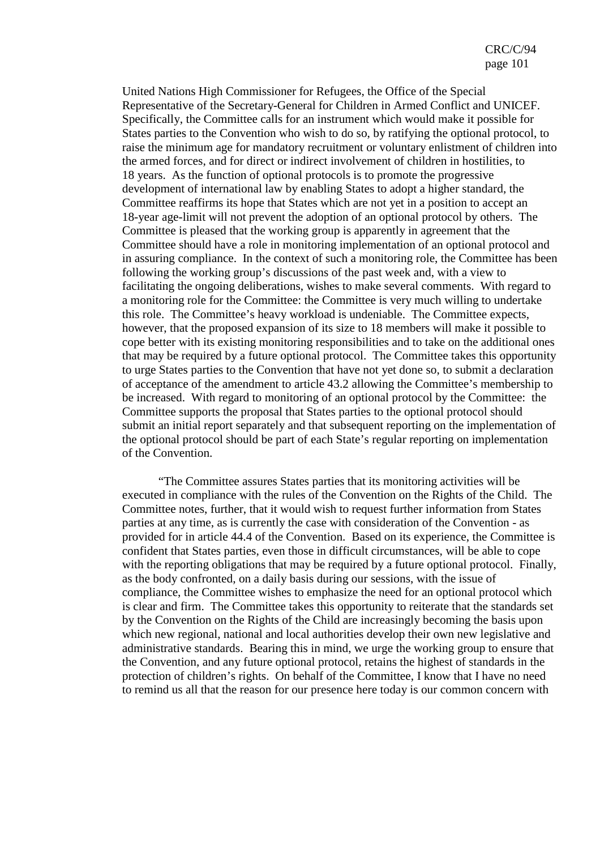United Nations High Commissioner for Refugees, the Office of the Special Representative of the Secretary-General for Children in Armed Conflict and UNICEF. Specifically, the Committee calls for an instrument which would make it possible for States parties to the Convention who wish to do so, by ratifying the optional protocol, to raise the minimum age for mandatory recruitment or voluntary enlistment of children into the armed forces, and for direct or indirect involvement of children in hostilities, to 18 years. As the function of optional protocols is to promote the progressive development of international law by enabling States to adopt a higher standard, the Committee reaffirms its hope that States which are not yet in a position to accept an 18-year age-limit will not prevent the adoption of an optional protocol by others. The Committee is pleased that the working group is apparently in agreement that the Committee should have a role in monitoring implementation of an optional protocol and in assuring compliance. In the context of such a monitoring role, the Committee has been following the working group's discussions of the past week and, with a view to facilitating the ongoing deliberations, wishes to make several comments. With regard to a monitoring role for the Committee: the Committee is very much willing to undertake this role. The Committee's heavy workload is undeniable. The Committee expects, however, that the proposed expansion of its size to 18 members will make it possible to cope better with its existing monitoring responsibilities and to take on the additional ones that may be required by a future optional protocol. The Committee takes this opportunity to urge States parties to the Convention that have not yet done so, to submit a declaration of acceptance of the amendment to article 43.2 allowing the Committee's membership to be increased. With regard to monitoring of an optional protocol by the Committee: the Committee supports the proposal that States parties to the optional protocol should submit an initial report separately and that subsequent reporting on the implementation of the optional protocol should be part of each State's regular reporting on implementation of the Convention.

"The Committee assures States parties that its monitoring activities will be executed in compliance with the rules of the Convention on the Rights of the Child. The Committee notes, further, that it would wish to request further information from States parties at any time, as is currently the case with consideration of the Convention - as provided for in article 44.4 of the Convention. Based on its experience, the Committee is confident that States parties, even those in difficult circumstances, will be able to cope with the reporting obligations that may be required by a future optional protocol. Finally, as the body confronted, on a daily basis during our sessions, with the issue of compliance, the Committee wishes to emphasize the need for an optional protocol which is clear and firm. The Committee takes this opportunity to reiterate that the standards set by the Convention on the Rights of the Child are increasingly becoming the basis upon which new regional, national and local authorities develop their own new legislative and administrative standards. Bearing this in mind, we urge the working group to ensure that the Convention, and any future optional protocol, retains the highest of standards in the protection of children's rights. On behalf of the Committee, I know that I have no need to remind us all that the reason for our presence here today is our common concern with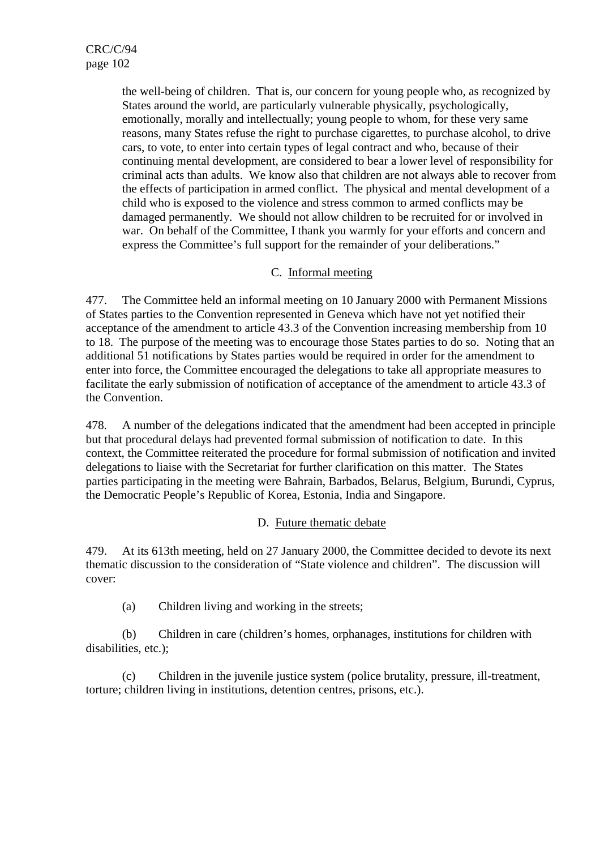the well-being of children. That is, our concern for young people who, as recognized by States around the world, are particularly vulnerable physically, psychologically, emotionally, morally and intellectually; young people to whom, for these very same reasons, many States refuse the right to purchase cigarettes, to purchase alcohol, to drive cars, to vote, to enter into certain types of legal contract and who, because of their continuing mental development, are considered to bear a lower level of responsibility for criminal acts than adults. We know also that children are not always able to recover from the effects of participation in armed conflict. The physical and mental development of a child who is exposed to the violence and stress common to armed conflicts may be damaged permanently. We should not allow children to be recruited for or involved in war. On behalf of the Committee, I thank you warmly for your efforts and concern and express the Committee's full support for the remainder of your deliberations."

## C. Informal meeting

477. The Committee held an informal meeting on 10 January 2000 with Permanent Missions of States parties to the Convention represented in Geneva which have not yet notified their acceptance of the amendment to article 43.3 of the Convention increasing membership from 10 to 18. The purpose of the meeting was to encourage those States parties to do so. Noting that an additional 51 notifications by States parties would be required in order for the amendment to enter into force, the Committee encouraged the delegations to take all appropriate measures to facilitate the early submission of notification of acceptance of the amendment to article 43.3 of the Convention.

478. A number of the delegations indicated that the amendment had been accepted in principle but that procedural delays had prevented formal submission of notification to date. In this context, the Committee reiterated the procedure for formal submission of notification and invited delegations to liaise with the Secretariat for further clarification on this matter. The States parties participating in the meeting were Bahrain, Barbados, Belarus, Belgium, Burundi, Cyprus, the Democratic People's Republic of Korea, Estonia, India and Singapore.

## D. Future thematic debate

479. At its 613th meeting, held on 27 January 2000, the Committee decided to devote its next thematic discussion to the consideration of "State violence and children". The discussion will cover:

(a) Children living and working in the streets;

(b) Children in care (children's homes, orphanages, institutions for children with disabilities, etc.);

(c) Children in the juvenile justice system (police brutality, pressure, ill-treatment, torture; children living in institutions, detention centres, prisons, etc.).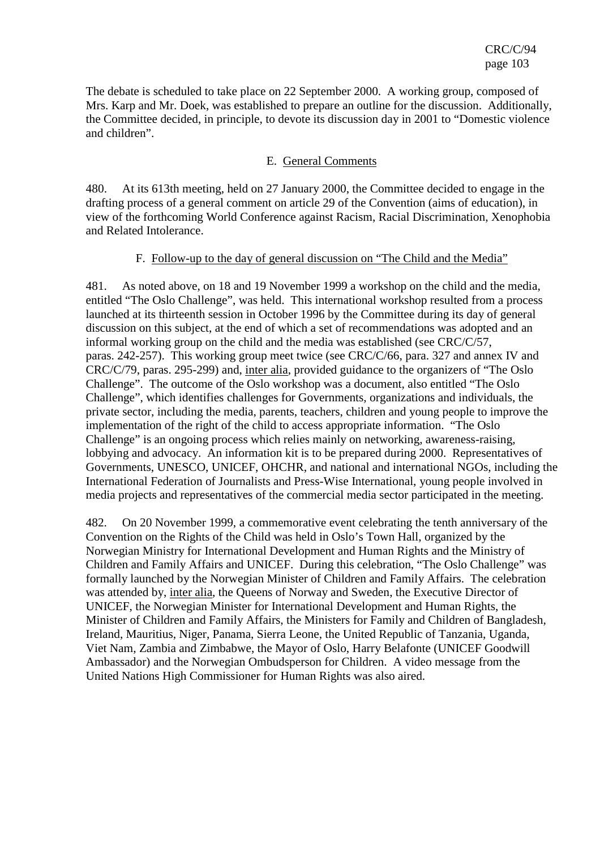The debate is scheduled to take place on 22 September 2000. A working group, composed of Mrs. Karp and Mr. Doek, was established to prepare an outline for the discussion. Additionally, the Committee decided, in principle, to devote its discussion day in 2001 to "Domestic violence and children".

### E. General Comments

480. At its 613th meeting, held on 27 January 2000, the Committee decided to engage in the drafting process of a general comment on article 29 of the Convention (aims of education), in view of the forthcoming World Conference against Racism, Racial Discrimination, Xenophobia and Related Intolerance.

### F. Follow-up to the day of general discussion on "The Child and the Media"

481. As noted above, on 18 and 19 November 1999 a workshop on the child and the media, entitled "The Oslo Challenge", was held. This international workshop resulted from a process launched at its thirteenth session in October 1996 by the Committee during its day of general discussion on this subject, at the end of which a set of recommendations was adopted and an informal working group on the child and the media was established (see CRC/C/57, paras. 242-257). This working group meet twice (see CRC/C/66, para. 327 and annex IV and CRC/C/79, paras. 295-299) and, inter alia, provided guidance to the organizers of "The Oslo Challenge". The outcome of the Oslo workshop was a document, also entitled "The Oslo Challenge", which identifies challenges for Governments, organizations and individuals, the private sector, including the media, parents, teachers, children and young people to improve the implementation of the right of the child to access appropriate information. "The Oslo Challenge" is an ongoing process which relies mainly on networking, awareness-raising, lobbying and advocacy. An information kit is to be prepared during 2000. Representatives of Governments, UNESCO, UNICEF, OHCHR, and national and international NGOs, including the International Federation of Journalists and Press-Wise International, young people involved in media projects and representatives of the commercial media sector participated in the meeting.

482. On 20 November 1999, a commemorative event celebrating the tenth anniversary of the Convention on the Rights of the Child was held in Oslo's Town Hall, organized by the Norwegian Ministry for International Development and Human Rights and the Ministry of Children and Family Affairs and UNICEF. During this celebration, "The Oslo Challenge" was formally launched by the Norwegian Minister of Children and Family Affairs. The celebration was attended by, inter alia, the Queens of Norway and Sweden, the Executive Director of UNICEF, the Norwegian Minister for International Development and Human Rights, the Minister of Children and Family Affairs, the Ministers for Family and Children of Bangladesh, Ireland, Mauritius, Niger, Panama, Sierra Leone, the United Republic of Tanzania, Uganda, Viet Nam, Zambia and Zimbabwe, the Mayor of Oslo, Harry Belafonte (UNICEF Goodwill Ambassador) and the Norwegian Ombudsperson for Children. A video message from the United Nations High Commissioner for Human Rights was also aired.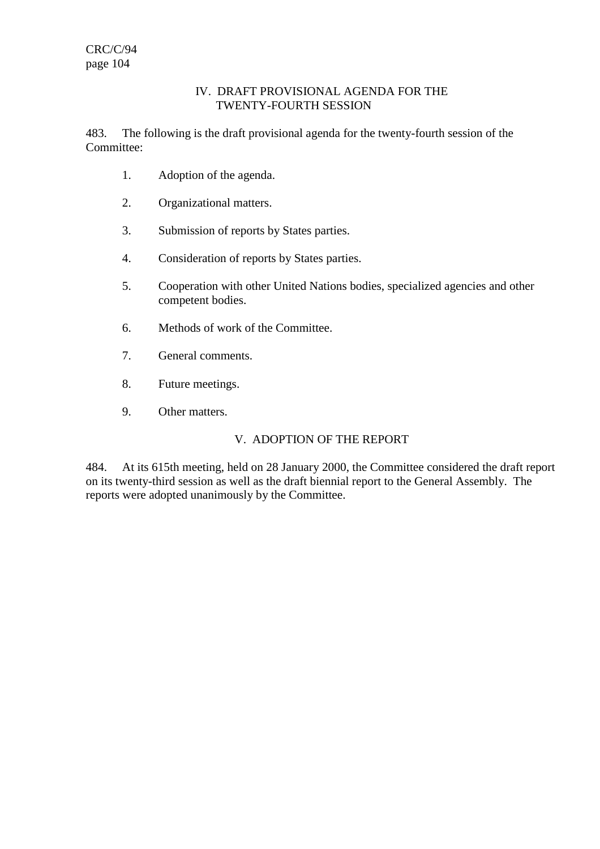### IV. DRAFT PROVISIONAL AGENDA FOR THE TWENTY-FOURTH SESSION

483. The following is the draft provisional agenda for the twenty-fourth session of the Committee:

- 1. Adoption of the agenda.
- 2. Organizational matters.
- 3. Submission of reports by States parties.
- 4. Consideration of reports by States parties.
- 5. Cooperation with other United Nations bodies, specialized agencies and other competent bodies.
- 6. Methods of work of the Committee.
- 7. General comments.
- 8. Future meetings.
- 9. Other matters.

# V. ADOPTION OF THE REPORT

484. At its 615th meeting, held on 28 January 2000, the Committee considered the draft report on its twenty-third session as well as the draft biennial report to the General Assembly. The reports were adopted unanimously by the Committee.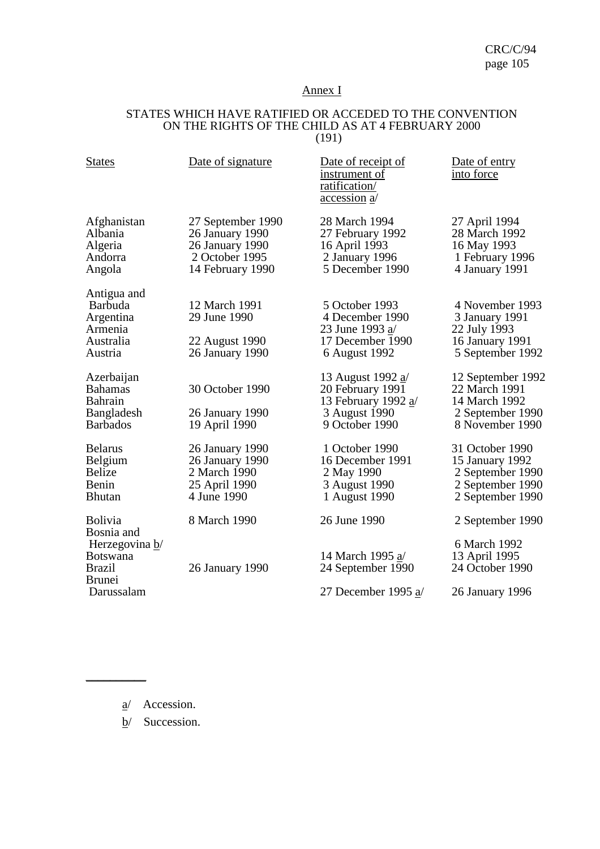## Annex I

#### STATES WHICH HAVE RATIFIED OR ACCEDED TO THE CONVENTION ON THE RIGHTS OF THE CHILD AS AT 4 FEBRUARY 2000 (191)

| <b>States</b>                                                                     | Date of signature                                                                             | Date of receipt of<br>instrument of<br>ratification/<br><u>accession</u> a                      | Date of entry<br>into force                                                                    |
|-----------------------------------------------------------------------------------|-----------------------------------------------------------------------------------------------|-------------------------------------------------------------------------------------------------|------------------------------------------------------------------------------------------------|
| Afghanistan<br>Albania<br>Algeria<br>Andorra<br>Angola                            | 27 September 1990<br>26 January 1990<br>26 January 1990<br>2 October 1995<br>14 February 1990 | 28 March 1994<br>27 February 1992<br>16 April 1993<br>2 January 1996<br>5 December 1990         | 27 April 1994<br>28 March 1992<br>16 May 1993<br>1 February 1996<br>4 January 1991             |
| Antigua and<br><b>Barbuda</b><br>Argentina<br>Armenia<br>Australia<br>Austria     | 12 March 1991<br>29 June 1990<br>22 August 1990<br>26 January 1990                            | 5 October 1993<br>4 December 1990<br>23 June 1993 a/<br>17 December 1990<br>6 August 1992       | 4 November 1993<br>3 January 1991<br>22 July 1993<br>16 January 1991<br>5 September 1992       |
| Azerbaijan<br><b>Bahamas</b><br><b>Bahrain</b><br>Bangladesh<br><b>Barbados</b>   | 30 October 1990<br>26 January 1990<br>19 April 1990                                           | 13 August 1992 a/<br>20 February 1991<br>13 February 1992 a/<br>3 August 1990<br>9 October 1990 | 12 September 1992<br>22 March 1991<br>14 March 1992<br>2 September 1990<br>8 November 1990     |
| <b>Belarus</b><br>Belgium<br><b>Belize</b><br>Benin<br><b>Bhutan</b>              | 26 January 1990<br>26 January 1990<br>2 March 1990<br>25 April 1990<br>4 June 1990            | 1 October 1990<br>16 December 1991<br>2 May 1990<br>3 August 1990<br>1 August 1990              | 31 October 1990<br>15 January 1992<br>2 September 1990<br>2 September 1990<br>2 September 1990 |
| <b>Bolivia</b>                                                                    | 8 March 1990                                                                                  | 26 June 1990                                                                                    | 2 September 1990                                                                               |
| Bosnia and<br>Herzegovina b/<br><b>Botswana</b><br><b>Brazil</b><br><b>Brunei</b> | 26 January 1990                                                                               | 14 March 1995 a/<br>24 September 1990                                                           | 6 March 1992<br>13 April 1995<br>24 October 1990                                               |
| Darussalam                                                                        |                                                                                               | 27 December 1995 $a/$                                                                           | 26 January 1996                                                                                |

a/ Accession.

 $\overline{\phantom{a}}$  , where  $\overline{\phantom{a}}$ 

b/ Succession.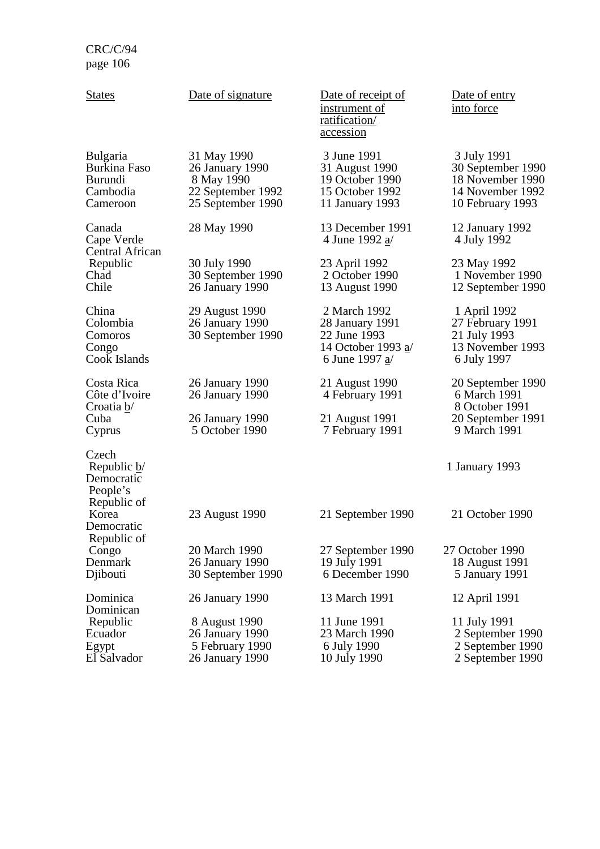| <b>States</b>                                                             | Date of signature                                                                      | Date of receipt of<br><u>instrument of</u><br>ratification/<br>accession                  | Date of entry<br>into force                                                                  |
|---------------------------------------------------------------------------|----------------------------------------------------------------------------------------|-------------------------------------------------------------------------------------------|----------------------------------------------------------------------------------------------|
| <b>Bulgaria</b><br>Burkina Faso<br><b>Burundi</b><br>Cambodia<br>Cameroon | 31 May 1990<br>26 January 1990<br>8 May 1990<br>22 September 1992<br>25 September 1990 | 3 June 1991<br>31 August 1990<br>19 October 1990<br>15 October 1992<br>11 January 1993    | 3 July 1991<br>30 September 1990<br>18 November 1990<br>14 November 1992<br>10 February 1993 |
| Canada<br>Cape Verde<br>Central African<br>Republic<br>Chad<br>Chile      | 28 May 1990                                                                            | 13 December 1991<br>4 June 1992 $a/$                                                      | 12 January 1992<br>4 July 1992                                                               |
|                                                                           | 30 July 1990<br>30 September 1990<br>26 January 1990                                   | 23 April 1992<br>2 October 1990<br>13 August 1990                                         | 23 May 1992<br>1 November 1990<br>12 September 1990                                          |
| China<br>Colombia<br>Comoros<br>Congo<br>Cook Islands                     | 29 August 1990<br>26 January 1990<br>30 September 1990                                 | 2 March 1992<br>28 January 1991<br>22 June 1993<br>14 October 1993 a/<br>6 June 1997 $a/$ | 1 April 1992<br>27 February 1991<br>21 July 1993<br>13 November 1993<br>6 July 1997          |
| Costa Rica<br>Côte d'Ivoire<br>Croatia $\underline{b}$<br>Cuba<br>Cyprus  | 26 January 1990<br>26 January 1990<br>26 January 1990<br>5 October 1990                | 21 August 1990<br>4 February 1991<br>21 August 1991<br>7 February 1991                    | 20 September 1990<br>6 March 1991<br>8 October 1991<br>20 September 1991<br>9 March 1991     |
| Czech<br>Republic $\underline{b}$<br>Democratic<br>People's               |                                                                                        |                                                                                           | 1 January 1993                                                                               |
| Republic of<br>Korea<br>Democratic<br>Republic of                         | 23 August 1990                                                                         | 21 September 1990                                                                         | 21 October 1990                                                                              |
| Congo<br>Denmark<br>Djibouti                                              | 20 March 1990<br>26 January 1990<br>30 September 1990                                  | 27 September 1990<br>19 July 1991<br>6 December 1990                                      | 27 October 1990<br>18 August 1991<br>5 January 1991                                          |
| Dominica                                                                  | 26 January 1990                                                                        | 13 March 1991                                                                             | 12 April 1991                                                                                |
| Dominican<br>Republic<br>Ecuador<br>Egypt<br>El Salvador                  | 8 August 1990<br>26 January 1990<br>5 February 1990<br>26 January 1990                 | 11 June 1991<br>23 March 1990<br>6 July 1990<br>10 July 1990                              | 11 July 1991<br>2 September 1990<br>2 September 1990<br>2 September 1990                     |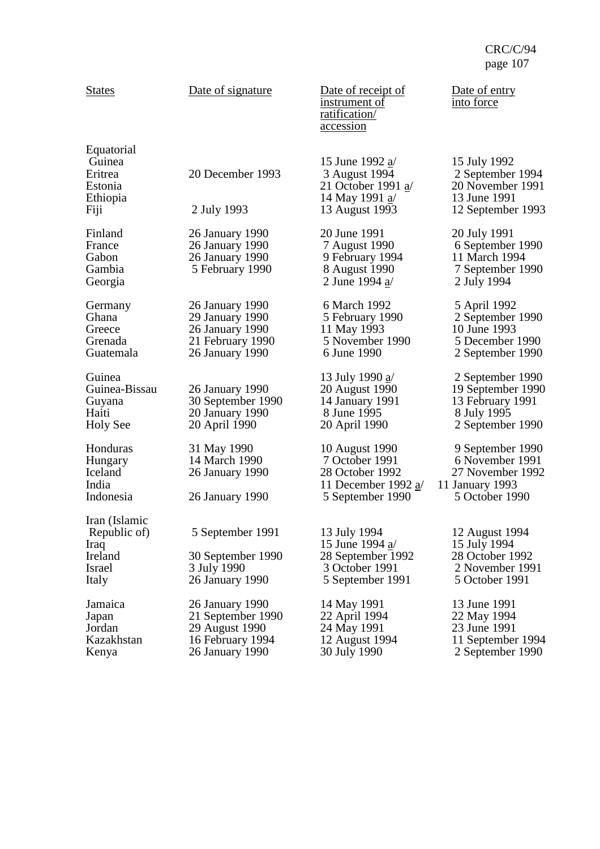| <b>States</b>                                                              | Date of signature                                                                             | Date of receipt of<br>instrument of<br>ratification/<br><u>accession</u>                                  | Date of entry<br>into force                                                                  |
|----------------------------------------------------------------------------|-----------------------------------------------------------------------------------------------|-----------------------------------------------------------------------------------------------------------|----------------------------------------------------------------------------------------------|
| Equatorial<br>Guinea<br>Eritrea<br>Estonia<br>Ethiopia<br>Fiji             | 20 December 1993<br>2 July 1993                                                               | 15 June 1992 $a/$<br>3 August 1994<br>21 October 1991 $a/$<br>14 May 1991 a/<br>13 August 1993            | 15 July 1992<br>2 September 1994<br>20 November 1991<br>13 June 1991<br>12 September 1993    |
| Finland<br>France<br>Gabon<br>Gambia<br>Georgia                            | 26 January 1990<br>26 January 1990<br>26 January 1990<br>5 February 1990                      | 20 June 1991<br>7 August 1990<br>9 February 1994<br>8 August 1990<br>2 June 1994 a/                       | 20 July 1991<br>6 September 1990<br>11 March 1994<br>7 September 1990<br>2 July 1994         |
| Germany<br>Ghana<br>Greece<br>Grenada<br>Guatemala                         | 26 January 1990<br>29 January 1990<br>26 January 1990<br>21 February 1990<br>26 January 1990  | 6 March 1992<br>5 February 1990<br>11 May 1993<br>5 November 1990<br>6 June 1990                          | 5 April 1992<br>2 September 1990<br>10 June 1993<br>5 December 1990<br>2 September 1990      |
| Guinea<br>Guinea-Bissau<br>Guyana<br>Haiti<br><b>Holy See</b>              | 26 January 1990<br>30 September 1990<br>20 January 1990<br>20 April 1990                      | 13 July 1990 <u>a</u> /<br>20 August 1990<br>14 January 1991<br>8 June 1995<br>20 April 1990              | 2 September 1990<br>19 September 1990<br>13 February 1991<br>8 July 1995<br>2 September 1990 |
| Honduras<br>Hungary<br>Iceland<br>India<br>Indonesia                       | 31 May 1990<br>14 March 1990<br>26 January 1990<br>26 January 1990                            | 10 August 1990<br>7 October 1991<br>28 October 1992<br>11 December 1992 $a/$<br>5 September 1990          | 9 September 1990<br>6 November 1991<br>27 November 1992<br>11 January 1993<br>5 October 1990 |
| Iran (Islamic<br>Republic of)<br>Iraq<br>Ireland<br><b>Israel</b><br>Italy | 5 September 1991<br>30 September 1990<br>3 July 1990<br>26 January 1990                       | 13 July 1994<br>15 June 1994 $\underline{a}$ /<br>28 September 1992<br>3 October 1991<br>5 September 1991 | 12 August 1994<br>15 July 1994<br>28 October 1992<br>2 November 1991<br>5 October 1991       |
| Jamaica<br>Japan<br>Jordan<br>Kazakhstan<br>Kenya                          | 26 January 1990<br>21 September 1990<br>29 August 1990<br>16 February 1994<br>26 January 1990 | 14 May 1991<br>22 April 1994<br>24 May 1991<br>12 August 1994<br>30 July 1990                             | 13 June 1991<br>22 May 1994<br>23 June 1991<br>11 September 1994<br>2 September 1990         |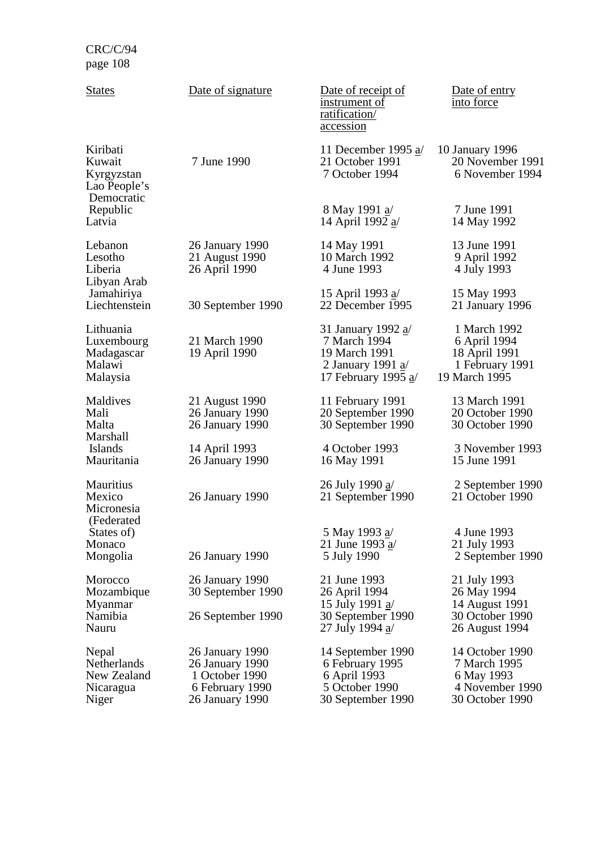| <b>States</b>                                                  | Date of signature                                                                          | Date of receipt of<br><u>instrument</u> of<br>ratification/<br>accession                                       | Date of entry<br>into force                                                         |
|----------------------------------------------------------------|--------------------------------------------------------------------------------------------|----------------------------------------------------------------------------------------------------------------|-------------------------------------------------------------------------------------|
| Kiribati<br>Kuwait<br>Kyrgyzstan<br>Lao People's<br>Democratic | 7 June 1990                                                                                | 11 December 1995 $a/$<br>21 October 1991<br>7 October 1994                                                     | 10 January 1996<br>20 November 1991<br>6 November 1994                              |
| Republic<br>Latvia                                             |                                                                                            | 8 May 1991 <u>a</u><br>14 April 1992 a/                                                                        | 7 June 1991<br>14 May 1992                                                          |
| Lebanon<br>Lesotho<br>Liberia<br>Libyan Arab                   | 26 January 1990<br>21 August 1990<br>26 April 1990                                         | 14 May 1991<br>10 March 1992<br>4 June 1993                                                                    | 13 June 1991<br>9 April 1992<br>4 July 1993                                         |
| Jamahiriya<br>Liechtenstein                                    | 30 September 1990                                                                          | 15 April 1993 <u>a</u> /<br>22 December 1995                                                                   | 15 May 1993<br>21 January 1996                                                      |
| Lithuania<br>Luxembourg<br>Madagascar<br>Malawi<br>Malaysia    | 21 March 1990<br>19 April 1990                                                             | 31 January 1992 a/<br>7 March 1994<br>19 March 1991<br>2 January 1991 $\underline{a}$<br>17 February 1995 $a/$ | 1 March 1992<br>6 April 1994<br>18 April 1991<br>1 February 1991<br>19 March 1995   |
| Maldives<br>Mali<br>Malta                                      | 21 August 1990<br>26 January 1990<br>26 January 1990                                       | 11 February 1991<br>20 September 1990<br>30 September 1990                                                     | 13 March 1991<br>20 October 1990<br>30 October 1990                                 |
| Marshall<br><b>Islands</b><br>Mauritania                       | 14 April 1993<br>26 January 1990                                                           | 4 October 1993<br>16 May 1991                                                                                  | 3 November 1993<br>15 June 1991                                                     |
| Mauritius<br>Mexico<br>Micronesia<br>(Federated                | 26 January 1990                                                                            | 26 July 1990 a/<br>21 September 1990                                                                           | 2 September 1990<br>21 October 1990                                                 |
| States of)<br>Monaco<br>Mongolia                               | 26 January 1990                                                                            | 5 May 1993 <u>a</u> /<br>21 June 1993 $a/$<br>5 July 1990                                                      | 4 June 1993<br>21 July 1993<br>2 September 1990                                     |
| Morocco<br>Mozambique<br>Myanmar                               | 26 January 1990<br>30 September 1990                                                       | 21 June 1993<br>26 April 1994<br>15 July 1991 $\underline{a}$                                                  | 21 July 1993<br>26 May 1994<br>14 August 1991                                       |
| Namibia<br>Nauru                                               | 26 September 1990                                                                          | 30 September 1990<br>27 July 1994 <u>a</u>                                                                     | 30 October 1990<br>26 August 1994                                                   |
| Nepal<br>Netherlands<br>New Zealand<br>Nicaragua<br>Niger      | 26 January 1990<br>26 January 1990<br>1 October 1990<br>6 February 1990<br>26 January 1990 | 14 September 1990<br>6 February 1995<br>6 April 1993<br>5 October 1990<br>30 September 1990                    | 14 October 1990<br>7 March 1995<br>6 May 1993<br>4 November 1990<br>30 October 1990 |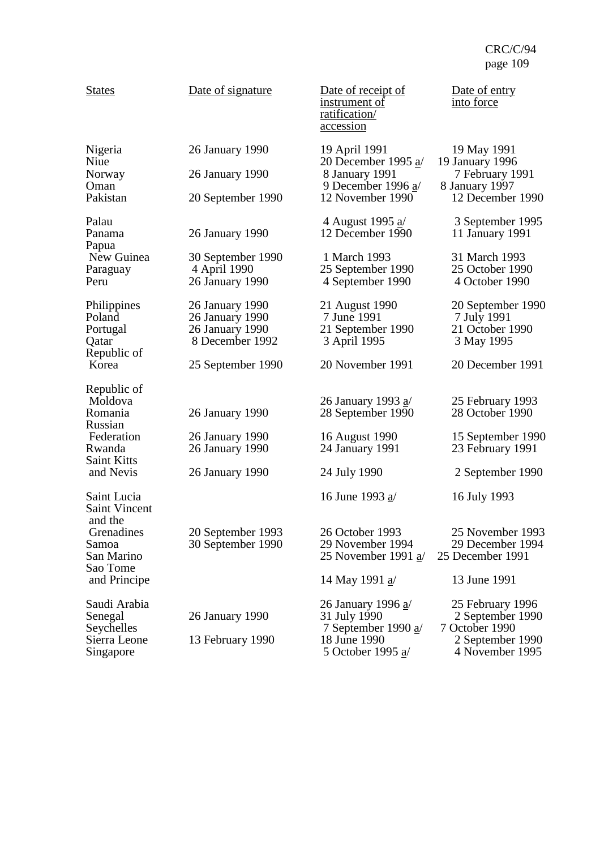| <b>States</b>                                                      | Date of signature                                                        | Date of receipt of<br><u>instrument of</u><br>ratification/<br><u>accession</u>                                     | Date of entry<br>into force                                                                   |
|--------------------------------------------------------------------|--------------------------------------------------------------------------|---------------------------------------------------------------------------------------------------------------------|-----------------------------------------------------------------------------------------------|
| Nigeria<br>Niue<br>Norway<br>Oman<br>Pakistan                      | 26 January 1990<br>26 January 1990<br>20 September 1990                  | 19 April 1991<br>20 December 1995 $a/$<br>8 January 1991<br>9 December 1996 a/<br>12 November 1990                  | 19 May 1991<br>19 January 1996<br>7 February 1991<br>8 January 1997<br>12 December 1990       |
| Palau<br>Panama                                                    | 26 January 1990                                                          | 4 August 1995 a/<br>12 December 1990                                                                                | 3 September 1995<br>11 January 1991                                                           |
| Papua<br>New Guinea<br>Paraguay<br>Peru                            | 30 September 1990<br>4 April 1990<br>26 January 1990                     | 1 March 1993<br>25 September 1990<br>4 September 1990                                                               | 31 March 1993<br>25 October 1990<br>4 October 1990                                            |
| Philippines<br>Poland<br>Portugal<br>Qatar<br>Republic of          | 26 January 1990<br>26 January 1990<br>26 January 1990<br>8 December 1992 | 21 August 1990<br>7 June 1991<br>21 September 1990<br>3 April 1995                                                  | 20 September 1990<br>7 July 1991<br>21 October 1990<br>3 May 1995                             |
| Korea                                                              | 25 September 1990                                                        | 20 November 1991                                                                                                    | 20 December 1991                                                                              |
| Republic of<br>Moldova<br>Romania<br>Russian<br>Federation         | 26 January 1990<br>26 January 1990                                       | 26 January 1993 a/<br>28 September 1990<br>16 August 1990                                                           | 25 February 1993<br>28 October 1990<br>15 September 1990                                      |
| Rwanda<br><b>Saint Kitts</b>                                       | 26 January 1990                                                          | 24 January 1991                                                                                                     | 23 February 1991                                                                              |
| and Nevis                                                          | 26 January 1990                                                          | 24 July 1990                                                                                                        | 2 September 1990                                                                              |
| Saint Lucia<br><b>Saint Vincent</b><br>and the                     |                                                                          | 16 June 1993 $a/$                                                                                                   | 16 July 1993                                                                                  |
| Grenadines<br>Samoa<br>San Marino                                  | 20 September 1993<br>30 September 1990                                   | 26 October 1993<br>29 November 1994<br>25 November 1991 a/                                                          | 25 November 1993<br>29 December 1994<br>25 December 1991                                      |
| Sao Tome<br>and Principe                                           |                                                                          | 14 May 1991 a/                                                                                                      | 13 June 1991                                                                                  |
| Saudi Arabia<br>Senegal<br>Seychelles<br>Sierra Leone<br>Singapore | 26 January 1990<br>13 February 1990                                      | 26 January 1996 a/<br>31 July 1990<br>7 September 1990 $\underline{a}$<br>18 June 1990<br>5 October 1995 <u>a</u> / | 25 February 1996<br>2 September 1990<br>7 October 1990<br>2 September 1990<br>4 November 1995 |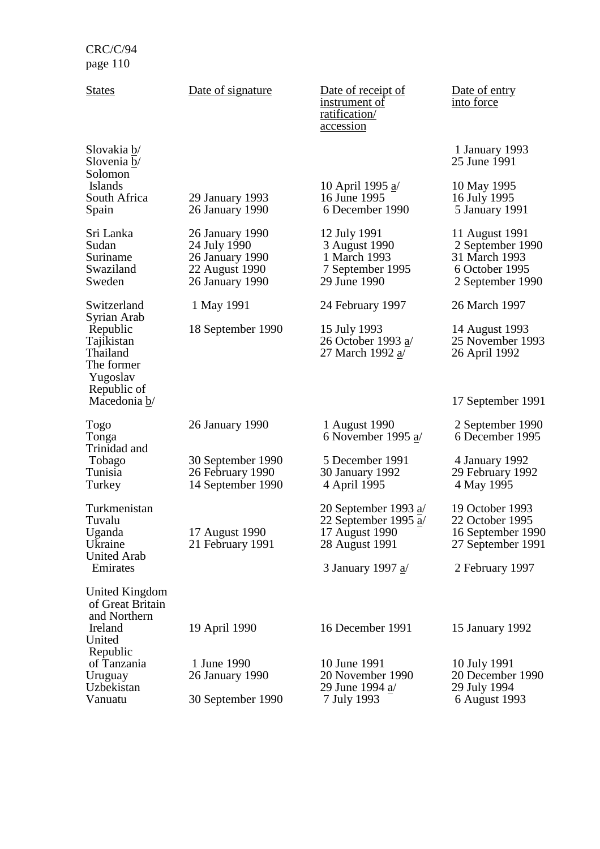| <b>States</b>                                                               | Date of signature                                                                       | Date of receipt of<br><u>instrument of</u><br>ratification/<br><u>accession</u>      | Date of entry<br>into force                                                               |
|-----------------------------------------------------------------------------|-----------------------------------------------------------------------------------------|--------------------------------------------------------------------------------------|-------------------------------------------------------------------------------------------|
| Slovakia b/<br>Slovenia b/<br>Solomon                                       |                                                                                         |                                                                                      | 1 January 1993<br>25 June 1991                                                            |
| <b>Islands</b><br>South Africa<br>Spain                                     | 29 January 1993<br>26 January 1990                                                      | 10 April 1995 a/<br>16 June 1995<br>6 December 1990                                  | 10 May 1995<br>16 July 1995<br>5 January 1991                                             |
| Sri Lanka<br>Sudan<br>Suriname<br>Swaziland<br>Sweden                       | 26 January 1990<br>24 July 1990<br>26 January 1990<br>22 August 1990<br>26 January 1990 | 12 July 1991<br>3 August 1990<br>1 March 1993<br>7 September 1995<br>29 June 1990    | 11 August 1991<br>2 September 1990<br>31 March 1993<br>6 October 1995<br>2 September 1990 |
| Switzerland                                                                 | 1 May 1991                                                                              | 24 February 1997                                                                     | 26 March 1997                                                                             |
| Syrian Arab<br>Republic<br>Tajikistan<br>Thailand<br>The former<br>Yugoslav | 18 September 1990                                                                       | 15 July 1993<br>26 October 1993 a/<br>27 March 1992 <u>a</u> /                       | 14 August 1993<br>25 November 1993<br>26 April 1992                                       |
| Republic of<br>Macedonia b/                                                 |                                                                                         |                                                                                      | 17 September 1991                                                                         |
| Togo<br>Tonga                                                               | 26 January 1990                                                                         | 1 August 1990<br>6 November 1995 $a/$                                                | 2 September 1990<br>6 December 1995                                                       |
| Trinidad and<br>Tobago<br>Tunisia<br>Turkey                                 | 30 September 1990<br>26 February 1990<br>14 September 1990                              | 5 December 1991<br>30 January 1992<br>4 April 1995                                   | 4 January 1992<br>29 February 1992<br>4 May 1995                                          |
| Turkmenistan<br>Tuvalu<br>Uganda<br>Ukraine<br><b>United Arab</b>           | 17 August 1990<br>21 February 1991                                                      | 20 September 1993 $a/$<br>22 September 1995 $a/$<br>17 August 1990<br>28 August 1991 | 19 October 1993<br>22 October 1995<br>16 September 1990<br>27 September 1991              |
| Emirates                                                                    |                                                                                         | 3 January 1997 <u>a</u> /                                                            | 2 February 1997                                                                           |
| United Kingdom<br>of Great Britain<br>and Northern                          |                                                                                         |                                                                                      |                                                                                           |
| Ireland<br>United                                                           | 19 April 1990                                                                           | 16 December 1991                                                                     | 15 January 1992                                                                           |
| Republic<br>of Tanzania<br>Uruguay<br>Uzbekistan<br>Vanuatu                 | 1 June 1990<br>26 January 1990<br>30 September 1990                                     | 10 June 1991<br>20 November 1990<br>29 June 1994 <u>a</u> /<br>7 July 1993           | 10 July 1991<br>20 December 1990<br>29 July 1994<br>6 August 1993                         |
|                                                                             |                                                                                         |                                                                                      |                                                                                           |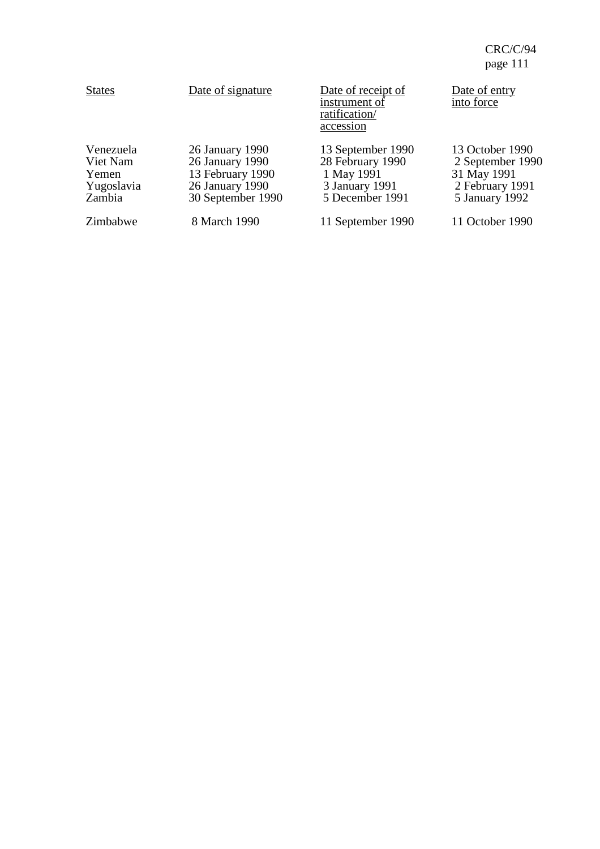| <b>States</b>                                          | Date of signature                                                                              | Date of receipt of<br>instrument of<br>ratification/<br>accession                        | Date of entry<br>into force                                                             |
|--------------------------------------------------------|------------------------------------------------------------------------------------------------|------------------------------------------------------------------------------------------|-----------------------------------------------------------------------------------------|
| Venezuela<br>Viet Nam<br>Yemen<br>Yugoslavia<br>Zambia | 26 January 1990<br>26 January 1990<br>13 February 1990<br>26 January 1990<br>30 September 1990 | 13 September 1990<br>28 February 1990<br>1 May 1991<br>3 January 1991<br>5 December 1991 | 13 October 1990<br>2 September 1990<br>31 May 1991<br>2 February 1991<br>5 January 1992 |
| Zimbabwe                                               | 8 March 1990                                                                                   | 11 September 1990                                                                        | 11 October 1990                                                                         |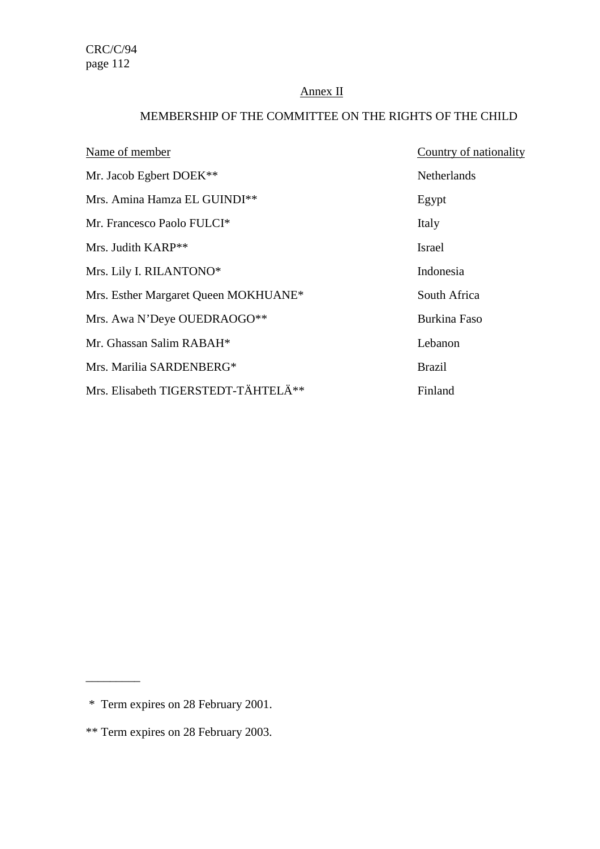# Annex II

# MEMBERSHIP OF THE COMMITTEE ON THE RIGHTS OF THE CHILD

| Name of member                         | Country of nationality |
|----------------------------------------|------------------------|
| Mr. Jacob Egbert DOEK**                | Netherlands            |
| Mrs. Amina Hamza EL GUINDI**           | Egypt                  |
| Mr. Francesco Paolo FULCI <sup>*</sup> | Italy                  |
| Mrs. Judith $KARP**$                   | <b>Israel</b>          |
| Mrs. Lily I. RILANTONO*                | Indonesia              |
| Mrs. Esther Margaret Queen MOKHUANE*   | South Africa           |
| Mrs. Awa N'Deye OUEDRAOGO**            | <b>Burkina Faso</b>    |
| Mr. Ghassan Salim RABAH*               | Lebanon                |
| Mrs. Marilia SARDENBERG*               | <b>Brazil</b>          |
| Mrs. Elisabeth TIGERSTEDT-TÄHTELÄ**    | Finland                |

 $\overline{\phantom{a}}$  , where  $\overline{\phantom{a}}$ 

 <sup>\*</sup> Term expires on 28 February 2001.

<sup>\*\*</sup> Term expires on 28 February 2003.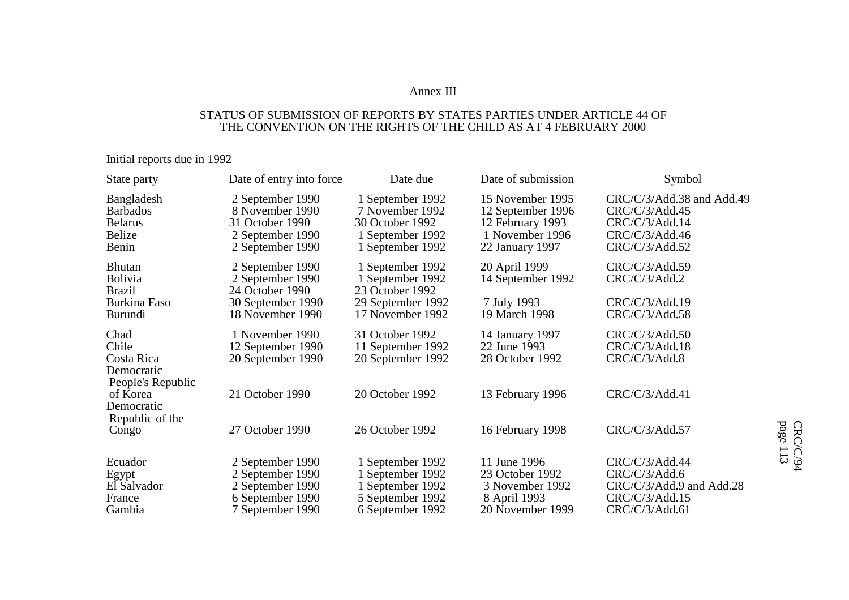#### Annex III

### STATUS OF SUBMISSION OF REPORTS BY STATES PARTIES UNDER ARTICLE 44 OF THE CONVENTION ON THE RIGHTS OF THE CHILD AS AT 4 FEBRUARY 2000

# Initial reports due in 1992

| State party                                                               | Date of entry into force                                                                       | Date due                                                                                       | Date of submission                                                                              | Symbol                                                                                            |
|---------------------------------------------------------------------------|------------------------------------------------------------------------------------------------|------------------------------------------------------------------------------------------------|-------------------------------------------------------------------------------------------------|---------------------------------------------------------------------------------------------------|
| Bangladesh<br><b>Barbados</b><br><b>Belarus</b><br><b>Belize</b><br>Benin | 2 September 1990<br>8 November 1990<br>31 October 1990<br>2 September 1990<br>2 September 1990 | 1 September 1992<br>7 November 1992<br>30 October 1992<br>1 September 1992<br>1 September 1992 | 15 November 1995<br>12 September 1996<br>12 February 1993<br>1 November 1996<br>22 January 1997 | CRC/C/3/Add.38 and Add.49<br>CRC/C/3/Add.45<br>CRC/C/3/Add.14<br>CRC/C/3/Add.46<br>CRC/C/3/Add.52 |
| <b>Bhutan</b><br><b>Bolivia</b><br><b>Brazil</b>                          | 2 September 1990<br>2 September 1990<br>24 October 1990                                        | 1 September 1992<br>1 September 1992<br>23 October 1992                                        | 20 April 1999<br>14 September 1992                                                              | CRC/C/3/Add.59<br>CRC/C/3/Add.2                                                                   |
| Burkina Faso<br>Burundi                                                   | 30 September 1990<br>18 November 1990                                                          | 29 September 1992<br>17 November 1992                                                          | 7 July 1993<br>19 March 1998                                                                    | CRC/C/3/Add.19<br>CRC/C/3/Add.58                                                                  |
| Chad<br>Chile<br>Costa Rica<br>Democratic<br>People's Republic            | 1 November 1990<br>12 September 1990<br>20 September 1990                                      | 31 October 1992<br>11 September 1992<br>20 September 1992                                      | 14 January 1997<br>22 June 1993<br>28 October 1992                                              | CRC/C/3/Add.50<br>CRC/C/3/Add.18<br>CRC/C/3/Add.8                                                 |
| of Korea<br>Democratic<br>Republic of the                                 | 21 October 1990                                                                                | 20 October 1992                                                                                | 13 February 1996                                                                                | CRC/C/3/Add.41                                                                                    |
| Congo                                                                     | 27 October 1990                                                                                | 26 October 1992                                                                                | 16 February 1998                                                                                | CRC/C/3/Add.57                                                                                    |
| Ecuador<br>Egypt<br>El Salvador                                           | 2 September 1990<br>2 September 1990<br>2 September 1990                                       | 1 September 1992<br>1 September 1992<br>1 September 1992                                       | 11 June 1996<br>23 October 1992<br>3 November 1992                                              | CRC/C/3/Add.44<br>CRC/C/3/Add.6<br>CRC/C/3/Add.9 and Add.28                                       |
| France<br>Gambia                                                          | 6 September 1990<br>7 September 1990                                                           | 5 September 1992<br>6 September 1992                                                           | 8 April 1993<br>20 November 1999                                                                | CRC/C/3/Add.15<br>CRC/C/3/Add.61                                                                  |

page 113 CRC/C/94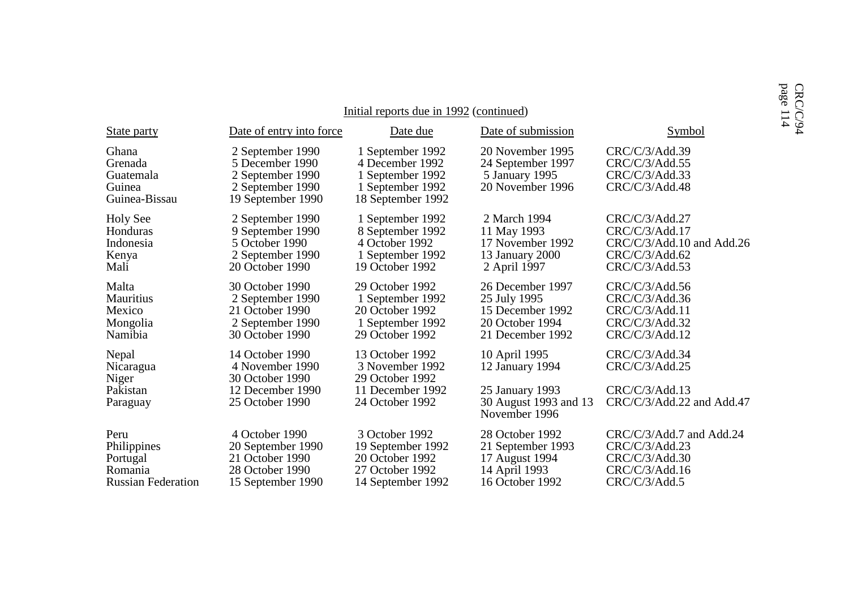|                                                                         |                                                                                                  |                                                                                                  |                                                                                             |                                                                                                   | page<br>CRC |
|-------------------------------------------------------------------------|--------------------------------------------------------------------------------------------------|--------------------------------------------------------------------------------------------------|---------------------------------------------------------------------------------------------|---------------------------------------------------------------------------------------------------|-------------|
|                                                                         |                                                                                                  | Initial reports due in 1992 (continued)                                                          |                                                                                             |                                                                                                   | 114         |
| <b>State party</b>                                                      | Date of entry into force                                                                         | Date due                                                                                         | Date of submission                                                                          | Symbol                                                                                            | <b>C/94</b> |
| Ghana<br>Grenada<br>Guatemala<br>Guinea<br>Guinea-Bissau                | 2 September 1990<br>5 December 1990<br>2 September 1990<br>2 September 1990<br>19 September 1990 | 1 September 1992<br>4 December 1992<br>1 September 1992<br>1 September 1992<br>18 September 1992 | 20 November 1995<br>24 September 1997<br>5 January 1995<br>20 November 1996                 | CRC/C/3/Add.39<br>CRC/C/3/Add.55<br>CRC/C/3/Add.33<br>CRC/C/3/Add.48                              |             |
| <b>Holy See</b><br>Honduras<br>Indonesia<br>Kenya<br>Mali               | 2 September 1990<br>9 September 1990<br>5 October 1990<br>2 September 1990<br>20 October 1990    | 1 September 1992<br>8 September 1992<br>4 October 1992<br>1 September 1992<br>19 October 1992    | 2 March 1994<br>11 May 1993<br>17 November 1992<br>13 January 2000<br>2 April 1997          | CRC/C/3/Add.27<br>CRC/C/3/Add.17<br>CRC/C/3/Add.10 and Add.26<br>CRC/C/3/Add.62<br>CRC/C/3/Add.53 |             |
| Malta<br><b>Mauritius</b><br>Mexico<br>Mongolia<br>Namibia              | 30 October 1990<br>2 September 1990<br>21 October 1990<br>2 September 1990<br>30 October 1990    | 29 October 1992<br>1 September 1992<br>20 October 1992<br>1 September 1992<br>29 October 1992    | 26 December 1997<br>25 July 1995<br>15 December 1992<br>20 October 1994<br>21 December 1992 | CRC/C/3/Add.56<br>CRC/C/3/Add.36<br>CRC/C/3/Add.11<br>CRC/C/3/Add.32<br>CRC/C/3/Add.12            |             |
| Nepal<br>Nicaragua                                                      | 14 October 1990<br>4 November 1990<br>30 October 1990                                            | 13 October 1992<br>3 November 1992<br>29 October 1992                                            | 10 April 1995<br>12 January 1994                                                            | CRC/C/3/Add.34<br>CRC/C/3/Add.25                                                                  |             |
| Niger<br>Pakistan<br>Paraguay                                           | 12 December 1990<br>25 October 1990                                                              | 11 December 1992<br>24 October 1992                                                              | 25 January 1993<br>30 August 1993 and 13<br>November 1996                                   | CRC/C/3/Add.13<br>CRC/C/3/Add.22 and Add.47                                                       |             |
| Peru<br>Philippines<br>Portugal<br>Romania<br><b>Russian Federation</b> | 4 October 1990<br>20 September 1990<br>21 October 1990<br>28 October 1990<br>15 September 1990   | 3 October 1992<br>19 September 1992<br>20 October 1992<br>27 October 1992<br>14 September 1992   | 28 October 1992<br>21 September 1993<br>17 August 1994<br>14 April 1993<br>16 October 1992  | CRC/C/3/Add.7 and Add.24<br>CRC/C/3/Add.23<br>CRC/C/3/Add.30<br>CRC/C/3/Add.16<br>CRC/C/3/Add.5   |             |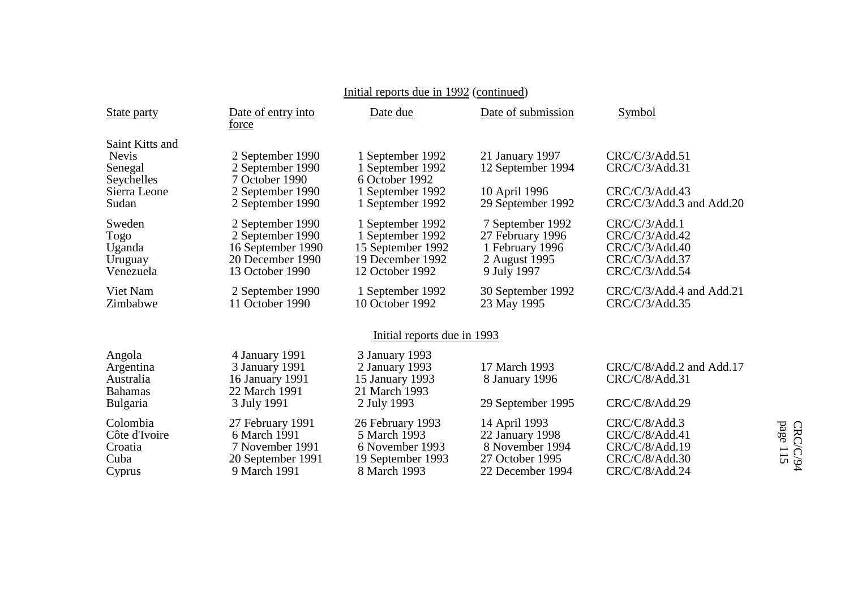| State party                                                                       | Date of entry into<br>force                                                                      | Date due                                                                                         | Date of submission                                                                         | Symbol                                                                                |
|-----------------------------------------------------------------------------------|--------------------------------------------------------------------------------------------------|--------------------------------------------------------------------------------------------------|--------------------------------------------------------------------------------------------|---------------------------------------------------------------------------------------|
| Saint Kitts and<br><b>Nevis</b><br>Senegal<br>Seychelles<br>Sierra Leone<br>Sudan | 2 September 1990<br>2 September 1990<br>7 October 1990<br>2 September 1990<br>2 September 1990   | 1 September 1992<br>1 September 1992<br>6 October 1992<br>1 September 1992<br>1 September 1992   | 21 January 1997<br>12 September 1994<br>10 April 1996<br>29 September 1992                 | CRC/C/3/Add.51<br>CRC/C/3/Add.31<br>CRC/C/3/Add.43<br>CRC/C/3/Add.3 and Add.20        |
| Sweden<br>Togo<br>Uganda<br>Uruguay<br>Venezuela                                  | 2 September 1990<br>2 September 1990<br>16 September 1990<br>20 December 1990<br>13 October 1990 | 1 September 1992<br>1 September 1992<br>15 September 1992<br>19 December 1992<br>12 October 1992 | 7 September 1992<br>27 February 1996<br>1 February 1996<br>2 August 1995<br>9 July 1997    | CRC/C/3/Add.1<br>CRC/C/3/Add.42<br>CRC/C/3/Add.40<br>CRC/C/3/Add.37<br>CRC/C/3/Add.54 |
| Viet Nam<br>Zimbabwe                                                              | 2 September 1990<br>11 October 1990                                                              | 1 September 1992<br>10 October 1992                                                              | 30 September 1992<br>23 May 1995                                                           | CRC/C/3/Add.4 and Add.21<br>CRC/C/3/Add.35                                            |
|                                                                                   |                                                                                                  | Initial reports due in 1993                                                                      |                                                                                            |                                                                                       |
| Angola<br>Argentina<br>Australia<br><b>Bahamas</b><br><b>Bulgaria</b>             | 4 January 1991<br>3 January 1991<br>16 January 1991<br>22 March 1991<br>3 July 1991              | 3 January 1993<br>2 January 1993<br>15 January 1993<br>21 March 1993<br>2 July 1993              | 17 March 1993<br>8 January 1996<br>29 September 1995                                       | CRC/C/8/Add.2 and Add.17<br>CRC/C/8/Add.31<br>CRC/C/8/Add.29                          |
| Colombia<br>Côte d'Ivoire<br>Croatia<br>Cuba<br>Cyprus                            | 27 February 1991<br>6 March 1991<br>7 November 1991<br>20 September 1991<br>9 March 1991         | 26 February 1993<br>5 March 1993<br>6 November 1993<br>19 September 1993<br>8 March 1993         | 14 April 1993<br>22 January 1998<br>8 November 1994<br>27 October 1995<br>22 December 1994 | CRC/C/8/Add.3<br>CRC/C/8/Add.41<br>CRC/C/8/Add.19<br>CRC/C/8/Add.30<br>CRC/C/8/Add.24 |

# Initial reports due in 1992 (continued)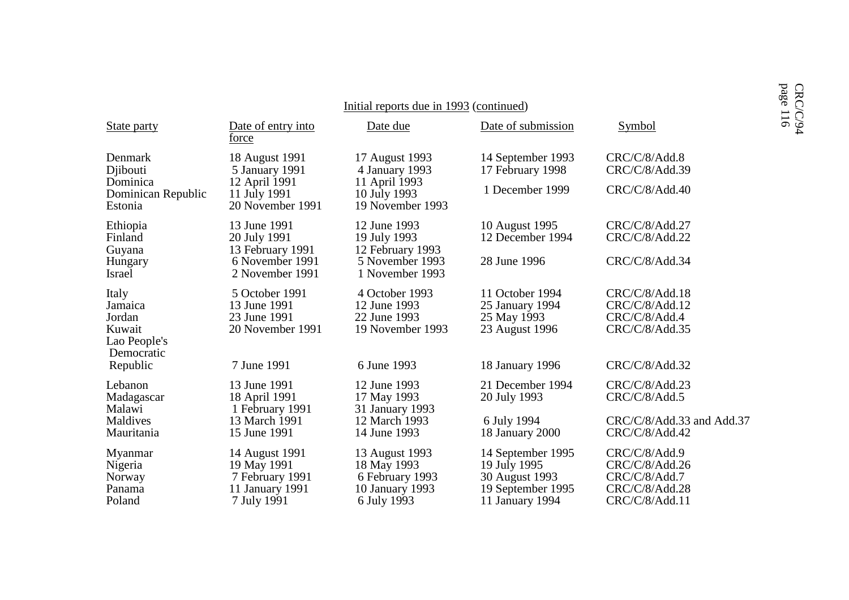|                                                                    |                                                                                    | Initial reports due in 1993 (continued)                                            |                                                                                             |                                                                                      | page 116<br>CRC/C/94 |
|--------------------------------------------------------------------|------------------------------------------------------------------------------------|------------------------------------------------------------------------------------|---------------------------------------------------------------------------------------------|--------------------------------------------------------------------------------------|----------------------|
| State party                                                        | Date of entry into<br>force                                                        | Date due                                                                           | Date of submission                                                                          | Symbol                                                                               |                      |
| Denmark<br>Djibouti<br>Dominica                                    | 18 August 1991<br>5 January 1991<br>12 April 1991                                  | 17 August 1993<br>4 January 1993<br>11 April 1993                                  | 14 September 1993<br>17 February 1998<br>1 December 1999                                    | CRC/C/8/Add.8<br>CRC/C/8/Add.39<br>CRC/C/8/Add.40                                    |                      |
| Dominican Republic<br>Estonia                                      | 11 July 1991<br>20 November 1991                                                   | 10 July 1993<br>19 November 1993                                                   |                                                                                             |                                                                                      |                      |
| Ethiopia<br>Finland<br>Guyana                                      | 13 June 1991<br>20 July 1991<br>13 February 1991                                   | 12 June 1993<br>19 July 1993<br>12 February 1993                                   | 10 August 1995<br>12 December 1994                                                          | CRC/C/8/Add.27<br>CRC/C/8/Add.22                                                     |                      |
| Hungary<br>Israel                                                  | 6 November 1991<br>2 November 1991                                                 | 5 November 1993<br>1 November 1993                                                 | 28 June 1996                                                                                | CRC/C/8/Add.34                                                                       |                      |
| Italy<br>Jamaica<br>Jordan<br>Kuwait<br>Lao People's<br>Democratic | 5 October 1991<br>13 June 1991<br>23 June 1991<br>20 November 1991                 | 4 October 1993<br>12 June 1993<br>22 June 1993<br>19 November 1993                 | 11 October 1994<br>25 January 1994<br>25 May 1993<br>23 August 1996                         | CRC/C/8/Add.18<br>CRC/C/8/Add.12<br>CRC/C/8/Add.4<br>CRC/C/8/Add.35                  |                      |
| Republic                                                           | 7 June 1991                                                                        | 6 June 1993                                                                        | 18 January 1996                                                                             | CRC/C/8/Add.32                                                                       |                      |
| Lebanon<br>Madagascar<br>Malawi                                    | 13 June 1991<br>18 April 1991<br>1 February 1991                                   | 12 June 1993<br>17 May 1993<br>31 January 1993                                     | 21 December 1994<br>20 July 1993                                                            | CRC/C/8/Add.23<br>CRC/C/8/Add.5                                                      |                      |
| Maldives<br>Mauritania                                             | 13 March 1991<br>15 June 1991                                                      | 12 March 1993<br>14 June 1993                                                      | 6 July 1994<br>18 January 2000                                                              | CRC/C/8/Add.33 and Add.37<br>CRC/C/8/Add.42                                          |                      |
| Myanmar<br>Nigeria<br>Norway<br>Panama<br>Poland                   | 14 August 1991<br>19 May 1991<br>7 February 1991<br>11 January 1991<br>7 July 1991 | 13 August 1993<br>18 May 1993<br>6 February 1993<br>10 January 1993<br>6 July 1993 | 14 September 1995<br>19 July 1995<br>30 August 1993<br>19 September 1995<br>11 January 1994 | CRC/C/8/Add.9<br>CRC/C/8/Add.26<br>CRC/C/8/Add.7<br>CRC/C/8/Add.28<br>CRC/C/8/Add.11 |                      |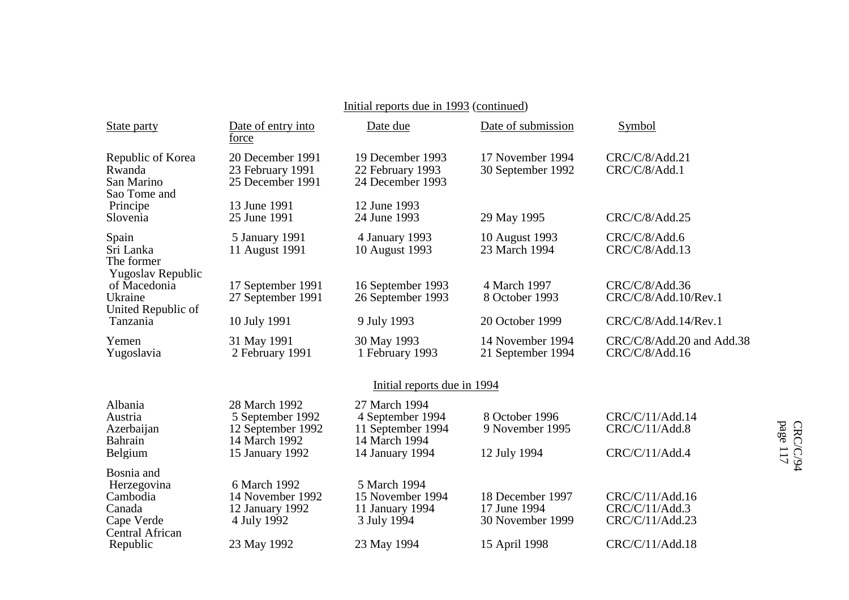# Initial reports due in 1993 (continued)

| State party                                                   | Date of entry into<br>force                                                                | Date due                                                                                   | Date of submission                                   | Symbol                                               |
|---------------------------------------------------------------|--------------------------------------------------------------------------------------------|--------------------------------------------------------------------------------------------|------------------------------------------------------|------------------------------------------------------|
| Republic of Korea<br>Rwanda<br>San Marino<br>Sao Tome and     | 20 December 1991<br>23 February 1991<br>25 December 1991                                   | 19 December 1993<br>22 February 1993<br>24 December 1993                                   | 17 November 1994<br>30 September 1992                | CRC/C/8/Add.21<br>CRC/C/8/Add.1                      |
| Principe<br>Slovenia                                          | 13 June 1991<br>25 June 1991                                                               | 12 June 1993<br>24 June 1993                                                               | 29 May 1995                                          | CRC/C/8/Add.25                                       |
| Spain<br>Sri Lanka<br>The former<br>Yugoslav Republic         | 5 January 1991<br>11 August 1991                                                           | 4 January 1993<br>10 August 1993                                                           | 10 August 1993<br>23 March 1994                      | CRC/C/8/Add.6<br>CRC/C/8/Add.13                      |
| of Macedonia<br>Ukraine<br>United Republic of                 | 17 September 1991<br>27 September 1991                                                     | 16 September 1993<br>26 September 1993                                                     | 4 March 1997<br>8 October 1993                       | CRC/C/8/Add.36<br>CRC/C/8/Add.10/Rev.1               |
| Tanzania                                                      | 10 July 1991                                                                               | 9 July 1993                                                                                | 20 October 1999                                      | CRC/C/8/Add.14/Rev.1                                 |
| Yemen<br>Yugoslavia                                           | 31 May 1991<br>2 February 1991                                                             | 30 May 1993<br>1 February 1993                                                             | 14 November 1994<br>21 September 1994                | CRC/C/8/Add.20 and Add.38<br>CRC/C/8/Add.16          |
|                                                               |                                                                                            | Initial reports due in 1994                                                                |                                                      |                                                      |
| Albania<br>Austria<br>Azerbaijan<br>Bahrain<br>Belgium        | 28 March 1992<br>5 September 1992<br>12 September 1992<br>14 March 1992<br>15 January 1992 | 27 March 1994<br>4 September 1994<br>11 September 1994<br>14 March 1994<br>14 January 1994 | 8 October 1996<br>9 November 1995<br>12 July 1994    | CRC/C/11/Add.14<br>CRC/C/11/Add.8<br>CRC/C/11/Add.4  |
| Bosnia and<br>Herzegovina<br>Cambodia<br>Canada<br>Cape Verde | 6 March 1992<br>14 November 1992<br>12 January 1992<br>4 July 1992                         | 5 March 1994<br>15 November 1994<br>11 January 1994<br>3 July 1994                         | 18 December 1997<br>17 June 1994<br>30 November 1999 | CRC/C/11/Add.16<br>CRC/C/11/Add.3<br>CRC/C/11/Add.23 |
| Central African<br>Republic                                   | 23 May 1992                                                                                | 23 May 1994                                                                                | 15 April 1998                                        | CRC/C/11/Add.18                                      |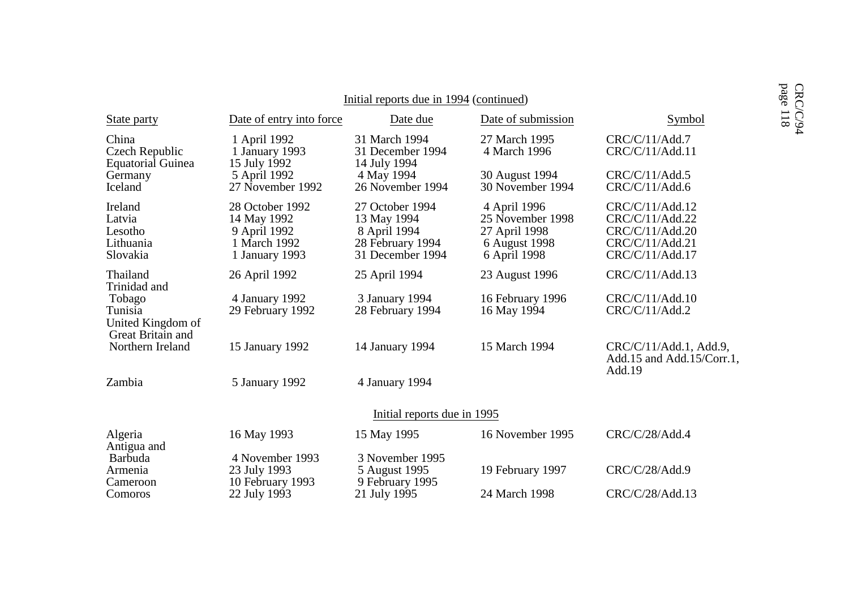| Initial reports due in 1994 (continued)                     |                                                                                  |                                                                                        |                                                                                    |                                                                                             |                      |
|-------------------------------------------------------------|----------------------------------------------------------------------------------|----------------------------------------------------------------------------------------|------------------------------------------------------------------------------------|---------------------------------------------------------------------------------------------|----------------------|
| State party                                                 | Date of entry into force                                                         | Date due                                                                               | Date of submission                                                                 | Symbol                                                                                      | page 118<br>CRC/C/94 |
| China<br>Czech Republic<br><b>Equatorial Guinea</b>         | 1 April 1992<br>1 January 1993<br>15 July 1992                                   | 31 March 1994<br>31 December 1994<br>14 July 1994                                      | 27 March 1995<br>4 March 1996                                                      | CRC/C/11/Add.7<br>CRC/C/11/Add.11                                                           |                      |
| Germany<br>Iceland                                          | 5 April 1992<br>27 November 1992                                                 | 4 May 1994<br>26 November 1994                                                         | 30 August 1994<br>30 November 1994                                                 | CRC/C/11/Add.5<br>CRC/C/11/Add.6                                                            |                      |
| Ireland<br>Latvia<br>Lesotho<br>Lithuania<br>Slovakia       | 28 October 1992<br>14 May 1992<br>9 April 1992<br>1 March 1992<br>1 January 1993 | 27 October 1994<br>13 May 1994<br>8 April 1994<br>28 February 1994<br>31 December 1994 | 4 April 1996<br>25 November 1998<br>27 April 1998<br>6 August 1998<br>6 April 1998 | CRC/C/11/Add.12<br>CRC/C/11/Add.22<br>CRC/C/11/Add.20<br>CRC/C/11/Add.21<br>CRC/C/11/Add.17 |                      |
| Thailand<br>Trinidad and                                    | 26 April 1992                                                                    | 25 April 1994                                                                          | 23 August 1996                                                                     | CRC/C/11/Add.13                                                                             |                      |
| Tobago<br>Tunisia<br>United Kingdom of<br>Great Britain and | 4 January 1992<br>29 February 1992                                               | 3 January 1994<br>28 February 1994                                                     | 16 February 1996<br>16 May 1994                                                    | CRC/C/11/Add.10<br>CRC/C/11/Add.2                                                           |                      |
| Northern Ireland                                            | 15 January 1992                                                                  | 14 January 1994                                                                        | 15 March 1994                                                                      | CRC/C/11/Add.1, Add.9,<br>Add.15 and Add.15/Corr.1,<br>Add.19                               |                      |
| Zambia                                                      | 5 January 1992                                                                   | 4 January 1994                                                                         |                                                                                    |                                                                                             |                      |
|                                                             |                                                                                  | Initial reports due in 1995                                                            |                                                                                    |                                                                                             |                      |
| Algeria<br>Antigua and                                      | 16 May 1993                                                                      | 15 May 1995                                                                            | 16 November 1995                                                                   | CRC/C/28/Add.4                                                                              |                      |
| Barbuda<br>Armenia<br>Cameroon                              | 4 November 1993<br>23 July 1993<br>10 February 1993                              | 3 November 1995<br>5 August 1995<br>9 February 1995                                    | 19 February 1997                                                                   | CRC/C/28/Add.9                                                                              |                      |
| Comoros                                                     | 22 July 1993                                                                     | 21 July 1995                                                                           | 24 March 1998                                                                      | CRC/C/28/Add.13                                                                             |                      |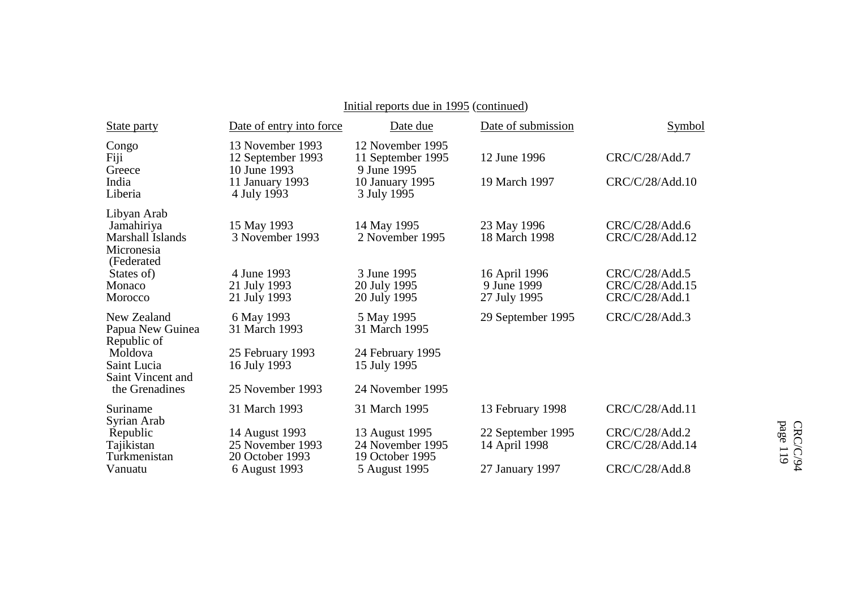# Initial reports due in 1995 (continued)

| State party                                                               | Date of entry into force                                                                | Date due                                                                               | Date of submission                           | Symbol                                              |
|---------------------------------------------------------------------------|-----------------------------------------------------------------------------------------|----------------------------------------------------------------------------------------|----------------------------------------------|-----------------------------------------------------|
| Congo<br>Fiji<br>Greece<br>India<br>Liberia                               | 13 November 1993<br>12 September 1993<br>10 June 1993<br>11 January 1993<br>4 July 1993 | 12 November 1995<br>11 September 1995<br>9 June 1995<br>10 January 1995<br>3 July 1995 | 12 June 1996<br>19 March 1997                | CRC/C/28/Add.7<br>CRC/C/28/Add.10                   |
| Libyan Arab<br>Jamahiriya<br>Marshall Islands<br>Micronesia<br>(Federated | 15 May 1993<br>3 November 1993                                                          | 14 May 1995<br>2 November 1995                                                         | 23 May 1996<br>18 March 1998                 | CRC/C/28/Add.6<br>CRC/C/28/Add.12                   |
| States of)<br>Monaco<br>Morocco                                           | 4 June 1993<br>21 July 1993<br>21 July 1993                                             | 3 June 1995<br>20 July 1995<br>20 July 1995                                            | 16 April 1996<br>9 June 1999<br>27 July 1995 | CRC/C/28/Add.5<br>CRC/C/28/Add.15<br>CRC/C/28/Add.1 |
| New Zealand<br>Papua New Guinea<br>Republic of                            | 6 May 1993<br>31 March 1993                                                             | 5 May 1995<br>31 March 1995                                                            | 29 September 1995                            | CRC/C/28/Add.3                                      |
| Moldova<br>Saint Lucia<br>Saint Vincent and                               | 25 February 1993<br>16 July 1993                                                        | 24 February 1995<br>15 July 1995                                                       |                                              |                                                     |
| the Grenadines                                                            | 25 November 1993                                                                        | 24 November 1995                                                                       |                                              |                                                     |
| Suriname<br>Syrian Arab                                                   | 31 March 1993                                                                           | 31 March 1995                                                                          | 13 February 1998                             | CRC/C/28/Add.11                                     |
| Republic<br>Tajikistan<br>Turkmenistan                                    | 14 August 1993<br>25 November 1993<br>20 October 1993                                   | 13 August 1995<br>24 November 1995<br>19 October 1995                                  | 22 September 1995<br>14 April 1998           | CRC/C/28/Add.2<br>CRC/C/28/Add.14                   |
| Vanuatu                                                                   | 6 August 1993                                                                           | 5 August 1995                                                                          | 27 January 1997                              | CRC/C/28/Add.8                                      |

page 119 CRC/C/94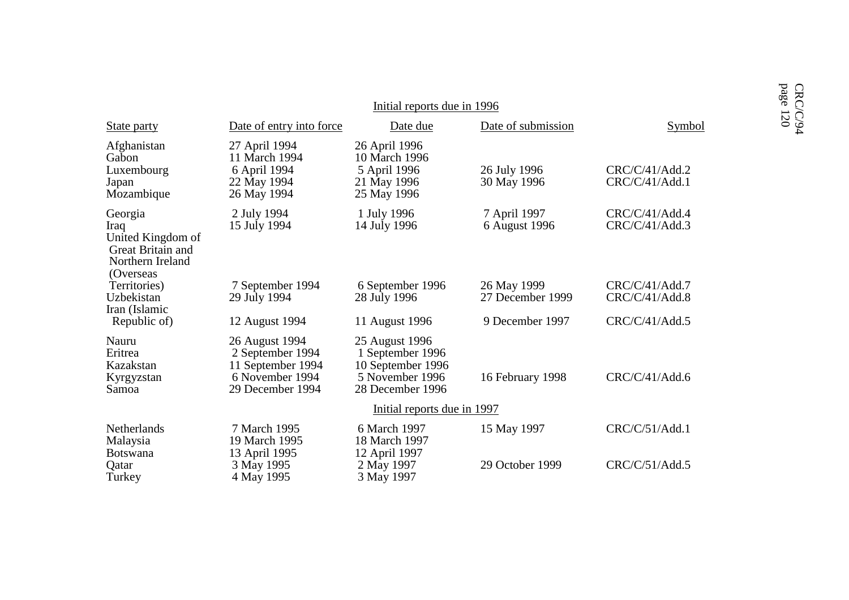|                                                                                             |                                                                                                | Initial reports due in 1996                                                                    |                                 |                                  | page 120<br>CRC/C/94 |
|---------------------------------------------------------------------------------------------|------------------------------------------------------------------------------------------------|------------------------------------------------------------------------------------------------|---------------------------------|----------------------------------|----------------------|
| <b>State party</b>                                                                          | Date of entry into force                                                                       | Date due                                                                                       | Date of submission              | Symbol                           |                      |
| Afghanistan<br>Gabon<br>Luxembourg<br>Japan<br>Mozambique                                   | 27 April 1994<br>11 March 1994<br>6 April 1994<br>22 May 1994<br>26 May 1994                   | 26 April 1996<br>10 March 1996<br>5 April 1996<br>21 May 1996<br>25 May 1996                   | 26 July 1996<br>30 May 1996     | CRC/C/41/Add.2<br>CRC/C/41/Add.1 |                      |
| Georgia<br>Iraq<br>United Kingdom of<br>Great Britain and<br>Northern Ireland<br>(Overseas) | 2 July 1994<br>15 July 1994                                                                    | 1 July 1996<br>14 July 1996                                                                    | 7 April 1997<br>6 August 1996   | CRC/C/41/Add.4<br>CRC/C/41/Add.3 |                      |
| Territories)<br>Uzbekistan                                                                  | 7 September 1994<br>29 July 1994                                                               | 6 September 1996<br>28 July 1996                                                               | 26 May 1999<br>27 December 1999 | CRC/C/41/Add.7<br>CRC/C/41/Add.8 |                      |
| Iran (Islamic<br>Republic of)                                                               | 12 August 1994                                                                                 | 11 August 1996                                                                                 | 9 December 1997                 | CRC/C/41/Add.5                   |                      |
| Nauru<br>Eritrea<br>Kazakstan<br>Kyrgyzstan<br>Samoa                                        | 26 August 1994<br>2 September 1994<br>11 September 1994<br>6 November 1994<br>29 December 1994 | 25 August 1996<br>1 September 1996<br>10 September 1996<br>5 November 1996<br>28 December 1996 | 16 February 1998                | CRC/C/41/Add.6                   |                      |
|                                                                                             |                                                                                                | Initial reports due in 1997                                                                    |                                 |                                  |                      |
| Netherlands<br>Malaysia<br><b>Botswana</b>                                                  | 7 March 1995<br>19 March 1995<br>13 April 1995                                                 | 6 March 1997<br>18 March 1997<br>12 April 1997                                                 | 15 May 1997                     | CRC/C/51/Add.1                   |                      |
| Qatar<br>Turkey                                                                             | 3 May 1995<br>4 May 1995                                                                       | 2 May 1997<br>3 May 1997                                                                       | 29 October 1999                 | CRC/C/51/Add.5                   |                      |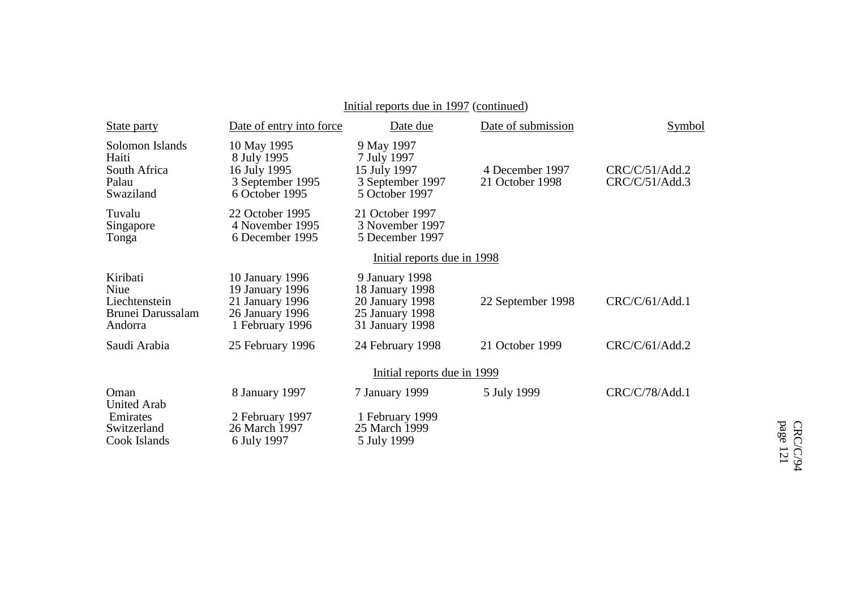# Initial reports due in 1997 (continued)

| <b>State party</b>                                                    | Date of entry into force                                                                    | Date due                                                                                   | Date of submission                 | Symbol                           |
|-----------------------------------------------------------------------|---------------------------------------------------------------------------------------------|--------------------------------------------------------------------------------------------|------------------------------------|----------------------------------|
| Solomon Islands<br>Haiti<br>South Africa<br>Palau<br>Swaziland        | 10 May 1995<br>8 July 1995<br>16 July 1995<br>3 September 1995<br>6 October 1995            | 9 May 1997<br>7 July 1997<br>15 July 1997<br>3 September 1997<br>5 October 1997            | 4 December 1997<br>21 October 1998 | CRC/C/51/Add.2<br>CRC/C/51/Add.3 |
| Tuvalu<br>Singapore<br>Tonga                                          | 22 October 1995<br>4 November 1995<br>6 December 1995                                       | 21 October 1997<br>3 November 1997<br>5 December 1997                                      |                                    |                                  |
|                                                                       |                                                                                             | Initial reports due in 1998                                                                |                                    |                                  |
| Kiribati<br>Niue<br>Liechtenstein<br>Brunei Darussalam<br>Andorra     | 10 January 1996<br>19 January 1996<br>21 January 1996<br>26 January 1996<br>1 February 1996 | 9 January 1998<br>18 January 1998<br>20 January 1998<br>25 January 1998<br>31 January 1998 | 22 September 1998                  | CRC/C/61/Add.1                   |
| Saudi Arabia                                                          | 25 February 1996                                                                            | 24 February 1998                                                                           | 21 October 1999                    | CRC/C/61/Add.2                   |
|                                                                       |                                                                                             | Initial reports due in 1999                                                                |                                    |                                  |
| Oman<br><b>United Arab</b><br>Emirates<br>Switzerland<br>Cook Islands | 8 January 1997<br>2 February 1997<br>26 March 1997<br>6 July 1997                           | 7 January 1999<br>1 February 1999<br>25 March 1999<br>5 July 1999                          | 5 July 1999                        | CRC/C/78/Add.1                   |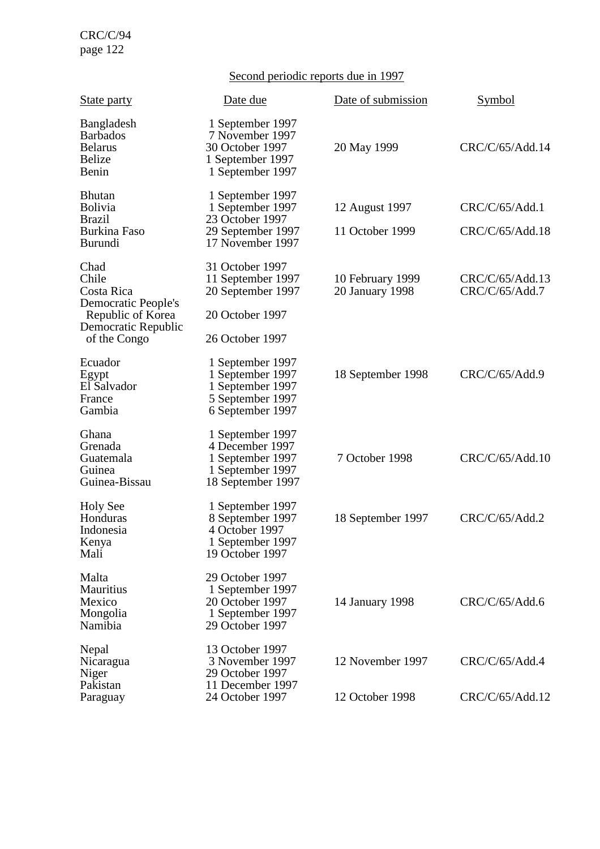# Second periodic reports due in 1997

| <b>State party</b>                                                                                             | Date due                                                                                         | Date of submission                  | Symbol                            |
|----------------------------------------------------------------------------------------------------------------|--------------------------------------------------------------------------------------------------|-------------------------------------|-----------------------------------|
| <b>Bangladesh</b><br><b>Barbados</b><br><b>Belarus</b><br><b>Belize</b><br>Benin                               | 1 September 1997<br>7 November 1997<br>30 October 1997<br>1 September 1997<br>1 September 1997   | 20 May 1999                         | CRC/C/65/Add.14                   |
| <b>Bhutan</b><br>Bolivia<br><b>Brazil</b><br><b>Burkina Faso</b><br><b>Burundi</b>                             | 1 September 1997<br>1 September 1997<br>23 October 1997<br>29 September 1997<br>17 November 1997 | 12 August 1997<br>11 October 1999   | CRC/C/65/Add.1<br>CRC/C/65/Add.18 |
| Chad<br>Chile<br>Costa Rica<br>Democratic People's<br>Republic of Korea<br>Democratic Republic<br>of the Congo | 31 October 1997<br>11 September 1997<br>20 September 1997<br>20 October 1997<br>26 October 1997  | 10 February 1999<br>20 January 1998 | CRC/C/65/Add.13<br>CRC/C/65/Add.7 |
| Ecuador<br>Egypt<br>El Salvador<br>France<br>Gambia                                                            | 1 September 1997<br>1 September 1997<br>1 September 1997<br>5 September 1997<br>6 September 1997 | 18 September 1998                   | CRC/C/65/Add.9                    |
| Ghana<br>Grenada<br>Guatemala<br>Guinea<br>Guinea-Bissau                                                       | 1 September 1997<br>4 December 1997<br>1 September 1997<br>1 September 1997<br>18 September 1997 | 7 October 1998                      | CRC/C/65/Add.10                   |
| <b>Holy See</b><br>Honduras<br>Indonesia<br>Kenya<br>Mali                                                      | 1 September 1997<br>8 September 1997<br>4 October 1997<br>1 September 1997<br>19 October 1997    | 18 September 1997                   | CRC/C/65/Add.2                    |
| Malta<br><b>Mauritius</b><br>Mexico<br>Mongolia<br>Namibia                                                     | 29 October 1997<br>1 September 1997<br>20 October 1997<br>1 September 1997<br>29 October 1997    | 14 January 1998                     | CRC/C/65/Add.6                    |
| Nepal<br>Nicaragua<br>Niger<br>Pakistan                                                                        | 13 October 1997<br>3 November 1997<br>29 October 1997<br>11 December 1997                        | 12 November 1997                    | CRC/C/65/Add.4                    |
| Paraguay                                                                                                       | 24 October 1997                                                                                  | 12 October 1998                     | CRC/C/65/Add.12                   |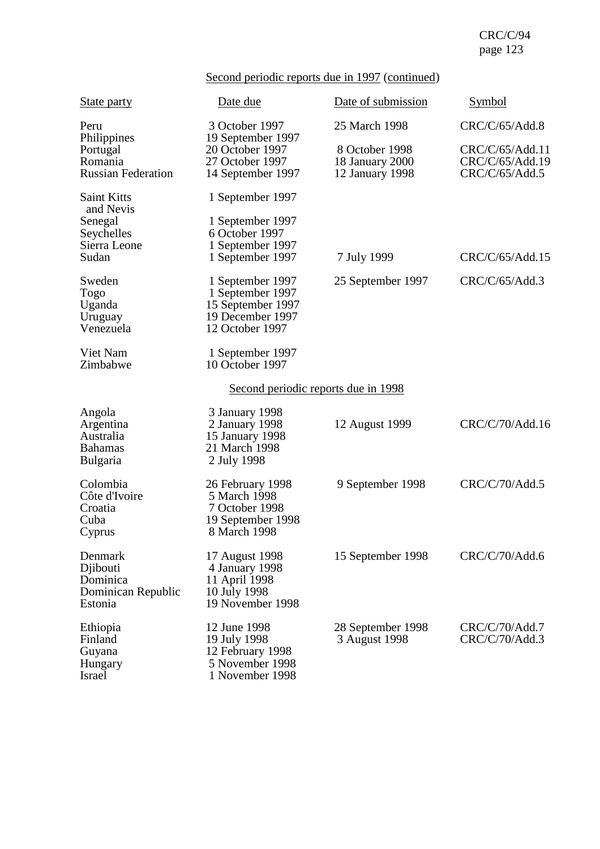# Second periodic reports due in 1997 (continued)

| <b>State party</b>                                                    | Date due                                                                                         | Date of submission                                   | Symbol                                               |
|-----------------------------------------------------------------------|--------------------------------------------------------------------------------------------------|------------------------------------------------------|------------------------------------------------------|
| Peru<br>Philippines                                                   | 3 October 1997<br>19 September 1997                                                              | 25 March 1998                                        | CRC/C/65/Add.8                                       |
| Portugal<br>Romania<br><b>Russian Federation</b>                      | 20 October 1997<br>27 October 1997<br>14 September 1997                                          | 8 October 1998<br>18 January 2000<br>12 January 1998 | CRC/C/65/Add.11<br>CRC/C/65/Add.19<br>CRC/C/65/Add.5 |
| <b>Saint Kitts</b><br>and Nevis                                       | 1 September 1997                                                                                 |                                                      |                                                      |
| Senegal<br>Seychelles<br>Sierra Leone<br>Sudan                        | 1 September 1997<br>6 October 1997<br>1 September 1997<br>1 September 1997                       | 7 July 1999                                          | CRC/C/65/Add.15                                      |
| Sweden<br><b>Togo</b><br>Uganda<br>Uruguay<br>Venezuela               | 1 September 1997<br>1 September 1997<br>15 September 1997<br>19 December 1997<br>12 October 1997 | 25 September 1997                                    | CRC/C/65/Add.3                                       |
| Viet Nam<br>Zimbabwe                                                  | 1 September 1997<br>10 October 1997                                                              |                                                      |                                                      |
|                                                                       | <u>Second periodic reports due in 1998</u>                                                       |                                                      |                                                      |
| Angola<br>Argentina<br>Australia<br><b>Bahamas</b><br><b>Bulgaria</b> | 3 January 1998<br>2 January 1998<br>15 January 1998<br>21 March 1998<br>2 July 1998              | 12 August 1999                                       | CRC/C/70/Add.16                                      |
| Colombia<br>Côte d'Ivoire<br>Croatia<br>Cuba<br>Cyprus                | 26 February 1998<br>5 March 1998<br>7 October 1998<br>19 September 1998<br>8 March 1998          | 9 September 1998                                     | CRC/C/70/Add.5                                       |
| Denmark<br>Djibouti<br>Dominica<br>Dominican Republic<br>Estonia      | 17 August 1998<br>4 January 1998<br>11 April 1998<br>10 July 1998<br>19 November 1998            | 15 September 1998                                    | CRC/C/70/Add.6                                       |
| Ethiopia<br>Finland<br>Guyana<br>Hungary<br>Israel                    | 12 June 1998<br>19 July 1998<br>12 February 1998<br>5 November 1998<br>1 November 1998           | 28 September 1998<br>3 August 1998                   | CRC/C/70/Add.7<br>CRC/C/70/Add.3                     |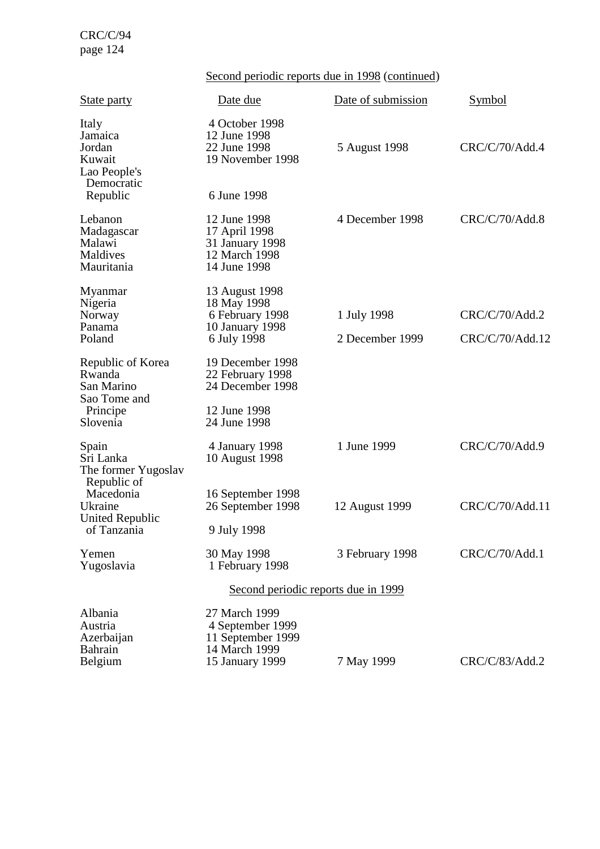Second periodic reports due in 1998 (continued)

| <b>State party</b>                                                 | Date due                                                                                   | Date of submission | Symbol          |
|--------------------------------------------------------------------|--------------------------------------------------------------------------------------------|--------------------|-----------------|
| Italy<br>Jamaica<br>Jordan<br>Kuwait<br>Lao People's<br>Democratic | 4 October 1998<br>12 June 1998<br>22 June 1998<br>19 November 1998                         | 5 August 1998      | CRC/C/70/Add.4  |
| Republic                                                           | 6 June 1998                                                                                |                    |                 |
| Lebanon<br>Madagascar<br>Malawi<br>Maldives<br>Mauritania          | 12 June 1998<br>17 April 1998<br>31 January 1998<br>12 March 1998<br>14 June 1998          | 4 December 1998    | CRC/C/70/Add.8  |
| Myanmar                                                            | 13 August 1998                                                                             |                    |                 |
| Nigeria<br>Norway                                                  | 18 May 1998<br>6 February 1998                                                             | 1 July 1998        | CRC/C/70/Add.2  |
| Panama<br>Poland                                                   | 10 January 1998<br>6 July 1998                                                             | 2 December 1999    | CRC/C/70/Add.12 |
| Republic of Korea<br>Rwanda<br>San Marino<br>Sao Tome and          | 19 December 1998<br>22 February 1998<br>24 December 1998                                   |                    |                 |
| Principe<br>Slovenia                                               | 12 June 1998<br>24 June 1998                                                               |                    |                 |
| Spain<br>Sri Lanka<br>The former Yugoslav                          | 4 January 1998<br>10 August 1998                                                           | 1 June 1999        | CRC/C/70/Add.9  |
| Republic of<br>Macedonia<br>Ukraine<br><b>United Republic</b>      | 16 September 1998<br>26 September 1998                                                     | 12 August 1999     | CRC/C/70/Add.11 |
| of Tanzania                                                        | 9 July 1998                                                                                |                    |                 |
| Yemen<br>Yugoslavia                                                | 30 May 1998<br>1 February 1998                                                             | 3 February 1998    | CRC/C/70/Add.1  |
|                                                                    | Second periodic reports due in 1999                                                        |                    |                 |
| Albania<br>Austria<br>Azerbaijan<br><b>Bahrain</b><br>Belgium      | 27 March 1999<br>4 September 1999<br>11 September 1999<br>14 March 1999<br>15 January 1999 | 7 May 1999         | CRC/C/83/Add.2  |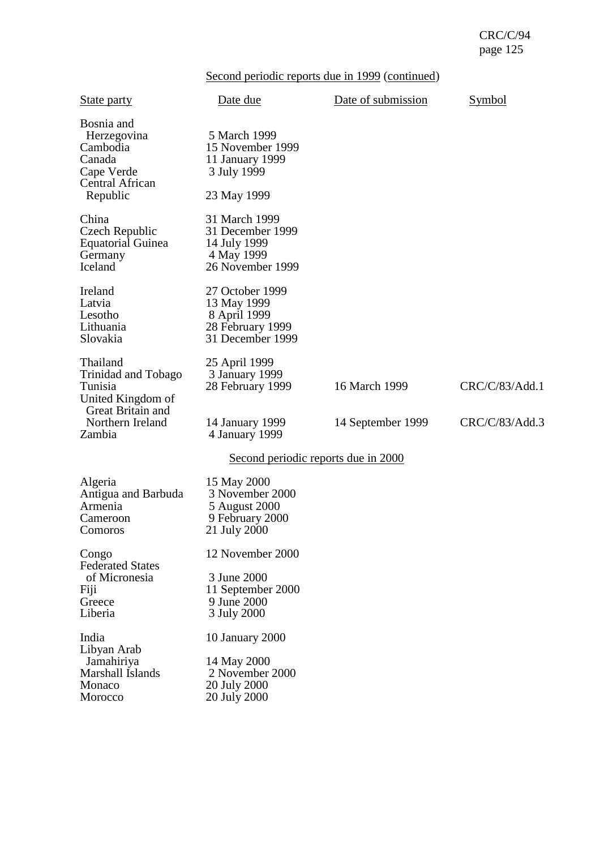|  |  | Second periodic reports due in 1999 (continued) |
|--|--|-------------------------------------------------|
|  |  |                                                 |

| <b>State party</b>                                                                           | Date due                                                                               | Date of submission | Symbol         |
|----------------------------------------------------------------------------------------------|----------------------------------------------------------------------------------------|--------------------|----------------|
| Bosnia and<br>Herzegovina<br>Cambodia<br>Canada<br>Cape Verde<br>Central African<br>Republic | 5 March 1999<br>15 November 1999<br>11 January 1999<br>3 July 1999<br>23 May 1999      |                    |                |
| China<br>Czech Republic<br><b>Equatorial Guinea</b><br>Germany<br>Iceland                    | 31 March 1999<br>31 December 1999<br>14 July 1999<br>4 May 1999<br>26 November 1999    |                    |                |
| Ireland<br>Latvia<br>Lesotho<br>Lithuania<br>Slovakia                                        | 27 October 1999<br>13 May 1999<br>8 April 1999<br>28 February 1999<br>31 December 1999 |                    |                |
| Thailand<br>Trinidad and Tobago<br>Tunisia<br>United Kingdom of<br>Great Britain and         | 25 April 1999<br>3 January 1999<br>28 February 1999                                    | 16 March 1999      | CRC/C/83/Add.1 |
| Northern Ireland<br>Zambia                                                                   | 14 January 1999<br>4 January 1999                                                      | 14 September 1999  | CRC/C/83/Add.3 |
|                                                                                              | <u>Second periodic reports due in 2000</u>                                             |                    |                |
| Algeria<br>Antigua and Barbuda<br>Armenia<br>Cameroon<br>Comoros                             | 15 May 2000<br>3 November 2000<br>5 August 2000<br>9 February 2000<br>21 July 2000     |                    |                |
| Congo<br><b>Federated States</b>                                                             | 12 November 2000                                                                       |                    |                |
| of Micronesia<br>Fiji<br>Greece<br>Liberia                                                   | 3 June 2000<br>11 September 2000<br>9 June 2000<br>3 July 2000                         |                    |                |
| India<br>Libyan Arab<br>Jamahiriya<br>Marshall Islands<br>Monaco<br>Morocco                  | 10 January 2000<br>14 May 2000<br>2 November 2000<br>20 July 2000<br>20 July 2000      |                    |                |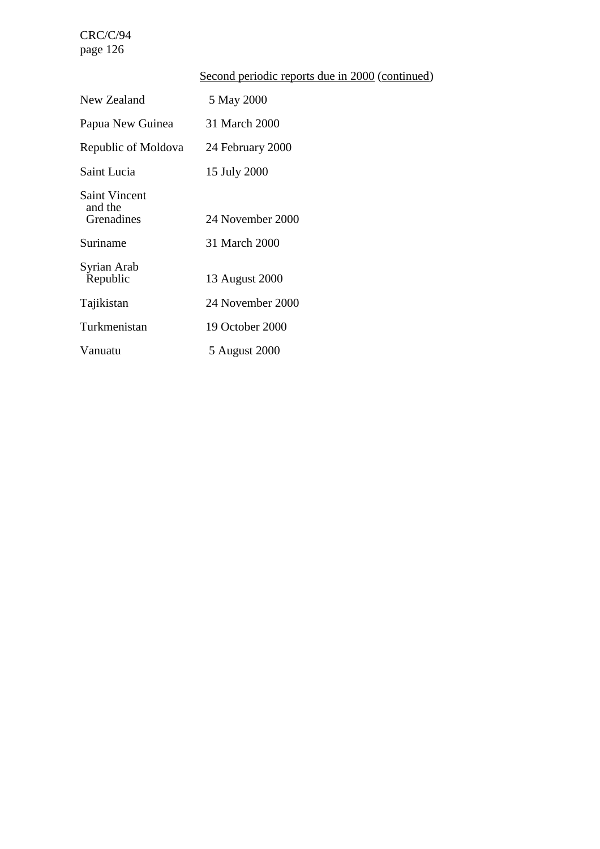# Second periodic reports due in 2000 (continued)

| New Zealand                                   | 5 May 2000       |
|-----------------------------------------------|------------------|
| Papua New Guinea                              | 31 March 2000    |
| Republic of Moldova                           | 24 February 2000 |
| Saint Lucia                                   | 15 July 2000     |
| <b>Saint Vincent</b><br>and the<br>Grenadines | 24 November 2000 |
| Suriname                                      | 31 March 2000    |
| Syrian Arab<br>Republic                       | 13 August 2000   |
| Tajikistan                                    | 24 November 2000 |
| Turkmenistan                                  | 19 October 2000  |
| Vanuatu                                       | 5 August 2000    |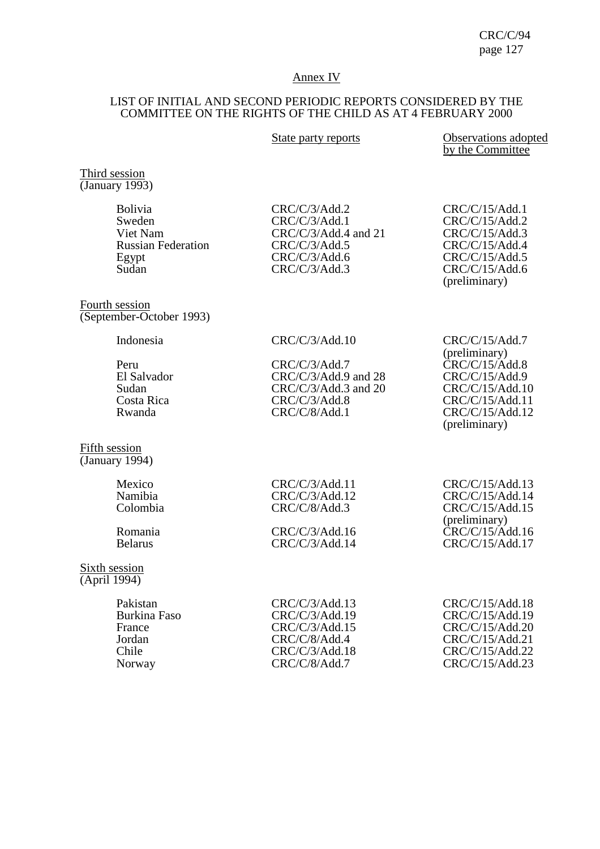### Annex IV

# LIST OF INITIAL AND SECOND PERIODIC REPORTS CONSIDERED BY THE COMMITTEE ON THE RIGHTS OF THE CHILD AS AT 4 FEBRUARY 2000

| State party reports |  |  |
|---------------------|--|--|
|                     |  |  |

s **State party Proports Observations adopted** by the Committee

Third session (January 1993)

| <b>Bolivia</b><br>Sweden<br>Viet Nam<br><b>Russian Federation</b><br>Egypt<br>Sudan | CRC/C/3/Add.2<br>CRC/C/3/Add.1<br>$CRC/C/3/Add.4$ and 21<br>CRC/C/3/Add.5<br>CRC/C/3/Add.6<br>CRC/C/3/Add.3 | CRC/C/15/Add.1<br>CRC/C/15/Add.2<br>CRC/C/15/Add.3<br>CRC/C/15/Add.4<br>CRC/C/15/Add.5<br>CRC/C/15/Add.6<br>(preliminary) |
|-------------------------------------------------------------------------------------|-------------------------------------------------------------------------------------------------------------|---------------------------------------------------------------------------------------------------------------------------|
|                                                                                     |                                                                                                             |                                                                                                                           |
|                                                                                     |                                                                                                             |                                                                                                                           |

Fourth session (September-October 1993)

Indonesia CRC/C/3/Add.10 CRC/C/15/Add.7

| Peru        | CRC/C/3/Add.7          | CRC/C/15/Add.8  |
|-------------|------------------------|-----------------|
| El Salvador | $CRC/C/3/Add.9$ and 28 | CRC/C/15/Add.9  |
| Sudan       | $CRC/C/3/Add.3$ and 20 | CRC/C/15/Add.10 |
| Costa Rica  | CRC/C/3/Add.8          | CRC/C/15/Add.11 |
| Rwanda      | CRC/C/8/Add.1          | CRC/C/15/Add.12 |
|             |                        | $(nr$ eliminary |

Fifth session (January 1994)

| Mexico   |
|----------|
| Namibia  |
| Colombia |

### Sixth session (April 1994)

| CRC/C/3/Add.13 | CRC/C/15/Add.18 |
|----------------|-----------------|
| CRC/C/3/Add.19 | CRC/C/15/Add.19 |
| CRC/C/3/Add.15 | CRC/C/15/Add.20 |
| CRC/C/8/Add.4  | CRC/C/15/Add.21 |
| CRC/C/3/Add.18 | CRC/C/15/Add.22 |
| CRC/C/8/Add.7  | CRC/C/15/Add.23 |
|                |                 |

(preliminary) CRC/C/15/Add.12 (preliminary)

CRC/C/3/Add.11 CRC/C/15/Add.13<br>CRC/C/3/Add.12 CRC/C/15/Add.14 CRC/C/3/Add.12 CRC/C/15/Add.14<br>CRC/C/8/Add.3 CRC/C/15/Add.15  $CRC/C/15/Add.15$ (preliminary) Romania CRC/C/3/Add.16 CRC/C/3/Add.16 CRC/C/15/Add.16 CRC/C/15/Add.16 CRC/C/15/Add.17

| CRC/C/15/Add.18 |
|-----------------|
| CRC/C/15/Add.19 |
| CRC/C/15/Add.20 |
| CRC/C/15/Add.21 |
| CRC/C/15/Add.22 |
| CRC/C/15/Add.23 |
|                 |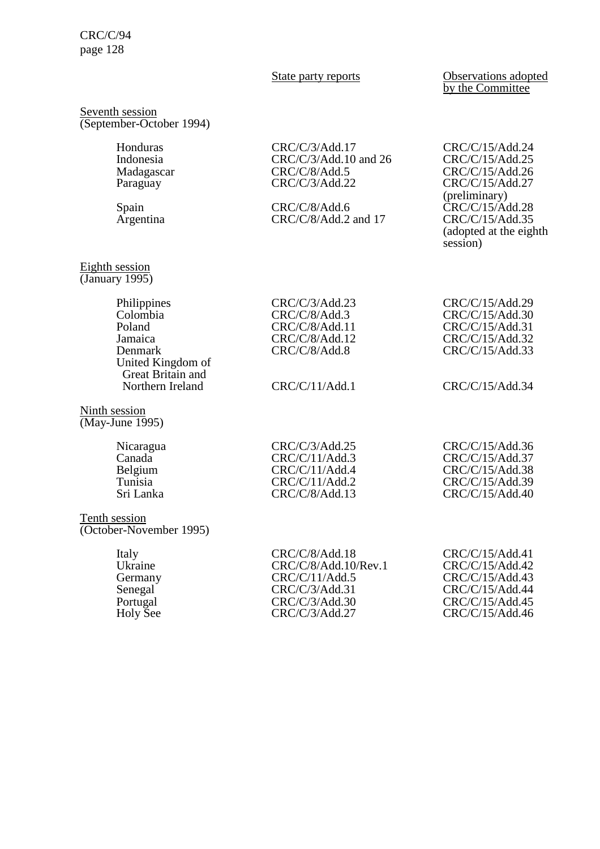### State party reports **Observations** adopted by the Committee

#### Seventh session (September-October 1994)

#### Eighth session (January 1995)

Honduras CRC/C/3/Add.17 CRC/C/15/Add.24<br>Indonesia CRC/C/3/Add.10 and 26 CRC/C/15/Add.25 Indonesia<br>
CRC/C/3/Add.10 and 26<br>
CRC/C/8/Add.5 CRC/C/8/Add.5 CRC/C/15/Add.26<br>CRC/C/3/Add.22 CRC/C/15/Add.27 Paraguay CRC/C/3/Add.22 CRC/C/15/Add.27

Spain CRC/C/8/Add.6 CRC/C/8/Add.7 CRC/C/15/Add.28<br>Argentina CRC/C/8/Add.2 and 17 CRC/C/15/Add.35  $CRC/C/8/Add.2$  and 17

# (preliminary) (adopted at the eighth session)

| CRC/C/15/Add.29 |
|-----------------|
| CRC/C/15/Add.30 |
| CRC/C/15/Add.31 |
| CRC/C/15/Add.32 |
| CRC/C/15/Add.33 |

Great Britain and<br>Northern Ireland

Philippines CRC/C/3/Add.23<br>Colombia CRC/C/8/Add.3 Colombia CRC/C/8/Add.3<br>Poland CRC/C/8/Add 11

Ninth session (May-June 1995)

> Canada CRC/C/11/Add.3 CRC/C/15/Add.37<br>Belgium CRC/C/11/Add.4 CRC/C/15/Add.38 Belgium CRC/C/11/Add.4 CRC/C/15/Add.38<br>Tunisia CRC/C/11/Add.2 CRC/C/15/Add.39 Tunisia CRC/C/11/Add.2 CRC/C/15/Add.39<br>
> CRC/C/8/Add.13 CRC/C/15/Add.40

Tenth session

(October-November 1995)

United Kingdom of

Italy CRC/C/8/Add.18 CRC/C/15/Add.41<br>Ukraine CRC/C/8/Add.10/Rev.1 CRC/C/15/Add.42 Ukraine CRC/C/8/Add.10/Rev.1 CRC/C/15/Add.42<br>Germany CRC/C/11/Add.5 CRC/C/15/Add.43 Germany CRC/C/11/Add.5 CRC/C/15/Add.43<br>Senegal CRC/C/3/Add.31 CRC/C/15/Add.44

Senegal CRC/C/3/Add.31 CRC/C/15/Add.44<br>Portugal CRC/C/3/Add.30 CRC/C/15/Add.45 Portugal CRC/C/3/Add.30 CRC/C/15/Add.45<br>
Holy See CRC/C/3/Add.27 CRC/C/15/Add.46  $CRC/C/15/Add.46$ 

CRC/C/15/Add.40

# CRC/C/11/Add.1 CRC/C/15/Add.34

Nicaragua CRC/C/3/Add.25 CRC/C/15/Add.36<br>Canada CRC/C/11/Add.3 CRC/C/15/Add.37

Poland CRC/C/8/Add.11<br>Jamaica CRC/C/8/Add.12  $CRC/C/8/Add.12$ Denmark CRC/C/8/Add.8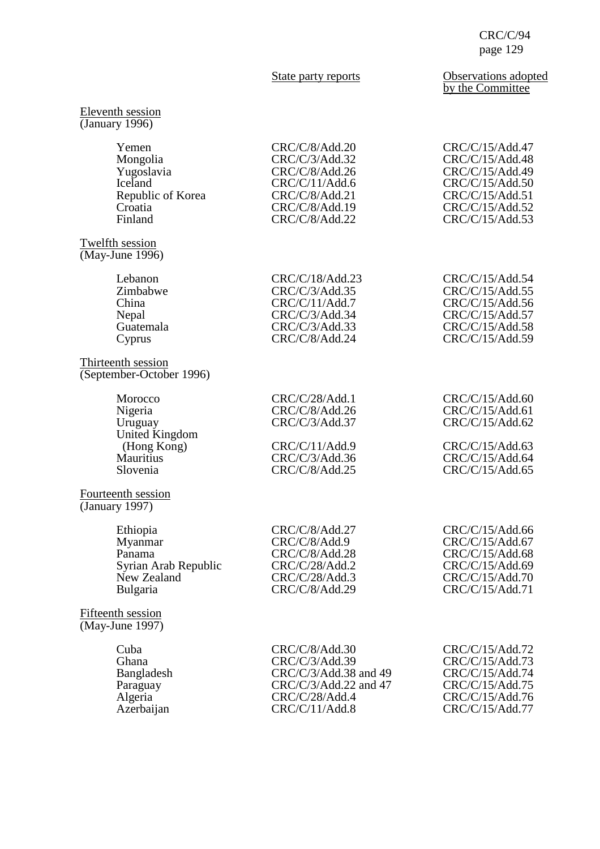### Eleventh session (January 1996)

| Yemen                                                  | CRC/C/8/Add.20                                     | CRC/C/15/Add.47                                       |
|--------------------------------------------------------|----------------------------------------------------|-------------------------------------------------------|
| Mongolia                                               | CRC/C/3/Add.32                                     | CRC/C/15/Add.48                                       |
| Yugoslavia                                             | CRC/C/8/Add.26                                     | CRC/C/15/Add.49                                       |
| Iceland                                                | CRC/C/11/Add.6                                     | CRC/C/15/Add.50                                       |
| Republic of Korea                                      | CRC/C/8/Add.21                                     | CRC/C/15/Add.51                                       |
| Croatia                                                | CRC/C/8/Add.19                                     | CRC/C/15/Add.52                                       |
| Finland                                                | CRC/C/8/Add.22                                     | CRC/C/15/Add.53                                       |
| Twelfth session<br>(May-June 1996)                     |                                                    |                                                       |
| Lebanon                                                | CRC/C/18/Add.23                                    | CRC/C/15/Add.54                                       |
| Zimbabwe                                               | CRC/C/3/Add.35                                     | CRC/C/15/Add.55                                       |
| China                                                  | CRC/C/11/Add.7                                     | CRC/C/15/Add.56                                       |
| Nepal                                                  | CRC/C/3/Add.34                                     | CRC/C/15/Add.57                                       |
| Guatemala                                              | CRC/C/3/Add.33                                     | CRC/C/15/Add.58                                       |
| Cyprus                                                 | CRC/C/8/Add.24                                     | CRC/C/15/Add.59                                       |
| Thirteenth session<br>(September-October 1996)         |                                                    |                                                       |
| Morocco<br>Nigeria<br>Uruguay<br><b>United Kingdom</b> | CRC/C/28/Add.1<br>CRC/C/8/Add.26<br>CRC/C/3/Add.37 | CRC/C/15/Add.60<br>CRC/C/15/Add.61<br>CRC/C/15/Add.62 |
| (Hong Kong)                                            | CRC/C/11/Add.9                                     | CRC/C/15/Add.63                                       |
| <b>Mauritius</b>                                       | CRC/C/3/Add.36                                     | CRC/C/15/Add.64                                       |
| Slovenia                                               | CRC/C/8/Add.25                                     | CRC/C/15/Add.65                                       |
| Fourteenth session<br>(January 1997)                   |                                                    |                                                       |
| Ethiopia                                               | CRC/C/8/Add.27                                     | CRC/C/15/Add.66                                       |
| Myanmar                                                | CRC/C/8/Add.9                                      | CRC/C/15/Add.67                                       |
| Panama                                                 | CRC/C/8/Add.28                                     | CRC/C/15/Add.68                                       |
| Syrian Arab Republic                                   | CRC/C/28/Add.2                                     | CRC/C/15/Add.69                                       |
| New Zealand                                            | CRC/C/28/Add.3                                     | CRC/C/15/Add.70                                       |
| Bulgaria                                               | CRC/C/8/Add.29                                     | CRC/C/15/Add.71                                       |
| Fifteenth session<br>$(May-June 1997)$                 |                                                    |                                                       |
| Cuba                                                   | CRC/C/8/Add.30                                     | CRC/C/15/Add.72                                       |
| Ghana                                                  | CRC/C/3/Add.39                                     | CRC/C/15/Add.73                                       |
| Bangladesh                                             | CRC/C/3/Add.38 and 49                              | CRC/C/15/Add.74                                       |
| Paraguay                                               | CRC/C/3/Add.22 and 47                              | CRC/C/15/Add.75                                       |
| Algeria                                                | CRC/C/28/Add.4                                     | CRC/C/15/Add.76                                       |
| Azerbaijan                                             | CRC/C/11/Add.8                                     | CRC/C/15/Add.77                                       |

### State party reports **Observations** adopted by the Committee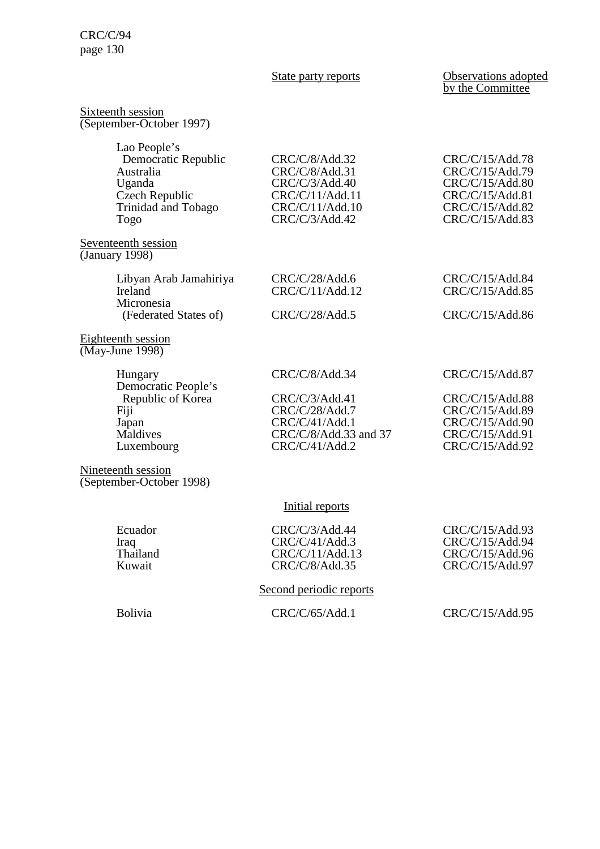State party reports **Observations** adopted by the Committee

| Sixteenth session<br>(September-October 1997)                                                               |                                                                                                            |                                                                                                                |
|-------------------------------------------------------------------------------------------------------------|------------------------------------------------------------------------------------------------------------|----------------------------------------------------------------------------------------------------------------|
| Lao People's<br>Democratic Republic<br>Australia<br>Uganda<br>Czech Republic<br>Trinidad and Tobago<br>Togo | CRC/C/8/Add.32<br>CRC/C/8/Add.31<br>CRC/C/3/Add.40<br>CRC/C/11/Add.11<br>CRC/C/11/Add.10<br>CRC/C/3/Add.42 | CRC/C/15/Add.78<br>CRC/C/15/Add.79<br>CRC/C/15/Add.80<br>CRC/C/15/Add.81<br>CRC/C/15/Add.82<br>CRC/C/15/Add.83 |
| Seventeenth session<br>(January $\overline{1998}$ )                                                         |                                                                                                            |                                                                                                                |
| Libyan Arab Jamahiriya<br>Ireland<br>Micronesia                                                             | CRC/C/28/Add.6<br>CRC/C/11/Add.12                                                                          | CRC/C/15/Add.84<br>CRC/C/15/Add.85                                                                             |
| (Federated States of)                                                                                       | CRC/C/28/Add.5                                                                                             | CRC/C/15/Add.86                                                                                                |
| Eighteenth session<br>(May-June 1998)                                                                       |                                                                                                            |                                                                                                                |
| Hungary                                                                                                     | CRC/C/8/Add.34                                                                                             | CRC/C/15/Add.87                                                                                                |
| Democratic People's<br>Republic of Korea<br>Fiji<br>Japan<br>Maldives<br>Luxembourg                         | CRC/C/3/Add.41<br>CRC/C/28/Add.7<br>CRC/C/41/Add.1<br>CRC/C/8/Add.33 and 37<br>CRC/C/41/Add.2              | CRC/C/15/Add.88<br>CRC/C/15/Add.89<br>CRC/C/15/Add.90<br>CRC/C/15/Add.91<br>CRC/C/15/Add.92                    |
| Nineteenth session<br>(September-October 1998)                                                              |                                                                                                            |                                                                                                                |
|                                                                                                             | Initial reports                                                                                            |                                                                                                                |
| Ecuador<br>Iraq<br>Thailand<br>Kuwait                                                                       | CRC/C/3/Add.44<br>CRC/C/41/Add.3<br>CRC/C/11/Add.13<br>CRC/C/8/Add.35                                      | CRC/C/15/Add.93<br>CRC/C/15/Add.94<br>CRC/C/15/Add.96<br>CRC/C/15/Add.97                                       |
|                                                                                                             | Second periodic reports                                                                                    |                                                                                                                |
|                                                                                                             |                                                                                                            |                                                                                                                |

Bolivia CRC/C/65/Add.1 CRC/C/15/Add.95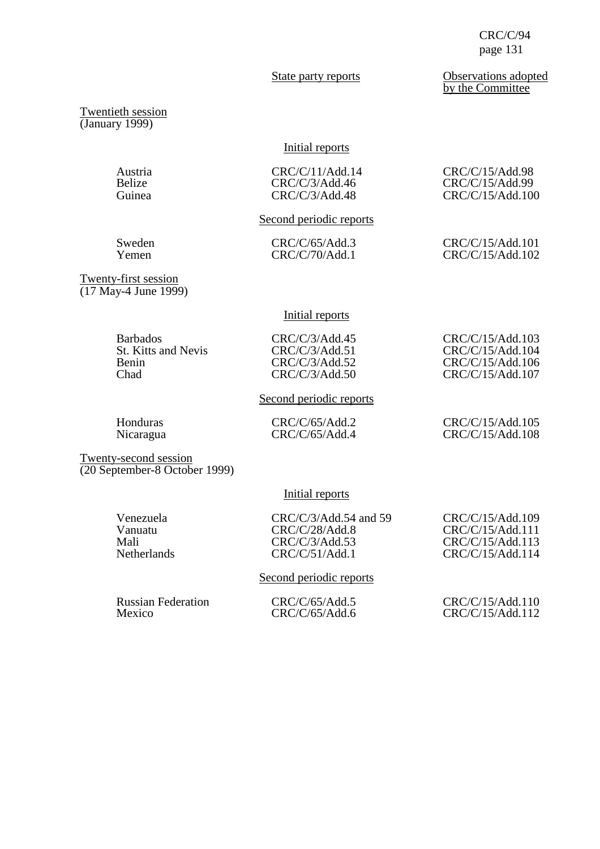State party reports **Observations** adopted by the Committee

Twentieth session (January 1999)

### Initial reports

| Austria | CRC/C/11/Add.14 | CRC/C/15/Add.98  |
|---------|-----------------|------------------|
| Belize  | CRC/C/3/Add.46  | CRC/C/15/Add.99  |
| Guinea  | CRC/C/3/Add.48  | CRC/C/15/Add.100 |
|         |                 |                  |

# Second periodic reports

Sweden CRC/C/65/Add.3 CRC/C/15/Add.101<br>
Yemen CRC/C/70/Add.1 CRC/C/15/Add.102

CRC/C/15/Add.102

Twenty-first session (17 May-4 June 1999)

# Initial reports

Barbados CRC/C/3/Add.45 CRC/C/15/Add.103<br>St. Kitts and Nevis CRC/C/3/Add.51 CRC/C/15/Add.104 St. Kitts and Nevis CRC/C/3/Add.51 CRC/C/15/Add.104<br>Benin CRC/C/3/Add.52 CRC/C/15/Add.106 Benin CRC/C/3/Add.52 CRC/C/15/Add.106<br>Chad CRC/C/3/Add.50 CRC/C/15/Add.107

Honduras CRC/C/65/Add.2 CRC/C/15/Add.105<br>Nicaragua CRC/C/65/Add.4 CRC/C/15/Add.108

Second periodic reports

CRC/C/15/Add.108

CRC/C/15/Add.107

Twenty-second session (20 September-8 October 1999)

### Initial reports

Venezuela CRC/C/3/Add.54 and 59 CRC/C/15/Add.109<br>Vanuatu CRC/C/28/Add.8 CRC/C/15/Add.111 Vanuatu CRC/C/28/Add.8 CRC/C/15/Add.111<br>Mali CRC/C/3/Add.53 CRC/C/15/Add.113 Mali CRC/C/3/Add.53 CRC/C/15/Add.113<br>
CRC/C/51/Add.1 CRC/C/15/Add.114

### Second periodic reports

Russian Federation<br>
CRC/C/65/Add.5 CRC/C/15/Add.110<br>
CRC/C/65/Add.6 CRC/C/15/Add.112  $CRC/C/15/Add.112$ 

CRC/C/15/Add.114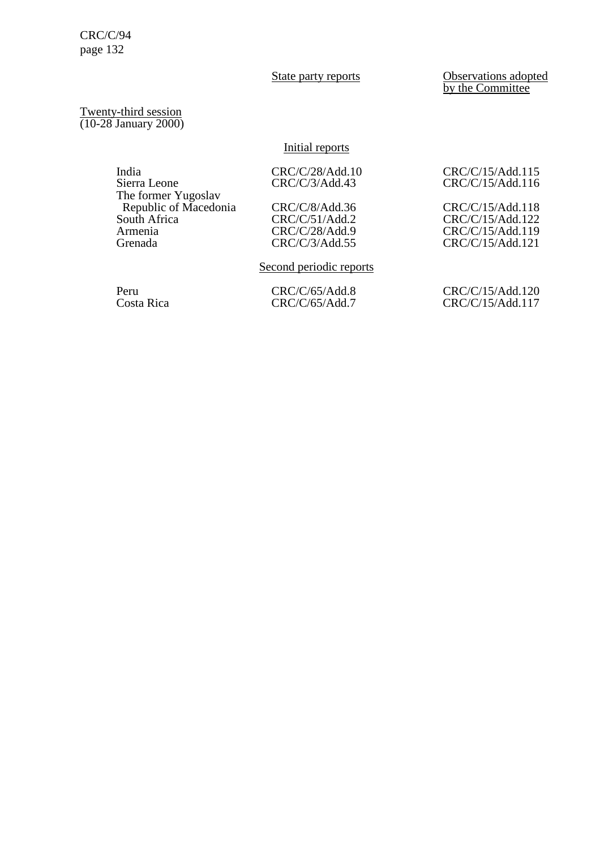State party reports **Observations** adopted by the Committee

Twenty-third session (10-28 January 2000)

# Initial reports

| India                 | CRC/C/28/Add.10 | CRC/C/15/Add.115 |
|-----------------------|-----------------|------------------|
| Sierra Leone          | CRC/C/3/Add.43  | CRC/C/15/Add.116 |
| The former Yugoslav   |                 |                  |
| Republic of Macedonia | CRC/C/8/Add.36  | CRC/C/15/Add.118 |
| South Africa          | CRC/C/51/Add.2  | CRC/C/15/Add.122 |
| Armenia               | CRC/C/28/Add.9  | CRC/C/15/Add.119 |
| Grenada               | CRC/C/3/Add.55  | CRC/C/15/Add.121 |
|                       |                 |                  |

# Second periodic reports

Peru CRC/C/65/Add.8 CRC/C/15/Add.120<br>Costa Rica CRC/C/65/Add.7 CRC/C/15/Add.117 CRC/C/15/Add.117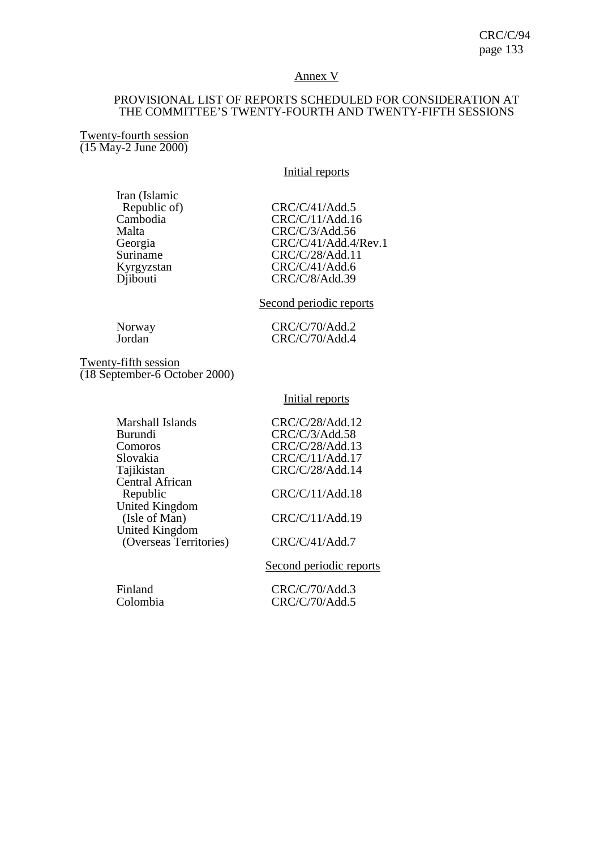# Annex V

# PROVISIONAL LIST OF REPORTS SCHEDULED FOR CONSIDERATION AT THE COMMITTEE'S TWENTY-FOURTH AND TWENTY-FIFTH SESSIONS

Twenty-fourth session (15 May-2 June 2000)

# Initial reports

Iran (Islamic<br>Republic of)

Republic of) CRC/C/41/Add.5<br>Cambodia CRC/C/11/Add.1 Cambodia CRC/C/11/Add.16<br>Malta CRC/C/3/Add.56 Malta<br>
Georgia CRC/C/3/Add.56<br>
CRC/C/41/Add.4/ Georgia CRC/C/41/Add.4/Rev.1<br>Suriname CRC/C/28/Add.11 Suriname CRC/C/28/Add.11<br>Kyrgyzstan CRC/C/41/Add.6<br>Djibouti CRC/C/8/Add.39  $CRC/C/41/Add.6$ CRC/C/8/Add.39

# Second periodic reports

Norway CRC/C/70/Add.2<br>Jordan CRC/C/70/Add.4 CRC/C/70/Add.4

Twenty-fifth session (18 September-6 October 2000)

### Initial reports

| Marshall Islands       | CRC/C/28/Add.12                                                |
|------------------------|----------------------------------------------------------------|
| <b>Burundi</b>         | CRC/C/3/Add.58                                                 |
| Comoros                | CRC/C/28/Add.13                                                |
| Slovakia               | CRC/C/11/Add.17                                                |
| Tajikistan             | CRC/C/28/Add.14                                                |
| <b>Central African</b> |                                                                |
| Republic               | CRC/C/11/Add.18                                                |
| United Kingdom         |                                                                |
| (Isle of Man)          | CRC/C/11/Add.19                                                |
| <b>United Kingdom</b>  |                                                                |
| (Overseas Territories) | CRC/C/41/Add.7                                                 |
|                        | $\begin{array}{ccccccccccccccccc}\n0 & 1 & 1 & 1\n\end{array}$ |
|                        |                                                                |

Second periodic reports

Finland CRC/C/70/Add.3<br>Colombia CRC/C/70/Add.5  $CRC/C/70/Add.5$